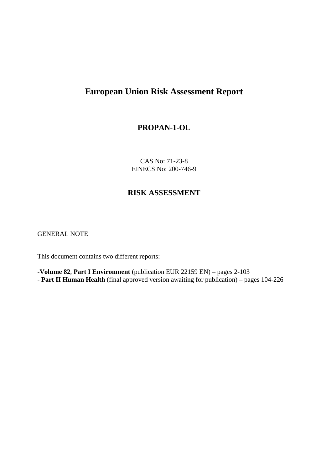# **European Union Risk Assessment Report**

## **PROPAN-1-OL**

CAS No: 71-23-8 EINECS No: 200-746-9

# **RISK ASSESSMENT**

GENERAL NOTE

This document contains two different reports:

-**Volume 82**, **Part I Environment** (publication EUR 22159 EN) – pages 2-103 - **Part II Human Health** (final approved version awaiting for publication) – pages 104-226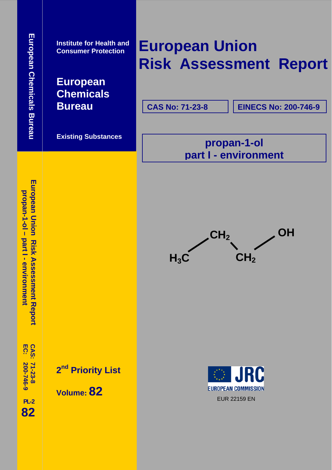**pro**

**pan-1-ol –**

**part I - environment**

European Union Risk Assessment Report

**Institute for Health and Consumer Protection** 

**European Chemicals Bureau**

 **Existing Substances**

# **European Union Risk Assessment Report**

**CAS No: 71-23-8**

**EINECS No: 200-746-9**

**propan-1-ol part I - environment**



**EC: CAS:**  200-746-9 **200-746-9 71-23-8** 

 **PL-2 82** **2<sup>nd</sup> Priority List** 

 **Volume: 82**

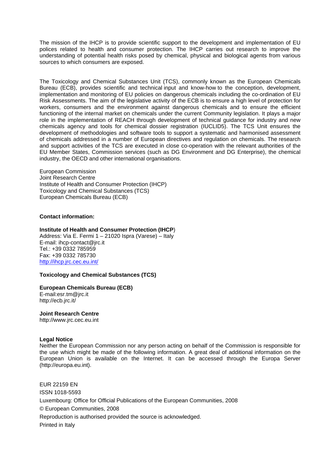The mission of the IHCP is to provide scientific support to the development and implementation of EU polices related to health and consumer protection. The IHCP carries out research to improve the understanding of potential health risks posed by chemical, physical and biological agents from various sources to which consumers are exposed.

The Toxicology and Chemical Substances Unit (TCS), commonly known as the European Chemicals Bureau (ECB), provides scientific and technical input and know-how to the conception, development, implementation and monitoring of EU policies on dangerous chemicals including the co-ordination of EU Risk Assessments. The aim of the legislative activity of the ECB is to ensure a high level of protection for workers, consumers and the environment against dangerous chemicals and to ensure the efficient functioning of the internal market on chemicals under the current Community legislation. It plays a major role in the implementation of REACH through development of technical guidance for industry and new chemicals agency and tools for chemical dossier registration (IUCLID5). The TCS Unit ensures the development of methodologies and software tools to support a systematic and harmonised assessment of chemicals addressed in a number of European directives and regulation on chemicals. The research and support activities of the TCS are executed in close co-operation with the relevant authorities of the EU Member States, Commission services (such as DG Environment and DG Enterprise), the chemical industry, the OECD and other international organisations.

European Commission Joint Research Centre Institute of Health and Consumer Protection (IHCP) Toxicology and Chemical Substances (TCS) European Chemicals Bureau (ECB)

#### **Contact information:**

#### **Institute of Health and Consumer Protection (IHCP**)

Address: Via E. Fermi 1 – 21020 Ispra (Varese) – Italy E-mail: ihcp-contact@jrc.it Tel.: +39 0332 785959 Fax: +39 0332 785730 <http://ihcp.jrc.cec.eu.int/>

#### **Toxicology and Chemical Substances (TCS)**

#### **European Chemicals Bureau (ECB)**

E-mail:esr.tm@jrc.it http://ecb.jrc.it/

#### **Joint Research Centre**

http://www.jrc.cec.eu.int

#### **Legal Notice**

Neither the European Commission nor any person acting on behalf of the Commission is responsible for the use which might be made of the following information. A great deal of additional information on the European Union is available on the Internet. It can be accessed through the Europa Server (http://europa.eu.int).

EUR 22159 EN ISSN 1018-5593 Luxembourg: Office for Official Publications of the European Communities, 2008 © European Communities, 2008 Reproduction is authorised provided the source is acknowledged. Printed in Italy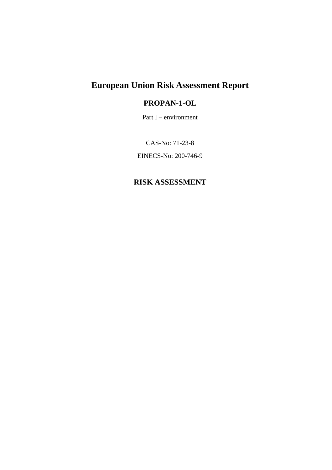# **European Union Risk Assessment Report**

# **PROPAN-1-OL**

Part I – environment

CAS-No: 71-23-8 EINECS-No: 200-746-9

# **RISK ASSESSMENT**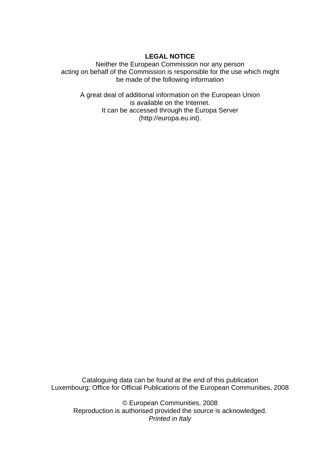### **LEGAL NOTICE**

Neither the European Commission nor any person acting on behalf of the Commission is responsible for the use which might be made of the following information

A great deal of additional information on the European Union is available on the Internet. It can be accessed through the Europa Server (http://europa.eu.int).

Cataloguing data can be found at the end of this publication Luxembourg: Office for Official Publications of the European Communities, 2008

© European Communities, 2008 Reproduction is authorised provided the source is acknowledged. *Printed in Italy*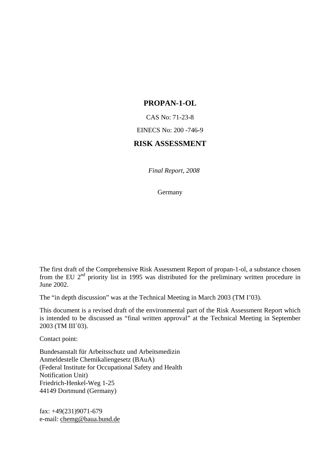### **PROPAN-1-OL**

CAS No: 71-23-8

EINECS No: 200 -746-9

## **RISK ASSESSMENT**

*Final Report, 2008* 

Germany

The first draft of the Comprehensive Risk Assessment Report of propan-1-ol, a substance chosen from the EU  $2<sup>nd</sup>$  priority list in 1995 was distributed for the preliminary written procedure in June 2002.

The "in depth discussion" was at the Technical Meeting in March 2003 (TM I'03).

This document is a revised draft of the environmental part of the Risk Assessment Report which is intended to be discussed as "final written approval" at the Technical Meeting in September 2003 (TM III´03).

Contact point:

Bundesanstalt für Arbeitsschutz und Arbeitsmedizin Anmeldestelle Chemikaliengesetz (BAuA) (Federal Institute for Occupational Safety and Health Notification Unit) Friedrich-Henkel-Weg 1-25 44149 Dortmund (Germany)

fax: +49(231)9071-679 e-mail[: chemg@baua.bund.de](mailto:amst@baua.do.shuttle.de)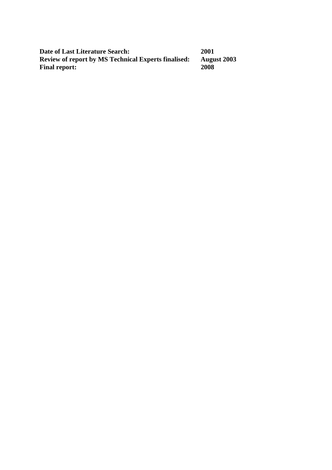| Date of Last Literature Search:                            | 2001               |
|------------------------------------------------------------|--------------------|
| <b>Review of report by MS Technical Experts finalised:</b> | <b>August 2003</b> |
| <b>Final report:</b>                                       | 2008               |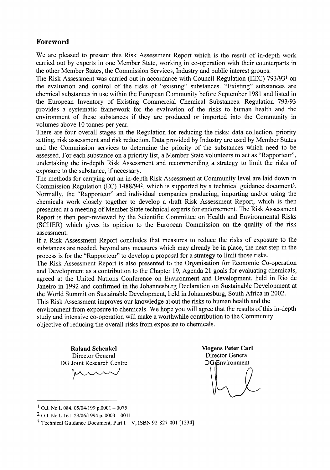# Foreword

We are pleased to present this Risk Assessment Report which is the result of in-depth work carried out by experts in one Member State, working in co-operation with their counterparts in the other Member States, the Commission Services, Industry and public interest groups.

The Risk Assessment was carried out in accordance with Council Regulation (EEC) 793/931 on the evaluation and control of the risks of "existing" substances. "Existing" substances are chemical substances in use within the European Community before September 1981 and listed in the European Inventory of Existing Commercial Chemical Substances. Regulation 793/93 provides a systematic framework for the evaluation of the risks to human health and the environment of these substances if they are produced or imported into the Community in volumes above 10 tonnes per year.

There are four overall stages in the Regulation for reducing the risks: data collection, priority setting, risk assessment and risk reduction. Data provided by Industry are used by Member States and the Commission services to determine the priority of the substances which need to be assessed. For each substance on a priority list, a Member State volunteers to act as "Rapporteur", undertaking the in-depth Risk Assessment and recommending a strategy to limit the risks of exposure to the substance, if necessary.

The methods for carrying out an in-depth Risk Assessment at Community level are laid down in Commission Regulation (EC) 1488/942, which is supported by a technical guidance document<sup>3</sup>. Normally, the "Rapporteur" and individual companies producing, importing and/or using the chemicals work closely together to develop a draft Risk Assessment Report, which is then presented at a meeting of Member State technical experts for endorsement. The Risk Assessment Report is then peer-reviewed by the Scientific Committee on Health and Environmental Risks (SCHER) which gives its opinion to the European Commission on the quality of the risk assessment.

If a Risk Assessment Report concludes that measures to reduce the risks of exposure to the substances are needed, beyond any measures which may already be in place, the next step in the process is for the "Rapporteur" to develop a proposal for a strategy to limit those risks.

The Risk Assessment Report is also presented to the Organisation for Economic Co-operation and Development as a contribution to the Chapter 19, Agenda 21 goals for evaluating chemicals, agreed at the United Nations Conference on Environment and Development, held in Rio de Janeiro in 1992 and confirmed in the Johannesburg Declaration on Sustainable Development at the World Summit on Sustainable Development, held in Johannesburg, South Africa in 2002.

This Risk Assessment improves our knowledge about the risks to human health and the environment from exposure to chemicals. We hope you will agree that the results of this in-depth study and intensive co-operation will make a worthwhile contribution to the Community objective of reducing the overall risks from exposure to chemicals.

**Roland Schenkel** Director General DG Joint Research Centre

**Mogens Peter Carl** Director General **DG**<sub>*Environment*</sub>

 $1$  O.J. No L 084, 05/04/199 p.0001 - 0075

 $2$  O.J. No L 161, 29/06/1994 p. 0003 - 0011

 $3$  Technical Guidance Document, Part I – V, ISBN 92-827-801 [1234]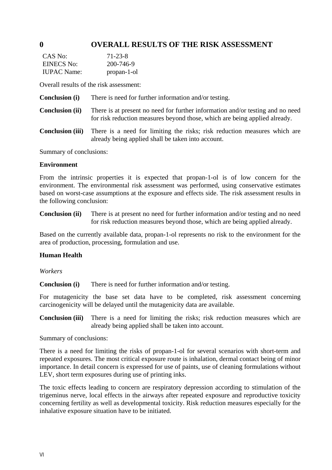# **0 OVERALL RESULTS OF THE RISK ASSESSMENT**

| CAS No:            | 71-23-8     |
|--------------------|-------------|
| EINECS No:         | 200-746-9   |
| <b>IUPAC</b> Name: | propan-1-ol |

Overall results of the risk assessment:

- **Conclusion (i)** There is need for further information and/or testing.
- **Conclusion (ii)** There is at present no need for further information and/or testing and no need for risk reduction measures beyond those, which are being applied already.
- **Conclusion (iii)** There is a need for limiting the risks; risk reduction measures which are already being applied shall be taken into account.

Summary of conclusions:

#### **Environment**

From the intrinsic properties it is expected that propan-1-ol is of low concern for the environment. The environmental risk assessment was performed, using conservative estimates based on worst-case assumptions at the exposure and effects side. The risk assessment results in the following conclusion:

**Conclusion (ii)** There is at present no need for further information and/or testing and no need for risk reduction measures beyond those, which are being applied already.

Based on the currently available data, propan-1-ol represents no risk to the environment for the area of production, processing, formulation and use.

#### **Human Health**

*Workers* 

**Conclusion (i)** There is need for further information and/or testing.

For mutagenicity the base set data have to be completed, risk assessment concerning carcinogenicity will be delayed until the mutagenicity data are available.

**Conclusion (iii)** There is a need for limiting the risks; risk reduction measures which are already being applied shall be taken into account.

Summary of conclusions:

There is a need for limiting the risks of propan-1-ol for several scenarios with short-term and repeated exposures. The most critical exposure route is inhalation, dermal contact being of minor importance. In detail concern is expressed for use of paints, use of cleaning formulations without LEV, short term exposures during use of printing inks.

The toxic effects leading to concern are respiratory depression according to stimulation of the trigeminus nerve, local effects in the airways after repeated exposure and reproductive toxicity concerning fertility as well as developmental toxicity. Risk reduction measures especially for the inhalative exposure situation have to be initiated.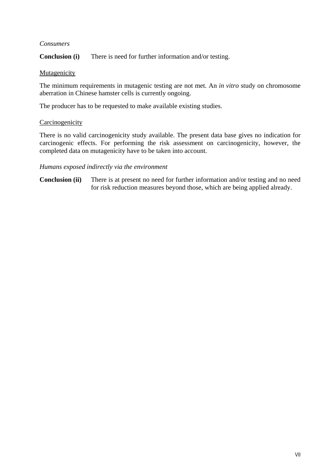#### *Consumers*

**Conclusion (i)** There is need for further information and/or testing.

#### Mutagenicity

The minimum requirements in mutagenic testing are not met. An *in vitro* study on chromosome aberration in Chinese hamster cells is currently ongoing.

The producer has to be requested to make available existing studies.

#### Carcinogenicity

There is no valid carcinogenicity study available. The present data base gives no indication for carcinogenic effects. For performing the risk assessment on carcinogenicity, however, the completed data on mutagenicity have to be taken into account.

#### *Humans exposed indirectly via the environment*

**Conclusion (ii)** There is at present no need for further information and/or testing and no need for risk reduction measures beyond those, which are being applied already.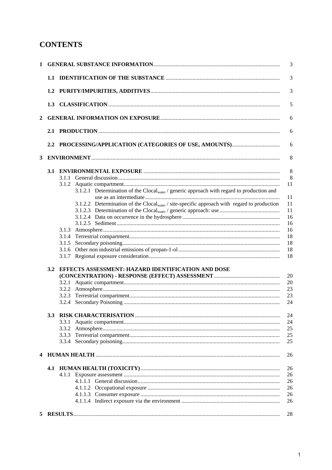# **CONTENTS**

| 1 |     | 3                                                                                                             |  |  |  |
|---|-----|---------------------------------------------------------------------------------------------------------------|--|--|--|
|   | 1.1 | 3                                                                                                             |  |  |  |
|   |     | 3                                                                                                             |  |  |  |
|   |     | 5                                                                                                             |  |  |  |
| 2 |     | 6                                                                                                             |  |  |  |
|   |     | 6                                                                                                             |  |  |  |
|   |     | 6                                                                                                             |  |  |  |
| 3 |     | 8                                                                                                             |  |  |  |
|   |     | 8                                                                                                             |  |  |  |
|   |     | 8                                                                                                             |  |  |  |
|   |     |                                                                                                               |  |  |  |
|   |     | 11                                                                                                            |  |  |  |
|   |     | 3.1.2.1 Determination of the Clocal <sub>water</sub> / generic approach with regard to production and         |  |  |  |
|   |     | 11                                                                                                            |  |  |  |
|   |     | 3.1.2.2 Determination of the Clocal <sub>water</sub> / site-specific approach with regard to production<br>11 |  |  |  |
|   |     | 11                                                                                                            |  |  |  |
|   |     | 16                                                                                                            |  |  |  |
|   |     | 16                                                                                                            |  |  |  |
|   |     | 16                                                                                                            |  |  |  |
|   |     | 18                                                                                                            |  |  |  |
|   |     | 18                                                                                                            |  |  |  |
|   |     |                                                                                                               |  |  |  |
|   |     | 18                                                                                                            |  |  |  |
|   |     | 18                                                                                                            |  |  |  |
|   | 3.2 | EFFECTS ASSESSMENT: HAZARD IDENTIFICATION AND DOSE                                                            |  |  |  |
|   |     | 20                                                                                                            |  |  |  |
|   |     | 20                                                                                                            |  |  |  |
|   |     | 23                                                                                                            |  |  |  |
|   |     | 23                                                                                                            |  |  |  |
|   |     | 24                                                                                                            |  |  |  |
|   |     |                                                                                                               |  |  |  |
|   |     | 24                                                                                                            |  |  |  |
|   |     | 24                                                                                                            |  |  |  |
|   |     | 25                                                                                                            |  |  |  |
|   |     | 25                                                                                                            |  |  |  |
|   |     | 25                                                                                                            |  |  |  |
|   |     | 26                                                                                                            |  |  |  |
|   |     | 26                                                                                                            |  |  |  |
|   |     | 26                                                                                                            |  |  |  |
|   |     | 26                                                                                                            |  |  |  |
|   |     |                                                                                                               |  |  |  |
|   |     | 26                                                                                                            |  |  |  |
|   |     | 26                                                                                                            |  |  |  |
|   |     | 26                                                                                                            |  |  |  |
|   |     | 28                                                                                                            |  |  |  |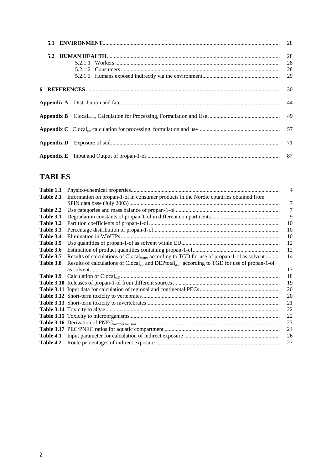# **TABLES**

| Table 1.1 |                                                                                                                       | 4  |
|-----------|-----------------------------------------------------------------------------------------------------------------------|----|
| Table 2.1 | Information on propan-1-ol in consumer products in the Nordic countries obtained from                                 |    |
|           |                                                                                                                       | 7  |
| Table 2.2 |                                                                                                                       | 7  |
| Table 3.1 |                                                                                                                       | 9  |
| Table 3.2 |                                                                                                                       | 10 |
| Table 3.3 |                                                                                                                       | 10 |
| Table 3.4 |                                                                                                                       | 10 |
| Table 3.5 |                                                                                                                       | 12 |
| Table 3.6 |                                                                                                                       | 12 |
| Table 3.7 | Results of calculations of Clocal <sub>water</sub> according to TGD for use of propan-1-ol as solvent                 | 14 |
| Table 3.8 | Results of calculations of Clocal <sub>air</sub> and DEPtotal <sub>ann.</sub> according to TGD for use of propan-1-ol |    |
|           |                                                                                                                       | 17 |
| Table 3.9 |                                                                                                                       | 18 |
|           |                                                                                                                       | 19 |
|           |                                                                                                                       | 20 |
|           |                                                                                                                       | 20 |
|           |                                                                                                                       | 21 |
|           |                                                                                                                       | 22 |
|           |                                                                                                                       | 22 |
|           |                                                                                                                       | 23 |
|           |                                                                                                                       | 24 |
| Table 4.1 |                                                                                                                       | 26 |
| Table 4.2 |                                                                                                                       | 27 |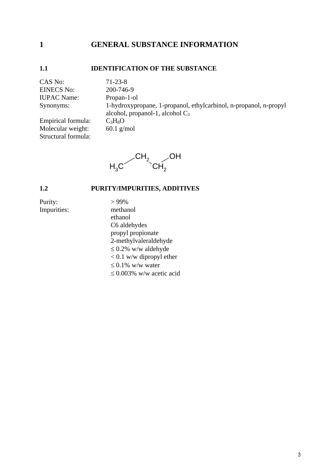# <span id="page-15-0"></span>**1 GENERAL SUBSTANCE INFORMATION**

#### <span id="page-15-1"></span>**1.1 IDENTIFICATION OF THE SUBSTANCE**

CAS No: 71-23-8 EINECS No: 200-746-9 IUPAC Name: Propan-1-ol

Structural formula:

Synonyms: 1-hydroxypropane, 1-propanol, ethylcarbinol, n-propanol, n-propyl alcohol, propanol-1, alcohol  $C_3$ Empirical formula:  $C_3H_8O$ Molecular weight: 60.1 g/mol



# <span id="page-15-2"></span>**1.2 PURITY/IMPURITIES, ADDITIVES**

Purity:  $>99\%$ Impurities: methanol

 ethanol C6 aldehydes propyl propionate 2-methylvaleraldehyde  $\leq$  0.2% w/w aldehyde  $< 0.1$  w/w dipropyl ether  $\leq 0.1\%$  w/w water  $\leq 0.003\%$  w/w acetic acid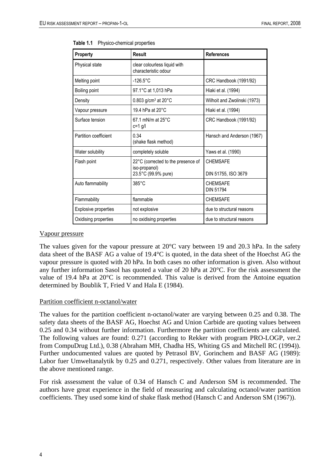| Property              | Result                                               | <b>References</b>                   |
|-----------------------|------------------------------------------------------|-------------------------------------|
| Physical state        | clear colourless liquid with<br>characteristic odour |                                     |
| Melting point         | $-126.5^{\circ}$ C                                   | CRC Handbook (1991/92)              |
| Boiling point         | 97.1°C at 1,013 hPa                                  | Hiaki et al. (1994)                 |
| Density               | $0.803$ g/cm <sup>3</sup> at 20 $^{\circ}$ C         | Wilhoit and Zwolinski (1973)        |
| Vapour pressure       | 19.4 hPa at 20°C                                     | Hiaki et al. (1994)                 |
| Surface tension       | $67.1$ mN/m at 25 $^{\circ}$ C<br>$c=1$ g/l          | CRC Handbook (1991/92)              |
| Partition coefficient | 0.34<br>(shake flask method)                         | Hansch and Anderson (1967)          |
| Water solubility      | completely soluble                                   | Yaws et al. (1990)                  |
| Flash point           | 22°C (corrected to the presence of                   | <b>CHEMSAFE</b>                     |
|                       | iso-propanol)<br>23.5°C (99.9% pure)                 | DIN 51755, ISO 3679                 |
| Auto flammability     | $385^{\circ}$ C                                      | <b>CHEMSAFE</b><br><b>DIN 51794</b> |
| Flammability          | flammable                                            | <b>CHEMSAFE</b>                     |
| Explosive properties  | not explosive                                        | due to structural reasons           |
| Oxidising properties  | no oxidising properties                              | due to structural reasons           |

<span id="page-16-0"></span>**Table 1.1** Physico-chemical properties

#### Vapour pressure

The values given for the vapour pressure at 20°C vary between 19 and 20.3 hPa. In the safety data sheet of the BASF AG a value of 19.4°C is quoted, in the data sheet of the Hoechst AG the vapour pressure is quoted with 20 hPa. In both cases no other information is given. Also without any further information Sasol has quoted a value of 20 hPa at 20°C. For the risk assessment the value of 19.4 hPa at 20°C is recommended. This value is derived from the Antoine equation determined by Boublik T, Fried V and Hala E (1984).

#### Partition coefficient n-octanol/water

The values for the partition coefficient n-octanol/water are varying between 0.25 and 0.38. The safety data sheets of the BASF AG, Hoechst AG and Union Carbide are quoting values between 0.25 and 0.34 without further information. Furthermore the partition coefficients are calculated. The following values are found: 0.271 (according to Rekker with program PRO-LOGP, ver.2 from CompuDrug Ltd.), 0.38 (Abraham MH, Chadha HS, Whiting GS and Mitchell RC (1994)). Further undocumented values are quoted by Petrasol BV, Gorinchem and BASF AG (1989): Labor fuer Umweltanalytik by 0.25 and 0.271, respectively. Other values from literature are in the above mentioned range.

For risk assessment the value of 0.34 of Hansch C and Anderson SM is recommended. The authors have great experience in the field of measuring and calculating octanol/water partition coefficients. They used some kind of shake flask method (Hansch C and Anderson SM (1967)).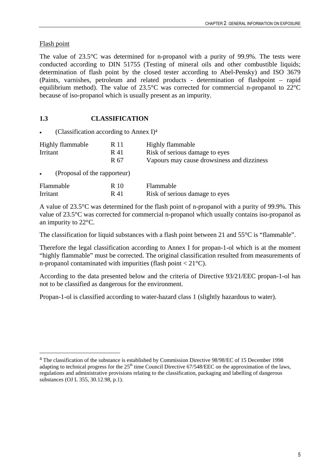## Flash point

 $\overline{a}$ 

The value of 23.5°C was determined for n-propanol with a purity of 99.9%. The tests were conducted according to DIN 51755 (Testing of mineral oils and other combustible liquids; determination of flash point by the closed tester according to Abel-Pensky) and ISO 3679 (Paints, varnishes, petroleum and related products - determination of flashpoint – rapid equilibrium method). The value of 23.5°C was corrected for commercial n-propanol to 22°C because of iso-propanol which is usually present as an impurity.

# <span id="page-17-0"></span>**1.3 CLASSIFICATION**

(Classification according to Annex  $I$ )<sup>4</sup>

| Highly flammable | R 11 | Highly flammable                           |
|------------------|------|--------------------------------------------|
| Irritant         | R 41 | Risk of serious damage to eyes             |
|                  | R 67 | Vapours may cause drowsiness and dizziness |

• (Proposal of the rapporteur)

| Flammable | R 10 | Flammable                      |
|-----------|------|--------------------------------|
| Irritant  | R 41 | Risk of serious damage to eyes |

A value of 23.5°C was determined for the flash point of n-propanol with a purity of 99.9%. This value of 23.5°C was corrected for commercial n-propanol which usually contains iso-propanol as an impurity to 22°C.

The classification for liquid substances with a flash point between 21 and 55<sup>o</sup>C is "flammable".

Therefore the legal classification according to Annex I for propan-1-ol which is at the moment "highly flammable" must be corrected. The original classification resulted from measurements of n-propanol contaminated with impurities (flash point < 21°C).

According to the data presented below and the criteria of Directive 93/21/EEC propan-1-ol has not to be classified as dangerous for the environment.

Propan-1-ol is classified according to water-hazard class 1 (slightly hazardous to water).

<sup>4</sup> The classification of the substance is established by Commission Directive 98/98/EC of 15 December 1998 adapting to technical progress for the  $25<sup>th</sup>$  time Council Directive 67/548/EEC on the approximation of the laws, regulations and administrative provisions relating to the classification, packaging and labelling of dangerous substances (OJ L 355, 30.12.98, p.1).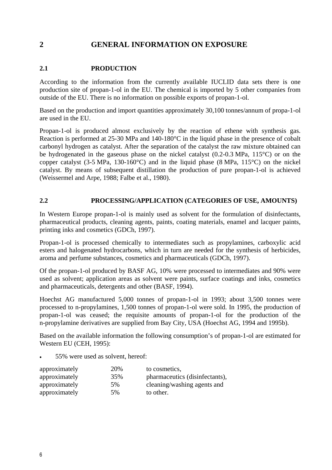# <span id="page-18-0"></span>**2 GENERAL INFORMATION ON EXPOSURE**

### <span id="page-18-1"></span>**2.1 PRODUCTION**

According to the information from the currently available IUCLID data sets there is one production site of propan-1-ol in the EU. The chemical is imported by 5 other companies from outside of the EU. There is no information on possible exports of propan-1-ol.

Based on the production and import quantities approximately 30,100 tonnes/annum of propa-1-ol are used in the EU.

Propan-1-ol is produced almost exclusively by the reaction of ethene with synthesis gas. Reaction is performed at 25-30 MPa and 140-180°C in the liquid phase in the presence of cobalt carbonyl hydrogen as catalyst. After the separation of the catalyst the raw mixture obtained can be hydrogenated in the gaseous phase on the nickel catalyst (0.2-0.3 MPa, 115°C) or on the copper catalyst (3-5 MPa, 130-160°C) and in the liquid phase (8 MPa, 115°C) on the nickel catalyst. By means of subsequent distillation the production of pure propan-1-ol is achieved (Weissermel and Arpe, 1988; Falbe et al., 1980).

#### <span id="page-18-2"></span>**2.2 PROCESSING/APPLICATION (CATEGORIES OF USE, AMOUNTS)**

In Western Europe propan-1-ol is mainly used as solvent for the formulation of disinfectants, pharmaceutical products, cleaning agents, paints, coating materials, enamel and lacquer paints, printing inks and cosmetics (GDCh, 1997).

Propan-1-ol is processed chemically to intermediates such as propylamines, carboxylic acid esters and halogenated hydrocarbons, which in turn are needed for the synthesis of herbicides, aroma and perfume substances, cosmetics and pharmaceuticals (GDCh, 1997).

Of the propan-1-ol produced by BASF AG, 10% were processed to intermediates and 90% were used as solvent; application areas as solvent were paints, surface coatings and inks, cosmetics and pharmaceuticals, detergents and other (BASF, 1994).

Hoechst AG manufactured 5,000 tonnes of propan-1-ol in 1993; about 3,500 tonnes were processed to n-propylamines, 1,500 tonnes of propan-1-ol were sold. In 1995, the production of propan-1-ol was ceased; the requisite amounts of propan-1-ol for the production of the n-propylamine derivatives are supplied from Bay City, USA (Hoechst AG, 1994 and 1995b).

Based on the available information the following consumption's of propan-1-ol are estimated for Western EU (CEH, 1995):

• 55% were used as solvent, hereof:

| approximately | 20% | to cosmetics,                  |
|---------------|-----|--------------------------------|
| approximately | 35% | pharmaceutics (disinfectants), |
| approximately | 5%  | cleaning/washing agents and    |
| approximately | 5%  | to other.                      |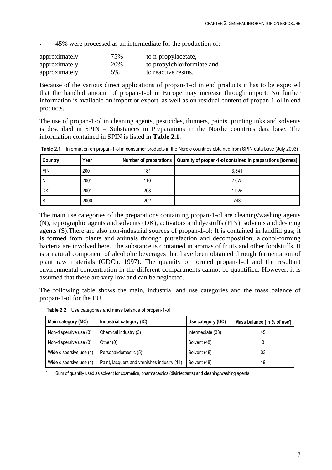• 45% were processed as an intermediate for the production of:

| approximately | 75% | to n-propylacetate,        |
|---------------|-----|----------------------------|
| approximately | 20% | to propylchlorformiate and |
| approximately | 5%  | to reactive resins.        |

Because of the various direct applications of propan-1-ol in end products it has to be expected that the handled amount of propan-1-ol in Europe may increase through import. No further information is available on import or export, as well as on residual content of propan-1-ol in end products.

The use of propan-1-ol in cleaning agents, pesticides, thinners, paints, printing inks and solvents is described in SPIN – Substances in Preparations in the Nordic countries data base. The information contained in SPIN is listed in **Table 2.1**.

| <b>Country</b> | Year |     | Number of preparations   Quantity of propan-1-ol contained in preparations [tonnes] |
|----------------|------|-----|-------------------------------------------------------------------------------------|
| <b>FIN</b>     | 2001 | 181 | 3,341                                                                               |
| ١N             | 2001 | 110 | 2,675                                                                               |
| <b>DK</b>      | 2001 | 208 | 1.925                                                                               |
| ۱S             | 2000 | 202 | 743                                                                                 |

<span id="page-19-0"></span>**Table 2.1** Information on propan-1-ol in consumer products in the Nordic countries obtained from SPIN data base (July 2003)

The main use categories of the preparations containing propan-1-ol are cleaning/washing agents (N), reprographic agents and solvents (DK), activators and dyestuffs (FIN), solvents and de-icing agents (S).There are also non-industrial sources of propan-1-ol: It is contained in landfill gas; it is formed from plants and animals through putrefaction and decomposition; alcohol-forming bacteria are involved here. The substance is contained in aromas of fruits and other foodstuffs. It is a natural component of alcoholic beverages that have been obtained through fermentation of plant raw materials (GDCh, 1997). The quantity of formed propan-1-ol and the resultant environmental concentration in the different compartments cannot be quantified. However, it is assumed that these are very low and can be neglected.

<span id="page-19-1"></span>The following table shows the main, industrial and use categories and the mass balance of propan-1-ol for the EU.

| Main category (MC)      | Industrial category (IC)                    | Use category (UC) | Mass balance [in % of use] |
|-------------------------|---------------------------------------------|-------------------|----------------------------|
| Non-dispersive use (3)  | Chemical industry (3)                       | Intermediate (33) | 45                         |
| Non-dispersive use (3)  | Other $(0)$                                 | Solvent (48)      |                            |
| Wide dispersive use (4) | Personal/domestic (5)*                      | Solvent (48)      | 33                         |
| Wide dispersive use (4) | Paint, lacquers and varnishes industry (14) | Solvent (48)      | 19                         |

**Table 2.2** Use categories and mass balance of propan-1-ol

Sum of quantity used as solvent for cosmetics, pharmaceutics (disinfectants) and cleaning/washing agents.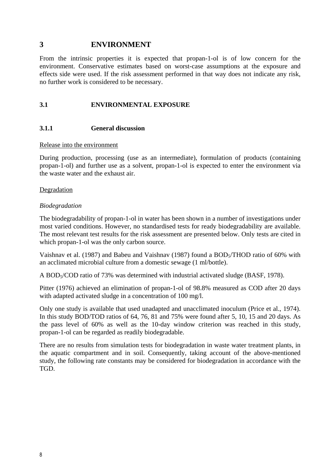### <span id="page-20-0"></span>**3 ENVIRONMENT**

From the intrinsic properties it is expected that propan-1-ol is of low concern for the environment. Conservative estimates based on worst-case assumptions at the exposure and effects side were used. If the risk assessment performed in that way does not indicate any risk, no further work is considered to be necessary.

#### <span id="page-20-1"></span>**3.1 ENVIRONMENTAL EXPOSURE**

#### <span id="page-20-2"></span>**3.1.1 General discussion**

#### Release into the environment

During production, processing (use as an intermediate), formulation of products (containing propan-1-ol) and further use as a solvent, propan-1-ol is expected to enter the environment via the waste water and the exhaust air.

#### Degradation

#### *Biodegradation*

The biodegradability of propan-1-ol in water has been shown in a number of investigations under most varied conditions. However, no standardised tests for ready biodegradability are available. The most relevant test results for the risk assessment are presented below. Only tests are cited in which propan-1-ol was the only carbon source.

Vaishnav et al. (1987) and Babeu and Vaishnav (1987) found a BOD<sub>5</sub>/THOD ratio of 60% with an acclimated microbial culture from a domestic sewage (1 ml/bottle).

A BOD5/COD ratio of 73% was determined with industrial activated sludge (BASF, 1978).

Pitter (1976) achieved an elimination of propan-1-ol of 98.8% measured as COD after 20 days with adapted activated sludge in a concentration of 100 mg/l.

Only one study is available that used unadapted and unacclimated inoculum (Price et al., 1974). In this study BOD/TOD ratios of 64, 76, 81 and 75% were found after 5, 10, 15 and 20 days. As the pass level of 60% as well as the 10-day window criterion was reached in this study, propan-1-ol can be regarded as readily biodegradable.

There are no results from simulation tests for biodegradation in waste water treatment plants, in the aquatic compartment and in soil. Consequently, taking account of the above-mentioned study, the following rate constants may be considered for biodegradation in accordance with the TGD.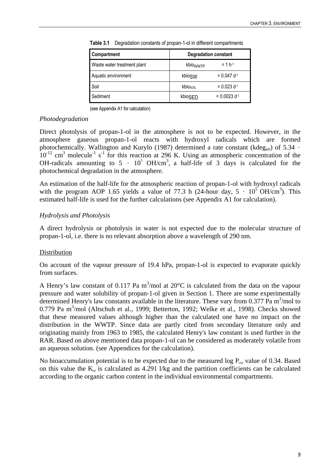| <b>Compartment</b>          | <b>Degradation constant</b> |                            |  |
|-----------------------------|-----------------------------|----------------------------|--|
| Waste water treatment plant | kbio <sub>WWTP</sub>        | $= 1 h^{-1}$               |  |
| Aquatic environment         | kbioSW                      | $= 0.047$ d <sup>-1</sup>  |  |
| Soil                        | kbiosoll                    | $= 0.023$ d <sup>-1</sup>  |  |
| Sediment                    | kbioSED                     | $= 0.0023$ d <sup>-1</sup> |  |

<span id="page-21-0"></span>**Table 3.1** Degradation constants of propan-1-ol in different compartments

(see Appendix A1 for calculation)

#### *Photodegradation*

Direct photolysis of propan-1-ol in the atmosphere is not to be expected. However, in the atmosphere gaseous propan-1-ol reacts with hydroxyl radicals which are formed photochemically. Wallington and Kurylo (1987) determined a rate constant (kdeg<sub>air</sub>) of 5.34  $\cdot$  $10^{-12}$  cm<sup>3</sup> molecule<sup>-1</sup> s<sup>-1</sup> for this reaction at 296 K. Using an atmospheric concentration of the OH-radicals amounting to  $5 \cdot 10^5$  OH/cm<sup>3</sup>, a half-life of 3 days is calculated for the photochemical degradation in the atmosphere.

An estimation of the half-life for the atmospheric reaction of propan-1-ol with hydroxyl radicals with the program AOP 1.65 yields a value of 77.3 h (24-hour day,  $5 \cdot 10^5$  OH/cm<sup>3</sup>). This estimated half-life is used for the further calculations (see Appendix A1 for calculation).

### *Hydrolysis and Photolysis*

A direct hydrolysis or photolysis in water is not expected due to the molecular structure of propan-1-ol, i.e. there is no relevant absorption above a wavelength of 290 nm.

#### **Distribution**

On account of the vapour pressure of 19.4 hPa, propan-1-ol is expected to evaporate quickly from surfaces.

A Henry's law constant of 0.117 Pa m<sup>3</sup>/mol at 20 $^{\circ}$ C is calculated from the data on the vapour pressure and water solubility of propan-1-ol given in Section 1. There are some experimentally determined Henry's law constants available in the literature. These vary from  $0.377$  Pa m<sup>3</sup>/mol to  $0.779$  Pa m<sup>3</sup>/mol (Altschuh et al., 1999; Betterton, 1992; Welke et al., 1998). Checks showed that these measured values although higher than the calculated one have no impact on the distribution in the WWTP. Since data are partly cited from secondary literature only and originating mainly from 1963 to 1985, the calculated Henry's law constant is used further in the RAR. Based on above mentioned data propan-1-ol can be considered as moderately volatile from an aqueous solution. (see Appendices for the calculation).

No bioaccumulation potential is to be expected due to the measured log  $P_{ow}$  value of 0.34. Based on this value the  $K_{\infty}$  is calculated as 4.291 l/kg and the partition coefficients can be calculated according to the organic carbon content in the individual environmental compartments.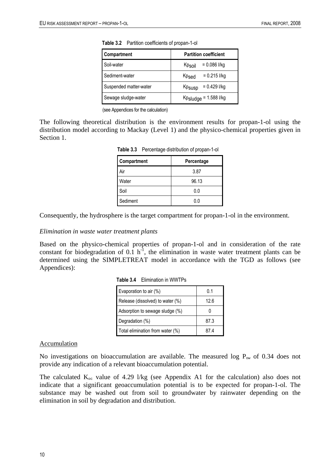<span id="page-22-0"></span>

| Compartment            | <b>Partition coefficient</b>         |  |  |
|------------------------|--------------------------------------|--|--|
| Soil-water             | $= 0.086$ I/kg<br>Kpsoil             |  |  |
| Sediment-water         | $= 0.215$ I/kg<br>Kp <sub>sed</sub>  |  |  |
| Suspended matter-water | $= 0.429$ I/kg<br>Kp <sub>susp</sub> |  |  |
| Sewage sludge-water    | $Kp$ sludge = 1.588 l/kg             |  |  |

**Table 3.2** Partition coefficients of propan-1-ol

(see Appendices for the calculation)

<span id="page-22-1"></span>The following theoretical distribution is the environment results for propan-1-ol using the distribution model according to Mackay (Level 1) and the physico-chemical properties given in Section 1.

|  | Table 3.3 Percentage distribution of propan-1-ol |  |  |  |
|--|--------------------------------------------------|--|--|--|
|--|--------------------------------------------------|--|--|--|

| Compartment | Percentage |
|-------------|------------|
| Air         | 3.87       |
| Water       | 96.13      |
| Soil        | 0.0        |
| Sediment    | 0.0        |

Consequently, the hydrosphere is the target compartment for propan-1-ol in the environment.

#### *Elimination in waste water treatment plants*

<span id="page-22-2"></span>Based on the physico-chemical properties of propan-1-ol and in consideration of the rate constant for biodegradation of  $0.1 \text{ h}^{-1}$ , the elimination in waste water treatment plants can be determined using the SIMPLETREAT model in accordance with the TGD as follows (see Appendices):

| Evaporation to air $(\%)$        | 0.1  |
|----------------------------------|------|
| Release (dissolved) to water (%) | 12.6 |
| Adsorption to sewage sludge (%)  |      |
| Degradation (%)                  | 87.3 |
| Total elimination from water (%) |      |

**Table 3.4** Elimination in WWTPs

#### Accumulation

No investigations on bioaccumulation are available. The measured log  $P_{\text{ow}}$  of 0.34 does not provide any indication of a relevant bioaccumulation potential.

The calculated  $K_{oc}$  value of 4.29 l/kg (see Appendix A1 for the calculation) also does not indicate that a significant geoaccumulation potential is to be expected for propan-1-ol. The substance may be washed out from soil to groundwater by rainwater depending on the elimination in soil by degradation and distribution.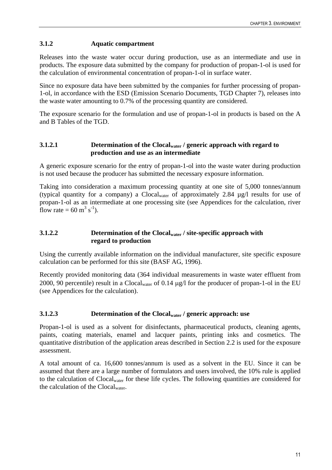#### <span id="page-23-0"></span>**3.1.2 Aquatic compartment**

Releases into the waste water occur during production, use as an intermediate and use in products. The exposure data submitted by the company for production of propan-1-ol is used for the calculation of environmental concentration of propan-1-ol in surface water.

Since no exposure data have been submitted by the companies for further processing of propan-1-ol, in accordance with the ESD (Emission Scenario Documents, TGD Chapter 7), releases into the waste water amounting to 0.7% of the processing quantity are considered.

The exposure scenario for the formulation and use of propan-1-ol in products is based on the A and B Tables of the TGD.

#### <span id="page-23-1"></span>**3.1.2.1 Determination of the Clocalwater / generic approach with regard to production and use as an intermediate**

A generic exposure scenario for the entry of propan-1-ol into the waste water during production is not used because the producer has submitted the necessary exposure information.

Taking into consideration a maximum processing quantity at one site of 5,000 tonnes/annum (typical quantity for a company) a Clocalwater of approximately 2.84 µg/l results for use of propan-1-ol as an intermediate at one processing site (see Appendices for the calculation, river flow rate = 60  $\text{m}^3 \text{ s}^{-1}$ ).

#### <span id="page-23-2"></span>**3.1.2.2 Determination of the Clocalwater / site-specific approach with regard to production**

Using the currently available information on the individual manufacturer, site specific exposure calculation can be performed for this site (BASF AG, 1996).

Recently provided monitoring data (364 individual measurements in waste water effluent from 2000, 90 percentile) result in a Clocalwater of 0.14 µg/l for the producer of propan-1-ol in the EU (see Appendices for the calculation).

#### <span id="page-23-3"></span>**3.1.2.3 Determination of the Clocalwater / generic approach: use**

Propan-1-ol is used as a solvent for disinfectants, pharmaceutical products, cleaning agents, paints, coating materials, enamel and lacquer paints, printing inks and cosmetics. The quantitative distribution of the application areas described in Section 2.2 is used for the exposure assessment.

A total amount of ca. 16,600 tonnes/annum is used as a solvent in the EU. Since it can be assumed that there are a large number of formulators and users involved, the 10% rule is applied to the calculation of Clocalwater for these life cycles. The following quantities are considered for the calculation of the Clocalwater.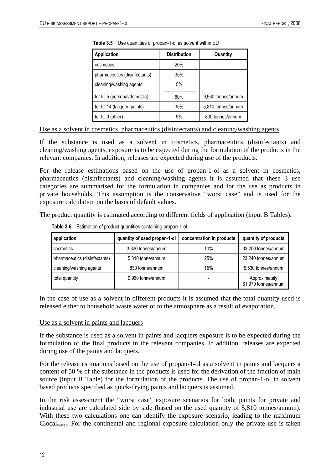| Application                   | <b>Distribution</b> | Quantity           |
|-------------------------------|---------------------|--------------------|
| cosmetics                     | 20%                 |                    |
| pharmaceutics (disinfectants) | 35%                 |                    |
| cleaning/washing agents       | 5%                  |                    |
| for IC 5 (personal/domestic)  | 60%                 | 9,960 tonnes/annum |
| for IC 14 (lacquer, paints)   | 35%                 | 5,810 tonnes/annum |
| for IC 0 (other)              | 5%                  | 830 tonnes/annum   |

<span id="page-24-0"></span>**Table 3.5** Use quantities of propan-1-ol as solvent within EU

Use as a solvent in cosmetics, pharmaceutics (disinfectants) and cleaning/washing agents

If the substance is used as a solvent in cosmetics, pharmaceutics (disinfectants) and cleaning/washing agents, exposure is to be expected during the formulation of the products in the relevant companies. In addition, releases are expected during use of the products.

For the release estimations based on the use of propan-1-ol as a solvent in cosmetics, pharmaceutics (disinfectants) and cleaning/washing agents it is assumed that these 3 use categories are summarised for the formulation in companies and for the use as products in private households. This assumption is the conservative "worst case" and is used for the exposure calculation on the basis of default values.

<span id="page-24-1"></span>The product quantity is estimated according to different fields of application (input B Tables).

| application                   | quantity of used propan-1-ol | concentration in products | quantity of products                 |
|-------------------------------|------------------------------|---------------------------|--------------------------------------|
| cosmetics                     | 3,320 tonnes/annum           | 10%                       | 33,200 tonnes/annum                  |
| pharmaceutics (disinfectants) | 5,810 tonne/annum            | 25%                       | 23,240 tonnes/annum                  |
| cleaning/washing agents       | 830 tonne/annum              | 15%                       | 5,530 tonnes/annum                   |
| total quantity                | 9,960 tonne/annum            | $\overline{\phantom{0}}$  | Approximately<br>61,970 tonnes/annum |

**Table 3.6** Estimation of product quantities containing propan-1-ol

In the case of use as a solvent in different products it is assumed that the total quantity used is released either to household waste water or to the atmosphere as a result of evaporation.

#### Use as a solvent in paints and lacquers

If the substance is used as a solvent in paints and lacquers exposure is to be expected during the formulation of the final products in the relevant companies. In addition, releases are expected during use of the paints and lacquers.

For the release estimations based on the use of propan-1-ol as a solvent in paints and lacquers a content of 50 % of the substance in the products is used for the derivation of the fraction of main source (input B Table) for the formulation of the products. The use of propan-1-ol in solvent based products specified as quick-drying paints and lacquers is assumed.

In the risk assessment the "worst case" exposure scenarios for both, paints for private and industrial use are calculated side by side (based on the used quantity of 5,810 tonnes/annum). With these two calculations one can identify the exposure scenario, leading to the maximum Clocalwater. For the continental and regional exposure calculation only the private use is taken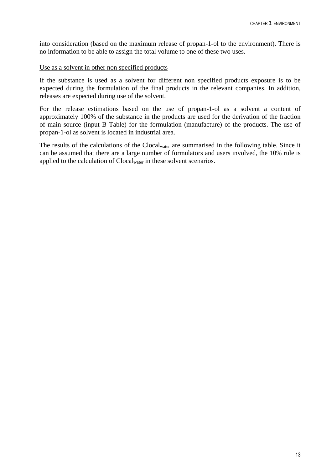into consideration (based on the maximum release of propan-1-ol to the environment). There is no information to be able to assign the total volume to one of these two uses.

#### Use as a solvent in other non specified products

If the substance is used as a solvent for different non specified products exposure is to be expected during the formulation of the final products in the relevant companies. In addition, releases are expected during use of the solvent.

For the release estimations based on the use of propan-1-ol as a solvent a content of approximately 100% of the substance in the products are used for the derivation of the fraction of main source (input B Table) for the formulation (manufacture) of the products. The use of propan-1-ol as solvent is located in industrial area.

The results of the calculations of the Clocalwater are summarised in the following table. Since it can be assumed that there are a large number of formulators and users involved, the 10% rule is applied to the calculation of Clocalwater in these solvent scenarios.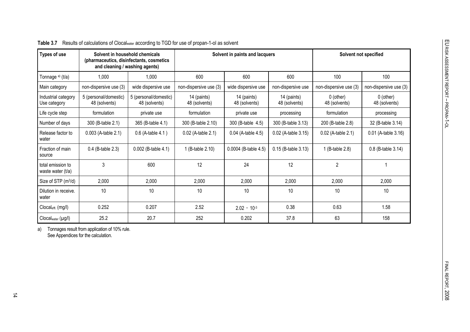| Types of use                           | Solvent in household chemicals         | (pharmaceutics, disinfectants, cosmetics<br>and cleaning / washing agents) | Solvent in paints and lacquers |                              |                              | Solvent not specified        |                              |
|----------------------------------------|----------------------------------------|----------------------------------------------------------------------------|--------------------------------|------------------------------|------------------------------|------------------------------|------------------------------|
| Tonnage a) (t/a)                       | 1,000                                  | 1,000                                                                      | 600                            | 600                          | 600                          | 100                          | 100                          |
| Main category                          | non-dispersive use (3)                 | wide dispersive use                                                        | non-dispersive use (3)         | wide dispersive use          | non-dispersive use           | non-dispersive use (3)       | non-dispersive use (3)       |
| Industrial category<br>Use category    | 5 (personal/domestic)<br>48 (solvents) | 5 (personal/domestic)<br>48 (solvents)                                     | 14 (paints)<br>48 (solvents)   | 14 (paints)<br>48 (solvents) | 14 (paints)<br>48 (solvents) | $0$ (other)<br>48 (solvents) | $0$ (other)<br>48 (solvents) |
| Life cycle step                        | formulation                            | private use                                                                | formulation                    | private use                  | processing                   | formulation                  | processing                   |
| Number of days                         | 300 (B-table 2.1)                      | 365 (B-table 4.1)                                                          | 300 (B-table 2.10)             | 300 (B-table 4.5)            | 300 (B-table 3.13)           | 200 (B-table 2.8)            | 32 (B-table 3.14)            |
| Release factor to<br>water             | 0.003 (A-table 2.1)                    | 0.6 (A-table 4.1)                                                          | 0.02 (A-table 2.1)             | 0.04 (A-table 4.5)           | 0.02 (A-table 3.15)          | 0.02 (A-table 2.1)           | 0.01 (A-table 3.16)          |
| Fraction of main<br>source             | 0.4 (B-table 2.3)                      | 0.002 (B-table 4.1)                                                        | 1 (B-table 2.10)               | 0.0004 (B-table 4.5)         | 0.15 (B-table 3.13)          | 1 (B-table 2.8)              | 0.8 (B-table 3.14)           |
| total emission to<br>waste water (t/a) | 3                                      | 600                                                                        | 12                             | 24                           | 12                           | $\overline{c}$               |                              |
| Size of STP (m <sup>3</sup> /d)        | 2,000                                  | 2,000                                                                      | 2,000                          | 2,000                        | 2,000                        | 2,000                        | 2,000                        |
| Dilution in receive.<br>water          | 10                                     | 10                                                                         | 10                             | 10                           | 10                           | 10                           | 10                           |
| Clocaleffi. (mg/l)                     | 0.252                                  | 0.207                                                                      | 2.52                           | $2.02 \cdot 10^{-3}$         | 0.38                         | 0.63                         | 1.58                         |
| Clocal <sub>water</sub> (µg/l)         | 25.2                                   | 20.7                                                                       | 252                            | 0.202                        | 37.8                         | 63                           | 158                          |

#### **Table 3.7** Results of calculations of Clocalwater according to TGD for use of propan-1-ol as solvent

<span id="page-26-0"></span>a) Tonnages result from application of 10% rule. See Appendices for the calculation.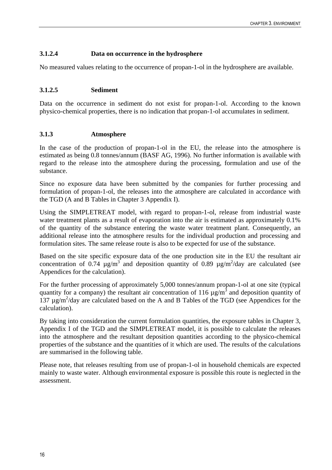#### <span id="page-28-0"></span>**3.1.2.4 Data on occurrence in the hydrosphere**

No measured values relating to the occurrence of propan-1-ol in the hydrosphere are available.

#### <span id="page-28-1"></span>**3.1.2.5 Sediment**

Data on the occurrence in sediment do not exist for propan-1-ol. According to the known physico-chemical properties, there is no indication that propan-1-ol accumulates in sediment.

#### <span id="page-28-2"></span>**3.1.3 Atmosphere**

In the case of the production of propan-1-ol in the EU, the release into the atmosphere is estimated as being 0.8 tonnes/annum (BASF AG, 1996). No further information is available with regard to the release into the atmosphere during the processing, formulation and use of the substance.

Since no exposure data have been submitted by the companies for further processing and formulation of propan-1-ol, the releases into the atmosphere are calculated in accordance with the TGD (A and B Tables in Chapter 3 Appendix I).

Using the SIMPLETREAT model, with regard to propan-1-ol, release from industrial waste water treatment plants as a result of evaporation into the air is estimated as approximately 0.1% of the quantity of the substance entering the waste water treatment plant. Consequently, an additional release into the atmosphere results for the individual production and processing and formulation sites. The same release route is also to be expected for use of the substance.

Based on the site specific exposure data of the one production site in the EU the resultant air concentration of 0.74  $\mu$ g/m<sup>3</sup> and deposition quantity of 0.89  $\mu$ g/m<sup>2</sup>/day are calculated (see Appendices for the calculation).

For the further processing of approximately 5,000 tonnes/annum propan-1-ol at one site (typical quantity for a company) the resultant air concentration of 116  $\mu$ g/m<sup>3</sup> and deposition quantity of  $137 \mu$ g/m<sup>2</sup>/day are calculated based on the A and B Tables of the TGD (see Appendices for the calculation).

By taking into consideration the current formulation quantities, the exposure tables in Chapter 3, Appendix I of the TGD and the SIMPLETREAT model, it is possible to calculate the releases into the atmosphere and the resultant deposition quantities according to the physico-chemical properties of the substance and the quantities of it which are used. The results of the calculations are summarised in the following table.

Please note, that releases resulting from use of propan-1-ol in household chemicals are expected mainly to waste water. Although environmental exposure is possible this route is neglected in the assessment.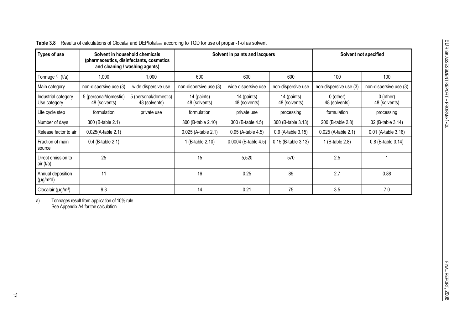| )<br>)<br>)<br>ì              |  |
|-------------------------------|--|
|                               |  |
|                               |  |
|                               |  |
|                               |  |
| コミニコリソン<br>FINAL REPORT, 2008 |  |
|                               |  |

| Types of use                         |                                        | Solvent in household chemicals<br>(pharmaceutics, disinfectants, cosmetics)<br>and cleaning / washing agents) | Solvent in paints and lacquers |                              | Solvent not specified        |                              |                              |
|--------------------------------------|----------------------------------------|---------------------------------------------------------------------------------------------------------------|--------------------------------|------------------------------|------------------------------|------------------------------|------------------------------|
| Tonnage a) (t/a)                     | 1.000                                  | 1.000                                                                                                         | 600                            | 600                          | 600                          | 100                          | 100                          |
| Main category                        | non-dispersive use (3)                 | wide dispersive use                                                                                           | non-dispersive use (3)         | wide dispersive use          | non-dispersive use           | non-dispersive use (3)       | non-dispersive use (3)       |
| Industrial category<br>Use category  | 5 (personal/domestic)<br>48 (solvents) | 5 (personal/domestic)<br>48 (solvents)                                                                        | 14 (paints)<br>48 (solvents)   | 14 (paints)<br>48 (solvents) | 14 (paints)<br>48 (solvents) | $0$ (other)<br>48 (solvents) | $0$ (other)<br>48 (solvents) |
| Life cycle step                      | formulation                            | private use                                                                                                   | formulation                    | private use                  | processing                   | formulation                  | processing                   |
| Number of days                       | 300 (B-table 2.1)                      |                                                                                                               | 300 (B-table 2.10)             | 300 (B-table 4.5)            | 300 (B-table 3.13)           | 200 (B-table 2.8)            | 32 (B-table 3.14)            |
| Release factor to air                | $0.025(A$ -table $2.1)$                |                                                                                                               | 0.025 (A-table 2.1)            | 0.95 (A-table 4.5)           | 0.9 (A-table 3.15)           | 0.025 (A-table 2.1)          | 0.01 (A-table 3.16)          |
| Fraction of main<br>source           | $0.4$ (B-table 2.1)                    |                                                                                                               | 1 (B-table 2.10)               | 0.0004 (B-table 4.5)         | $0.15$ (B-table $3.13$ )     | 1 (B-table 2.8)              | 0.8 (B-table 3.14)           |
| Direct emission to<br>air (t/a)      | 25                                     |                                                                                                               | 15                             | 5,520                        | 570                          | 2.5                          |                              |
| Annual deposition<br>$(\mu g/m^2 d)$ | 11                                     |                                                                                                               | 16                             | 0.25                         | 89                           | 2.7                          | 0.88                         |
| Clocalair ( $\mu$ g/m <sup>3</sup> ) | 9.3                                    |                                                                                                               | 14                             | 0.21                         | 75                           | 3.5                          | 7.0                          |

**Table 3.8** Results of calculations of Clocalair and DEPtotalann. according to TGD for use of propan-1-ol as solvent

<span id="page-29-0"></span>a) Tonnages result from application of 10% rule. See Appendix A4 for the calculation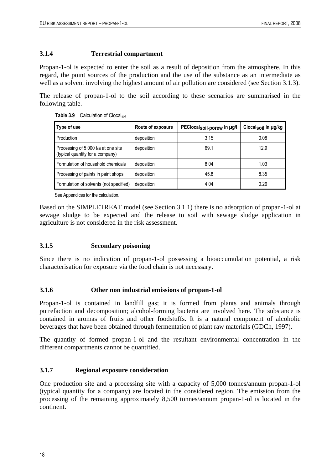#### <span id="page-30-0"></span>**3.1.4 Terrestrial compartment**

Propan-1-ol is expected to enter the soil as a result of deposition from the atmosphere. In this regard, the point sources of the production and the use of the substance as an intermediate as well as a solvent involving the highest amount of air pollution are considered (see Section 3.1.3).

<span id="page-30-4"></span>The release of propan-1-ol to the soil according to these scenarios are summarised in the following table.

|  | Table 3.9 | Calculation of Clocalsoil |
|--|-----------|---------------------------|
|--|-----------|---------------------------|

| Type of use                                                             | Route of exposure | PEClocalsoil-porew in µg/l | Clocal <sub>soil</sub> in ug/kg |
|-------------------------------------------------------------------------|-------------------|----------------------------|---------------------------------|
| Production                                                              | deposition        | 3.15                       | 0.08                            |
| Processing of 5 000 t/a at one site<br>(typical quantity for a company) | deposition        | 69.1                       | 12.9                            |
| Formulation of household chemicals                                      | deposition        | 8.04                       | 1.03                            |
| Processing of paints in paint shops                                     | deposition        | 45.8                       | 8.35                            |
| Formulation of solvents (not specified)                                 | deposition        | 4.04                       | 0.26                            |

See Appendices for the calculation.

Based on the SIMPLETREAT model (see Section 3.1.1) there is no adsorption of propan-1-ol at sewage sludge to be expected and the release to soil with sewage sludge application in agriculture is not considered in the risk assessment.

#### <span id="page-30-1"></span>**3.1.5 Secondary poisoning**

Since there is no indication of propan-1-ol possessing a bioaccumulation potential, a risk characterisation for exposure via the food chain is not necessary.

#### <span id="page-30-2"></span>**3.1.6 Other non industrial emissions of propan-1-ol**

Propan-1-ol is contained in landfill gas; it is formed from plants and animals through putrefaction and decomposition; alcohol-forming bacteria are involved here. The substance is contained in aromas of fruits and other foodstuffs. It is a natural component of alcoholic beverages that have been obtained through fermentation of plant raw materials (GDCh, 1997).

The quantity of formed propan-1-ol and the resultant environmental concentration in the different compartments cannot be quantified.

#### <span id="page-30-3"></span>**3.1.7 Regional exposure consideration**

One production site and a processing site with a capacity of 5,000 tonnes/annum propan-1-ol (typical quantity for a company) are located in the considered region. The emission from the processing of the remaining approximately 8,500 tonnes/annum propan-1-ol is located in the continent.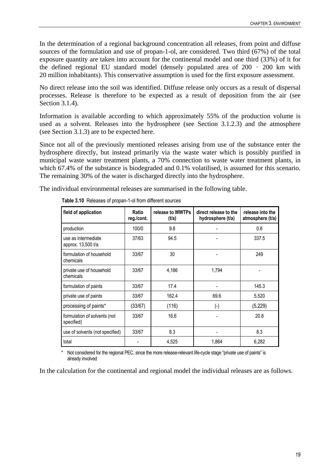In the determination of a regional background concentration all releases, from point and diffuse sources of the formulation and use of propan-1-ol, are considered. Two third (67%) of the total exposure quantity are taken into account for the continental model and one third (33%) of it for the defined regional EU standard model (densely populated area of  $200 \cdot 200$  km with 20 million inhabitants). This conservative assumption is used for the first exposure assessment.

No direct release into the soil was identified. Diffuse release only occurs as a result of dispersal processes. Release is therefore to be expected as a result of deposition from the air (see Section 3.1.4).

Information is available according to which approximately 55% of the production volume is used as a solvent. Releases into the hydrosphere (see Section 3.1.2.3) and the atmosphere (see Section 3.1.3) are to be expected here.

Since not all of the previously mentioned releases arising from use of the substance enter the hydrosphere directly, but instead primarily via the waste water which is possibly purified in municipal waste water treatment plants, a 70% connection to waste water treatment plants, in which 67.4% of the substance is biodegraded and 0.1% volatilised, is assumed for this scenario. The remaining 30% of the water is discharged directly into the hydrosphere.

<span id="page-31-0"></span>The individual environmental releases are summarised in the following table.

| field of application                       | Ratio<br>reg./cont. | release to WWTPs<br>(t/a) | direct release to the<br>hydrosphere (t/a) | release into the<br>atmosphere (t/a) |
|--------------------------------------------|---------------------|---------------------------|--------------------------------------------|--------------------------------------|
| production                                 | 100/0               | 9.8                       |                                            | 0.8                                  |
| use as intermediate<br>approx. 13,500 t/a  | 37/63               | 94.5                      |                                            | 337.5                                |
| formulation of household<br>chemicals      | 33/67               | 30                        |                                            | 249                                  |
| private use of household<br>chemicals      | 33/67               | 4,186                     | 1,794                                      |                                      |
| formulation of paints                      | 33/67               | 17.4                      |                                            | 145.3                                |
| private use of paints                      | 33/67               | 162.4                     | 69.6                                       | 5,520                                |
| processing of paints*                      | (33/67)             | (116)                     | $(\textnormal{-})$                         | (5, 229)                             |
| formulation of solvents (not<br>specified) | 33/67               | 16.6                      |                                            | 20.8                                 |
| use of solvents (not specified)            | 33/67               | 8.3                       |                                            | 8.3                                  |
| total                                      |                     | 4,525                     | 1.864                                      | 6,282                                |

**Table 3.10** Releases of propan-1-ol from different sources

Not considered for the regional PEC, since the more release-relevant life-cycle stage "private use of paints" is already involved

In the calculation for the continental and regional model the individual releases are as follows.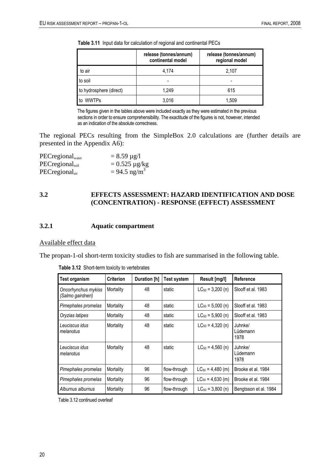<span id="page-32-2"></span>**Table 3.11** Input data for calculation of regional and continental PECs

|                         | release (tonnes/annum)<br>continental model | release (tonnes/annum)<br>regional model |
|-------------------------|---------------------------------------------|------------------------------------------|
| to air                  | 4,174                                       | 2,107                                    |
| to soil                 |                                             |                                          |
| to hydrosphere (direct) | 1.249                                       | 615                                      |
| to WWTPs                | 3,016                                       | 1.509                                    |

The figures given in the tables above were included exactly as they were estimated in the previous sections in order to ensure comprehensibility. The exactitude of the figures is not, however, intended as an indication of the absolute correctness.

The regional PECs resulting from the SimpleBox 2.0 calculations are (further details are presented in the Appendix A6):

| $PEC$ regional $_{water}$      | $= 8.59 \mu g/l$           |
|--------------------------------|----------------------------|
| $PEC$ regional <sub>soil</sub> | $= 0.525 \mu g/kg$         |
| $PEC$ regional <sub>air</sub>  | $= 94.5$ ng/m <sup>3</sup> |

#### <span id="page-32-0"></span>**3.2 EFFECTS ASSESSMENT: HAZARD IDENTIFICATION AND DOSE (CONCENTRATION) - RESPONSE (EFFECT) ASSESSMENT**

#### <span id="page-32-1"></span>**3.2.1 Aquatic compartment**

#### Available effect data

<span id="page-32-3"></span>The propan-1-ol short-term toxicity studies to fish are summarised in the following table.

| Test organism                            | <b>Criterion</b> | Duration [h] | <b>Test system</b> | Result [mg/l]         | Reference                   |
|------------------------------------------|------------------|--------------|--------------------|-----------------------|-----------------------------|
| Oncorhynchus mykiss<br>(Salmo gairdneri) | Mortality        | 48           | static             | $LC_{50} = 3,200$ (n) | Slooff et al. 1983          |
| Pimephales promelas                      | Mortality        | 48           | static             | $LC_{50} = 5,000$ (n) | Slooff et al. 1983          |
| Oryzias latipes                          | Mortality        | 48           | static             | $LC_{50} = 5,900$ (n) | Slooff et al. 1983          |
| Leuciscus idus<br>melanotus              | Mortality        | 48           | static             | $LC_{50} = 4,320$ (n) | Juhnke/<br>Lüdemann<br>1978 |
| Leuciscus idus<br>melanotus              | Mortality        | 48           | static             | $LC_{50} = 4,560$ (n) | Juhnke/<br>Lüdemann<br>1978 |
| Pimephales promelas                      | Mortality        | 96           | flow-through       | $LC_{50} = 4,480$ (m) | Brooke et al. 1984          |
| Pimephales promelas                      | Mortality        | 96           | flow-through       | $LC_{50} = 4,630$ (m) | Brooke et al. 1984          |
| Alburnus alburnus                        | Mortality        | 96           | flow-through       | $LC_{50} = 3,800$ (n) | Bengtsson et al. 1984       |

**Table 3.12** Short-term toxicity to vertebrates

Table 3.12 continued overleaf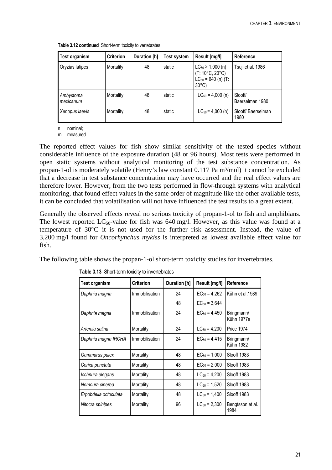| Test organism          | <b>Criterion</b> | Duration [h] | Test system | Result [mg/l]                                                                                          | Reference                  |
|------------------------|------------------|--------------|-------------|--------------------------------------------------------------------------------------------------------|----------------------------|
| Oryzias latipes        | Mortality        | 48           | static      | $LC_{50}$ > 1,000 (n)<br>$(T: 10^{\circ}C, 20^{\circ}C)$<br>$LC_{50} = 640$ (n) (T:<br>$30^{\circ}$ C) | Tsuji et al. 1986          |
| Ambystoma<br>mexicanum | Mortality        | 48           | static      | $LC_{50} = 4,000$ (n)                                                                                  | Slooff/<br>Baerselman 1980 |
| Xenopus laevis         | Mortality        | 48           | static      | $LC_{50} = 4,000$ (n)                                                                                  | Slooff/Baerselman<br>1980  |

**Table 3.12 continued** Short-term toxicity to vertebrates

n nominal;

m measured

The reported effect values for fish show similar sensitivity of the tested species without considerable influence of the exposure duration (48 or 96 hours). Most tests were performed in open static systems without analytical monitoring of the test substance concentration. As propan-1-ol is moderately volatile (Henry's law constant 0.117 Pa m<sup>3</sup>/mol) it cannot be excluded that a decrease in test substance concentration may have occurred and the real effect values are therefore lower. However, from the two tests performed in flow-through systems with analytical monitoring, that found effect values in the same order of magnitude like the other available tests, it can be concluded that volatilisation will not have influenced the test results to a great extent.

Generally the observed effects reveal no serious toxicity of propan-1-ol to fish and amphibians. The lowest reported  $LC_{50}$ -value for fish was 640 mg/l. However, as this value was found at a temperature of 30°C it is not used for the further risk assessment. Instead, the value of 3,200 mg/l found for *Oncorhynchus mykiss* is interpreted as lowest available effect value for fish.

<span id="page-33-0"></span>The following table shows the propan-1-ol short-term toxicity studies for invertebrates.

| <b>Test organism</b>  | <b>Criterion</b> | Duration [h] | Result [mg/l]     | Reference                      |
|-----------------------|------------------|--------------|-------------------|--------------------------------|
| Daphnia magna         | Immobilisation   | 24           | $EC_{50} = 4,262$ | Kühn et al.1989                |
|                       |                  | 48           | $EC_{50} = 3,644$ |                                |
| Daphnia magna         | Immobilisation   | 24           | $EC_{50} = 4,450$ | Bringmann/<br>Kühn 1977a       |
| Artemia salina        | Mortality        | 24           | $LC_{50} = 4,200$ | <b>Price 1974</b>              |
| Daphnia magna IRCHA   | Immobilisation   | 24           | $EC_{50} = 4,415$ | Bringmann/<br><b>Kühn 1982</b> |
| Gammarus pulex        | Mortality        | 48           | $EC_{50} = 1,000$ | Slooff 1983                    |
| Corixa punctata       | Mortality        | 48           | $EC_{50} = 2,000$ | Slooff 1983                    |
| Ischnura elegans      | Mortality        | 48           | $LC_{50} = 4,200$ | Slooff 1983                    |
| Nemoura cinerea       | Mortality        | 48           | $LC_{50} = 1,520$ | Slooff 1983                    |
| Erpobdella octoculata | Mortality        | 48           | $LC_{50} = 1,400$ | Slooff 1983                    |
| Nitocra spinipes      | Mortality        | 96           | $LC_{50} = 2,300$ | Bengtsson et al.<br>1984       |

**Table 3.13** Short-term toxicity to invertebrates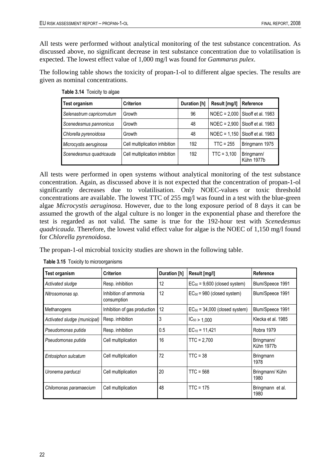All tests were performed without analytical monitoring of the test substance concentration. As discussed above, no significant decrease in test substance concentration due to volatilisation is expected. The lowest effect value of 1,000 mg/l was found for *Gammarus pulex*.

<span id="page-34-0"></span>The following table shows the toxicity of propan-1-ol to different algae species. The results are given as nominal concentrations.

| Test organism             | <b>Criterion</b>               | Duration [h] | Result [mg/l] | Reference                         |
|---------------------------|--------------------------------|--------------|---------------|-----------------------------------|
| Selenastrum capricornutum | Growth                         | 96           |               | NOEC = $2,000$ Slooff et al. 1983 |
| Scenedesmus pannonicus    | Growth                         | 48           |               | NOEC = 2,900 Slooff et al. 1983   |
| Chlorella pyrenoidosa     | Growth                         | 48           |               | NOEC = 1,150 Slooff et al. 1983   |
| Microcystis aeruginosa    | Cell multiplication inhibition | 192          | $TTC = 255$   | Bringmann 1975                    |
| Scenedesmus quadricauda   | Cell multiplication inhibition | 192          | $TTC = 3,100$ | Bringmann/<br>Kühn 1977b          |

**Table 3.14** Toxicity to algae

All tests were performed in open systems without analytical monitoring of the test substance concentration. Again, as discussed above it is not expected that the concentration of propan-1-ol significantly decreases due to volatilisation. Only NOEC-values or toxic threshold concentrations are available. The lowest TTC of 255 mg/l was found in a test with the blue-green algae *Microcystis aeruginosa*. However, due to the long exposure period of 8 days it can be assumed the growth of the algal culture is no longer in the exponential phase and therefore the test is regarded as not valid. The same is true for the 192-hour test with *Scenedesmus quadricauda*. Therefore, the lowest valid effect value for algae is the NOEC of 1,150 mg/l found for *Chlorella pyrenoidosa*.

<span id="page-34-1"></span>The propan-1-ol microbial toxicity studies are shown in the following table.

| <b>Test organism</b>         | <b>Criterion</b>                     | Duration [h] | Result [mg/l]                      | Reference                |
|------------------------------|--------------------------------------|--------------|------------------------------------|--------------------------|
| Activated sludge             | Resp. inhibition                     | 12           | $EC_{50} = 9,600$ (closed system)  | Blum/Speece 1991         |
| Nitrosomonas sp.             | Inhibition of ammonia<br>consumption | 12           | $EC_{50} = 980$ (closed system)    | Blum/Speece 1991         |
| Methanogens                  | Inhibition of gas production         | $ 12\rangle$ | $EC_{50} = 34,000$ (closed system) | Blum/Speece 1991         |
| Activated sludge (municipal) | Resp. inhibition                     | 3            | $IC_{50} > 1,000$                  | Klecka et al. 1985       |
| Pseudomonas putida           | Resp. inhibition                     | 0.5          | $EC_{10} = 11,421$                 | Robra 1979               |
| Pseudomonas putida           | Cell multiplication                  | 16           | $TTC = 2.700$                      | Bringmann/<br>Kühn 1977b |
| Entosiphon sulcatum          | Cell multiplication                  | 72           | $TTC = 38$                         | <b>Bringmann</b><br>1978 |
| Uronema parduczi             | Cell multiplication                  | 20           | $TTC = 568$                        | Bringmann/ Kühn<br>1980  |
| Chilomonas paramaecium       | Cell multiplication                  | 48           | $TTC = 175$                        | Bringmann et al.<br>1980 |

**Table 3.15** Toxicity to microorganisms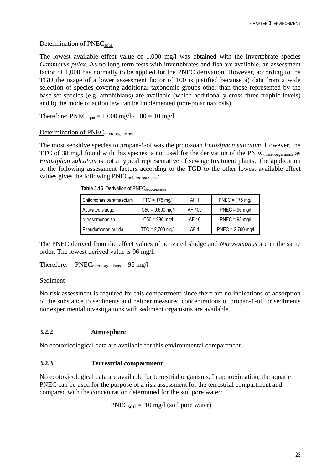#### Determination of PNEC<sub>aqua</sub>

The lowest available effect value of 1,000 mg/l was obtained with the invertebrate species *Gammarus pulex*. As no long-term tests with invertebrates and fish are available, an assessment factor of 1,000 has normally to be applied for the PNEC derivation. However, according to the TGD the usage of a lower assessment factor of 100 is justified because a) data from a wide selection of species covering additional taxonomic groups other than those represented by the base-set species (e.g. amphibians) are available (which additionally cross three trophic levels) and b) the mode of action law can be implemented (non-polar narcosis).

Therefore:  $\text{PNEC}_{\text{aqua}} = 1,000 \text{ mg}/1 / 100 = 10 \text{ mg}/1$ 

#### Determination of PNEC<sub>microorganisms</sub>

<span id="page-35-2"></span>The most sensitive species to propan-1-ol was the protozoan *Entosiphon sulcatum*. However, the TTC of 38 mg/l found with this species is not used for the derivation of the PNEC<sub>microorganisms</sub> as *Entosiphon sulcatum* is not a typical representative of sewage treatment plants. The application of the following assessment factors according to the TGD to the other lowest available effect values gives the following PNEC<sub>microorganisms</sub>:

| Chilomonas paramaecium | $TTC = 175$ mg/l    | AF 1   | $PNEC = 175$ mg/l   |
|------------------------|---------------------|--------|---------------------|
| Activated sludge       | $IC50 = 9,600$ mg/l | AF 100 | $PNEC = 96$ mg/l    |
| Nitrosomonas sp        | $IC50 = 980$ mg/l   | AF 10  | $PNEC = 98$ mg/l    |
| Pseudomonas putida     | $TTC = 2,700$ mg/l  | AF 1   | $PNEC = 2,700$ mg/l |

**Table 3.16** Derivation of PNECmicroorganisms

The PNEC derived from the effect values of activated sludge and *Nitrosomonas* are in the same order. The lowest derived value is 96 mg/l.

Therefore:  $PNEC_{microorganisms} = 96$  mg/l

#### Sediment

No risk assessment is required for this compartment since there are no indications of adsorption of the substance to sediments and neither measured concentrations of propan-1-ol for sediments nor experimental investigations with sediment organisms are available.

#### <span id="page-35-0"></span>**3.2.2 Atmosphere**

No ecotoxicological data are available for this environmental compartment.

#### <span id="page-35-1"></span>**3.2.3 Terrestrial compartment**

No ecotoxicological data are available for terrestrial organisms. In approximation, the aquatic PNEC can be used for the purpose of a risk assessment for the terrestrial compartment and compared with the concentration determined for the soil pore water:

 $PNEC<sub>soil</sub> = 10$  mg/l (soil pore water)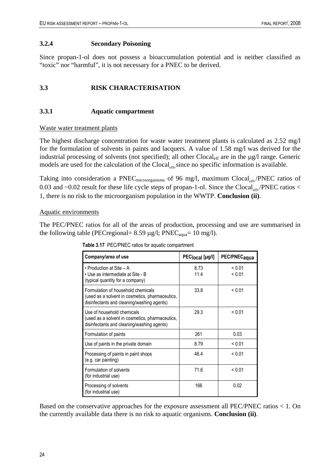### **3.2.4 Secondary Poisoning**

Since propan-1-ol does not possess a bioaccumulation potential and is neither classified as "toxic" nor "harmful", it is not necessary for a PNEC to be derived.

# **3.3 RISK CHARACTERISATION**

### **3.3.1 Aquatic compartment**

#### Waste water treatment plants

The highest discharge concentration for waste water treatment plants is calculated as 2.52 mg/l for the formulation of solvents in paints and lacquers. A value of 1.58 mg/l was derived for the industrial processing of solvents (not specified); all other Clocal<sub>eff</sub> are in the µg/l range. Generic models are used for the calculation of the  $Clocal_{\text{eff}}$  since no specific information is available.

Taking into consideration a PNEC microorganisms of 96 mg/l, maximum Clocal  $_{\text{eff1}}$ . PNEC ratios of 0.03 and  $\sim$ 0.02 result for these life cycle steps of propan-1-ol. Since the Clocal<sub>sm</sub>./PNEC ratios < 1, there is no risk to the microorganism population in the WWTP. **Conclusion (ii)**.

#### Aquatic environments

The PEC/PNEC ratios for all of the areas of production, processing and use are summarised in the following table (PECregional=  $8.59 \mu g/l$ ; PNEC<sub>aqua</sub>= 10 mg/l).

| Company/area of use                                                                                                                 | PEC <sub>local</sub> [µg/l] | PEC/PNEC <sub>aqua</sub> |
|-------------------------------------------------------------------------------------------------------------------------------------|-----------------------------|--------------------------|
| • Production at Site $-$ A<br>• Use as intermediate at Site - B<br>(typical quantity for a company)                                 | 8.73<br>11.4                | ${}_{0.01}$<br>< 0.01    |
| Formulation of household chemicals<br>(used as a solvent in cosmetics, pharmaceutics,<br>disinfectants and cleaning/washing agents) | 33.8                        | < 0.01                   |
| Use of household chemicals<br>(used as a solvent in cosmetics, pharmaceutics,<br>disinfectants and cleaning/washing agents)         | 29.3                        | < 0.01                   |
| Formulation of paints                                                                                                               | 261                         | 0.03                     |
| Use of paints in the private domain                                                                                                 | 8.79                        | < 0.01                   |
| Processing of paints in paint shops<br>(e.g. car painting)                                                                          | 46.4                        | ${}_{0.01}$              |
| Formulation of solvents<br>(for industrial use)                                                                                     | 71.6                        | < 0.01                   |
| Processing of solvents<br>(for industrial use)                                                                                      | 166                         | 0.02                     |

**Table 3.17** PEC/PNEC ratios for aquatic compartment

Based on the conservative approaches for the exposure assessment all PEC/PNEC ratios < 1. On the currently available data there is no risk to aquatic organisms. **Conclusion (ii)**.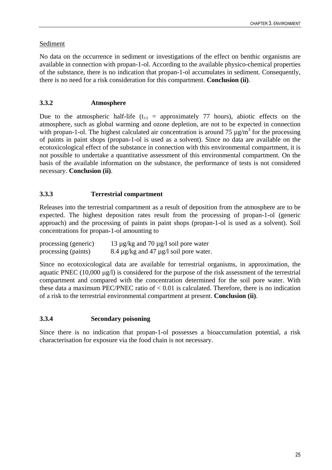# Sediment

No data on the occurrence in sediment or investigations of the effect on benthic organisms are available in connection with propan-1-ol. According to the available physico-chemical properties of the substance, there is no indication that propan-1-ol accumulates in sediment. Consequently, there is no need for a risk consideration for this compartment. **Conclusion (ii)**.

# **3.3.2 Atmosphere**

Due to the atmospheric half-life ( $t_{1/2}$  = approximately 77 hours), abiotic effects on the atmosphere, such as global warming and ozone depletion, are not to be expected in connection with propan-1-ol. The highest calculated air concentration is around 75  $\mu$ g/m<sup>3</sup> for the processing of paints in paint shops (propan-1-ol is used as a solvent). Since no data are available on the ecotoxicological effect of the substance in connection with this environmental compartment, it is not possible to undertake a quantitative assessment of this environmental compartment. On the basis of the available information on the substance, the performance of tests is not considered necessary. **Conclusion (ii)**.

# **3.3.3 Terrestrial compartment**

Releases into the terrestrial compartment as a result of deposition from the atmosphere are to be expected. The highest deposition rates result from the processing of propan-1-ol (generic approach) and the processing of paints in paint shops (propan-1-ol is used as a solvent). Soil concentrations for propan-1-ol amounting to

| processing (generic) | 13 $\mu$ g/kg and 70 $\mu$ g/l soil pore water   |
|----------------------|--------------------------------------------------|
| processing (paints)  | 8.4 $\mu$ g/kg and 47 $\mu$ g/l soil pore water. |

Since no ecotoxicological data are available for terrestrial organisms, in approximation, the aquatic PNEC (10,000 µg/) is considered for the purpose of the risk assessment of the terrestrial compartment and compared with the concentration determined for the soil pore water. With these data a maximum PEC/PNEC ratio of  $< 0.01$  is calculated. Therefore, there is no indication of a risk to the terrestrial environmental compartment at present. **Conclusion (ii)**.

# **3.3.4 Secondary poisoning**

Since there is no indication that propan-1-ol possesses a bioaccumulation potential, a risk characterisation for exposure via the food chain is not necessary.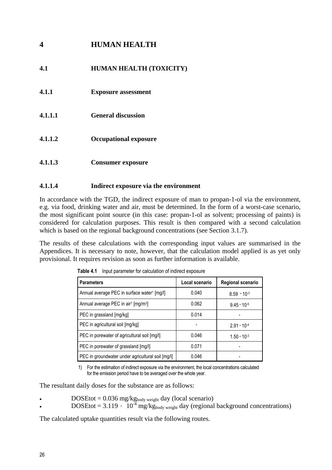# **4 HUMAN HEALTH**

# **4.1 HUMAN HEALTH (TOXICITY)**

- **4.1.1 Exposure assessment**
- **4.1.1.1 General discussion**
- **4.1.1.2 Occupational exposure**
- **4.1.1.3 Consumer exposure**

## **4.1.1.4 Indirect exposure via the environment**

In accordance with the TGD, the indirect exposure of man to propan-1-ol via the environment, e.g. via food, drinking water and air, must be determined. In the form of a worst-case scenario, the most significant point source (in this case: propan-1-ol as solvent; processing of paints) is considered for calculation purposes. This result is then compared with a second calculation which is based on the regional background concentrations (see Section 3.1.7).

The results of these calculations with the corresponding input values are summarised in the Appendices. It is necessary to note, however, that the calculation model applied is as yet only provisional. It requires revision as soon as further information is available.

| <b>Parameters</b>                                           | Local scenario | Regional scenario    |
|-------------------------------------------------------------|----------------|----------------------|
| Annual average PEC in surface water <sup>1</sup> [mg/l]     | 0.040          | $8.59 \cdot 10^{-3}$ |
| Annual average PEC in air <sup>1</sup> [mg/m <sup>3</sup> ] | 0.062          | $9.45 \cdot 10^{-5}$ |
| PEC in grassland [mg/kg]                                    | 0.014          |                      |
| PEC in agricultural soil [mg/kg]                            |                | $2.91 \cdot 10^{-4}$ |
| PEC in porewater of agricultural soil [mg/l]                | 0.046          | $1.50 \cdot 10^{-3}$ |
| PEC in porewater of grassland [mg/l]                        | 0.071          |                      |
| PEC in groundwater under agricultural soil [mg/l]           | 0.046          |                      |

**Table 4.1** Input parameter for calculation of indirect exposure

1) For the estimation of indirect exposure via the environment, the local concentrations calculated for the emission period have to be averaged over the whole year.

The resultant daily doses for the substance are as follows:

- $DOSEtot = 0.036$  mg/kg<sub>body weight</sub> day (local scenario)
- $DOSEtot = 3.119 \cdot 10^{-4}$  mg/kg<sub>body weight</sub> day (regional background concentrations)

The calculated uptake quantities result via the following routes.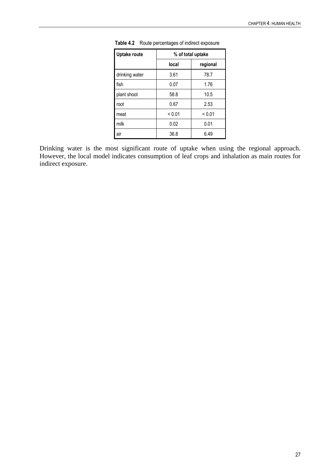| Uptake route   | % of total uptake |             |
|----------------|-------------------|-------------|
|                | local             | regional    |
| drinking water | 3.61              | 78.7        |
| fish           | 0.07              | 1.76        |
| plant shoot    | 58.8              | 10.5        |
| root           | 0.67              | 2.53        |
| meat           | ${}_{0.01}$       | ${}_{0.01}$ |
| milk           | 0.02              | 0.01        |
| air            | 36.8              | 6.49        |

**Table 4.2** Route percentages of indirect exposure

Drinking water is the most significant route of uptake when using the regional approach. However, the local model indicates consumption of leaf crops and inhalation as main routes for indirect exposure.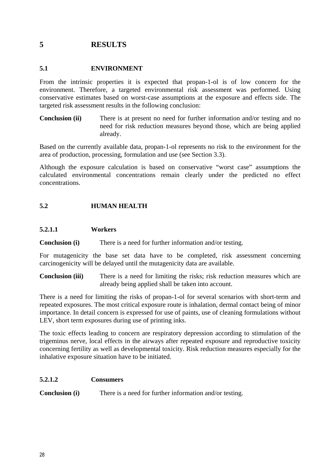# **5 RESULTS**

# **5.1 ENVIRONMENT**

From the intrinsic properties it is expected that propan-1-ol is of low concern for the environment. Therefore, a targeted environmental risk assessment was performed. Using conservative estimates based on worst-case assumptions at the exposure and effects side. The targeted risk assessment results in the following conclusion:

**Conclusion (ii)** There is at present no need for further information and/or testing and no need for risk reduction measures beyond those, which are being applied already.

Based on the currently available data, propan-1-ol represents no risk to the environment for the area of production, processing, formulation and use (see Section 3.3).

Although the exposure calculation is based on conservative "worst case" assumptions the calculated environmental concentrations remain clearly under the predicted no effect concentrations.

# **5.2 HUMAN HEALTH**

## **5.2.1.1 Workers**

**Conclusion (i)** There is a need for further information and/or testing.

For mutagenicity the base set data have to be completed, risk assessment concerning carcinogenicity will be delayed until the mutagenicity data are available.

**Conclusion (iii)** There is a need for limiting the risks; risk reduction measures which are already being applied shall be taken into account.

There is a need for limiting the risks of propan-1-ol for several scenarios with short-term and repeated exposures. The most critical exposure route is inhalation, dermal contact being of minor importance. In detail concern is expressed for use of paints, use of cleaning formulations without LEV, short term exposures during use of printing inks.

The toxic effects leading to concern are respiratory depression according to stimulation of the trigeminus nerve, local effects in the airways after repeated exposure and reproductive toxicity concerning fertility as well as developmental toxicity. Risk reduction measures especially for the inhalative exposure situation have to be initiated.

## **5.2.1.2 Consumers**

**Conclusion** (i) There is a need for further information and/or testing.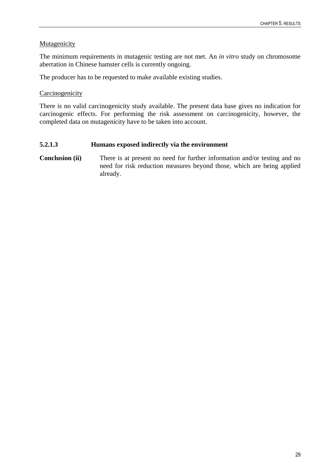# **Mutagenicity**

The minimum requirements in mutagenic testing are not met. An *in vitro* study on chromosome aberration in Chinese hamster cells is currently ongoing.

The producer has to be requested to make available existing studies.

# Carcinogenicity

There is no valid carcinogenicity study available. The present data base gives no indication for carcinogenic effects. For performing the risk assessment on carcinogenicity, however, the completed data on mutagenicity have to be taken into account.

# **5.2.1.3 Humans exposed indirectly via the environment**

**Conclusion (ii)** There is at present no need for further information and/or testing and no need for risk reduction measures beyond those, which are being applied already.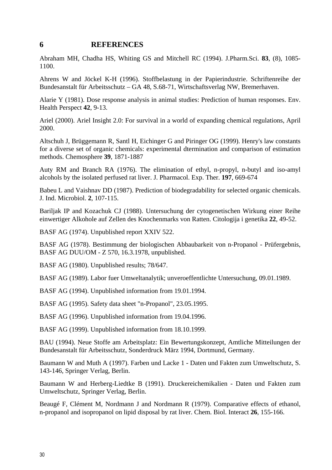# **6 REFERENCES**

Abraham MH, Chadha HS, Whiting GS and Mitchell RC (1994). J.Pharm.Sci. **83**, (8), 1085- 1100.

Ahrens W and Jöckel K-H (1996). Stoffbelastung in der Papierindustrie. Schriftenreihe der Bundesanstalt für Arbeitsschutz – GA 48, S.68-71, Wirtschaftsverlag NW, Bremerhaven.

Alarie Y (1981). Dose response analysis in animal studies: Prediction of human responses. Env. Health Perspect **42**, 9-13.

Ariel (2000). Ariel Insight 2.0: For survival in a world of expanding chemical regulations, April 2000.

Altschuh J, Brüggemann R, Santl H, Eichinger G and Piringer OG (1999). Henry's law constants for a diverse set of organic chemicals: experimental dtermination and comparison of estimation methods. Chemosphere **39**, 1871-1887

Auty RM and Branch RA (1976). The elimination of ethyl, n-propyl, n-butyl and iso-amyl alcohols by the isolated perfused rat liver. J. Pharmacol. Exp. Ther. **197**, 669-674

Babeu L and Vaishnav DD (1987). Prediction of biodegradability for selected organic chemicals. J. Ind. Microbiol. **2**, 107-115.

Bariljak IP and Kozachuk CJ (1988). Untersuchung der cytogenetischen Wirkung einer Reihe einwertiger Alkohole auf Zellen des Knochenmarks von Ratten. Citologija i genetika **22**, 49-52.

BASF AG (1974). Unpublished report XXIV 522.

BASF AG (1978). Bestimmung der biologischen Abbaubarkeit von n-Propanol - Prüfergebnis, BASF AG DUU/OM - Z 570, 16.3.1978, unpublished.

BASF AG (1980). Unpublished results; 78/647.

BASF AG (1989). Labor fuer Umweltanalytik; unveroeffentlichte Untersuchung, 09.01.1989.

BASF AG (1994). Unpublished information from 19.01.1994.

BASF AG (1995). Safety data sheet "n-Propanol", 23.05.1995.

BASF AG (1996). Unpublished information from 19.04.1996.

BASF AG (1999). Unpublished information from 18.10.1999.

BAU (1994). Neue Stoffe am Arbeitsplatz: Ein Bewertungskonzept, Amtliche Mitteilungen der Bundesanstalt für Arbeitsschutz, Sonderdruck März 1994, Dortmund, Germany.

Baumann W and Muth A (1997). Farben und Lacke 1 - Daten und Fakten zum Umweltschutz, S. 143-146, Springer Verlag, Berlin.

Baumann W and Herberg-Liedtke B (1991). Druckereichemikalien - Daten und Fakten zum Umweltschutz, Springer Verlag, Berlin.

Beaugé F, Clément M, Nordmann J and Nordmann R (1979). Comparative effects of ethanol, n-propanol and isopropanol on lipid disposal by rat liver. Chem. Biol. Interact **26**, 155-166.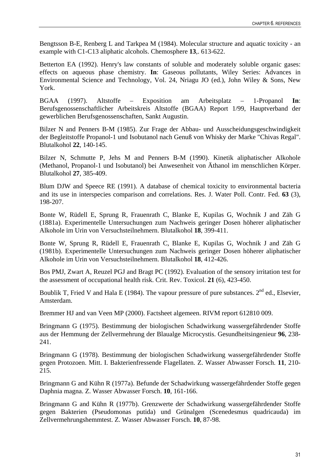Bengtsson B-E, Renberg L and Tarkpea M (1984). Molecular structure and aquatic toxicity - an example with C1-C13 aliphatic alcohols. Chemosphere **13**,. 613-622.

Betterton EA (1992). Henry's law constants of soluble and moderately soluble organic gases: effects on aqueous phase chemistry. **In**: Gaseous pollutants, Wiley Series: Advances in Environmental Science and Technology, Vol. 24, Nriagu JO (ed.), John Wiley & Sons, New York.

BGAA (1997). Altstoffe – Exposition am Arbeitsplatz – 1-Propanol **In**: Berufsgenossenschaftlicher Arbeitskreis Altstoffe (BGAA) Report 1/99, Hauptverband der gewerblichen Berufsgenossenschaften, Sankt Augustin.

Bilzer N and Penners B-M (1985). Zur Frage der Abbau- und Ausscheidungsgeschwindigkeit der Begleitstoffe Propanol-1 und Isobutanol nach Genuß von Whisky der Marke "Chivas Regal". Blutalkohol **22**, 140-145.

Bilzer N, Schmutte P, Jehs M and Penners B-M (1990). Kinetik aliphatischer Alkohole (Methanol, Propanol-1 und Isobutanol) bei Anwesenheit von Äthanol im menschlichen Körper. Blutalkohol **27**, 385-409.

Blum DJW and Speece RE (1991). A database of chemical toxicity to environmental bacteria and its use in interspecies comparison and correlations. Res. J. Water Poll. Contr. Fed. **63** (3), 198-207.

Bonte W, Rüdell E, Sprung R, Frauenrath C, Blanke E, Kupilas G, Wochnik J and Zäh G (1881a). Experimentelle Untersuchungen zum Nachweis geringer Dosen höherer aliphatischer Alkohole im Urin von Versuchsteilnehmern. Blutalkohol **18**, 399-411.

Bonte W, Sprung R, Rüdell E, Frauenrath C, Blanke E, Kupilas G, Wochnik J and Zäh G (1981b). Experimentelle Untersuchungen zum Nachweis geringer Dosen höherer aliphatischer Alkohole im Urin von Versuchsteilnehmern. Blutalkohol **18**, 412-426.

Bos PMJ, Zwart A, Reuzel PGJ and Bragt PC (1992). Evaluation of the sensory irritation test for the assessment of occupational health risk. Crit. Rev. Toxicol. **21** (6), 423-450.

Boublik T, Fried V and Hala E (1984). The vapour pressure of pure substances.  $2^{nd}$  ed., Elsevier, Amsterdam.

Bremmer HJ and van Veen MP (2000). Factsheet algemeen. RIVM report 612810 009.

Bringmann G (1975). Bestimmung der biologischen Schadwirkung wassergefährdender Stoffe aus der Hemmung der Zellvermehrung der Blaualge Microcystis. Gesundheitsingenieur **96**, 238- 241.

Bringmann G (1978). Bestimmung der biologischen Schadwirkung wassergefährdender Stoffe gegen Protozoen. Mitt. I. Bakterienfressende Flagellaten. Z. Wasser Abwasser Forsch. **11**, 210- 215.

Bringmann G and Kühn R (1977a). Befunde der Schadwirkung wassergefährdender Stoffe gegen Daphnia magna. Z. Wasser Abwasser Forsch. **10**, 161-166.

Bringmann G and Kühn R (1977b). Grenzwerte der Schadwirkung wassergefährdender Stoffe gegen Bakterien (Pseudomonas putida) und Grünalgen (Scenedesmus quadricauda) im Zellvermehrungshemmtest. Z. Wasser Abwasser Forsch. **10**, 87-98.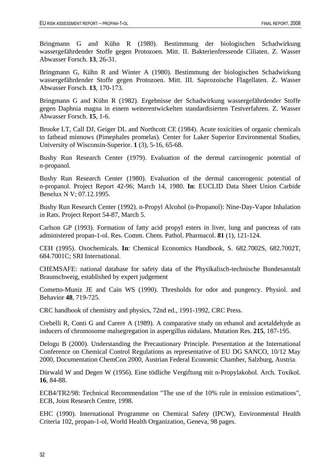Bringmann G and Kühn R (1980). Bestimmung der biologischen Schadwirkung wassergefährdender Stoffe gegen Protozoen. Mitt. II. Bakterienfressende Ciliaten. Z. Wasser Abwasser Forsch. **13**, 26-31.

Bringmann G, Kühn R and Winter A (1980). Bestimmung der biologischen Schadwirkung wassergefährdender Stoffe gegen Protozoen. Mitt. III. Saprozoische Flagellaten. Z. Wasser Abwasser Forsch. **13**, 170-173.

Bringmann G and Kühn R (1982). Ergebnisse der Schadwirkung wassergefährdender Stoffe gegen Daphnia magna in einem weiterentwickelten standardisierten Testverfahren. Z. Wasser Abwasser Forsch. **15**, 1-6.

Brooke LT, Call DJ, Geiger DL and Northcott CE (1984). Acute toxicities of organic chemicals to fathead minnows (Pimephales promelas). Center for Laker Superior Environmental Studies, University of Wisconsin-Superior. **1** (3), 5-16, 65-68.

Bushy Run Research Center (1979). Evaluation of the dermal carcinogenic potential of n-propanol.

Bushy Run Research Center (1980). Evaluation of the dermal cancerogenic potential of n-propanol. Project Report 42-96; March 14, 1980. **In**: EUCLID Data Sheet Union Carbide Benelux N V; 07.12.1995.

Bushy Run Research Center (1992). n-Propyl Alcohol (n-Propanol): Nine-Day-Vapor Inhalation in Rats. Project Report 54-87, March 5.

Carlson GP (1993). Formation of fatty acid propyl esters in liver, lung and pancreas of rats administered propan-1-ol. Res. Comm. Chem. Pathol. Pharmacol. **81** (1), 121-124.

CEH (1995). Oxochemicals. **In**: Chemical Economics Handbook, S. 682.7002S, 682.7002T, 684.7001C; SRI International.

CHEMSAFE: national database for safety data of the Physikalisch-technische Bundesanstalt Braunschweig, established by expert judgement

Cometto-Muniz JE and Cain WS (1990). Thresholds for odor and pungency. Physiol. and Behavior **48**, 719-725.

CRC handbook of chemistry and physics, 72nd ed., 1991-1992, CRC Press.

Crebelli R, Conti G and Carere A (1989). A comparative study on ethanol and acetaldehyde as inducers of chromosome malsegregation in aspergillus nidulans. Mutation Res. **215**, 187-195.

Delogu B (2000). Understanding the Precautionary Principle. Presentation at the International Conference on Chemical Control Regulations as representative of EU DG SANCO, 10/12 May 2000, Documentation ChemCon 2000, Austrian Federal Economic Chamber, Salzburg, Austria.

Dürwald W and Degen W (1956). Eine tödliche Vergiftung mit n-Propylakohol. Arch. Toxikol. **16**, 84-88.

ECB4/TR2/98: Technical Recommendation "The use of the 10% rule in emission estimations", ECB, Joint Research Centre, 1998.

EHC (1990). International Programme on Chemical Safety (IPCW), Environmental Health Criteria 102, propan-1-ol, World Health Organization, Geneva, 98 pages.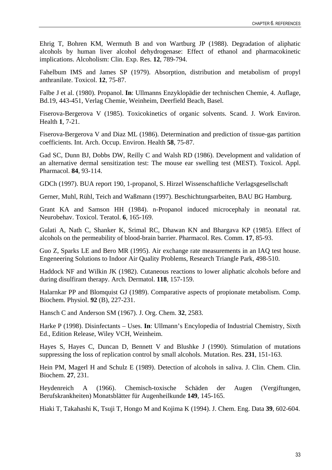Ehrig T, Bohren KM, Wermuth B and von Wartburg JP (1988). Degradation of aliphatic alcohols by human liver alcohol dehydrogenase: Effect of ethanol and pharmacokinetic implications. Alcoholism: Clin. Exp. Res. **12**, 789-794.

Fahelbum IMS and James SP (1979). Absorption, distribution and metabolism of propyl anthranilate. Toxicol. **12**, 75-87.

Falbe J et al. (1980). Propanol. **In**: Ullmanns Enzyklopädie der technischen Chemie, 4. Auflage, Bd.19, 443-451, Verlag Chemie, Weinheim, Deerfield Beach, Basel.

Fiserova-Bergerova V (1985). Toxicokinetics of organic solvents. Scand. J. Work Environ. Health **1**, 7-21.

Fiserova-Bergerova V and Diaz ML (1986). Determination and prediction of tissue-gas partition coefficients. Int. Arch. Occup. Environ. Health **58**, 75-87.

Gad SC, Dunn BJ, Dobbs DW, Reilly C and Walsh RD (1986). Development and validation of an alternative dermal sensitization test: The mouse ear swelling test (MEST). Toxicol. Appl. Pharmacol. **84**, 93-114.

GDCh (1997). BUA report 190, 1-propanol, S. Hirzel Wissenschaftliche Verlagsgesellschaft

Gerner, Muhl, Rühl, Teich and Waßmann (1997). Beschichtungsarbeiten, BAU BG Hamburg.

Grant KA and Samson HH (1984). n-Propanol induced microcephaly in neonatal rat. Neurobehav. Toxicol. Teratol. **6**, 165-169.

Gulati A, Nath C, Shanker K, Srimal RC, Dhawan KN and Bhargava KP (1985). Effect of alcohols on the permeability of blood-brain barrier. Pharmacol. Res. Comm. **17**, 85-93.

Guo Z, Sparks LE and Bero MR (1995). Air exchange rate measurements in an IAQ test house. Engeneering Solutions to Indoor Air Quality Problems, Research Triangle Park, 498-510.

Haddock NF and Wilkin JK (1982). Cutaneous reactions to lower aliphatic alcohols before and during disulfiram therapy. Arch. Dermatol. **118**, 157-159.

Halarnkar PP and Blomquist GJ (1989). Comparative aspects of propionate metabolism. Comp. Biochem. Physiol. **92** (B), 227-231.

Hansch C and Anderson SM (1967). J. Org. Chem. **32**, 2583.

Harke P (1998). Disinfectants – Uses. **In**: Ullmann's Encylopedia of Industrial Chemistry, Sixth Ed., Edition Release, Wiley VCH, Weinheim.

Hayes S, Hayes C, Duncan D, Bennett V and Blushke J (1990). Stimulation of mutations suppressing the loss of replication control by small alcohols. Mutation. Res. **231**, 151-163.

Hein PM, Magerl H and Schulz E (1989). Detection of alcohols in saliva. J. Clin. Chem. Clin. Biochem. **27**, 231.

Heydenreich A (1966). Chemisch-toxische Schäden der Augen (Vergiftungen, Berufskrankheiten) Monatsblätter für Augenheilkunde **149**, 145-165.

Hiaki T, Takahashi K, Tsuji T, Hongo M and Kojima K (1994). J. Chem. Eng. Data **39**, 602-604.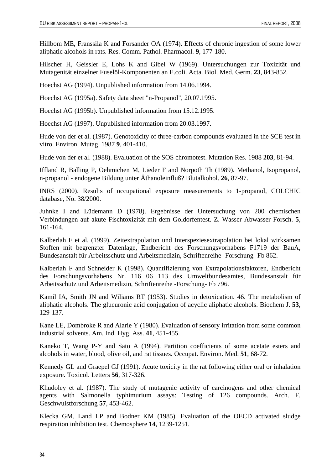Hillbom ME, Franssila K and Forsander OA (1974). Effects of chronic ingestion of some lower aliphatic alcohols in rats. Res. Comm. Pathol. Pharmacol. **9**, 177-180.

Hilscher H, Geissler E, Lohs K and Gibel W (1969). Untersuchungen zur Toxizität und Mutagenität einzelner Fuselöl-Komponenten an E.coli. Acta. Biol. Med. Germ. **23**, 843-852.

Hoechst AG (1994). Unpublished information from 14.06.1994.

Hoechst AG (1995a). Safety data sheet "n-Propanol", 20.07.1995.

Hoechst AG (1995b). Unpublished information from 15.12.1995.

Hoechst AG (1997). Unpublished information from 20.03.1997.

Hude von der et al. (1987). Genotoxicity of three-carbon compounds evaluated in the SCE test in vitro. Environ. Mutag. 1987 **9**, 401-410.

Hude von der et al. (1988). Evaluation of the SOS chromotest. Mutation Res. 1988 **203**, 81-94.

Iffland R, Balling P, Oehmichen M, Lieder F and Norpoth Th (1989). Methanol, Isopropanol, n-propanol - endogene Bildung unter Äthanoleinfluß? Blutalkohol. **26**, 87-97.

INRS (2000). Results of occupational exposure measurements to 1-propanol, COLCHIC database, No. 38/2000.

Juhnke I and Lüdemann D (1978). Ergebnisse der Untersuchung von 200 chemischen Verbindungen auf akute Fischtoxizität mit dem Goldorfentest. Z. Wasser Abwasser Forsch. **5**, 161-164.

Kalberlah F et al. (1999). Zeitextrapolation und Interspeziesextrapolation bei lokal wirksamen Stoffen mit begrenzter Datenlage, Endbericht des Forschungsvorhabens F1719 der BauA, Bundesanstalt für Arbeitsschutz und Arbeitsmedizin, Schriftenreihe -Forschung- Fb 862.

Kalberlah F and Schneider K (1998). Quantifizierung von Extrapolationsfaktoren, Endbericht des Forschungsvorhabens Nr. 116 06 113 des Umweltbundesamtes, Bundesanstalt für Arbeitsschutz und Arbeitsmedizin, Schriftenreihe -Forschung- Fb 796.

Kamil IA, Smith JN and Wiliams RT (1953). Studies in detoxication. 46. The metabolism of aliphatic alcohols. The glucuronic acid conjugation of acyclic aliphatic alcohols. Biochem J. **53**, 129-137.

Kane LE, Dombroke R and Alarie Y (1980). Evaluation of sensory irritation from some common industrial solvents. Am. Ind. Hyg. Ass. **41**, 451-455.

Kaneko T, Wang P-Y and Sato A (1994). Partition coefficients of some acetate esters and alcohols in water, blood, olive oil, and rat tissues. Occupat. Environ. Med. **51**, 68-72.

Kennedy GL and Graepel GJ (1991). Acute toxicity in the rat following either oral or inhalation exposure. Toxicol. Letters **56**, 317-326.

Khudoley et al. (1987). The study of mutagenic activity of carcinogens and other chemical agents with Salmonella typhimurium assays: Testing of 126 compounds. Arch. F. Geschwulstforschung **57**, 453-462.

Klecka GM, Land LP and Bodner KM (1985). Evaluation of the OECD activated sludge respiration inhibition test. Chemosphere **14**, 1239-1251.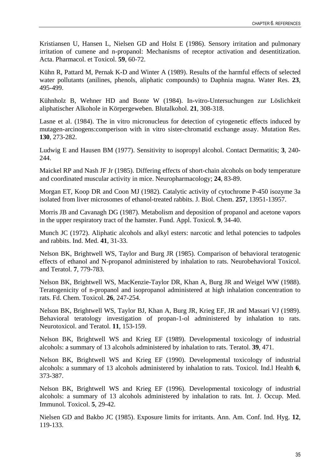Kristiansen U, Hansen L, Nielsen GD and Holst E (1986). Sensory irritation and pulmonary irritation of cumene and n-propanol: Mechanisms of receptor activation and desentitization. Acta. Pharmacol. et Toxicol. **59**, 60-72.

Kühn R, Pattard M, Pernak K-D and Winter A (1989). Results of the harmful effects of selected water pollutants (anilines, phenols, aliphatic compounds) to Daphnia magna. Water Res. **23**, 495-499.

Kühnholz B, Wehner HD and Bonte W (1984). In-vitro-Untersuchungen zur Löslichkeit aliphatischer Alkohole in Körpergeweben. Blutalkohol. **21**, 308-318.

Lasne et al. (1984). The in vitro micronucleus for detection of cytogenetic effects induced by mutagen-arcinogens:comperison with in vitro sister-chromatid exchange assay. Mutation Res. **130**, 273-282.

Ludwig E and Hausen BM (1977). Sensitivity to isopropyl alcohol. Contact Dermatitis; **3**, 240- 244.

Maickel RP and Nash JF Jr (1985). Differing effects of short-chain alcohols on body temperature and coordinated muscular activity in mice. Neuropharmacology; **24**, 83-89.

Morgan ET, Koop DR and Coon MJ (1982). Catalytic activity of cytochrome P-450 isozyme 3a isolated from liver microsomes of ethanol-treated rabbits. J. Biol. Chem. **257**, 13951-13957.

Morris JB and Cavanagh DG (1987). Metabolism and deposition of propanol and acetone vapors in the upper respiratory tract of the hamster. Fund. Appl. Toxicol. **9**, 34-40.

Munch JC (1972). Aliphatic alcohols and alkyl esters: narcotic and lethal potencies to tadpoles and rabbits. Ind. Med. **41**, 31-33.

Nelson BK, Brightwell WS, Taylor and Burg JR (1985). Comparison of behavioral teratogenic effects of ethanol and N-propanol administered by inhalation to rats. Neurobehavioral Toxicol. and Teratol. **7**, 779-783.

Nelson BK, Brightwell WS, MacKenzie-Taylor DR, Khan A, Burg JR and Weigel WW (1988). Teratogenicity of n-propanol and isopropanol administered at high inhalation concentration to rats. Fd. Chem. Toxicol. **26**, 247-254.

Nelson BK, Brightwell WS, Taylor BJ, Khan A, Burg JR, Krieg EF, JR and Massari VJ (1989). Behavioral teratology investigation of propan-1-ol administered by inhalation to rats. Neurotoxicol. and Teratol. **11**, 153-159.

Nelson BK, Brightwell WS and Krieg EF (1989). Developmental toxicology of industrial alcohols: a summary of 13 alcohols administered by inhalation to rats. Teratol. **39**, 471.

Nelson BK, Brightwell WS and Krieg EF (1990). Developmental toxicology of industrial alcohols: a summary of 13 alcohols administered by inhalation to rats. Toxicol. Ind.l Health **6**, 373-387.

Nelson BK, Brightwell WS and Krieg EF (1996). Developmental toxicology of industrial alcohols: a summary of 13 alcohols administered by inhalation to rats. Int. J. Occup. Med. Immunol. Toxicol. **5**, 29-42.

Nielsen GD and Bakbo JC (1985). Exposure limits for irritants. Ann. Am. Conf. Ind. Hyg. **12**, 119-133.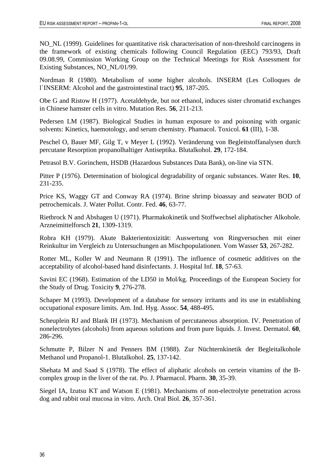NO\_NL (1999). Guidelines for quantitative risk characterisation of non-threshold carcinogens in the framework of existing chemicals following Council Regulation (EEC) 793/93, Draft 09.08.99, Commission Working Group on the Technical Meetings for Risk Assessment for Existing Substances, NO\_NL/01/99.

Nordman R (1980). Metabolism of some higher alcohols. INSERM (Les Colloques de l`INSERM: Alcohol and the gastrointestinal tract) **95**, 187-205.

Obe G and Ristow H (1977). Acetaldehyde, but not ethanol, induces sister chromatid exchanges in Chinese hamster cells in vitro. Mutation Res. **56**, 211-213.

Pedersen LM (1987). Biological Studies in human exposure to and poisoning with organic solvents: Kinetics, haemotology, and serum chemistry. Phamacol. Toxicol. **61** (III), 1-38.

Peschel O, Bauer MF, Gilg T, v Meyer L (1992). Veränderung von Begleitstoffanalysen durch percutane Resorption propanolhaltiger Antiseptika. Blutalkohol. **29**, 172-184.

Petrasol B.V. Gorinchem, HSDB (Hazardous Substances Data Bank), on-line via STN.

Pitter P (1976). Determination of biological degradability of organic substances. Water Res. **10**, 231-235.

Price KS, Waggy GT and Conway RA (1974). Brine shrimp bioassay and seawater BOD of petrochemicals. J. Water Pollut. Contr. Fed. **46**, 63-77.

Rietbrock N and Abshagen U (1971). Pharmakokinetik und Stoffwechsel aliphatischer Alkohole. Arzneimittelforsch **21**, 1309-1319.

Robra KH (1979). Akute Bakterientoxizität: Auswertung von Ringversuchen mit einer Reinkultur im Vergleich zu Untersuchungen an Mischpopulationen. Vom Wasser **53**, 267-282.

Rotter ML, Koller W and Neumann R (1991). The influence of cosmetic additives on the acceptability of alcohol-based hand disinfectants. J. Hospital Inf. **18**, 57-63.

Savini EC (1968). Estimation of the LD50 in Mol/kg. Proceedings of the European Society for the Study of Drug. Toxicity **9**, 276-278.

Schaper M (1993). Development of a database for sensory irritants and its use in establishing occupational exposure limits. Am. Ind. Hyg. Assoc. **54**, 488-495.

Scheuplein RJ and Blank IH (1973). Mechanism of percutaneous absorption. IV. Penetration of nonelectrolytes (alcohols) from aqueous solutions and from pure liquids. J. Invest. Dermatol. **60**, 286-296.

Schmutte P, Bilzer N and Penners BM (1988). Zur Nüchternkinetik der Begleitalkohole Methanol und Propanol-1. Blutalkohol. **25**, 137-142.

Shehata M and Saad S (1978). The effect of aliphatic alcohols on certein vitamins of the Bcomplex group in the liver of the rat. Po. J. Pharmacol. Pharm. **30**, 35-39.

Siegel IA, Izutsu KT and Watson E (1981). Mechanisms of non-electrolyte penetration across dog and rabbit oral mucosa in vitro. Arch. Oral Biol. **26**, 357-361.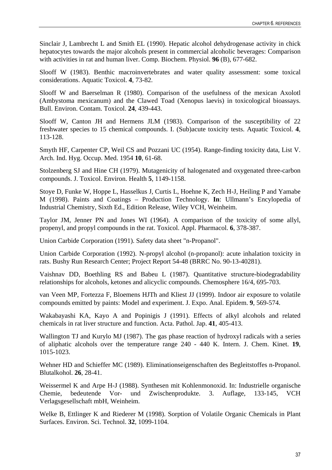Sinclair J, Lambrecht L and Smith EL (1990). Hepatic alcohol dehydrogenase activity in chick hepatocytes towards the major alcohols present in commercial alcoholic beverages: Comparison with activities in rat and human liver. Comp. Biochem. Physiol. **96** (B), 677-682.

Slooff W (1983). Benthic macroinvertebrates and water quality assessment: some toxical considerations. Aquatic Toxicol. **4**, 73-82.

Slooff W and Baerselman R (1980). Comparison of the usefulness of the mexican Axolotl (Ambystoma mexicanum) and the Clawed Toad (Xenopus laevis) in toxicological bioassays. Bull. Environ. Contam. Toxicol. **24**, 439-443.

Slooff W, Canton JH and Hermens JLM (1983). Comparison of the susceptibility of 22 freshwater species to 15 chemical compounds. I. (Sub)acute toxicity tests. Aquatic Toxicol. **4**, 113-128.

Smyth HF, Carpenter CP, Weil CS and Pozzani UC (1954). Range-finding toxicity data, List V. Arch. Ind. Hyg. Occup. Med. 1954 **10**, 61-68.

Stolzenberg SJ and Hine CH (1979). Mutagenicity of halogenated and oxygenated three-carbon compounds. J. Toxicol. Environ. Health **5**, 1149-1158.

Stoye D, Funke W, Hoppe L, Hasselkus J, Curtis L, Hoehne K, Zech H-J, Heiling P and Yamabe M (1998). Paints and Coatings – Production Technology. **In**: Ullmann's Encylopedia of Industrial Chemistry, Sixth Ed., Edition Release, Wiley VCH, Weinheim.

Taylor JM, Jenner PN and Jones WI (1964). A comparison of the toxicity of some allyl, propenyl, and propyl compounds in the rat. Toxicol. Appl. Pharmacol. **6**, 378-387.

Union Carbide Corporation (1991). Safety data sheet "n-Propanol".

Union Carbide Corporation (1992). N-propyl alcohol (n-propanol): acute inhalation toxicity in rats. Bushy Run Research Center; Project Report 54-48 (BRRC No. 90-13-40281).

Vaishnav DD, Boethling RS and Babeu L (1987). Quantitative structure-biodegradability relationships for alcohols, ketones and alicyclic compounds. Chemosphere 16/4, 695-703.

van Veen MP, Fortezza F, Bloemens HJTh and Kliest JJ (1999). Indoor air exposure to volatile compounds emitted by paints: Model and experiment. J. Expo. Anal. Epidem. **9**, 569-574.

Wakabayashi KA, Kayo A and Popinigis J (1991). Effects of alkyl alcohols and related chemicals in rat liver structure and function. Acta. Pathol. Jap. **41**, 405-413.

Wallington TJ and Kurylo MJ (1987). The gas phase reaction of hydroxyl radicals with a series of aliphatic alcohols over the temperature range 240 - 440 K. Intern. J. Chem. Kinet. **19**, 1015-1023.

Wehner HD and Schieffer MC (1989). Eliminationseigenschaften des Begleitstoffes n-Propanol. Blutalkohol. **26**, 28-41.

Weissermel K and Arpe H-J (1988). Synthesen mit Kohlenmonoxid. In: Industrielle organische Chemie, bedeutende Vor- und Zwischenprodukte. 3. Auflage, 133-145, VCH Verlagsgesellschaft mbH, Weinheim.

Welke B, Ettlinger K and Riederer M (1998). Sorption of Volatile Organic Chemicals in Plant Surfaces. Environ. Sci. Technol. **32**, 1099-1104.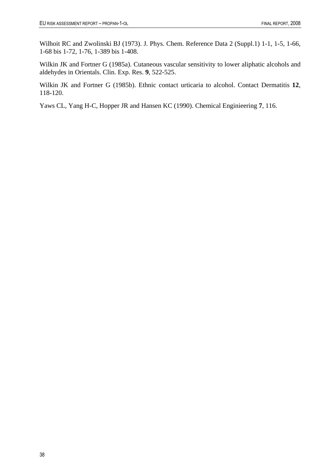Wilhoit RC and Zwolinski BJ (1973). J. Phys. Chem. Reference Data 2 (Suppl.1) 1-1, 1-5, 1-66, 1-68 bis 1-72, 1-76, 1-389 bis 1-408.

Wilkin JK and Fortner G (1985a). Cutaneous vascular sensitivity to lower aliphatic alcohols and aldehydes in Orientals. Clin. Exp. Res. **9**, 522-525.

Wilkin JK and Fortner G (1985b). Ethnic contact urticaria to alcohol. Contact Dermatitis **12**, 118-120.

Yaws CL, Yang H-C, Hopper JR and Hansen KC (1990). Chemical Enginieering **7**, 116.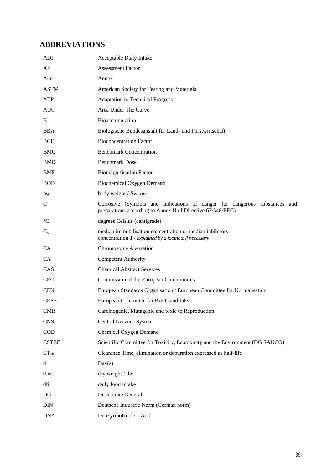# **ABBREVIATIONS**

| ADI             | Acceptable Daily Intake                                                                                                                  |
|-----------------|------------------------------------------------------------------------------------------------------------------------------------------|
| AF              | <b>Assessment Factor</b>                                                                                                                 |
| Ann             | Annex                                                                                                                                    |
| <b>ASTM</b>     | American Society for Testing and Materials                                                                                               |
| ATP             | <b>Adaptation to Technical Progress</b>                                                                                                  |
| <b>AUC</b>      | Area Under The Curve                                                                                                                     |
| B               | <b>Bioaccumulation</b>                                                                                                                   |
| <b>BBA</b>      | Biologische Bundesanstalt für Land- und Forstwirtschaft                                                                                  |
| <b>BCF</b>      | <b>Bioconcentration Factor</b>                                                                                                           |
| <b>BMC</b>      | <b>Benchmark Concentration</b>                                                                                                           |
| <b>BMD</b>      | <b>Benchmark Dose</b>                                                                                                                    |
| <b>BMF</b>      | <b>Biomagnification Factor</b>                                                                                                           |
| <b>BOD</b>      | Biochemical Oxygen Demand                                                                                                                |
| bw              | body weight / $Bw$ , bw                                                                                                                  |
| $\mathcal{C}$   | Corrosive (Symbols and indications of danger for dangerous substances and<br>preparations according to Annex II of Directive 67/548/EEC) |
| $\rm ^{\circ}C$ | degrees Celsius (centigrade)                                                                                                             |
| $C_{50}$        | median immobilisation concentration or median inhibitory<br>concentration 1 / explained by a footnote if necessary                       |
| <b>CA</b>       | <b>Chromosome Aberration</b>                                                                                                             |
| CA              | <b>Competent Authority</b>                                                                                                               |
| CAS             | <b>Chemical Abstract Services</b>                                                                                                        |
| <b>CEC</b>      | Commission of the European Communities                                                                                                   |
| <b>CEN</b>      | European Standards Organisation / European Committee for Normalisation                                                                   |
| <b>CEPE</b>     | European Committee for Paints and Inks                                                                                                   |
| <b>CMR</b>      | Carcinogenic, Mutagenic and toxic to Reproduction                                                                                        |
| <b>CNS</b>      | Central Nervous System                                                                                                                   |
| COD             | Chemical Oxygen Demand                                                                                                                   |
| <b>CSTEE</b>    | Scientific Committee for Toxicity, Ecotoxicity and the Environment (DG SANCO)                                                            |
| $CT_{50}$       | Clearance Time, elimination or depuration expressed as half-life                                                                         |
| d               | Day(s)                                                                                                                                   |
| d.wt            | dry weight / dw                                                                                                                          |
| dfi             | daily food intake                                                                                                                        |
| DG              | Directorate General                                                                                                                      |
| <b>DIN</b>      | Deutsche Industrie Norm (German norm)                                                                                                    |
| <b>DNA</b>      | DeoxyriboNucleic Acid                                                                                                                    |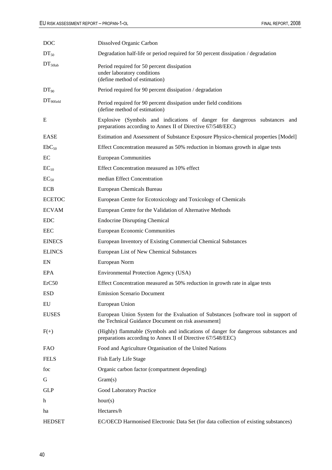| <b>DOC</b>            | Dissolved Organic Carbon                                                                                                                          |
|-----------------------|---------------------------------------------------------------------------------------------------------------------------------------------------|
| $DT_{50}$             | Degradation half-life or period required for 50 percent dissipation / degradation                                                                 |
| $DT_{50lab}$          | Period required for 50 percent dissipation<br>under laboratory conditions<br>(define method of estimation)                                        |
| $DT_{90}$             | Period required for 90 percent dissipation / degradation                                                                                          |
| DT <sub>90field</sub> | Period required for 90 percent dissipation under field conditions<br>(define method of estimation)                                                |
| E                     | Explosive (Symbols and indications of danger for dangerous substances and<br>preparations according to Annex II of Directive 67/548/EEC)          |
| <b>EASE</b>           | Estimation and Assessment of Substance Exposure Physico-chemical properties [Model]                                                               |
| $EbC_{50}$            | Effect Concentration measured as 50% reduction in biomass growth in algae tests                                                                   |
| EC                    | <b>European Communities</b>                                                                                                                       |
| $EC_{10}$             | Effect Concentration measured as 10% effect                                                                                                       |
| $EC_{50}$             | median Effect Concentration                                                                                                                       |
| <b>ECB</b>            | European Chemicals Bureau                                                                                                                         |
| <b>ECETOC</b>         | European Centre for Ecotoxicology and Toxicology of Chemicals                                                                                     |
| <b>ECVAM</b>          | European Centre for the Validation of Alternative Methods                                                                                         |
| <b>EDC</b>            | <b>Endocrine Disrupting Chemical</b>                                                                                                              |
| <b>EEC</b>            | <b>European Economic Communities</b>                                                                                                              |
| <b>EINECS</b>         | European Inventory of Existing Commercial Chemical Substances                                                                                     |
| <b>ELINCS</b>         | European List of New Chemical Substances                                                                                                          |
| EN                    | European Norm                                                                                                                                     |
| EPA                   | Environmental Protection Agency (USA)                                                                                                             |
| ErC50                 | Effect Concentration measured as 50% reduction in growth rate in algae tests                                                                      |
| <b>ESD</b>            | <b>Emission Scenario Document</b>                                                                                                                 |
| EU                    | European Union                                                                                                                                    |
| <b>EUSES</b>          | European Union System for the Evaluation of Substances [software tool in support of<br>the Technical Guidance Document on risk assessment]        |
| $F(+)$                | (Highly) flammable (Symbols and indications of danger for dangerous substances and<br>preparations according to Annex II of Directive 67/548/EEC) |
| FAO                   | Food and Agriculture Organisation of the United Nations                                                                                           |
| <b>FELS</b>           | Fish Early Life Stage                                                                                                                             |
| foc                   | Organic carbon factor (compartment depending)                                                                                                     |
| G                     | Gram(s)                                                                                                                                           |
| <b>GLP</b>            | Good Laboratory Practice                                                                                                                          |
| h                     | hour(s)                                                                                                                                           |
| ha                    | Hectares/ $h$                                                                                                                                     |
| <b>HEDSET</b>         | EC/OECD Harmonised Electronic Data Set (for data collection of existing substances)                                                               |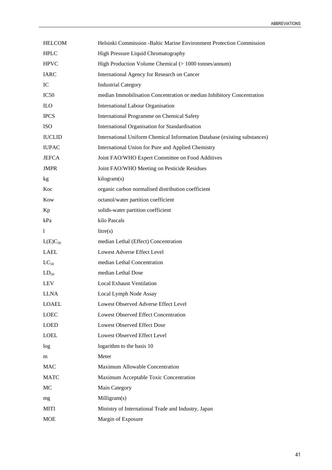| <b>HELCOM</b>    | Helsinki Commission -Baltic Marine Environment Protection Commission      |
|------------------|---------------------------------------------------------------------------|
| <b>HPLC</b>      | High Pressure Liquid Chromatography                                       |
| <b>HPVC</b>      | High Production Volume Chemical (> 1000 tonnes/annum)                     |
| <b>IARC</b>      | International Agency for Research on Cancer                               |
| IC               | <b>Industrial Category</b>                                                |
| IC <sub>50</sub> | median Immobilisation Concentration or median Inhibitory Concentration    |
| <b>ILO</b>       | <b>International Labour Organisation</b>                                  |
| <b>IPCS</b>      | International Programme on Chemical Safety                                |
| <b>ISO</b>       | International Organisation for Standardisation                            |
| <b>IUCLID</b>    | International Uniform Chemical Information Database (existing substances) |
| <b>IUPAC</b>     | International Union for Pure and Applied Chemistry                        |
| <b>JEFCA</b>     | Joint FAO/WHO Expert Committee on Food Additives                          |
| <b>JMPR</b>      | Joint FAO/WHO Meeting on Pesticide Residues                               |
| kg               | kilogram(s)                                                               |
| Koc              | organic carbon normalised distribution coefficient                        |
| Kow              | octanol/water partition coefficient                                       |
| Kp               | solids-water partition coefficient                                        |
| kPa              | kilo Pascals                                                              |
| 1                | litre(s)                                                                  |
| $L(E)C_{50}$     | median Lethal (Effect) Concentration                                      |
| LAEL             | Lowest Adverse Effect Level                                               |
| $LC_{50}$        | median Lethal Concentration                                               |
| $LD_{50}$        | median Lethal Dose                                                        |
| LEV              | <b>Local Exhaust Ventilation</b>                                          |
| <b>LLNA</b>      | Local Lymph Node Assay                                                    |
| <b>LOAEL</b>     | Lowest Observed Adverse Effect Level                                      |
| LOEC             | <b>Lowest Observed Effect Concentration</b>                               |
| <b>LOED</b>      | <b>Lowest Observed Effect Dose</b>                                        |
| <b>LOEL</b>      | Lowest Observed Effect Level                                              |
| log              | logarithm to the basis 10                                                 |
| m                | Meter                                                                     |
| <b>MAC</b>       | Maximum Allowable Concentration                                           |
| <b>MATC</b>      | Maximum Acceptable Toxic Concentration                                    |
| MC               | Main Category                                                             |
| mg               | Milligram(s)                                                              |
| MITI             | Ministry of International Trade and Industry, Japan                       |
| <b>MOE</b>       | Margin of Exposure                                                        |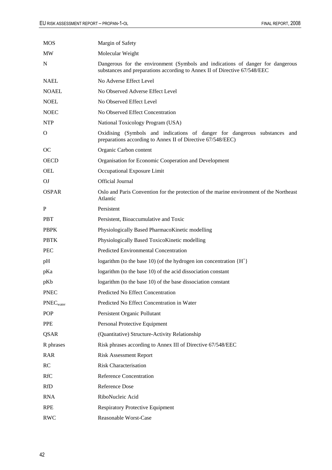| <b>MOS</b>            | Margin of Safety                                                                                                                                            |
|-----------------------|-------------------------------------------------------------------------------------------------------------------------------------------------------------|
| MW                    | Molecular Weight                                                                                                                                            |
| N                     | Dangerous for the environment (Symbols and indications of danger for dangerous<br>substances and preparations according to Annex II of Directive 67/548/EEC |
| <b>NAEL</b>           | No Adverse Effect Level                                                                                                                                     |
| <b>NOAEL</b>          | No Observed Adverse Effect Level                                                                                                                            |
| <b>NOEL</b>           | No Observed Effect Level                                                                                                                                    |
| <b>NOEC</b>           | No Observed Effect Concentration                                                                                                                            |
| <b>NTP</b>            | National Toxicology Program (USA)                                                                                                                           |
| O                     | Oxidising (Symbols and indications of danger for dangerous substances and<br>preparations according to Annex II of Directive 67/548/EEC)                    |
| <b>OC</b>             | Organic Carbon content                                                                                                                                      |
| <b>OECD</b>           | Organisation for Economic Cooperation and Development                                                                                                       |
| <b>OEL</b>            | Occupational Exposure Limit                                                                                                                                 |
| OJ                    | Official Journal                                                                                                                                            |
| <b>OSPAR</b>          | Oslo and Paris Convention for the protection of the marine environment of the Northeast<br>Atlantic                                                         |
| P                     | Persistent                                                                                                                                                  |
| <b>PBT</b>            | Persistent, Bioaccumulative and Toxic                                                                                                                       |
| <b>PBPK</b>           | Physiologically Based PharmacoKinetic modelling                                                                                                             |
| <b>PBTK</b>           | Physiologically Based ToxicoKinetic modelling                                                                                                               |
| <b>PEC</b>            | Predicted Environmental Concentration                                                                                                                       |
| pH                    | logarithm (to the base 10) (of the hydrogen ion concentration ${H+}$                                                                                        |
| pKa                   | logarithm (to the base 10) of the acid dissociation constant                                                                                                |
| pKb                   | logarithm (to the base 10) of the base dissociation constant                                                                                                |
| <b>PNEC</b>           | Predicted No Effect Concentration                                                                                                                           |
| PNEC <sub>water</sub> | Predicted No Effect Concentration in Water                                                                                                                  |
| <b>POP</b>            | Persistent Organic Pollutant                                                                                                                                |
| PPE                   | Personal Protective Equipment                                                                                                                               |
| QSAR                  | (Quantitative) Structure-Activity Relationship                                                                                                              |
| R phrases             | Risk phrases according to Annex III of Directive 67/548/EEC                                                                                                 |
| <b>RAR</b>            | <b>Risk Assessment Report</b>                                                                                                                               |
| RC                    | <b>Risk Characterisation</b>                                                                                                                                |
| <b>RfC</b>            | <b>Reference Concentration</b>                                                                                                                              |
| <b>RfD</b>            | Reference Dose                                                                                                                                              |
| <b>RNA</b>            | RiboNucleic Acid                                                                                                                                            |
| <b>RPE</b>            | <b>Respiratory Protective Equipment</b>                                                                                                                     |
| <b>RWC</b>            | Reasonable Worst-Case                                                                                                                                       |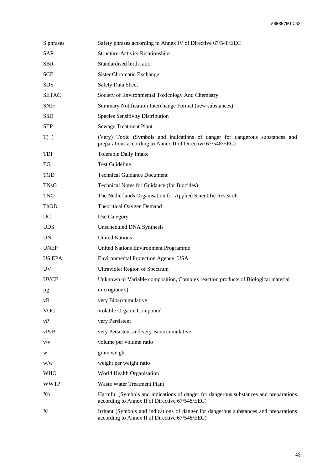| S phrases     | Safety phrases according to Annex IV of Directive 67/548/EEC                                                                                |
|---------------|---------------------------------------------------------------------------------------------------------------------------------------------|
| <b>SAR</b>    | <b>Structure-Activity Relationships</b>                                                                                                     |
| <b>SBR</b>    | Standardised birth ratio                                                                                                                    |
| <b>SCE</b>    | Sister Chromatic Exchange                                                                                                                   |
| <b>SDS</b>    | <b>Safety Data Sheet</b>                                                                                                                    |
| <b>SETAC</b>  | Society of Environmental Toxicology And Chemistry                                                                                           |
| <b>SNIF</b>   | Summary Notification Interchange Format (new substances)                                                                                    |
| <b>SSD</b>    | Species Sensitivity Distribution                                                                                                            |
| <b>STP</b>    | <b>Sewage Treatment Plant</b>                                                                                                               |
| $T(+)$        | (Very) Toxic (Symbols and indications of danger for dangerous substances and<br>preparations according to Annex II of Directive 67/548/EEC) |
| TDI           | Tolerable Daily Intake                                                                                                                      |
| TG            | <b>Test Guideline</b>                                                                                                                       |
| <b>TGD</b>    | <b>Technical Guidance Document</b>                                                                                                          |
| <b>TNsG</b>   | Technical Notes for Guidance (for Biocides)                                                                                                 |
| <b>TNO</b>    | The Netherlands Organisation for Applied Scientific Research                                                                                |
| ThOD          | Theoritical Oxygen Demand                                                                                                                   |
| <b>UC</b>     | Use Category                                                                                                                                |
| <b>UDS</b>    | Unscheduled DNA Synthesis                                                                                                                   |
| <b>UN</b>     | <b>United Nations</b>                                                                                                                       |
| <b>UNEP</b>   | United Nations Environment Programme                                                                                                        |
| <b>US EPA</b> | Environmental Protection Agency, USA                                                                                                        |
| UV            | <b>Ultraviolet Region of Spectrum</b>                                                                                                       |
| <b>UVCB</b>   | Unknown or Variable composition, Complex reaction products of Biological material                                                           |
| μg            | microgram(s)                                                                                                                                |
| vB            | very Bioaccumulative                                                                                                                        |
| <b>VOC</b>    | Volatile Organic Compound                                                                                                                   |
| vP            | very Persistent                                                                                                                             |
| vPvB          | very Persistent and very Bioaccumulative                                                                                                    |
| V/V           | volume per volume ratio                                                                                                                     |
| W             | gram weight                                                                                                                                 |
| W/W           | weight per weight ratio                                                                                                                     |
| <b>WHO</b>    | World Health Organisation                                                                                                                   |
| <b>WWTP</b>   | Waste Water Treatment Plant                                                                                                                 |
| Xn            | Harmful (Symbols and indications of danger for dangerous substances and preparations<br>according to Annex II of Directive 67/548/EEC)      |
| Xi            | Irritant (Symbols and indications of danger for dangerous substances and preparations<br>according to Annex II of Directive 67/548/EEC)     |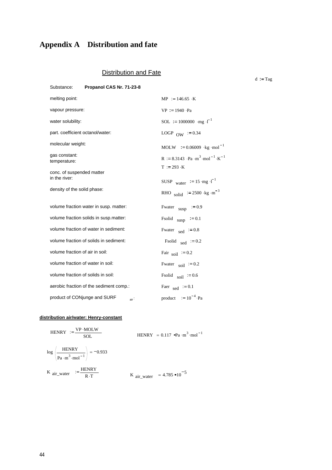# **Appendix A Distribution and fate**

# Distribution and Fate

 $d := Tag$ 

| Substance:                                                 | Propanol CAS Nr. 71-23-8                |                                                                                                |
|------------------------------------------------------------|-----------------------------------------|------------------------------------------------------------------------------------------------|
| melting point:                                             |                                         | $MP := 146.65 \cdot K$                                                                         |
| vapour pressure:                                           |                                         | $VP = 1940 \cdot Pa$                                                                           |
| water solubility:                                          |                                         | SOL := 1000000 · mg · $I^{-1}$                                                                 |
| part. coefficient octanol/water:                           |                                         | LOGP $_{\text{OW}}$ = 0.34                                                                     |
| molecular weight:                                          |                                         | MOLW $:= 0.06009$ kg mol <sup>-1</sup>                                                         |
| gas constant:<br>temperature:<br>conc. of suspended matter |                                         | R := 8.3143 · Pa · m <sup>3</sup> · mol <sup>-1</sup> · K <sup>-1</sup><br>$T := 293 \cdot K$  |
| in the river:<br>density of the solid phase:               |                                         | SUSP water $:= 15 \cdot mg \cdot l^{-1}$<br>RHO solid $:= 2500 \text{ kg} \cdot \text{m}^{-3}$ |
|                                                            | volume fraction water in susp. matter:  | Fwater $_{\text{susp}}$ := 0.9                                                                 |
|                                                            | volume fraction solids in susp.matter:  | Fsolid<br>susp $:= 0.1$                                                                        |
|                                                            | volume fraction of water in sediment:   | Fwater $_{\text{sed}}$ = 0.8                                                                   |
|                                                            | volume fraction of solids in sediment:  | Fsolid sed $:= 0.2$                                                                            |
| volume fraction of air in soil:                            |                                         | Fair $\text{soil} = 0.2$                                                                       |
| volume fraction of water in soil:                          |                                         | Fwater $\text{soil} = 0.2$                                                                     |
| volume fraction of solids in soil:                         |                                         | Fsolid $\text{soil}$ = 0.6                                                                     |
|                                                            | aerobic fraction of the sediment comp.: | Faer sed $:= 0.1$                                                                              |
| product of CONjunge and SURF                               | air                                     | product $= 10^{-4}$ Pa                                                                         |

#### **distribution air/water: Henry-constant**

| HENRY $:=\frac{\text{VP} \cdot \text{MOLW}}{}$<br><b>SOL</b>                                         | HENRY = $0.117$ $\sigma$ Pa · m <sup>3</sup> · mol <sup>-1</sup> |
|------------------------------------------------------------------------------------------------------|------------------------------------------------------------------|
| $\log \left( \frac{\text{HENRY}}{\text{Pa} \cdot \text{m}^3 \cdot \text{mol}^{-1}} \right) = -0.933$ |                                                                  |
| K $_{\text{air}\_\text{water}}$ = $\frac{\text{HENRY}}{\text{R} \cdot \text{T}}$                     | K $_{\text{air\_water}}$ = 4.785 $\cdot 10^{-5}$                 |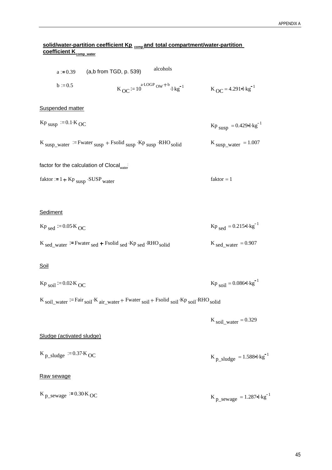### **solid/water-partition ceefficient Kp comp and total compartment/water-partition**  <u>coefficient K<sub>comp\_water</u></u></sub>

| alcohols<br>$a := 0.39$ (a,b from TGD, p. 539)                                                                                                                                              |                                                          |
|---------------------------------------------------------------------------------------------------------------------------------------------------------------------------------------------|----------------------------------------------------------|
| $b := 0.5$<br>$K_{OC} := 10^{a \text{ LOGP}}$ ow $+$ <sup>b</sup> $\cdot$ <sub>1</sub> $\cdot$ kg <sup>-1</sup>                                                                             | $K_{OC} = 4.291$ ol·kg <sup>-1</sup>                     |
| Suspended matter                                                                                                                                                                            |                                                          |
| $Kp$ <sub>susp</sub> = 0.1. $K$ <sub>OC</sub>                                                                                                                                               | $Kp$ <sub>susp</sub> = 0.429 $q \cdot kg^{-1}$           |
| $K_{\text{susp\_water}} :=$ Fwater $_{\text{susp}}$ + Fsolid $_{\text{susp}}$ · Kp $_{\text{susp}}$ · RHO solid                                                                             | $K$ <sub>susp_water</sub> = 1.007                        |
| factor for the calculation of Clocal state                                                                                                                                                  |                                                          |
| $faktor := 1 + Kp$ <sub>susp</sub> · SUSP <sub>water</sub>                                                                                                                                  | $faktor = 1$                                             |
|                                                                                                                                                                                             |                                                          |
| Sediment                                                                                                                                                                                    |                                                          |
| $Kp_{sed}$ = 0.05 K OC                                                                                                                                                                      | $Kp_{sed} = 0.215$ ol·kg <sup>-1</sup>                   |
| $K_{\text{sed\_water}} :=$ Fwater $_{\text{sed}} +$ Fsolid $_{\text{sed}} \cdot$ Kp $_{\text{sed}} \cdot$ RHO $_{\text{solid}}$                                                             | $K_{\text{sed\_water}} = 0.907$                          |
| <u>Soil</u>                                                                                                                                                                                 |                                                          |
| $Kp$ <sub>soil</sub> = 0.02 K <sub>OC</sub>                                                                                                                                                 | $Kp_{\text{soil}} = 0.086 \text{d} \cdot \text{kg}^{-1}$ |
| $K_{\text{soil\_water}} := \text{Fair}_{\text{soil}} \cdot K_{\text{air\_water}} + \text{Fwater}_{\text{soil}} + \text{Fsolid}_{\text{soil}} \cdot K_{\text{P}} + \text{RHO}_{\text{soil}}$ |                                                          |
|                                                                                                                                                                                             | K soil_water = $0.329$                                   |
| Sludge (activated sludge)                                                                                                                                                                   |                                                          |
| $K_{p \text{sludge}}$ = 0.37 $K_{OC}$                                                                                                                                                       | $K_{p\_sludge} = 1.5889 \cdot kg^{-1}$                   |
| Raw sewage                                                                                                                                                                                  |                                                          |
| $K_{p$ _sewage = 0.30 $K_{OC}$                                                                                                                                                              | $K_{p\_sewage} = 1.287 \text{e} \cdot \text{kg}^{-1}$    |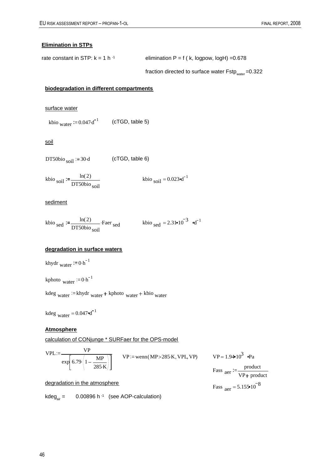#### **Elimination in STPs**

rate constant in STP:  $k = 1 h^{-1}$  elimination P = f ( k, logpow, logH) = 0.678

fraction directed to surface water  $Fstp_{water} = 0.322$ 

#### **biodegradation in different compartments**

surface water

kbio <sub>water</sub>  $:= 0.047 d^{-1}$  (cTGD, table 5)

soil

 $DT50bio$ <sub>soil</sub>  $:= 30 \cdot d$  (cTGD, table 6)

kbio <sub>soil</sub> :=  $\frac{\ln(2)}{\text{DT50}}$ DT50bio <sub>soil</sub> kbio <sub>soil</sub> = 0.023 od<sup>-1</sup>

#### sediment

kbio sed  $:=\frac{\ln(2)}{\text{DT50kio}}$ DT50bio <sub>soil</sub> Faer <sub>sed</sub> . kbio <sub>sed</sub> = 2.31  $\cdot 10^{-3}$   $\cdot d^{-1}$ 

#### **degradation in surface waters**

khydr water  $= 0 \cdot h^{-1}$ 

kphoto water  $= 0 \cdot h^{-1}$ 

kdeg water  $k$ khydr water + kphoto water + kbio water

kdeg  $_{\text{water}} = 0.047$   $\text{d}^{-1}$ 

#### **Atmosphere**

calculation of CONjunge \* SURFaer for the OPS-model

$$
VPL := \frac{VP}{\exp\left(6.79 \cdot \left(1 - \frac{MP}{285 \cdot K}\right)\right)}
$$
 
$$
VP := \text{wenn} (MP > 285 \cdot K, VPL, VP)
$$
 
$$
VP = 1.94 \cdot 10^3 \text{ Pa}
$$
  
Pass 
$$
\text{are} := \frac{\text{product}}{\text{VP} + \text{product}}
$$

degradation in the atmosphere Fass  $_{\text{aer}} = 5.155 \times 10^{-8}$ 

kdeg<sub>air</sub> =  $0.00896$  h<sup>-1</sup> (see AOP-calculation)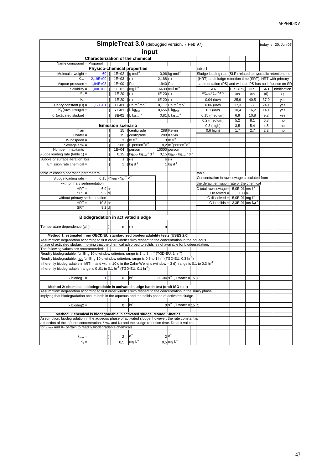| SimpleTreat 3.0 (debugged version, 7 Feb 97)                                                                                                                                                                                    |            |    |                                                                          |                                                                            |             |                                                                         | today is | 20. Jun 07                                                   |               |            |            |               |
|---------------------------------------------------------------------------------------------------------------------------------------------------------------------------------------------------------------------------------|------------|----|--------------------------------------------------------------------------|----------------------------------------------------------------------------|-------------|-------------------------------------------------------------------------|----------|--------------------------------------------------------------|---------------|------------|------------|---------------|
| input                                                                                                                                                                                                                           |            |    |                                                                          |                                                                            |             |                                                                         |          |                                                              |               |            |            |               |
|                                                                                                                                                                                                                                 |            |    |                                                                          | Characterization of the chemical                                           |             |                                                                         |          |                                                              |               |            |            |               |
| Name compound = Propanol                                                                                                                                                                                                        |            |    |                                                                          |                                                                            |             |                                                                         |          |                                                              |               |            |            |               |
|                                                                                                                                                                                                                                 |            |    |                                                                          | <b>Physico-chemical properties</b>                                         |             |                                                                         |          | table 1:                                                     |               |            |            |               |
| Molecular weight =                                                                                                                                                                                                              | 60 T       |    | 1E+02 $\left  \right $ g mol <sup>-1</sup>                               |                                                                            |             | $0,06$ kg mol <sup>-1</sup>                                             |          | Sludge loading rate (SLR) related to hydraulic retentiontime |               |            |            |               |
| $K_{ow} =$                                                                                                                                                                                                                      | $2,19E+00$ |    | $1E+03$ ] $  \cdot \rangle$                                              |                                                                            | $2,188$ (-) |                                                                         |          | (HRT) and sludge retention time (SRT). HRT with primary      |               |            |            |               |
| Vapour pressure =                                                                                                                                                                                                               | 1,94E+03   |    | 1E+00 ]Pa                                                                |                                                                            | 1940 Pa     |                                                                         |          | sedimentation (PS) and without; PS has no influence on SR    |               |            |            |               |
| Solubility $=$                                                                                                                                                                                                                  | 1,00E+06   |    | 1E+02 ] mg $L^{-1}$                                                      |                                                                            |             | $16639 \text{ mol m}^3$                                                 |          | <b>SLR</b>                                                   | HRT (PS)      | <b>HRT</b> | <b>SRT</b> | nitrification |
| $K_a =$                                                                                                                                                                                                                         |            |    | $1E-20$ $ $ $ $ $($ - $)$                                                |                                                                            | $1E-20$ (-) |                                                                         |          | $(kg_{\text{BOD}}kg_{\text{dwt}}^{1} d^{1})$                 | (hr)          | (hr)       | (d)        | $(-)$         |
| $K_b =$                                                                                                                                                                                                                         |            |    | $1E-20$ $ $ $ $ $($ - $)$                                                |                                                                            | $1E-20$ (-) |                                                                         |          | $0.04$ (low)                                                 | 25,9          | 40,5       | 37,0       | yes           |
| Henry constant $(H) =$                                                                                                                                                                                                          | 1,17E-01   |    |                                                                          | 1E-01   $\sqrt{Pa}$ m <sup>3</sup> mol <sup>-1</sup>                       |             | $0,117$ Pa m <sup>3</sup> mol <sup>-1</sup>                             |          | $0.06$ (low)                                                 | 17,3          | 27         | 24,1       | yes           |
| $K_{p}$ (raw sewage) =                                                                                                                                                                                                          |            |    |                                                                          | 7E-01 $\sqrt{\frac{1}{1 + \log_{\text{dwt}}{}}}$                           |             | $0,656$ L kg <sub>dwt</sub>                                             |          | $0.1$ (low)                                                  | 10,4          | 16,2       | 14,1       | yes           |
| $Ko$ (activated sludge) =                                                                                                                                                                                                       |            |    |                                                                          | $8E-01$     L kg <sub>dwt</sub>                                            |             | $0,81$ L kg <sub>dwt</sub>                                              |          | $0.15$ (medium)                                              | 6,9           | 10,8       | 9,2        | yes           |
|                                                                                                                                                                                                                                 |            |    |                                                                          |                                                                            |             |                                                                         |          | 0.2 (medium)                                                 | 5,2           | 8,1        | 6,8        | no            |
|                                                                                                                                                                                                                                 |            |    | <b>Emission scenario</b>                                                 |                                                                            |             |                                                                         |          | 0.3 (high)                                                   | 3,5           | 5,4        | 4,5        | no            |
| $T$ air $=$                                                                                                                                                                                                                     |            |    |                                                                          | 15 ] centigrade                                                            |             | 288 Kelvin                                                              |          | $0.6$ high)                                                  | 1,7           | 2,7        | 2,2        | no            |
| $T$ water $=$                                                                                                                                                                                                                   |            |    |                                                                          | 15 ] centigrade                                                            |             | 288 Kelvin                                                              |          |                                                              |               |            |            |               |
| $Windowspeed =$                                                                                                                                                                                                                 |            |    |                                                                          | $3$ 1 m s <sup>-1</sup>                                                    |             | $3 \text{ m s}^{-1}$                                                    |          |                                                              |               |            |            |               |
| Sewage flow =                                                                                                                                                                                                                   |            |    |                                                                          | 200   $ $   person <sup>-1</sup> d <sup>-1</sup>                           |             | $0,2 \mid m^3$ person <sup>-1</sup> d <sup>-1</sup>                     |          |                                                              |               |            |            |               |
| Number inhabitants =                                                                                                                                                                                                            |            |    |                                                                          | $1E+04$   person                                                           |             | 10000 person                                                            |          |                                                              |               |            |            |               |
| Sludge loading rate (table 1) =                                                                                                                                                                                                 |            |    |                                                                          | $0,15$ ] kg <sub>BOD</sub> kg <sub>dwt</sub> <sup>-1</sup> d <sup>-1</sup> |             | $0,15$ kg <sub>BOD</sub> kg <sub>dwt</sub> <sup>1</sup> d <sup>-1</sup> |          |                                                              |               |            |            |               |
| Bubble or surface aeration: b/s                                                                                                                                                                                                 |            |    |                                                                          | $s \mid  (-)$                                                              |             | $s(-)$                                                                  |          |                                                              |               |            |            |               |
| Emission rate chemical =                                                                                                                                                                                                        |            |    |                                                                          | 1 1 kg $d^1$                                                               |             | $1$ kg d <sup>-1</sup>                                                  |          |                                                              |               |            |            |               |
|                                                                                                                                                                                                                                 |            |    |                                                                          |                                                                            |             |                                                                         |          |                                                              |               |            |            |               |
| table 2: chosen operation parameters                                                                                                                                                                                            |            |    |                                                                          |                                                                            |             |                                                                         |          | table 3:                                                     |               |            |            |               |
| Sludge loading rate $=$                                                                                                                                                                                                         |            |    | $0,15$ kg <sub>BOD</sub> kg <sub>dwt</sub> <sup>-1</sup> d <sup>-1</sup> |                                                                            |             |                                                                         |          | Concentration in raw sewage calculated from                  |               |            |            |               |
| with primary sedimentation                                                                                                                                                                                                      |            |    |                                                                          |                                                                            |             |                                                                         |          | the default emission rate of the chemical                    |               |            |            |               |
| $HRT =$                                                                                                                                                                                                                         | $6,9$ hr   |    |                                                                          |                                                                            |             |                                                                         |          | C total raw sewage= $\frac{5,0E-01}{mg}$ $\Gamma$            |               |            |            |               |
| $SRT =$                                                                                                                                                                                                                         | $9,2$ d    |    |                                                                          |                                                                            |             |                                                                         |          | $Dis solved =$                                               | 100 %         |            |            |               |
| without primary sedimentation                                                                                                                                                                                                   |            |    |                                                                          |                                                                            |             |                                                                         |          | C dissolved = $\frac{5,0E-01}{mg}$ i <sup>-1</sup>           |               |            |            |               |
| $HRT =$                                                                                                                                                                                                                         | $10,8$ hr  |    |                                                                          |                                                                            |             |                                                                         |          | C in solids $=$                                              | 3,3E-01 mg kg |            |            |               |
| $SRT =$                                                                                                                                                                                                                         | $9,2$ d    |    |                                                                          |                                                                            |             |                                                                         |          |                                                              |               |            |            |               |
|                                                                                                                                                                                                                                 |            |    |                                                                          |                                                                            |             |                                                                         |          |                                                              |               |            |            |               |
|                                                                                                                                                                                                                                 |            |    |                                                                          | <b>Biodegradation in activated sludge</b>                                  |             |                                                                         |          |                                                              |               |            |            |               |
| Temperature dependence (y/n)                                                                                                                                                                                                    |            |    |                                                                          | $n \mid \cdot \mid (-)$                                                    | n           |                                                                         |          |                                                              |               |            |            |               |
|                                                                                                                                                                                                                                 |            |    |                                                                          |                                                                            |             |                                                                         |          |                                                              |               |            |            |               |
| Method 1: estimated from OECD/EU standardized biodegradability tests (USES 2.0)                                                                                                                                                 |            |    |                                                                          |                                                                            |             |                                                                         |          |                                                              |               |            |            |               |
| Assumption: degradation according to first order kinetics with respect to the concentration in the aqueous                                                                                                                      |            |    |                                                                          |                                                                            |             |                                                                         |          |                                                              |               |            |            |               |
| phase of activated sludge, implying that the chemical adsorbed to solids is not available for biodegradation.                                                                                                                   |            |    |                                                                          |                                                                            |             |                                                                         |          |                                                              |               |            |            |               |
| The following values are recommended:                                                                                                                                                                                           |            |    |                                                                          |                                                                            |             |                                                                         |          |                                                              |               |            |            |               |
| Readily biodegradable, fulfilling 10 d window criterion: range is 1 to 3 hr <sup>-1</sup> (TGD-EU: 1 hr <sup>-1</sup> )                                                                                                         |            |    |                                                                          |                                                                            |             |                                                                         |          |                                                              |               |            |            |               |
| Readily biodegradable, not fulfilling 10 d window criterion: range is 0.3 to 1 hr <sup>-1</sup> (TGD-EU: 0.3 hr <sup>-1</sup> )                                                                                                 |            |    |                                                                          |                                                                            |             |                                                                         |          |                                                              |               |            |            |               |
| Inherently biodegradable in MITI II and within 10 d in the Zahn-Wellens (window = 3 d): range is 0.1 to 0.3 hr <sup>1</sup><br>Inherently biodegradable: range is 0 .01 to 0.1 hr <sup>-1</sup> (TGD-EU: 0.1 hr <sup>-1</sup> ) |            |    |                                                                          |                                                                            |             |                                                                         |          |                                                              |               |            |            |               |
|                                                                                                                                                                                                                                 |            |    |                                                                          |                                                                            |             |                                                                         |          |                                                              |               |            |            |               |
| k biodeg $1 =$                                                                                                                                                                                                                  | 1          |    |                                                                          | $0$   $hr-1$                                                               |             | $3E-04$ s <sup>-1</sup> , T water = 15 C                                |          |                                                              |               |            |            |               |
|                                                                                                                                                                                                                                 |            |    |                                                                          |                                                                            |             |                                                                         |          |                                                              |               |            |            |               |
| Method 2: chemical is biodegradable in activated sludge batch test (draft ISO test)                                                                                                                                             |            |    |                                                                          |                                                                            |             |                                                                         |          |                                                              |               |            |            |               |
| Assumption: degradation according to first order kinetics with respect to the concentration in the slurry phase,                                                                                                                |            |    |                                                                          |                                                                            |             |                                                                         |          |                                                              |               |            |            |               |
| implying that biodegradation occurs both in the aqueous and the solids phase of activated sludge.                                                                                                                               |            |    |                                                                          |                                                                            |             |                                                                         |          |                                                              |               |            |            |               |
|                                                                                                                                                                                                                                 |            |    |                                                                          |                                                                            |             |                                                                         |          |                                                              |               |            |            |               |
| k biodeg $2 =$                                                                                                                                                                                                                  |            |    |                                                                          | $0$ ] $hr1$                                                                |             | ,T water = 15 $ C $<br>$0 s^{-1} $                                      |          |                                                              |               |            |            |               |
| Method 3: chemical is biodegradable in activated sludge, Monod Kinetics                                                                                                                                                         |            |    |                                                                          |                                                                            |             |                                                                         |          |                                                              |               |            |            |               |
| Assumption: biodegradation in the aqueous phase of activated sludge, however, the rate constant is                                                                                                                              |            |    |                                                                          |                                                                            |             |                                                                         |          |                                                              |               |            |            |               |
| a function of the influent concentration, 8max and Ks and the sludge retention time. Default values                                                                                                                             |            |    |                                                                          |                                                                            |             |                                                                         |          |                                                              |               |            |            |               |
| for 8max and Ks pertain to readily biodegradable chemicals.                                                                                                                                                                     |            |    |                                                                          |                                                                            |             |                                                                         |          |                                                              |               |            |            |               |
|                                                                                                                                                                                                                                 |            |    |                                                                          |                                                                            |             |                                                                         |          |                                                              |               |            |            |               |
| $8_{\text{max}} =$                                                                                                                                                                                                              |            |    | 2                                                                        | 1 <sup>d</sup>                                                             |             | $2 d^T$                                                                 |          |                                                              |               |            |            |               |
| $K_s =$                                                                                                                                                                                                                         |            | I. |                                                                          | $0,5$ ] mg L                                                               |             | $0.5 \, \text{mg L}$                                                    |          |                                                              |               |            |            |               |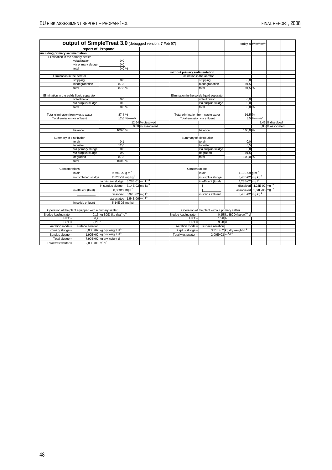|                                            | <b>output of SimpleTreat 3.0</b> (debugged version, 7 Feb 97) |                                                     |                                |                   |                                            |                                                |                                        | today is ########             |                   |  |
|--------------------------------------------|---------------------------------------------------------------|-----------------------------------------------------|--------------------------------|-------------------|--------------------------------------------|------------------------------------------------|----------------------------------------|-------------------------------|-------------------|--|
|                                            | report of Propanol                                            |                                                     |                                |                   |                                            |                                                |                                        |                               |                   |  |
| including primary sedimentation            |                                                               |                                                     |                                |                   |                                            |                                                |                                        |                               |                   |  |
| Elimination in the primary settler         |                                                               |                                                     |                                |                   |                                            |                                                |                                        |                               |                   |  |
|                                            | volatilization                                                | 0.0                                                 |                                |                   |                                            |                                                |                                        |                               |                   |  |
|                                            | via primary sludge                                            | 0.0                                                 |                                |                   |                                            |                                                |                                        |                               |                   |  |
|                                            | total                                                         | $0.0\%$                                             |                                |                   |                                            |                                                |                                        |                               |                   |  |
|                                            |                                                               |                                                     |                                |                   | without primary sedimentation              |                                                |                                        |                               |                   |  |
| Elimination in the aerator                 |                                                               |                                                     |                                |                   | Elimination in the aerator                 |                                                |                                        |                               |                   |  |
|                                            | stripping                                                     | 0.0                                                 |                                |                   |                                            | stripping                                      | 0.0                                    |                               |                   |  |
|                                            | biodegradation                                                | 87,3                                                |                                |                   |                                            | biodegradation                                 | 91,5                                   |                               |                   |  |
|                                            | total                                                         | 87,3 %                                              |                                |                   |                                            | total                                          | 91,5%                                  |                               |                   |  |
|                                            |                                                               |                                                     |                                |                   |                                            |                                                |                                        |                               |                   |  |
| Elimination in the solids liquid separator |                                                               |                                                     |                                |                   | Elimination in the solids liquid separator |                                                |                                        |                               |                   |  |
|                                            | volatilization                                                | 0.0                                                 |                                |                   |                                            | volatilization                                 | 0.0                                    |                               |                   |  |
|                                            | via surplus sludge                                            | 0.0                                                 |                                |                   |                                            | via surplus sludge                             | 0,0                                    |                               |                   |  |
|                                            | total                                                         | $0,0\%$                                             |                                |                   |                                            | total                                          | $0.0\%$                                |                               |                   |  |
|                                            |                                                               |                                                     |                                |                   |                                            |                                                |                                        |                               |                   |  |
| Total elimination from waste water         |                                                               | 87,4 %                                              |                                |                   | Total elimination from waste water         |                                                | 91,5%                                  |                               |                   |  |
| Total emission via effluent                |                                                               |                                                     | 12,6 %------ V                 |                   | Total emission via effluent                |                                                |                                        | $8,5$ %------V                |                   |  |
|                                            |                                                               |                                                     |                                | 12,64 % dissolved |                                            |                                                |                                        |                               | 8,46 % dissolved  |  |
|                                            |                                                               |                                                     |                                | 0,00 % associated |                                            |                                                |                                        |                               | 0.00 % associated |  |
|                                            | balance                                                       | 100.0 %                                             |                                |                   |                                            | balance                                        | 100.0%                                 |                               |                   |  |
|                                            |                                                               |                                                     |                                |                   |                                            |                                                |                                        |                               |                   |  |
| Summary of distribution                    |                                                               |                                                     |                                |                   | Summary of distribution                    |                                                |                                        |                               |                   |  |
|                                            | to air                                                        | 0.1                                                 |                                |                   |                                            | to air                                         | 0.0                                    |                               |                   |  |
|                                            | to water                                                      | 12.6                                                |                                |                   |                                            | to water                                       | 8.5                                    |                               |                   |  |
|                                            | via primary sludge                                            | 0,0                                                 |                                |                   |                                            | via surplus sludge                             | 0,0                                    |                               |                   |  |
|                                            | via surplus sludge                                            | 0,0                                                 |                                |                   |                                            | degraded                                       | 91,5                                   |                               |                   |  |
|                                            | degraded                                                      | 87,3                                                |                                |                   |                                            | total                                          | 100.0%                                 |                               |                   |  |
|                                            | total                                                         | 100,0 %                                             |                                |                   |                                            |                                                |                                        |                               |                   |  |
|                                            |                                                               |                                                     |                                |                   |                                            |                                                |                                        |                               |                   |  |
| Concentrations                             |                                                               |                                                     |                                |                   | Concentrations                             |                                                |                                        |                               |                   |  |
|                                            | in air                                                        | 9,79E-09 g m <sup>-3</sup>                          |                                |                   |                                            | in air                                         | 4,13E-09 $g m3$                        |                               |                   |  |
|                                            | in combined sludge                                            | 2,62E-01 mg kg <sup>-1</sup>                        |                                |                   |                                            | in surplus sludge                              | 3,48E-02 mg kg <sup>-1</sup>           |                               |                   |  |
|                                            |                                                               | in primary sludge: 3,28E-01 mg kg <sup>-1</sup>     |                                |                   |                                            | in effluent (total)                            | 4,23E-02 mg l <sup>1</sup>             |                               |                   |  |
|                                            |                                                               | in surplus sludge: 5,14E-02 mg kg <sup>-1</sup>     |                                |                   |                                            |                                                |                                        | dissolved $4,23E-02$ mg $I^1$ |                   |  |
|                                            | in effluent (total)                                           | $0.06319$ mg $I^1$                                  |                                |                   |                                            |                                                | associated 1,04E-06 mg I <sup>-1</sup> |                               |                   |  |
|                                            |                                                               |                                                     | dissolved 6,32E-02 mg $I^{-1}$ |                   |                                            | in solids effluent                             | 3,48E-02 mg kg <sup>-1</sup>           |                               |                   |  |
|                                            |                                                               | associated 1,54E-06 mg l <sup>-1</sup>              |                                |                   |                                            |                                                |                                        |                               |                   |  |
|                                            | in solids effluent                                            | 5,14E-02 mg kg <sup>-1</sup>                        |                                |                   |                                            |                                                |                                        |                               |                   |  |
|                                            |                                                               |                                                     |                                |                   |                                            |                                                |                                        |                               |                   |  |
|                                            |                                                               |                                                     |                                |                   |                                            |                                                |                                        |                               |                   |  |
|                                            | Operation of the plant equipped with a primary settler        |                                                     |                                |                   |                                            | Operation of the plant without primary settler |                                        |                               |                   |  |
| Sludge loading rate =                      |                                                               | $0,15$ kg BOD (kg dw) <sup>-1</sup> d <sup>-1</sup> |                                |                   | Sludge loading rate =                      |                                                | 0,15 kg BOD (kg dw) $^{-1}$ d $^{-1}$  |                               |                   |  |
| $HRT =$                                    | 6.9h                                                          |                                                     |                                |                   | $HRT =$                                    | $10,8$ h                                       |                                        |                               |                   |  |
| $SRT =$                                    | 9.20 d                                                        |                                                     |                                |                   | $SRT =$                                    | 9.20 <sub>d</sub>                              |                                        |                               |                   |  |
| Aeration mode =                            | surface aeration                                              |                                                     |                                |                   | Aeration mode =                            | surface aeration                               |                                        |                               |                   |  |
| Primary sludge =                           |                                                               | 6,00E+02 kg dry weight $d^1$                        |                                |                   | Surplus sludge =                           |                                                | 3,31E+02 kg dry weight $d-1$           |                               |                   |  |
| Surplus sludge =                           |                                                               | 1,90E+02 kg dry weight $d^1$                        |                                |                   | Total wastewater =                         | $2,00E+03 \text{ m}^3 \text{ d}^1$             |                                        |                               |                   |  |
| Total sludge $=$                           |                                                               | 7,90E+02 kg dry weight $d^1$                        |                                |                   |                                            |                                                |                                        |                               |                   |  |
| Total wastewater =                         | $2.00E + 03 m3 d-1$                                           |                                                     |                                |                   |                                            |                                                |                                        |                               |                   |  |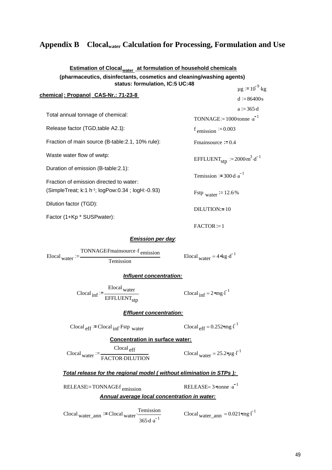# **Appendix B Clocalwater Calculation for Processing, Formulation and Use**

#### **Estimation of Clocal water at formulation of household chemicals (pharmaceutics, disinfectants, cosmetics and cleaning/washing agents) status: formulation, IC:5 UC:48**  $\mu$ g := 10<sup>-9</sup>·kg

|                                                               | $  -$                                                             |
|---------------------------------------------------------------|-------------------------------------------------------------------|
| chemical: Propanol CAS-Nr.: 71-23-8                           | $d := 86400s$                                                     |
|                                                               | $a := 365 \text{ d}$                                              |
| Total annual tonnage of chemical:                             | TONNAGE:= $1000$ tonne $\cdot a^{-1}$                             |
| Release factor (TGD, table A2.1):                             | $f_{\text{emission}} := 0.003$                                    |
| Fraction of main source (B-table: 2.1, 10% rule):             | Fmainsource $:= 0.4$                                              |
| Waste water flow of wwtp:                                     | EFFLUENT <sub>stp</sub> $:= 2000 \text{ m}^3 \cdot \text{d}^{-1}$ |
| Duration of emission (B-table:2.1):                           |                                                                   |
| Fraction of emission directed to water:                       | Temission $:= 300 \cdot d \cdot a^{-1}$                           |
| (SimpleTreat; k:1 h <sup>-1</sup> ; logPow:0.34 ; logH:-0.93) | Fstp water $= 12.6\%$                                             |
| Dilution factor (TGD):                                        | $DILUTION = 10$                                                   |
| Factor (1+Kp * SUSPwater):                                    |                                                                   |

#### *Emission per day*:



#### *Influent concentration:*

Clocal <sub>inf</sub> Elocal <sub>water</sub> EFFLUENT<sub>stp</sub>

Clocal  $_{\text{inf}} = 2$  mg $\cdot$  $\overline{I}^{-1}$ 

 $FACTOR := 1$ 

#### *Effluent concentration:*

Clocal  $_{\text{eff}}$ :=Clocal  $_{\text{inf}}$ ·Fstp water . Clocal  $_{\text{eff}}$  = 0.252 mg · $\Gamma$ <sup>1</sup>

**Concentration in surface water:**

Clocal water  $\frac{Clocal_{\text{eff}}}{\text{FACTOR-DILUTION}}$   $\frac{Clocal_{\text{water}}}{\text{Clocal}_{\text{water}}} = 25.2 \text{kg} \cdot \text{L}^{-1}$ 

#### *Total release for the regional model ( without elimination in STPs ):*

RELEASE = TONNAGE  $f_{emission}$  RELEASE = 3  $\phi$  and  $a^{-1}$ 

## *Annual average local concentration in water:*

 $\text{Clocal}_{\text{water\_ann}}$  = Clocal <sub>water</sub>  $\frac{\text{Temission}}{\text{Coul}_{\text{water\_ann}}}$  $365 \cdot d \cdot a^{-1}$ 

Clocal water\_ann =  $0.021$  mg  $I^{-1}$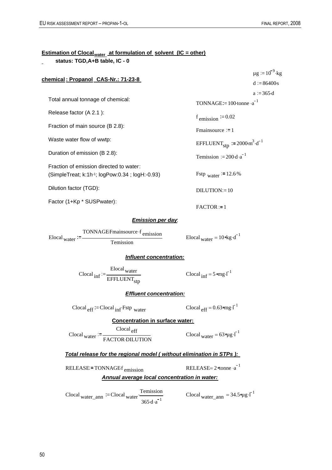# <u>Estimation of Clocal<sub>water</sub>\_at formulation of\_solvent\_(IC = other)</u>

 **status: TGD,A+B table, IC - 0**

| chemical: Propanol CAS-Nr.: 71-23-8                                                                     |                                                                   | $\mu$ g = 10 <sup>-9</sup> ·kg<br>$d := 86400s$ |
|---------------------------------------------------------------------------------------------------------|-------------------------------------------------------------------|-------------------------------------------------|
| Total annual tonnage of chemical:                                                                       | TONNAGE:= $100$ ·tonne ·a <sup>-1</sup>                           | $a := 365 \cdot d$                              |
| Release factor (A 2.1):                                                                                 | f emission $= 0.02$                                               |                                                 |
| Fraction of main source (B 2.8):                                                                        | Fmainsource $:= 1$                                                |                                                 |
| Waste water flow of wwtp:                                                                               | EFFLUENT <sub>stp</sub> := $2000 \text{ m}^3 \cdot \text{d}^{-1}$ |                                                 |
| Duration of emission (B 2.8):                                                                           | Temission $:= 200 \cdot d \cdot a^{-1}$                           |                                                 |
| Fraction of emission directed to water:<br>(SimpleTreat; k:1h-1; logPow:0.34; logH:-0.93)               | Fstp water $= 12.6\%$                                             |                                                 |
| Dilution factor (TGD):                                                                                  | $DILUTION = 10$                                                   |                                                 |
| Factor (1+Kp * SUSPwater):                                                                              | $FACTOR := 1$                                                     |                                                 |
| <b>Emission per day</b>                                                                                 |                                                                   |                                                 |
| Elocal <sub>water</sub> := $\frac{TONNAGEF \text{man} source \cdot f \text{ emission}}{T}$<br>Temission | Elocal <sub>water</sub> = $10 \text{ kg} \cdot d^{-1}$            |                                                 |
| Influent concentration:                                                                                 |                                                                   |                                                 |
| Clocal <sub>inf</sub> := $\frac{\text{Elocal water}}{\text{EFFLUENT}_{\text{stp}}}$                     | Clocal $_{\text{inf}} = 5$ omg.                                   |                                                 |
| <b>Effluent concentration:</b>                                                                          |                                                                   |                                                 |
| $\text{Clocal}_{\text{eff}}$ := Clocal <sub>inf</sub> $\text{Fstp}_{\text{water}}$                      | Clocal $_{eff}$ = 0.63 $_{cm}$ g.                                 |                                                 |
| <b>Concentration in surface water:</b>                                                                  |                                                                   |                                                 |
| $\text{Clocal}_{\text{eff}}$<br>$\text{Closed}_{\text{water}} := \frac{1}{\text{FACTOR-DILUTION}}$      | Clocal <sub>water</sub> = $63 \text{ erg} \cdot l^{-1}$           |                                                 |
| Total release for the regional model (without elimination in STPs):                                     |                                                                   |                                                 |
| RELEASE = TONNAGEf emission                                                                             | RELEASE= $2 \times 2 \times 1$                                    |                                                 |
| Annual average local concentration in water:                                                            |                                                                   |                                                 |
| Temission<br>Clocal water ann $=$ Clocal water $\frac{1}{2}$<br>$365 \cdot d \cdot a^{-1}$              | Clocal <sub>water_ann</sub> = $34.5 \mu g \cdot \overline{I}^1$   |                                                 |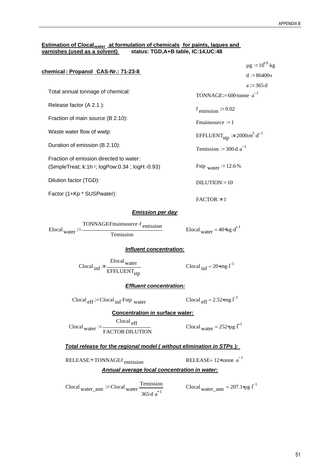#### **Estimation of Clocal<sub>water</sub> at formulation of chemicals for paints, laques and varnishes (used as a solvent) status: TGD,A+B table, IC:14,UC:48**

| chemical: Propanol CAS-Nr.: 71-23-8                                                                  |                                                                            | $\mu$ g := 10 <sup>-9</sup> ·kg |
|------------------------------------------------------------------------------------------------------|----------------------------------------------------------------------------|---------------------------------|
|                                                                                                      |                                                                            | $d := 86400s$                   |
| Total annual tonnage of chemical:                                                                    | TONNAGE:= $600$ -tonne $\cdot a^{-1}$                                      | $a := 365 \text{ d}$            |
| Release factor (A 2.1):                                                                              | $f_{\text{emission}} := 0.02$                                              |                                 |
| Fraction of main source (B 2.10):                                                                    | Fmainsource $:= 1$                                                         |                                 |
| Waste water flow of wwtp:                                                                            | EFFLUENT <sub>stp</sub> $:= 2000 \text{ m}^3 \cdot \text{d}^{-1}$          |                                 |
| Duration of emission (B 2.10):                                                                       | Temission := $300 \cdot d \cdot a^{-1}$                                    |                                 |
| Fraction of emission directed to water:<br>(SimpleTreat; k:1h-1; logPow:0.34; logH:-0.93)            | Fstp water $= 12.6\%$                                                      |                                 |
| Dilution factor (TGD):                                                                               | $DILUTION = 10$                                                            |                                 |
| Factor (1+Kp * SUSPwater):                                                                           | $FACTOR := 1$                                                              |                                 |
| <b>Emission per day</b>                                                                              |                                                                            |                                 |
| TONNAGEFmainsource f emission<br>Elocal $_{\text{water}} :=$<br>Temission                            | Elocal water = $40$ %g $\cdot d^{-1}$                                      |                                 |
| Influent concentration:                                                                              |                                                                            |                                 |
| Clocal $_{\text{inf}} := \frac{\text{Elocal water}}{\text{EFFLUENT}_{\text{stp}}}$                   | Clocal $_{\text{inf}} = 20 \text{ erg} \cdot \overline{1}^{-1}$            |                                 |
| <b>Effluent concentration:</b>                                                                       |                                                                            |                                 |
| $\text{Clocal}_{\text{eff}}$ = Clocal $_{\text{inf}}$ Fstp water                                     | Clocal $_{\text{eff}}$ = 2.52 $\text{mg·l}^{-1}$                           |                                 |
| <b>Concentration in surface water:</b>                                                               |                                                                            |                                 |
| $\frac{Clocal_{\text{eff}}}{\text{FACTOR-DILUTION}}$                                                 | Clocal <sub>water</sub> = $252$ $\mu$ g · $I^{-1}$                         |                                 |
| Total release for the regional model (without elimination in STPs):                                  |                                                                            |                                 |
| RELEASE = TONNAGEf emission                                                                          | RELEASE= $12$ <sup><math>\sigma</math></sup> tonne $\cdot$ a <sup>-1</sup> |                                 |
| Annual average local concentration in water:                                                         |                                                                            |                                 |
| $\text{Clocal}_{\text{water\_ann}}$ = Clocal <sub>water</sub> $\frac{\text{Temission}}{\text{Coul}}$ | Clocal water ann = $207.1$ $\mu$ g · $I^{-1}$                              |                                 |

 $365 \cdot d \cdot a^{-1}$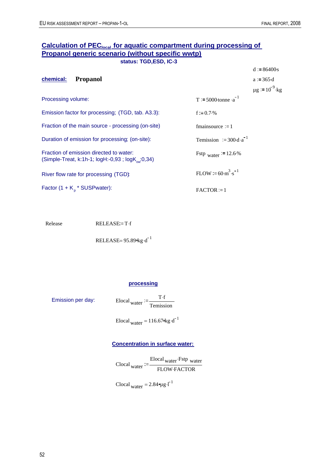# **Calculation of PEC<sub>local</sub> for aquatic compartment during processing of Propanol generic scenario (without specific wwtp) status: TGD,ESD, IC-3**

|                                                                                                         |                                         | $d := 86400s$                   |
|---------------------------------------------------------------------------------------------------------|-----------------------------------------|---------------------------------|
| chemical:<br><b>Propanol</b>                                                                            |                                         | $a := 365 \cdot d$              |
|                                                                                                         |                                         | $\mu$ g := 10 <sup>-9</sup> ·kg |
| Processing volume:                                                                                      | T := 5000-tonne $\cdot a^{-1}$          |                                 |
| Emission factor for processing; (TGD, tab. A3.3):                                                       | f:= $0.7\%$                             |                                 |
| Fraction of the main source - processing (on-site)                                                      | $f_{\text{mainsource}} := 1$            |                                 |
| Duration of emission for processing; (on-site):                                                         | Temission $:= 300 \cdot d \cdot a^{-1}$ |                                 |
| Fraction of emission directed to water:<br>(Simple-Treat, k:1h-1; $logH$ :-0,93; $logK_{\infty}$ :0,34) | Fstp water $= 12.6\%$                   |                                 |
| River flow rate for processing (TGD):                                                                   | FLOW:= $60 \cdot m^3 \cdot s^{-1}$      |                                 |
| Factor $(1 + K_p * SUBPwater)$ :                                                                        | $FACTOR := 1$                           |                                 |
|                                                                                                         |                                         |                                 |

Release RELEASE:=T.f

RELEASE= $95.89$ <sup>d</sup> kg·d<sup>-1</sup>

#### **processing**

Emission per day:

 $T \cdot f$ Temission

Elocal water =  $116.67$  kg $\cdot$ d<sup>-1</sup>

#### **Concentration in surface water:**

Clocal water Elocal <sub>water</sub> Fstp water FLOW FACTOR

Clocal <sub>water</sub> =  $2.84$   $\mu$ g ·l<sup>-1</sup>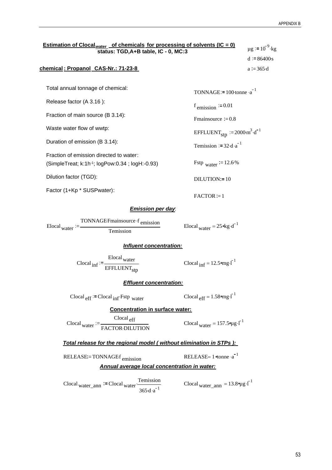| Estimation of Clocal <sub>water</sub> of chemicals for processing of solvents (IC = 0)<br>status: TGD, A+B table, IC - 0, MC:3 |                                                                        |  |  |  |
|--------------------------------------------------------------------------------------------------------------------------------|------------------------------------------------------------------------|--|--|--|
|                                                                                                                                | $d := 86400s$                                                          |  |  |  |
| chemical: Propanol CAS-Nr.: 71-23-8                                                                                            | $a := 365 \cdot d$                                                     |  |  |  |
|                                                                                                                                |                                                                        |  |  |  |
| Total annual tonnage of chemical:                                                                                              | TONNAGE:= $100$ -tonne $\cdot a^{-1}$                                  |  |  |  |
| Release factor (A 3.16):                                                                                                       | $f_{\text{emission}} := 0.01$                                          |  |  |  |
| Fraction of main source (B 3.14):                                                                                              | Fmainsource $:= 0.8$                                                   |  |  |  |
| Waste water flow of wwtp:                                                                                                      | EFFLUENT <sub>stp</sub> $:= 2000 \text{ m}^3 \cdot \text{d}^{-1}$      |  |  |  |
| Duration of emission (B 3.14):                                                                                                 | Temission := $32 \cdot d \cdot a^{-1}$                                 |  |  |  |
| Fraction of emission directed to water:                                                                                        |                                                                        |  |  |  |
| (SimpleTreat; k:1h-1; logPow:0.34; logH:-0.93)                                                                                 | Fstp water $= 12.6\%$                                                  |  |  |  |
| Dilution factor (TGD):                                                                                                         | DILUTION:=10                                                           |  |  |  |
| Factor (1+Kp * SUSPwater):                                                                                                     | $FACTOR := 1$                                                          |  |  |  |
| <b>Emission per day</b>                                                                                                        |                                                                        |  |  |  |
| TONNAGEFmainsource f <sub>emission</sub><br>Elocal $_{\text{water}}$ := —<br>Temission                                         | Elocal <sub>water</sub> = $25 \text{ kg} \cdot \text{d}^{-1}$          |  |  |  |
| <b>Influent concentration:</b>                                                                                                 |                                                                        |  |  |  |
| $\text{Clocal}_{\text{inf}} := \frac{\text{Elocal}_{\text{water}}}{\text{EFFLUENT}_{\text{stp}}}$                              | Clocal $_{\text{inf}} = 12.5$ mg·l <sup>-1</sup>                       |  |  |  |
| <b>Effluent concentration:</b>                                                                                                 |                                                                        |  |  |  |
| $\text{Clocal}_{\text{eff}}$ = Clocal $_{\text{inf}}$ Fstp water                                                               | Clocal $_{eff}$ = 1.58 $_{cm}$ . $I^{-1}$                              |  |  |  |
| <b>Concentration in surface water:</b>                                                                                         |                                                                        |  |  |  |
| $\frac{Clocal_{\text{eff}}}{\text{FACTOR-DILUTION}}$                                                                           | Clocal <sub>water</sub> = $157.5$ <sup>o</sup> $\mu$ g·l <sup>-1</sup> |  |  |  |
| Total release for the regional model (without elimination in STPs ):                                                           |                                                                        |  |  |  |
| RELEASE:=TONNAGEf <sub>emission</sub>                                                                                          | RELEASE= $1$ otonne $\cdot a^{-1}$                                     |  |  |  |
| <b>Annual average local concentration in water:</b>                                                                            |                                                                        |  |  |  |
| Temission<br>Clocal water ann $=$ Clocal water $\frac{16}{16}$<br>$365 \cdot d \cdot a^{-1}$                                   | Clocal water ann = $13.8$ °ug $\cdot$ [ <sup>1</sup>                   |  |  |  |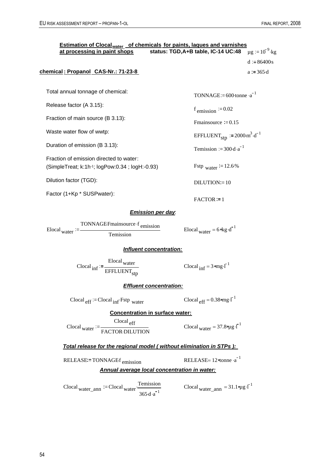| <b>Estimation of Clocal<sub>water</sub> of chemicals for paints, laques and varnishes</b><br>at processing in paint shops  | status: TGD, A+B table, IC-14 UC:48                               | $\mu$ g := 10 <sup>-9</sup> ·kg |
|----------------------------------------------------------------------------------------------------------------------------|-------------------------------------------------------------------|---------------------------------|
|                                                                                                                            |                                                                   | $d := 86400s$                   |
| chemical: Propanol CAS-Nr.: 71-23-8                                                                                        |                                                                   | $a := 365 \cdot d$              |
|                                                                                                                            |                                                                   |                                 |
| Total annual tonnage of chemical:                                                                                          | TONNAGE:= $600$ -tonne $a^{-1}$                                   |                                 |
| Release factor (A 3.15):                                                                                                   | $f_{\text{emission}} := 0.02$                                     |                                 |
| Fraction of main source (B 3.13):                                                                                          | Fmainsource $:= 0.15$                                             |                                 |
| Waste water flow of wwtp:                                                                                                  | EFFLUENT <sub>stp</sub> $:= 2000 \text{ m}^3 \cdot \text{d}^{-1}$ |                                 |
| Duration of emission (B 3.13):                                                                                             | Temission := $300 \text{ d} \cdot \text{a}^{-1}$                  |                                 |
| Fraction of emission directed to water:                                                                                    |                                                                   |                                 |
| (SimpleTreat; k:1h-1; logPow:0.34; logH:-0.93)                                                                             | Fstp water $= 12.6\%$                                             |                                 |
| Dilution factor (TGD):                                                                                                     | $DILUTION = 10$                                                   |                                 |
| Factor (1+Kp * SUSPwater):                                                                                                 | $FACTOR := 1$                                                     |                                 |
| <b>Emission per day.</b>                                                                                                   |                                                                   |                                 |
| TONNAGEFmainsource f emission<br>$\text{Elocal}_{\text{water}} :=$<br>Temission                                            | Elocal water = $6 \text{ kg} \cdot d^{-1}$                        |                                 |
| <b>Influent concentration:</b>                                                                                             |                                                                   |                                 |
| Clocal $_{\text{inf}} := \frac{\text{Elocal water}}{\text{EFFLUENT}_{\text{stp}}}$                                         | Clocal $_{\text{inf}} = 3$ omg. $\overline{1}^1$                  |                                 |
| <b>Effluent concentration:</b>                                                                                             |                                                                   |                                 |
| $\text{Clocal}_{\text{eff}}$ = Clocal $_{\text{inf}}$ Fstp water                                                           | Clocal $_{eff}$ = 0.38 $_{mg}$ . $I^{-1}$                         |                                 |
| <b>Concentration in surface water:</b>                                                                                     |                                                                   |                                 |
| $\frac{Clocal_{\text{eff}}}{\text{FACTOR-DILUTION}}$                                                                       | Clocal <sub>water</sub> = 37.8 $9\mu$ g·l <sup>-1</sup>           |                                 |
| Total release for the regional model (without elimination in STPs):                                                        |                                                                   |                                 |
| RELEASE:=TONNAGEf <sub>emission</sub>                                                                                      | RELEASE= $12$ <sup>otonne ·a<sup>-1</sup></sup>                   |                                 |
| Annual average local concentration in water:                                                                               |                                                                   |                                 |
| $\text{Clocal}_{\text{water\_ann}}$ := Clocal <sub>water</sub> $\frac{\text{Temission}}{\text{}}$<br>$365 \cdot d \cdot a$ | Clocal water_ann = $31.1$ $\mu$ g · $I^{-1}$                      |                                 |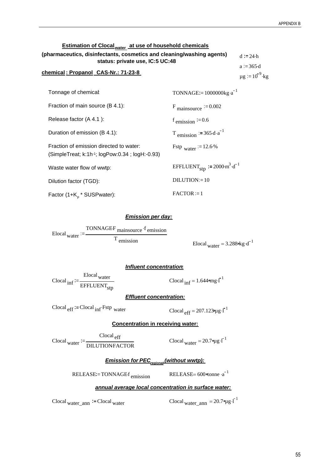#### <u>Estimation of Clocal<sub>water</sub> at use of household chemicals</u>

|                                                                                                 | <u>Estimation of Clocal<sub>water</sub> at use of nousenoid chemicals</u>                                |                                                         |  |  |  |  |
|-------------------------------------------------------------------------------------------------|----------------------------------------------------------------------------------------------------------|---------------------------------------------------------|--|--|--|--|
|                                                                                                 | (pharmaceutics, disinfectants, cosmetics and cleaning/washing agents)<br>status: private use, IC:5 UC:48 |                                                         |  |  |  |  |
| chemical: Propanol CAS-Nr.: 71-23-8                                                             |                                                                                                          | $a := 365 \text{ d}$<br>$\mu$ g := 10 <sup>-9</sup> ·kg |  |  |  |  |
| Tonnage of chemical:                                                                            | TONNAGE:= $1000000$ kg $\cdot$ a <sup>-1</sup>                                                           |                                                         |  |  |  |  |
| Fraction of main source (B 4.1):                                                                | $F_{\text{mainsource}} := 0.002$                                                                         |                                                         |  |  |  |  |
| Release factor (A 4.1):                                                                         | $f_{\text{emission}} := 0.6$                                                                             |                                                         |  |  |  |  |
| Duration of emission (B 4.1):                                                                   | T emission $:= 365 \cdot d \cdot a^{-1}$                                                                 |                                                         |  |  |  |  |
| Fraction of emission directed to water:<br>(SimpleTreat; $k:1h^{-1}$ ; logPow:0.34; logH:-0.93) | Fstp water $= 12.6\%$                                                                                    |                                                         |  |  |  |  |
| Waste water flow of wwtp:                                                                       | EFFLUENT <sub>stn</sub> := $2000 \text{ m}^3 \cdot \text{d}^{-1}$                                        |                                                         |  |  |  |  |
| Dilution factor (TGD):                                                                          | $DILUTION = 10$                                                                                          |                                                         |  |  |  |  |
| Factor (1+K * SUSPwater):                                                                       | $FACTOR := 1$                                                                                            |                                                         |  |  |  |  |

#### *Emission per day:*

Elocal <sub>water</sub> TONNAGEF mainsource f emission  $T$  emission Elocal <sub>water</sub> = 3.288 kg \cd<sup>-1</sup>

#### *Influent concentration***:**

Clocal <sub>inf</sub> Elocal <sub>water</sub> EFFLUENT<sub>stp</sub>

Clocal  $_{\text{inf}} = 1.644$  mg  $\cdot$   $\overline{I}^1$ 

*Effluent concentration:*

Clocal  $_{eff}$  = Clocal  $_{inf}$  Fstp water . Clocal  $_{eff}$  = 207.123 $_{eff}$  1<sup>-1</sup>

#### **Concentration in receiving water:**

Clocal water  $\overline{P} = \frac{C_1 C_2 C_3}{\text{DILUTION} F \text{ACTOR}}$  Clocal water = 20.7 ° µg · [<sup>-1</sup> Clocal eff

*<u>Emission for PEC<sub>regional</u>* (without wwtp):</u></sub>

RELEASE = TONNAGE  $f_{\text{emission}}$  RELEASE = 600  $\gamma$  conne  $a^{-1}$ 

#### *annual average local concentration in surface water:*

Clocal water\_ann := Clocal water Clocal water Clocal water ann =  $20.79 \mu g \cdot l^{-1}$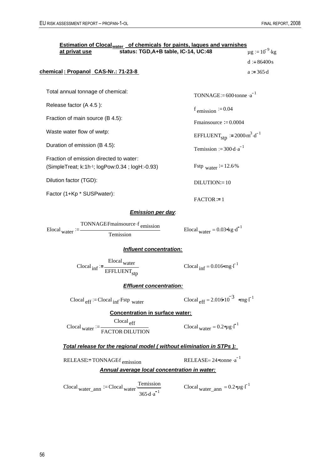| <b>Estimation of Clocal<sub>water</sub> of chemicals for paints, laques and varnishes</b><br>status: TGD, A+B table, IC-14, UC:48<br>at privat use | $\mu$ g := 10 <sup>-9</sup> ·kg                                   |
|----------------------------------------------------------------------------------------------------------------------------------------------------|-------------------------------------------------------------------|
|                                                                                                                                                    | $d := 86400s$                                                     |
| chemical: Propanol CAS-Nr.: 71-23-8                                                                                                                | $a := 365 \cdot d$                                                |
|                                                                                                                                                    |                                                                   |
| Total annual tonnage of chemical:                                                                                                                  | TONNAGE:= $600$ ·tonne $\cdot a^{-1}$                             |
| Release factor (A 4.5):                                                                                                                            | $f_{\text{emission}} := 0.04$                                     |
| Fraction of main source (B 4.5):                                                                                                                   | Fmainsource $:= 0.0004$                                           |
| Waste water flow of wwtp:                                                                                                                          | EFFLUENT <sub>stp</sub> $:= 2000 \text{ m}^3 \cdot \text{d}^{-1}$ |
| Duration of emission (B 4.5):                                                                                                                      | Temission := $300 \text{ d} \cdot \text{a}^{-1}$                  |
| Fraction of emission directed to water:<br>(SimpleTreat; k:1h-1; logPow:0.34; logH:-0.93)                                                          | Fstp water $:= 12.6\%$                                            |
| Dilution factor (TGD):                                                                                                                             | $DILUTION = 10$                                                   |
| Factor (1+Kp * SUSPwater):                                                                                                                         | $FACTOR := 1$                                                     |
| <b>Emission per day</b>                                                                                                                            |                                                                   |
| TONNAGEFmainsource f <sub>emission</sub><br>Elocal $_{\text{water}}$ := -<br>Temission                                                             | Elocal water = $0.03$ kg·d <sup>-1</sup>                          |
| Influent concentration:                                                                                                                            |                                                                   |
| $\text{Closed}_{\text{ inf}} := \frac{\text{Elocal}_{\text{water}}}{\text{EFFLUENT}_{\text{stp}}}$                                                 | Clocal $_{\text{inf}} = 0.016$ omg.                               |
| <b>Effluent concentration:</b>                                                                                                                     |                                                                   |
| $\text{Clocal}_{\text{eff}}$ := Clocal <sub>inf</sub> Fstp <sub>water</sub>                                                                        | Clocal $_{\text{eff}}$ = 2.016 10 <sup>-3</sup> omg. <sup>1</sup> |
| <b>Concentration in surface water:</b>                                                                                                             |                                                                   |
| $\frac{Clocal_{\text{eff}}}{\text{FACTOR-DILUTION}}$                                                                                               | Clocal <sub>water</sub> = $0.2$ $\mu$ g · $\overline{I}^1$        |
| Total release for the regional model (without elimination in STPs):                                                                                |                                                                   |
| RELEASE:=TONNAGEf <sub>emission</sub><br>Annual average local concentration in water:                                                              | RELEASE= $24$ $\epsilon$ tonne $\cdot$ a <sup>-1</sup>            |
|                                                                                                                                                    |                                                                   |

 $\text{Clocal}_{\text{water\_ann}}$  = Clocal <sub>water</sub>  $\frac{\text{Temission}}{\text{Coul}_{\text{water\_ann}}}$  $365 \cdot d \cdot a^{-1}$ 

Clocal  $\text{water\_ann} = 0.2$   $\text{g I}^{-1}$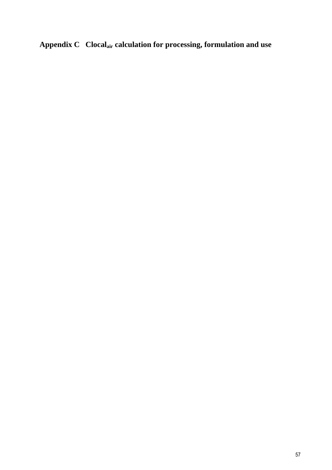**Appendix C Clocalair calculation for processing, formulation and use**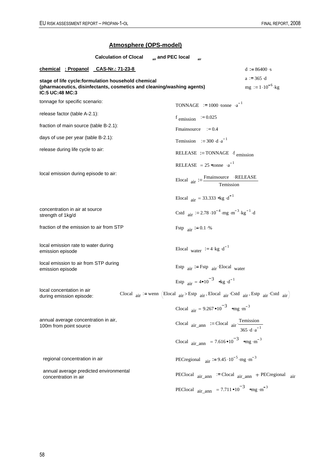# **Atmosphere (OPS-model)**

|                                                                                          | <b>Calculation of Clocal</b>           | air and PEC local |                                     | air                                                             |                                                                                                   |                                                                                                                              |
|------------------------------------------------------------------------------------------|----------------------------------------|-------------------|-------------------------------------|-----------------------------------------------------------------|---------------------------------------------------------------------------------------------------|------------------------------------------------------------------------------------------------------------------------------|
| chemical : Propanol CAS-Nr.: 71-23-8                                                     |                                        |                   |                                     |                                                                 |                                                                                                   | $d := 86400 \cdot s$                                                                                                         |
| stage of life cycle:formulation household chemical                                       |                                        |                   |                                     |                                                                 |                                                                                                   | $a := 365 \cdot d$                                                                                                           |
| (pharmaceutics, disinfectants, cosmetics and cleaning/washing agents)<br>IC:5 UC:48 MC:3 |                                        |                   |                                     |                                                                 |                                                                                                   | $mg = 1.10^{-6}$ kg                                                                                                          |
| tonnage for specific scenario:                                                           |                                        |                   |                                     | TONNAGE $:= 1000$ tonne $\cdot a^{-1}$                          |                                                                                                   |                                                                                                                              |
| release factor (table A-2.1):                                                            |                                        |                   |                                     | f emission $\approx 0.025$                                      |                                                                                                   |                                                                                                                              |
| fraction of main source (table B-2.1):                                                   |                                        |                   |                                     | Fmainsource $:= 0.4$                                            |                                                                                                   |                                                                                                                              |
| days of use per year (table B-2.1):                                                      |                                        |                   |                                     | Temission $:= 300 \cdot d \cdot a^{-1}$                         |                                                                                                   |                                                                                                                              |
| release during life cycle to air:                                                        |                                        |                   |                                     |                                                                 | RELEASE := TONNAGE $\cdot$ f emission                                                             |                                                                                                                              |
|                                                                                          |                                        |                   |                                     | RELEASE = $25 \text{°tonne} \text{°a}^{-1}$                     |                                                                                                   |                                                                                                                              |
| local emission during episode to air:                                                    |                                        |                   |                                     |                                                                 | Elocal $_{\text{air}} := \frac{\text{Fmainsource}}{\text{Temission}}$                             |                                                                                                                              |
|                                                                                          |                                        |                   |                                     | Elocal $_{\text{air}}$ = 33.333 $\text{kg} \cdot \text{d}^{-1}$ |                                                                                                   |                                                                                                                              |
| concentration in air at source<br>strength of 1kg/d                                      |                                        |                   |                                     |                                                                 | Cstd $_{\text{air}}$ := 2.78 · 10 <sup>-4</sup> · mg · m <sup>-3</sup> · kg <sup>-1</sup> · d     |                                                                                                                              |
| fraction of the emission to air from STP                                                 |                                        |                   | Fstp $_{\text{air}} := 0.1 \cdot %$ |                                                                 |                                                                                                   |                                                                                                                              |
| local emission rate to water during<br>emission episode                                  |                                        |                   |                                     | Elocal water $:= 4 \cdot \text{kg} \cdot \text{d}^{-1}$         |                                                                                                   |                                                                                                                              |
| local emission to air from STP during<br>emission episode                                |                                        |                   |                                     |                                                                 | Estp $_{air}$ := Fstp $_{air}$ Elocal water                                                       |                                                                                                                              |
|                                                                                          |                                        |                   |                                     | Estp $_{\text{air}} = 4 \cdot 10^{-3}$ okg $d^{-1}$             |                                                                                                   |                                                                                                                              |
| local concentation in air<br>during emission episode:                                    |                                        |                   |                                     |                                                                 |                                                                                                   | Clocal $_{air}$ := wenn (Elocal $_{air}$ > Estp $_{air}$ , Elocal $_{air}$ , Cstd $_{air}$ , Estp $_{air}$ , Cstd $_{air}$ ) |
|                                                                                          |                                        |                   |                                     |                                                                 | Clocal $_{air} = 9.267 \cdot 10^{-3}$ omg ·m <sup>-3</sup>                                        |                                                                                                                              |
| annual average concentration in air,<br>100m from point source                           |                                        |                   |                                     |                                                                 | Clocal $air_{\text{ann}}$ := Clocal $air \cdot \frac{\text{Temission}}{365 \cdot d \cdot a^{-1}}$ |                                                                                                                              |
|                                                                                          |                                        |                   |                                     |                                                                 | Clocal $_{air\_ann}$ = 7.616 $\cdot 10^{-3}$ $_{cmg}$ $\cdot m^{-3}$                              |                                                                                                                              |
| regional concentration in air                                                            |                                        |                   |                                     |                                                                 | PECregional $_{\text{air}}$ = 9.45 · 10 <sup>-5</sup> · mg · m <sup>-3</sup>                      |                                                                                                                              |
| concentration in air                                                                     | annual average predicted environmental |                   |                                     |                                                                 |                                                                                                   | PEClocal $\arctan$ = Clocal $\arctan$ + PECregional $\arctan$                                                                |
|                                                                                          |                                        |                   |                                     |                                                                 | PEClocal $\arctan \frac{x}{2} = 7.711 \cdot 10^{-3}$ ong m <sup>-3</sup>                          |                                                                                                                              |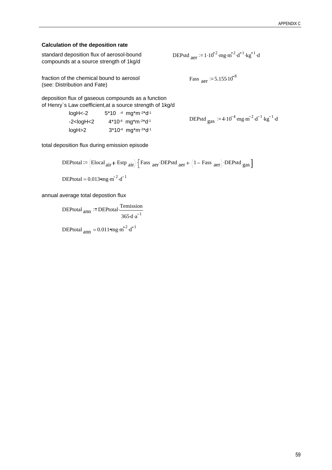#### **Calculation of the deposition rate**

| standard deposition flux of aerosol-bound |  |
|-------------------------------------------|--|
| compounds at a source strength of 1kg/d   |  |

DEPstd  $_{\text{aer}}$  := 1.10<sup>-2</sup> · mg · m<sup>-2</sup> · d<sup>-1</sup> · kg<sup>-1</sup> · d

Fass  $_{\text{aer}}$  := 5.155.10<sup>-8</sup>

fraction of the chemical bound to aerosol (see: Distribution and Fate)

deposition flux of gaseous compounds as a function of Henry`s Law coefficient,at a source strength of 1kg/d

| loaH<-2                                                                                              | $5*10$ -4 mg*m-2*d-1                                      | DEPstd $_{\text{gas}}$ := 4.10 <sup>-4</sup> mg·m <sup>-2</sup> ·d <sup>-1</sup> ·kg <sup>-1</sup> ·d |
|------------------------------------------------------------------------------------------------------|-----------------------------------------------------------|-------------------------------------------------------------------------------------------------------|
| -2 <logh<2< td=""><td><math>4*10-4</math> mg<sup>*</sup>m<sup>-2*</sup>d<sup>-1</sup></td></logh<2<> | $4*10-4$ mg <sup>*</sup> m <sup>-2*</sup> d <sup>-1</sup> |                                                                                                       |
| logH>2                                                                                               | $3*10-4$ mg <sup>*</sup> m <sup>-2*</sup> d <sup>-1</sup> |                                                                                                       |

total deposition flux during emission episode

DEPtotal :=  $\left($ Elocal <sub>air</sub> + Estp <sub>air</sub>  $\right)$   $\left[$  Fass <sub>aer</sub> DEPstd <sub>aer</sub> +  $\left($ 1 – Fass <sub>aer</sub> $\right)$  DEPstd gas  $\left]$ DEPtotal =  $0.013$  mg $\cdot$ m<sup>-2</sup> $\cdot$ d<sup>-1</sup>

annual average total depostion flux

 $\text{DEPtotal}_{ann} \coloneqq \text{DEPtotal} \cdot \frac{\text{Temission}}{\text{I}}$  $365 \cdot d \cdot a^{-1}$ .

DEPtotal  $_{\text{ann}} = 0.011$  mg ·  $\text{m}^{-2}$  · d<sup>-1</sup>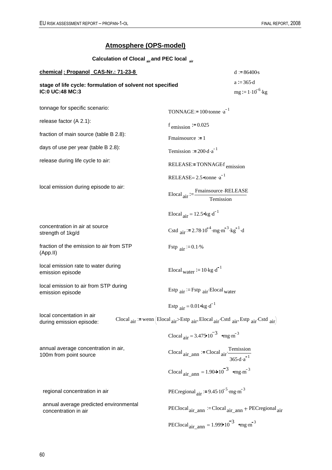### **Atmosphere (OPS-model)**

| Calculation of Clocal air and PEC local air                                  |                                                                                                                          |                                    |
|------------------------------------------------------------------------------|--------------------------------------------------------------------------------------------------------------------------|------------------------------------|
| chemical: Propanol CAS-Nr.: 71-23-8                                          |                                                                                                                          | $d = 86400s$                       |
| stage of life cycle: formulation of solvent not specified<br>IC:0 UC:48 MC:3 |                                                                                                                          | $a = 365d$<br>$mg := 1.10^{-6}$ kg |
|                                                                              |                                                                                                                          |                                    |
| tonnage for specific scenario:                                               | TONNAGE:= $100$ -tonne $\cdot a^{-1}$                                                                                    |                                    |
| release factor (A 2.1):                                                      | $f_{\text{emission}} := 0.025$                                                                                           |                                    |
| fraction of main source (table B 2.8):                                       | Fmainsource $= 1$                                                                                                        |                                    |
| days of use per year (table B 2.8):                                          | Temission $:= 200 \text{ d} \cdot \text{a}^{-1}$                                                                         |                                    |
| release during life cycle to air:                                            | RELEASE:=TONNAGEf <sub>emission</sub>                                                                                    |                                    |
|                                                                              | RELEASE= $2.5$ <sup>otonne ·a<sup>-1</sup></sup>                                                                         |                                    |
| local emission during episode to air:                                        | $\text{Elocal}_{\text{air}} := \frac{\text{Fmainsource} \cdot \text{RELEASE}}{\text{Temission}}$                         |                                    |
|                                                                              | Elocal $_{air}$ = 12.5 ° kg · d <sup>-1</sup>                                                                            |                                    |
| concentration in air at source<br>strength of 1kg/d                          | Cstd air: = 2.78.10 <sup>-4</sup> mg·m <sup>-3</sup> kg <sup>-1</sup> d                                                  |                                    |
| fraction of the emission to air from STP<br>(App.II)                         | Fstp $_{\text{air}}$ = 0.1.%                                                                                             |                                    |
| local emission rate to water during<br>emission episode                      | Elocal water $= 10 \text{ kg} \cdot d^{-1}$                                                                              |                                    |
| local emission to air from STP during<br>emission episode                    | Estp $_{air}$ = Fstp $_{air}$ Elocal <sub>water</sub>                                                                    |                                    |
|                                                                              | Estp $_{\text{air}} = 0.01$ okg $\cdot d^{-1}$                                                                           |                                    |
| local concentation in air<br>during emission episode:                        | Clocal $_{air}$ : = wenn (Elocal $_{air}$ >Estp $_{air}$ , Elocal $_{air}$ Cstd $_{air}$ , Estp $_{air}$ Cstd $_{air}$ ) |                                    |
|                                                                              | Clocal $_{air} = 3.475 \times 10^{-3}$ emg $\cdot$ m <sup>-3</sup>                                                       |                                    |
| annual average concentration in air,<br>100m from point source               | Clocal $air_{\text{ann}}$ := Clocal $air \frac{\text{Temission}}{365 \cdot d \cdot a^{-1}}$                              |                                    |
|                                                                              | Clocal $_{\text{air} \text{ ann}} = 1.904 \times 10^{-3} \text{ erg} \cdot \text{m}^{-3}$                                |                                    |
| regional concentration in air                                                | PECregional $_{\text{air}}$ = 9.45 $10^{-5}$ mg·m <sup>-3</sup>                                                          |                                    |
| annual average predicted environmental<br>concentration in air               | PEClocal <sub>air</sub> ann $=$ Clocal <sub>air</sub> ann + PECregional <sub>air</sub>                                   |                                    |
|                                                                              | PEClocal <sub>air_ann</sub> = $1.999 \times 10^{-3}$ omg·m <sup>-3</sup>                                                 |                                    |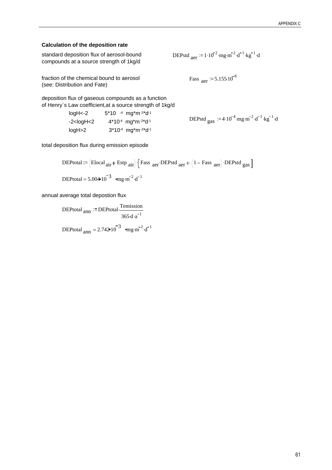#### **Calculation of the deposition rate**

| standard deposition flux of aerosol-bound |  |
|-------------------------------------------|--|
| compounds at a source strength of 1kg/d   |  |

DEPstd  $_{\text{aer}}$  := 1.10<sup>-2</sup> mg m<sup>-2</sup>  $d^{-1}$   $kg^{-1}$  d

Fass  $_{\text{aer}}$  := 5.155.10<sup>-8</sup>

fraction of the chemical bound to aerosol (see: Distribution and Fate)

deposition flux of gaseous compounds as a function of Henry`s Law coefficient,at a source strength of 1kg/d

| loaH<-2                                                                                                                                                                                                               | $5*10$ -4 mg*m-2*d-1                                      |                                                                                                      |
|-----------------------------------------------------------------------------------------------------------------------------------------------------------------------------------------------------------------------|-----------------------------------------------------------|------------------------------------------------------------------------------------------------------|
| -2 <logh<2< td=""><td><math>4*10-4</math> mg<sup>*</sup>m<sup>-2*</sup>d<sup>-1</sup></td><td>DEPstd <math>_{\text{gas}}</math> = 4.10<sup>-4</sup> mg·m<sup>-2</sup>·d<sup>-1</sup>·kg<sup>-1</sup>·d</td></logh<2<> | $4*10-4$ mg <sup>*</sup> m <sup>-2*</sup> d <sup>-1</sup> | DEPstd $_{\text{gas}}$ = 4.10 <sup>-4</sup> mg·m <sup>-2</sup> ·d <sup>-1</sup> ·kg <sup>-1</sup> ·d |
| logH>2                                                                                                                                                                                                                | $3*10-4$ mg*m $-2*d-1$                                    |                                                                                                      |

total deposition flux during emission episode

DEPtotal :=  $\left($ Elocal <sub>air</sub> + Estp <sub>air</sub> $\right)$   $\left[$  Fass <sub>aer</sub>  $\cdot$  DEPstd <sub>aer</sub>  $+$   $\left(1 -$  Fass <sub>aer</sub> $\right)$   $\cdot$  DEPstd <sub>gas</sub> $\left[$ DEPtotal =  $5.004 \times 10^{-3}$   $\sigma_{\text{mg} \cdot \text{m}}^2$   $\cdot d^{-1}$ 

annual average total depostion flux

 $\text{DEPtotal}_{ann} \coloneqq \text{DEPtotal} \cdot \frac{\text{Temission}}{\text{I}}$  $365 \cdot d \cdot a^{-1}$ .

DEPtotal  $_{\text{ann}} = 2.742 \cdot 10^{-3}$   $_{\text{eng}} \cdot \text{m}^{-2} \cdot \text{d}^{-1}$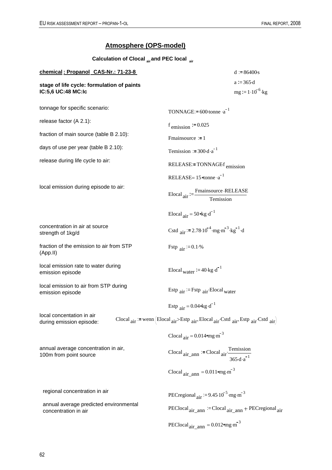### **Atmosphere (OPS-model)**

**Calculation of Clocal air and PEC local air**

| chemical: Propanol CAS-Nr.: 71-23-8                              |                                                                                                                        | $d = 86400s$                        |
|------------------------------------------------------------------|------------------------------------------------------------------------------------------------------------------------|-------------------------------------|
| stage of life cycle: formulation of paints<br>IC:5,6 UC:48 MC:Ic |                                                                                                                        | $a = 365d$<br>$mg := 1.10^{-6}$ ·kg |
| tonnage for specific scenario:                                   | TONNAGE:= $600$ ·tonne ·a <sup>-1</sup>                                                                                |                                     |
| release factor (A 2.1):                                          | $f_{\text{emission}} := 0.025$                                                                                         |                                     |
| fraction of main source (table B 2.10):                          | Fmainsource $= 1$                                                                                                      |                                     |
| days of use per year (table B 2.10):                             | Temission := $300 \cdot d \cdot a^{-1}$                                                                                |                                     |
| release during life cycle to air:                                | $RELEASE = TONNAGEf$ <sub>emission</sub>                                                                               |                                     |
|                                                                  | RELEASE= $15$ etonne $a^{-1}$                                                                                          |                                     |
| local emission during episode to air:                            | $\text{Elocal}_{\text{air}} := \frac{\text{Fmainsource} \cdot \text{RELEASE}}{\text{Temission}}$                       |                                     |
|                                                                  | Elocal $_{air}$ = 50 $\text{kg} \cdot \text{d}^{-1}$                                                                   |                                     |
| concentration in air at source<br>strength of 1kg/d              | Cstd air: = 2.78.10 <sup>-4</sup> mg·m <sup>-3</sup> kg <sup>-1</sup> d                                                |                                     |
| fraction of the emission to air from STP<br>(App.II)             | Fstp $_{\text{air}}$ = 0.1.%                                                                                           |                                     |
| local emission rate to water during<br>emission episode          | Elocal <sub>Water</sub> $:= 40 \text{ kg} \cdot d^{-1}$                                                                |                                     |
| local emission to air from STP during<br>emission episode        | Estp $_{air}$ = Fstp $_{air}$ Elocal <sub>water</sub>                                                                  |                                     |
|                                                                  | Estp $_{\text{air}} = 0.04$ * kg $\cdot$ d <sup>-1</sup>                                                               |                                     |
| local concentation in air<br>during emission episode:            | Clocal $_{air}$ = wenn (Elocal $_{air}$ >Estp $_{air}$ , Elocal $_{air}$ Cstd $_{air}$ , Estp $_{air}$ Cstd $_{air}$ ) |                                     |
|                                                                  | Clocal $_{\text{air}} = 0.014$ mg·m <sup>-3</sup>                                                                      |                                     |
| annual average concentration in air,<br>100m from point source   | Clocal $air_{\text{ann}}$ = Clocal $air \frac{\text{Temission}}{365 \cdot d \cdot a^{-1}}$                             |                                     |
|                                                                  | Clocal $_{\text{air}$ ann = 0.011 $_{\text{mg} \cdot \text{m}}^{-3}$                                                   |                                     |
| regional concentration in air                                    | PECregional $_{\text{air}}$ = 9.45 $10^{-5}$ mg·m <sup>-3</sup>                                                        |                                     |
| annual average predicted environmental<br>concentration in air   | $\text{PEClosed}_{\text{air\_ann}} := \text{Closed}_{\text{air\_ann}} + \text{PEC regional}_{\text{air}}$              |                                     |
|                                                                  | PEClocal $_{\text{air\_ann}} = 0.012$ mg·m <sup>-3</sup>                                                               |                                     |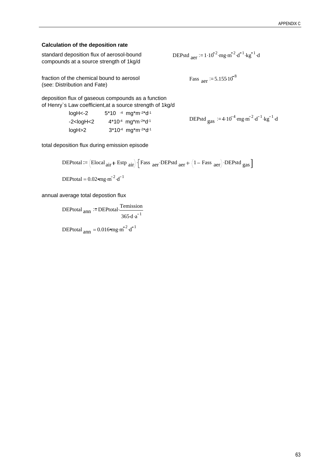#### **Calculation of the deposition rate**

| standard deposition flux of aerosol-bound |  |
|-------------------------------------------|--|
| compounds at a source strength of 1kg/d   |  |

DEPstd  $_{\text{aer}}$  := 1.10<sup>-2</sup> · mg · m<sup>-2</sup> · d<sup>-1</sup> · kg<sup>-1</sup> · d

Fass  $_{\text{aer}}$  := 5.155.10<sup>-8</sup>

fraction of the chemical bound to aerosol (see: Distribution and Fate)

deposition flux of gaseous compounds as a function of Henry`s Law coefficient,at a source strength of 1kg/d

| loaH<-2                                                                                                                                                                                                                | $5*10$ -4 mg*m-2*d-1                                      |                                                                                                       |
|------------------------------------------------------------------------------------------------------------------------------------------------------------------------------------------------------------------------|-----------------------------------------------------------|-------------------------------------------------------------------------------------------------------|
| -2 <logh<2< td=""><td><math>4*10-4</math> mg<sup>*</sup>m<sup>-2*</sup>d<sup>-1</sup></td><td>DEPstd <math>_{\text{gas}}</math> := 4.10<sup>-4</sup> mg·m<sup>-2</sup>·d<sup>-1</sup>·kg<sup>-1</sup>·d</td></logh<2<> | $4*10-4$ mg <sup>*</sup> m <sup>-2*</sup> d <sup>-1</sup> | DEPstd $_{\text{gas}}$ := 4.10 <sup>-4</sup> mg·m <sup>-2</sup> ·d <sup>-1</sup> ·kg <sup>-1</sup> ·d |
| logH>2                                                                                                                                                                                                                 | $3*10-4$ mg <sup>*</sup> m <sup>-2*</sup> d <sup>-1</sup> |                                                                                                       |

total deposition flux during emission episode

DEPtotal :=  $\left($ Elocal <sub>air</sub> + Estp <sub>air</sub> $\right)$   $\left[$  Fass <sub>aer</sub>  $\cdot$  DEPstd <sub>aer</sub>  $+$   $\left(1 -$  Fass <sub>aer</sub> $\right)$   $\cdot$  DEPstd <sub>gas</sub> $\left[$ DEPtotal =  $0.02$  mg·m<sup>-2</sup>·d<sup>-1</sup>

annual average total depostion flux

 $\text{DEPtotal}_{ann} \coloneqq \text{DEPtotal} \cdot \frac{\text{Temission}}{\text{I}}$  $365 \cdot d \cdot a^{-1}$ .

DEPtotal  $_{\text{ann}} = 0.016$  mg·m<sup>-2</sup>·d<sup>-1</sup>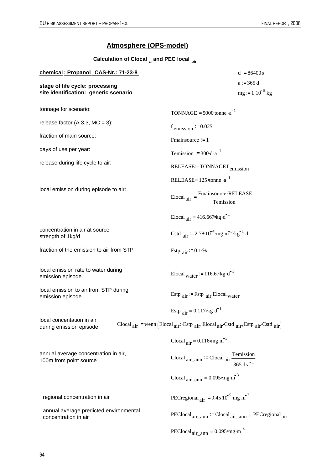### **Atmosphere (OPS-model)**

**Calculation of Clocal air and PEC local air**

| chemical: Propanol CAS-Nr.: 71-23-8                                      | $d := 86400s$                                                                                                                |
|--------------------------------------------------------------------------|------------------------------------------------------------------------------------------------------------------------------|
| stage of life cycle: processing<br>site identification: generic scenario | $a := 365 \cdot d$<br>$mg = 1.10^{-6}$ kg                                                                                    |
| tonnage for scenario:                                                    | TONNAGE:= $5000$ tonne $\cdot a^{-1}$                                                                                        |
| release factor (A 3.3, MC = 3):                                          | $f_{\text{emission}} = 0.025$                                                                                                |
| fraction of main source:                                                 | Fmainsource $= 1$                                                                                                            |
| days of use per year:                                                    | Temission := $300 \cdot d \cdot a^{-1}$                                                                                      |
| release during life cycle to air:                                        | $RELEASE = TONNAGEf$ <sub>emission</sub>                                                                                     |
|                                                                          | RELEASE= $125$ <sup>otonne ·a<sup>-1</sup></sup>                                                                             |
| local emission during episode to air:                                    | $\text{Elocal}_{\text{air}} := \frac{\text{Fmainsource} \cdot \text{RELEASE}}{\text{Temission}}$                             |
|                                                                          | Elocal $_{air}$ = 416.667 kg · d <sup>-1</sup>                                                                               |
| concentration in air at source<br>strength of 1kg/d                      | Cstd $_{air}$ = 2.78.10 <sup>-4</sup> mg·m <sup>-3</sup> kg <sup>-1</sup> d                                                  |
| fraction of the emission to air from STP                                 | Fstp $_{\text{air}}$ = 0.1.%                                                                                                 |
| local emission rate to water during<br>emission episode                  | Elocal <sub>water</sub> = 116.67 kg d <sup>-1</sup>                                                                          |
| local emission to air from STP during<br>emission episode                | Estp $_{air}$ = Fstp $_{air}$ Elocal <sub>water</sub>                                                                        |
|                                                                          | Estp $_{\text{air}} = 0.117$ ekg $\cdot d^{-1}$                                                                              |
| local concentation in air<br>during emission episode:                    | Clocal $_{air}$ : = wenn (Elocal $_{air}$ >Estp $_{air}$ , Elocal $_{air}$ , Cstd $_{air}$ , Estp $_{air}$ , Cstd $_{air}$ ) |
|                                                                          | Clocal $_{\text{air}} = 0.116$ °mg $\cdot$ m <sup>-3</sup>                                                                   |
| annual average concentration in air,<br>100m from point source           | Clocal $air_{\text{ann}}$ = Clocal $air \frac{\text{Temission}}{365 \cdot d \cdot a^{-1}}$                                   |
|                                                                          | Clocal $_{\text{air\_ann}} = 0.095$ °mg $\cdot$ m <sup>-3</sup>                                                              |
| regional concentration in air                                            | PECregional $_{\text{air}}$ = 9.45.10 <sup>-5</sup> · mg·m <sup>-3</sup>                                                     |
| annual average predicted environmental<br>concentration in air           | $\text{PEClosed}_{\text{air\_ann}} := \text{Closed}_{\text{air\_ann}} + \text{PEC regional}_{\text{air}}$                    |
|                                                                          | PEClocal $_{\text{air\_ann}} = 0.095$ mg·m <sup>-3</sup>                                                                     |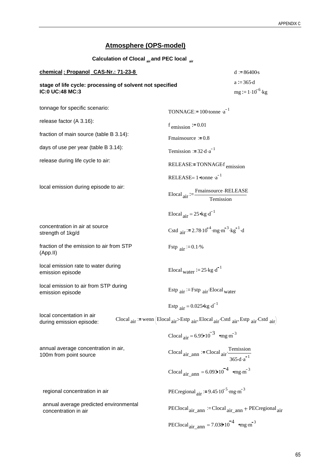### **Atmosphere (OPS-model)**

| Calculation of Clocal air and PEC local air                                 |                                                                                                                          |                                     |
|-----------------------------------------------------------------------------|--------------------------------------------------------------------------------------------------------------------------|-------------------------------------|
| chemical: Propanol CAS-Nr.: 71-23-8                                         |                                                                                                                          | $d = 86400s$                        |
| stage of life cycle: processing of solvent not specified<br>IC:0 UC:48 MC:3 |                                                                                                                          | $a = 365d$<br>$mg := 1.10^{-6}$ ·kg |
| tonnage for specific scenario:                                              | TONNAGE:= $100$ ·tonne ·a <sup>-1</sup>                                                                                  |                                     |
| release factor (A 3.16):                                                    | $f_{\text{emission}} := 0.01$                                                                                            |                                     |
| fraction of main source (table B 3.14):                                     | Fmainsource $= 0.8$                                                                                                      |                                     |
| days of use per year (table B 3.14):                                        | Temission := $32 \cdot d \cdot a^{-1}$                                                                                   |                                     |
| release during life cycle to air:                                           | RELEASE:=TONNAGEf <sub>emission</sub>                                                                                    |                                     |
|                                                                             | RELEASE= $1 \times a^{-1}$                                                                                               |                                     |
| local emission during episode to air:                                       | $\text{Elocal}_{\text{air}} := \frac{\text{Fmainsource} \cdot \text{RELEASE}}{\text{Temission}}$                         |                                     |
|                                                                             | Elocal $_{\text{air}} = 25 \text{ kg} \cdot \text{d}^{-1}$                                                               |                                     |
| concentration in air at source<br>strength of 1kg/d                         | Cstd air = 2.78.10 <sup>-4</sup> mg·m <sup>-3</sup> kg <sup>-1</sup> d                                                   |                                     |
| fraction of the emission to air from STP<br>(App.II)                        | Fstp $_{\text{air}}$ = 0.1.%                                                                                             |                                     |
| local emission rate to water during<br>emission episode                     | Elocal water $\mathcal{F} = 25 \cdot \text{kg} \cdot \text{d}^{-1}$                                                      |                                     |
| local emission to air from STP during<br>emission episode                   | Estp $_{air}$ = Fstp $_{air}$ Elocal <sub>water</sub>                                                                    |                                     |
|                                                                             | Estp $_{air} = 0.025$ kg $\cdot d^{-1}$                                                                                  |                                     |
| local concentation in air<br>during emission episode:                       | Clocal $_{air}$ : = wenn (Elocal $_{air}$ >Estp $_{air}$ , Elocal $_{air}$ Cstd $_{air}$ , Estp $_{air}$ Cstd $_{air}$ ) |                                     |
|                                                                             | Clocal $_{air} = 6.95 \cdot 10^{-3}$ omg·m <sup>-3</sup>                                                                 |                                     |
| annual average concentration in air,<br>100m from point source              | Clocal $_{air\_ann}$ := Clocal $_{air}$ $\frac{\text{Temission}}{365 \cdot d \cdot a^{-1}}$                              |                                     |
|                                                                             | Clocal $_{air\_ann} = 6.093 \cdot 10^{-4}$ omg·m <sup>-3</sup>                                                           |                                     |
| regional concentration in air                                               | PECregional $_{\text{air}}$ = 9.45 10 <sup>-5</sup> mg·m <sup>-3</sup>                                                   |                                     |
| annual average predicted environmental<br>concentration in air              | $\text{PEClosed}_{\text{air\_ann}} := \text{Closed}_{\text{air\_ann}} + \text{PEC regional}_{\text{air}}$                |                                     |
|                                                                             | PEClocal <sub>air_ann</sub> = 7.038 $10^{-4}$ omg·m <sup>-3</sup>                                                        |                                     |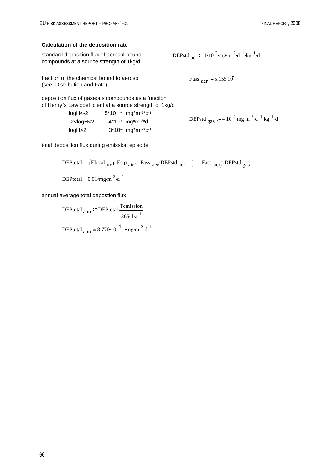### **Calculation of the deposition rate**

| standard deposition flux of aerosol-bound |  |
|-------------------------------------------|--|
| compounds at a source strength of 1kg/d   |  |

DEPstd  $_{\text{aer}}$  := 1.10<sup>-2</sup> ·mg ·m<sup>-2</sup> ·d<sup>-1</sup> ·kg<sup>-1</sup> ·d

Fass  $_{\text{aer}}$  := 5.155.10<sup>-8</sup>

fraction of the chemical bound to aerosol (see: Distribution and Fate)

deposition flux of gaseous compounds as a function of Henry`s Law coefficient,at a source strength of 1kg/d

| loaH<-2                                                                                                                                                                                                                | $5*10$ <sup>-4</sup> mg <sup>*</sup> m <sup>-2*</sup> d <sup>-1</sup> |                                                                                                        |
|------------------------------------------------------------------------------------------------------------------------------------------------------------------------------------------------------------------------|-----------------------------------------------------------------------|--------------------------------------------------------------------------------------------------------|
| -2 <logh<2< td=""><td><math>4*10-4</math> mg<sup>*</sup>m<sup>-2*</sup>d<sup>-1</sup></td><td>DEPstd <math>_{\text{gas}}</math> := 4.10<sup>-4</sup>·mg·m<sup>-2</sup>·d<sup>-1</sup>·kg<sup>-1</sup>·d</td></logh<2<> | $4*10-4$ mg <sup>*</sup> m <sup>-2*</sup> d <sup>-1</sup>             | DEPstd $_{\text{gas}}$ := 4.10 <sup>-4</sup> ·mg·m <sup>-2</sup> ·d <sup>-1</sup> ·kg <sup>-1</sup> ·d |
| logH>2                                                                                                                                                                                                                 | $3*10-4$ mg <sup>*</sup> m <sup>-2*</sup> d <sup>-1</sup>             |                                                                                                        |

total deposition flux during emission episode

DEPtotal :=  $\left($ Elocal <sub>air</sub> + Estp <sub>air</sub> $\right)$   $\left[$  Fass <sub>aer</sub> DEPstd <sub>aer</sub> +  $\left($ 1 – Fass <sub>aer</sub> $\right)$  DEPstd gas  $\left]$ DEPtotal =  $0.01$  mg ·m<sup>-2</sup> ·d<sup>-1</sup>

annual average total depostion flux

 $\text{DEPtotal}_{ann} \coloneqq \text{DEPtotal} \cdot \frac{\text{Temission}}{\text{I}}$  $365 \cdot d \cdot a^{-1}$ .

DEPtotal  $_{\text{ann}} = 8.776 \cdot 10^{-4}$   $_{\text{eng}} \cdot \text{m}^{-2} \cdot \text{d}^{-1}$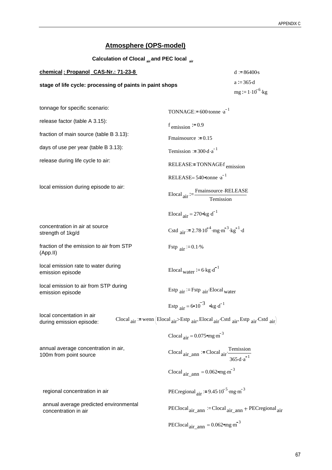### **Atmosphere (OPS-model)**

| Calculation of Clocal air and PEC local air                    |                                                                                                                          |                                              |
|----------------------------------------------------------------|--------------------------------------------------------------------------------------------------------------------------|----------------------------------------------|
| chemical: Propanol CAS-Nr.: 71-23-8                            |                                                                                                                          | $d = 86400s$                                 |
| stage of life cycle: processing of paints in paint shops       |                                                                                                                          | $a = 365 \text{ d}$<br>$mg := 1.10^{-6}$ ·kg |
| tonnage for specific scenario:                                 | TONNAGE:= $600$ -tonne $\cdot a^{-1}$                                                                                    |                                              |
| release factor (table A 3.15):                                 | $f_{\text{emission}} := 0.9$                                                                                             |                                              |
| fraction of main source (table B 3.13):                        | Fmainsource $= 0.15$                                                                                                     |                                              |
| days of use per year (table B 3.13):                           | Temission $:= 300 \cdot d \cdot a^{-1}$                                                                                  |                                              |
| release during life cycle to air:                              | $RELEASE = TONNAGEf_{emission}$                                                                                          |                                              |
|                                                                | RELEASE= $540$ <sup><math>\sigma</math></sup> tonne $a^{-1}$                                                             |                                              |
| local emission during episode to air:                          | Elocal $_{\text{air}} := \frac{\text{Fmainsource} \cdot \text{RELEASE}}{\text{Temission}}$                               |                                              |
|                                                                | Elocal $_{\text{air}} = 270$ ekg $\cdot d^{-1}$                                                                          |                                              |
| concentration in air at source<br>strength of 1kg/d            | Cstd air: = 2.78.10 <sup>-4</sup> mg·m <sup>-3</sup> kg <sup>-1</sup> d                                                  |                                              |
| fraction of the emission to air from STP<br>(App.II)           | Fstp $_{\text{air}}$ = 0.1.%                                                                                             |                                              |
| local emission rate to water during<br>emission episode        | Elocal water $:= 6 \cdot \text{kg} \cdot d^{-1}$                                                                         |                                              |
| local emission to air from STP during<br>emission episode      | Estp $_{air}$ = Fstp $_{air}$ Elocal <sub>water</sub>                                                                    |                                              |
|                                                                | Estp $_{air} = 6 \cdot 10^{-3}$ okg · d <sup>-1</sup>                                                                    |                                              |
| local concentation in air<br>during emission episode:          | Clocal $_{air}$ : = wenn (Elocal $_{air}$ >Estp $_{air}$ , Elocal $_{air}$ Cstd $_{air}$ , Estp $_{air}$ Cstd $_{air}$ ) |                                              |
|                                                                | Clocal $_{\text{air}} = 0.075$ emg $\cdot \text{m}^{-3}$                                                                 |                                              |
| annual average concentration in air,<br>100m from point source | Clocal $_{air\_ann}$ := Clocal $_{air}$ $\frac{\text{Temission}}{365 \cdot d \cdot a^{-1}}$                              |                                              |
|                                                                | Clocal $_{\text{air\_ann}} = 0.062$ omg·m <sup>-3</sup>                                                                  |                                              |
| regional concentration in air                                  | PECregional $_{\text{air}}$ = 9.45 $10^{-5}$ mg·m <sup>-3</sup>                                                          |                                              |
| annual average predicted environmental<br>concentration in air | $\text{PECloud}_{\text{air}}$ ann $\text{:=} \text{Cloud}_{\text{air}}$ ann $\text{+} \text{PEC regional}_{\text{air}}$  |                                              |
|                                                                | PEClocal <sub>air_ann</sub> = $0.062$ <sup>o</sup> mg·m <sup>-3</sup>                                                    |                                              |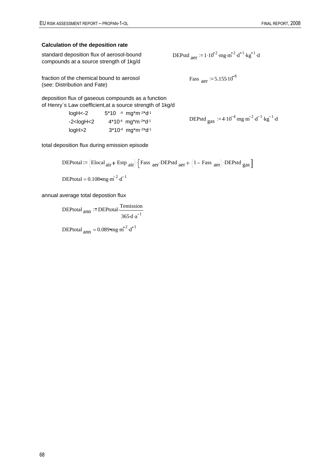### **Calculation of the deposition rate**

| standard deposition flux of aerosol-bound |  |
|-------------------------------------------|--|
| compounds at a source strength of 1kg/d   |  |

DEPstd  $_{\text{aer}}$  := 1.10<sup>-2</sup> ·mg ·m<sup>-2</sup> ·d<sup>-1</sup> ·kg<sup>-1</sup> ·d

Fass  $_{\text{aer}}$  := 5.155.10<sup>-8</sup>

fraction of the chemical bound to aerosol (see: Distribution and Fate)

deposition flux of gaseous compounds as a function of Henry`s Law coefficient,at a source strength of 1kg/d

| loaH<-2                                                                                                                                                                                                        | $5*10$ -4 mg*m-2*d-1                                      |                                                                                                      |
|----------------------------------------------------------------------------------------------------------------------------------------------------------------------------------------------------------------|-----------------------------------------------------------|------------------------------------------------------------------------------------------------------|
| -2 <loah<2< td=""><td><math>4*10-4</math> mg*m<math>-2*</math>d<math>-1</math></td><td>DEPstd <math>_{\text{gas}}</math> = 4.10<sup>-4</sup> mg·m<sup>-2</sup>·d<sup>-1</sup>·kg<sup>-1</sup>·d</td></loah<2<> | $4*10-4$ mg*m $-2*$ d $-1$                                | DEPstd $_{\text{gas}}$ = 4.10 <sup>-4</sup> mg·m <sup>-2</sup> ·d <sup>-1</sup> ·kg <sup>-1</sup> ·d |
| logH>2                                                                                                                                                                                                         | $3*10-4$ mg <sup>*</sup> m <sup>-2*</sup> d <sup>-1</sup> |                                                                                                      |

total deposition flux during emission episode

DEPtotal :=  $\left($ Elocal <sub>air</sub> + Estp <sub>air</sub> $\right)$   $\left[$  Fass <sub>aer</sub> DEPstd <sub>aer</sub> +  $\left($ 1 – Fass <sub>aer</sub> $\right)$  DEPstd gas  $\left]$ DEPtotal =  $0.108$  mg·m<sup>-2</sup>·d<sup>-1</sup>

annual average total depostion flux

 $\text{DEPtotal}_{ann} \coloneqq \text{DEPtotal} \cdot \frac{\text{Temission}}{\text{I}}$  $365 \cdot d \cdot a^{-1}$ .

DEPtotal  $_{\text{ann}} = 0.089$ °mg m<sup>-2</sup> · d<sup>-1</sup>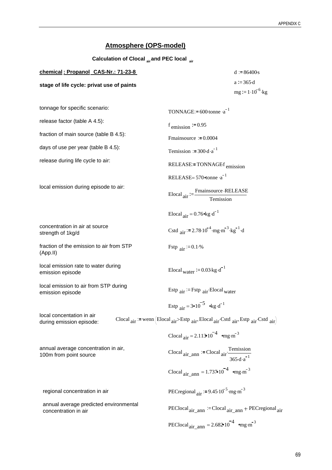### **Atmosphere (OPS-model)**

**Calculation of Clocal air and PEC local air**

| chemical: Propanol CAS-Nr.: 71-23-8       | $d = 86400s$         |
|-------------------------------------------|----------------------|
| stage of life cycle: privat use of paints | $a = 365d$           |
|                                           | $mg := 1.10^{-6}$ kg |

| tonnage for specific scenario:                                 | TONNAGE:= $600$ -tonne $\cdot a^{-1}$                                                      |
|----------------------------------------------------------------|--------------------------------------------------------------------------------------------|
| release factor (table A 4.5):                                  | $f_{\text{emission}} := 0.95$                                                              |
| fraction of main source (table B 4.5):                         | Fmainsource $= 0.0004$                                                                     |
| days of use per year (table B 4.5):                            | Temission := $300 \text{ d} \cdot \text{a}^{-1}$                                           |
| release during life cycle to air:                              | RELEASE:=TONNAGEf <sub>emission</sub>                                                      |
|                                                                | RELEASE= $570$ <sup>otonne ·a<sup>-1</sup></sup>                                           |
| local emission during episode to air:                          | Elocal $_{\text{air}} := \frac{\text{Fmainsource} \cdot \text{RELEASE}}{\text{Temission}}$ |
|                                                                | Elocal $_{\text{air}} = 0.76$ * kg · d <sup>-1</sup>                                       |
| concentration in air at source<br>strength of 1kg/d            | Cstd air = $2.78 \cdot 10^{-4}$ ·mg·m <sup>-3</sup> ·kg <sup>-1</sup> ·d                   |
| fraction of the emission to air from STP<br>(App.II)           | Fstp $_{\text{air}}$ = 0.1.%                                                               |
| local emission rate to water during<br>emission episode        | Elocal water $:= 0.03 \text{ kg} \cdot d^{-1}$                                             |
| local emission to air from STP during<br>emission episode      | Estp $_{air}$ = Fstp $_{air}$ Elocal <sub>water</sub>                                      |
|                                                                | Estp $_{air} = 3 \cdot 10^{-5}$ $\log d^{-1}$                                              |
| local concentation in air<br>during emission episode:          | Clocal air = wenn (Elocal air>Estp air Elocal air Cstd air Estp air Cstd air)              |
|                                                                | Clocal $_{air} = 2.113 \cdot 10^{-4}$ mg·m <sup>-3</sup>                                   |
| annual average concentration in air,<br>100m from point source | Clocal $_{air\_ann}$ := Clocal $_{air}$ Temission<br>$365 \cdot d \cdot a^{-1}$            |
|                                                                | Clocal $_{air\_ann}$ = 1.737 $10^{-4}$ $_{9}$ mg·m <sup>-3</sup>                           |
| regional concentration in air                                  | PECregional $_{\text{air}}$ = 9.45 $10^{-5}$ mg·m <sup>-3</sup>                            |
| annual average predicted environmental<br>concentration in air | PEClocal <sub>air</sub> ann $=$ Clocal <sub>air</sub> ann + PECregional <sub>air</sub>     |
|                                                                | PEClocal <sub>air_ann</sub> = $2.682 \cdot 10^{-4}$ emg·m <sup>-3</sup>                    |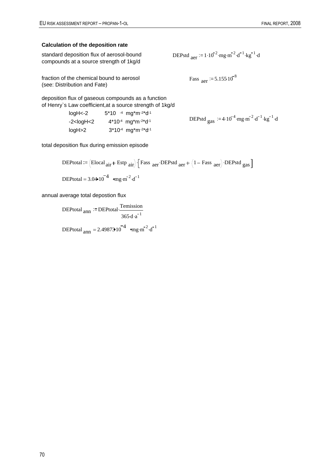### **Calculation of the deposition rate**

| standard deposition flux of aerosol-bound |  |
|-------------------------------------------|--|
| compounds at a source strength of 1kg/d   |  |

DEPstd  $_{\text{aer}}$  := 1.10<sup>-2</sup> ·mg ·m<sup>-2</sup> ·d<sup>-1</sup> ·kg<sup>-1</sup> ·d

Fass  $_{\text{aer}}$  := 5.155.10<sup>-8</sup>

fraction of the chemical bound to aerosol (see: Distribution and Fate)

deposition flux of gaseous compounds as a function of Henry`s Law coefficient,at a source strength of 1kg/d

| $loadK-2$                                                                                                                                                                                                              | $5*10$ <sup>-4</sup> mg <sup>*</sup> m <sup>-2*</sup> d <sup>-1</sup> |                                                                                                    |
|------------------------------------------------------------------------------------------------------------------------------------------------------------------------------------------------------------------------|-----------------------------------------------------------------------|----------------------------------------------------------------------------------------------------|
| -2 <loah<2< td=""><td><math>4*10-4</math> mg<sup>*</sup>m<sup>-2*</sup>d<sup>-1</sup></td><td>DEPstd <math>_{\text{gas}}</math> := 4.10<sup>-4</sup> mg m<sup>-2</sup> d<sup>-1</sup> kg<sup>-1</sup> d</td></loah<2<> | $4*10-4$ mg <sup>*</sup> m <sup>-2*</sup> d <sup>-1</sup>             | DEPstd $_{\text{gas}}$ := 4.10 <sup>-4</sup> mg m <sup>-2</sup> d <sup>-1</sup> kg <sup>-1</sup> d |
| logH>2                                                                                                                                                                                                                 | $3*10-4$ mg <sup>*</sup> m <sup>-2*</sup> d <sup>-1</sup>             |                                                                                                    |

total deposition flux during emission episode

DEPtotal := (Elocal<sub>air</sub> + Estp<sub>air</sub>) · [Fass<sub>aer</sub> · DEPstd<sub>aer</sub> + (1 – Fass<sub>aer</sub>) · DEPstd<sub>gas</sub> ]  
DEPtotal = 3.0410<sup>-4</sup> 
$$
mg \cdot m^2 \cdot d^{-1}
$$

annual average total depostion flux

 $\text{DEPtotal}_{ann} \coloneqq \text{DEPtotal} \cdot \frac{\text{Temission}}{\text{I}}$  $365 \cdot d \cdot a^{-1}$ .

DEPtotal  $_{\text{ann}} = 2.49873 \cdot 10^{-4}$   $_{\text{emg}} \cdot \text{m}^{-2} \cdot \text{d}^{-1}$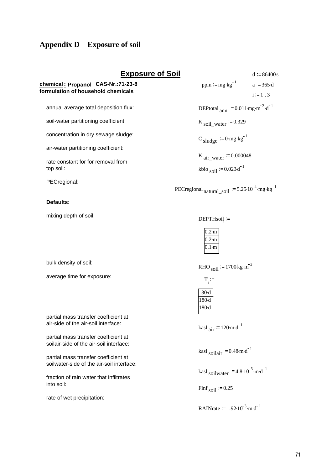### **Appendix D Exposure of soil**

### **chemical : Propanol CAS-Nr.:71-23-8 formulation of household chemicals**

annual average total deposition flux:

soil-water partitioning coefficient:

concentration in dry sewage sludge:

air-water partitioning coefficient:

rate constant for for removal from top soil:

PECregional:

#### **Defaults:**

mixing depth of soil:

bulk density of soil:

average time for exposure:

partial mass transfer coefficient at air-side of the air-soil interface:

partial mass transfer coefficient at soilair-side of the air-soil interface:

partial mass transfer coefficient at soilwater-side of the air-soil interface:

fraction of rain water that infiltrates into soil:

rate of wet precipitation:

**Exposure of Soil** d  $= 86400s$ . ppm =  $mg \cdot kg^{-1}$  a := 365 d.  $i := 1...3$ DEPtotal  $_{\text{ann}} := 0.011 \text{ mg} \cdot \text{m}^{-2} \cdot \text{d}^{-1}$ K soil\_water  $= 0.329$ 

 $C$  sludge  $\coloneqq 0$ ·mg·kg<sup>-1</sup>

K air\_water  $= 0.000048$ 

kbio <sub>soil</sub>  $:= 0.023 d^{-1}$ 

PECregional  $_{\text{natural\_soil}}$  = 5.25 10<sup>-4</sup>  $\cdot$ mg $\cdot$ kg<sup>-1</sup>

 $DEFTHsoil :=$ 

| 'n<br>Г |
|---------|
|         |
| n       |

RHO  $_{\text{soil}}$  := 1700 kg  $\cdot$ m<sup>-3</sup>

 $T_i :=$ 

| 180<br>d |
|----------|
| 81<br>٦  |

kasl  $_{\text{air}}$  := 120 m $\text{d}^{-1}$ 

kasl soilair  $= 0.48$  m $\cdot$ d<sup>-1</sup>

kasl <sub>soilwater</sub>  $:= 4.8 \cdot 10^{-5} \cdot \text{m} \cdot \text{d}^{-1}$ 

Finf<sub>soil</sub>  $:= 0.25$ 

RAINrate  $= 1.92 \cdot 10^{-3} \cdot \text{m} \cdot \text{d}^{-1}$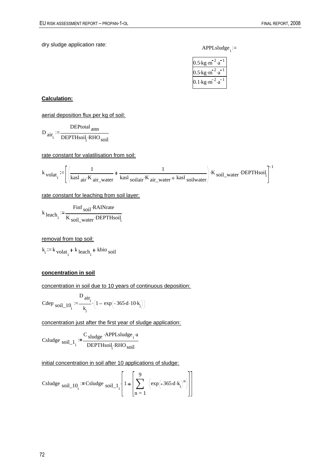dry sludge application rate: APPLsludge<sub>i</sub> :=

| $.5 \cdot$ kg $\cdot$ m          |
|----------------------------------|
| .5∙kg∙m                          |
| $0.1 \,\text{kg} \cdot \text{m}$ |

#### **Calculation:**

aerial deposition flux per kg of soil:

$$
D_{\text{air}_i} := \frac{DEP_{\text{total}}}{DEPTH\text{soi}_i \cdot RHO_{\text{soi}}}
$$

rate constant for valatilisation from soil:

$$
k_{\text{ }volat_i} := \left[ \left( \frac{1}{\text{kasl air} \cdot K_{\text{ air\_water}}} + \frac{1}{\text{kasl } \text{solidair} \cdot K_{\text{ air\_water}} + \text{kasl } \text{solid water}} \right) \cdot K_{\text{ }sol\_water} \cdot \text{DEPTHsoil}_i \right]^{-1}
$$

rate constant for leaching from soil layer:

$$
k_{\text{leach}_i} := \frac{\text{Find } \text{soil} \cdot \text{RAINrate}}{K_{\text{soil\_water}} \cdot \text{DEPTHsoil}_i}
$$

removal from top soil:

 $k_i := k_{\text{volat}_i} + k_{\text{leach}_i} + \text{kbio}_{\text{soil}}$ 

#### **concentration in soil**

concentration in soil due to 10 years of continuous deposition:

Cdep <sub>soil\_10</sub>: 
$$
=\frac{D_{air_i}}{k_i} \cdot (1 - exp(-365 \cdot d \cdot 10 \cdot k_i))
$$

concentration just after the first year of sludge application:

 $Csludge$   $soil_1$ <sub>i</sub>  $C_{sludge}$  APPLsludge<sub>i</sub> a DEPTHsoil<sub>1</sub> RHO<sub>soil</sub>

initial concentration in soil after 10 applications of sludge:

\n
$$
\text{Csludge } \text{soil}_1 \cdot 10_i := \text{Csludge } \text{soil}_1 \cdot 1 \cdot \left[ 1 + \left[ \sum_{n=1}^{9} \left( \exp\left( -365 \cdot d \cdot k_i \right)^n \right) \right] \right]
$$
\n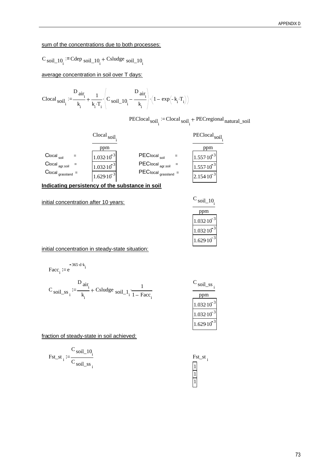#### sum of the concentrations due to both processes:

$$
C_{\text{soil}\_10_i} := \text{Cdep}_{\text{soil}\_10_i} + \text{Csludge}_{\text{soil}\_10_i}
$$

average concentration in soil over T days:

$$
\text{Clocal}_{\text{soil}_i} := \!\! \frac{D_{\text{air}_i}}{k_i} \!+\! \frac{1}{k_i \cdot T_i} \cdot \!\! \left(\!C_{\text{soil}\_\text{10}_i} \!-\! \frac{D_{\text{air}_i}}{k_i}\!\right) \cdot \!\! \left(1 - \exp\!\left(-k_i \cdot T_i\right)\!\right)
$$

PEClocal<sub>soil<sub>i</sub></sub> = Clocal<sub>soil<sub>i</sub></sub> + PECregional<sub>natural\_soil</sub>



**Indicating persistency of the substance in soil**

initial concentration after 10 years: C

| soil 10       |
|---------------|
| pm            |
| 3<br>1.032.10 |
| 1.03210       |
| 3<br>1.629.10 |

initial concentration in steady-state situation:

$$
Facc_i := e^{-365 \cdot d \cdot k_i}
$$

$$
C_{\text{soil}\_ss_i} := \frac{D_{\text{air}_i}}{k_i} + \text{Csludge }_{\text{soil}\_1} \cdot \frac{1}{1 - \text{Face}_i}
$$

| soil ss  |
|----------|
| pm       |
| 1.032.10 |
| 1.032.10 |
| 1.629.10 |

fraction of steady-state in soil achieved:

$$
Fst\_st_i := \frac{C_{\text{soil}\_10_i}}{C_{\text{soil}\_ss}}.
$$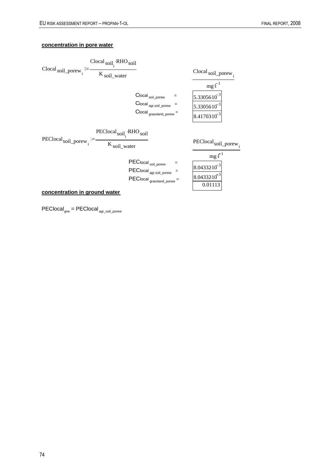### **concentration in pore water**



PEClocal<sub>grw</sub> = PEClocal <sub>agr\_soil\_porew</sub>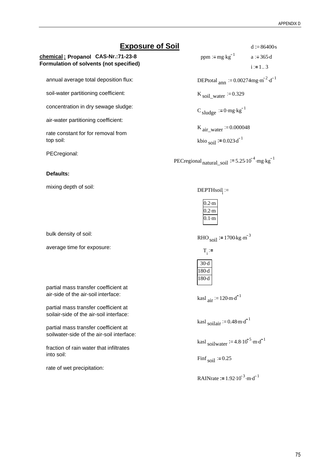### **Exposure of Soil** d  $= 86400s$ .

**chemical : Propanol CAS-Nr.:71-23-8 Formulation of solvents (not specified)**

annual average total deposition flux:

soil-water partitioning coefficient:

concentration in dry sewage sludge:

air-water partitioning coefficient:

rate constant for for removal from top soil:

PECregional:

#### **Defaults:**

mixing depth of soil:

bulk density of soil:

average time for exposure:

partial mass transfer coefficient at air-side of the air-soil interface:

partial mass transfer coefficient at soilair-side of the air-soil interface:

partial mass transfer coefficient at soilwater-side of the air-soil interface:

fraction of rain water that infiltrates into soil:

rate of wet precipitation:

ppm :=  $mg \cdot kg^{-1}$  a := 365 d.  $i := 1...3$ 

DEPtotal  $_{\text{ann}} := 0.00274 \text{mg} \cdot \text{m}^{-2} \cdot \text{d}^{-1}$ 

K soil\_water  $= 0.329$ 

 $C$  sludge  $:= 0$ ·mg·kg<sup>-1</sup>

K air\_water  $= 0.000048$ 

kbio <sub>soil</sub>  $:= 0.023 \text{ d}^{-1}$ 

PECregional<sub>natural\_soil</sub>  $:= 5.25 \cdot 10^{-4}$  mg kg<sup>-1</sup>

 $DEFTHsoil :=$ 

| $0.2 \cdot m$ |  |
|---------------|--|
| $0.2 \cdot m$ |  |
| $0.1 \cdot m$ |  |

RHO  $_{\text{soil}}$  := 1700 kg  $\text{m}^{-3}$ 

 $T_i :=$ 

| 30-d  |  |
|-------|--|
| 180-d |  |
| 180-d |  |

kasl  $_{\text{air}}$  := 120 m $\cdot$  d<sup>-1</sup>

kasl soilair  $= 0.48 \text{ m} \cdot \text{d}^{-1}$ 

kasl soilwater  $:= 4.8 \cdot 10^{-5} \cdot \text{m} \cdot \text{d}^{-1}$ 

Finf<sub>soil</sub>  $:= 0.25$ 

**RAINrate** := 
$$
1.92 \cdot 10^{-3} \cdot \text{m} \cdot \text{d}^{-1}
$$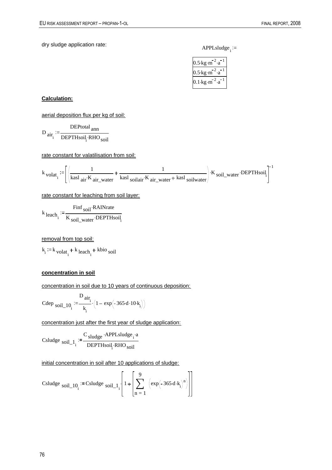dry sludge application rate: APPLsludge<sub>i</sub> :=

| $5 \cdot \text{kg} \cdot \text{m}$ |
|------------------------------------|
| $.5 \cdot$ kg $\cdot$ m            |
| 0.1∙kg∙m                           |

#### **Calculation:**

aerial deposition flux per kg of soil:

$$
D_{\text{air}_i} := \frac{DEP_{\text{total}}}{DEPTH\text{soi}_i \cdot RHO_{\text{soi}}}
$$

rate constant for valatilisation from soil:

$$
k_{\text{ }volat_i} := \left[ \left( \frac{1}{\text{kasl air} \cdot K_{\text{ air\_water}}} + \frac{1}{\text{kasl } \text{solidair} \cdot K_{\text{ air\_water}} + \text{kasl } \text{solid water}} \right) \cdot K_{\text{ }sol\_water} \cdot \text{DEPTHsoil}_i \right]^{-1}
$$

rate constant for leaching from soil layer:

$$
k_{\text{leach}_i} := \frac{\text{Find } \text{soil} \cdot \text{RAINrate}}{K_{\text{soil\_water}} \cdot \text{DEPTHsoil}_i}
$$

removal from top soil:

 $k_i := k_{\text{volat}_i} + k_{\text{leach}_i} + \text{kbio}_{\text{soil}}$ 

#### **concentration in soil**

concentration in soil due to 10 years of continuous deposition:

Cdep <sub>soil\_10</sub>: 
$$
=\frac{D_{air_i}}{k_i} \cdot (1 - exp(-365 \cdot d \cdot 10 \cdot k_i))
$$

concentration just after the first year of sludge application:

 $Csludge$   $soil_1$ <sub>i</sub>  $C_{sludge}$  APPLsludge<sub>i</sub> a DEPTHsoil<sub>1</sub> RHO<sub>soil</sub>

initial concentration in soil after 10 applications of sludge:

\n
$$
\text{Csludge } \text{soil}_1 \cdot 10_i := \text{Csludge } \text{soil}_1 \cdot 1_i \cdot \left[ 1 + \left[ \sum_{n=1}^{9} \left( \exp\left( -365 \cdot d \cdot k_i \right)^n \right) \right] \right]
$$
\n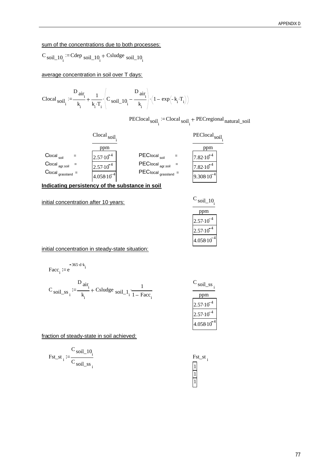### sum of the concentrations due to both processes:

$$
C_{\text{soil}\_10_i} := \text{Cdep}_{\text{soil}\_10_i} + \text{Csludge}_{\text{soil}\_10_i}
$$

average concentration in soil over T days:

$$
Clocal_{\text{soil}_{i}} := \!\frac{D_{\text{air}_{i}}}{k_{i}} + \frac{1}{k_{i} \cdot T_{i}} \cdot \left(C_{\text{soil}_{-}10_{i}} - \frac{D_{\text{air}_{i}}}{k_{i}}\right) \cdot \left(1 - \exp\left(-k_{i} \cdot T_{i}\right)\right)
$$

PEClocal<sub>soil<sub>i</sub></sub> := Clocal<sub>soil<sub>i</sub></sub> + PECregional<sub>natural\_soil</sub>



**Indicating persistency of the substance in soil**

initial concentration after 10 years:  $C_{\text{soil}\_10}$ 

| 8011 TU     |
|-------------|
| pm          |
| $2.57-10$   |
| $2.57 - 10$ |
| 4.058.10    |

initial concentration in steady-state situation:

$$
Facc_i := e^{-365 \cdot d \cdot k_i}
$$

$$
C_{\text{soil}\_ss_i} := \frac{D_{\text{air}_i}}{k_i} + \text{Csludge }_{\text{soil}\_1} \cdot \frac{1}{1 - \text{Face}_i}
$$

| soil ss              |
|----------------------|
| pm                   |
| $2.57 \cdot 10^{-7}$ |
| $2.57 \cdot 10$      |
| 1.05810              |

fraction of steady-state in soil achieved:

$$
Fst\_st_i := \frac{C_{\text{soil}\_10_i}}{C_{\text{soil}\_ss}}.
$$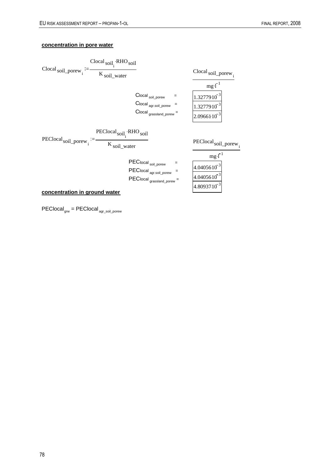### **concentration in pore water**



PEClocal<sub>grw</sub> = PEClocal <sub>agr\_soil\_porew</sub>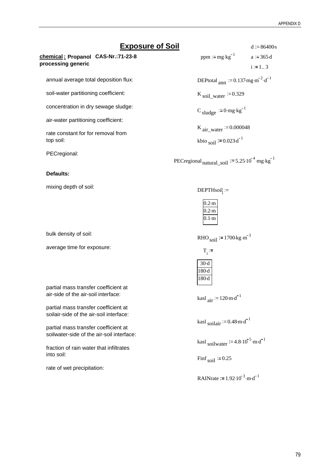### **Exposure of Soil** d  $= 86400s$ .

**chemical : Propanol CAS-Nr.:71-23-8 processing generic**

annual average total deposition flux:

soil-water partitioning coefficient:

concentration in dry sewage sludge:

air-water partitioning coefficient:

rate constant for for removal from top soil:

PECregional:

#### **Defaults:**

mixing depth of soil:

bulk density of soil:

average time for exposure:

partial mass transfer coefficient at air-side of the air-soil interface:

partial mass transfer coefficient at soilair-side of the air-soil interface:

partial mass transfer coefficient at soilwater-side of the air-soil interface:

fraction of rain water that infiltrates into soil:

rate of wet precipitation:

ppm :=  $mg \cdot kg^{-1}$  a := 365 d.  $i := 1..3$ 

DEPtotal  $_{\text{ann}}$  := 0.137 mg  $\text{m}^{-2}$   $\text{d}^{-1}$ 

K soil\_water  $= 0.329$ 

 $C$  sludge  $:= 0$ ·mg·kg<sup>-1</sup>

K air\_water  $= 0.000048$ 

kbio <sub>soil</sub>  $:= 0.023 \text{ d}^{-1}$ 

PECregional<sub>natural\_soil</sub>  $:= 5.25 \cdot 10^{-4}$  mg kg<sup>-1</sup>

 $DEFTHsoil :=$ 

| $0.2 \cdot m$ |  |
|---------------|--|
| $0.2 \cdot m$ |  |
| $0.1 \cdot m$ |  |

RHO  $_{\text{soil}}$  := 1700 kg  $\text{m}^{-3}$ 

 $T_i :=$ 

| 30-d  |  |
|-------|--|
| 180-d |  |
| 180-d |  |

kasl  $_{\text{air}}$  := 120 m $\cdot$  d<sup>-1</sup>

kasl soilair  $= 0.48 \text{ m} \cdot \text{d}^{-1}$ 

kasl soilwater  $:= 4.8 \cdot 10^{-5} \cdot \text{m} \cdot \text{d}^{-1}$ 

Finf<sub>soil</sub>  $:= 0.25$ 

**RAINrate** := 
$$
1.92 \cdot 10^{-3} \cdot \text{m} \cdot \text{d}^{-1}
$$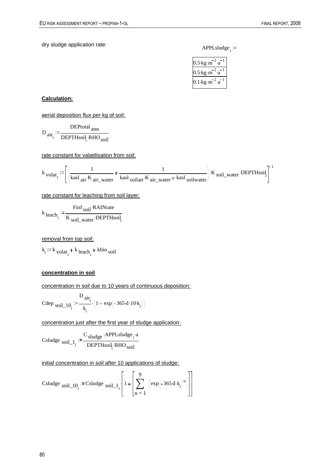dry sludge application rate: APPLsludge<sub>i</sub> :=

| $5 \cdot \text{kg} \cdot \text{m}$ |
|------------------------------------|
| $.5 \cdot$ kg $\cdot$ m            |
| 0.1∙kg∙m                           |

#### **Calculation:**

aerial deposition flux per kg of soil:

$$
D_{\text{air}_i} := \frac{DEP_{\text{total}}}{DEPTH\text{soi}_i \cdot RHO_{\text{soi}}}
$$

rate constant for valatilisation from soil:

$$
k_{\text{ }volat_i} := \left[ \left( \frac{1}{\text{kasl air} \cdot K_{\text{ air\_water}}} + \frac{1}{\text{kasl } \text{solidair} \cdot K_{\text{ air\_water}} + \text{kasl } \text{solid water}} \right) \cdot K_{\text{ }sol\_water} \cdot \text{DEPTHsoil}_i \right]^{-1}
$$

rate constant for leaching from soil layer:

$$
k_{\text{leach}_i} := \frac{\text{Find } \text{soil} \cdot \text{RAINrate}}{K_{\text{soil\_water}} \cdot \text{DEPTHsoil}_i}
$$

removal from top soil:

 $k_i := k_{\text{volat}_i} + k_{\text{leach}_i} + \text{kbio}_{\text{soil}}$ 

#### **concentration in soil**

concentration in soil due to 10 years of continuous deposition:

Cdep <sub>soil\_10</sub>: 
$$
=\frac{D_{air_i}}{k_i} \cdot (1 - exp(-365 \cdot d \cdot 10 \cdot k_i))
$$

concentration just after the first year of sludge application:

 $Csludge$   $soil_1$ <sub>i</sub>  $C_{sludge}$  APPLsludge<sub>i</sub> a DEPTHsoil<sub>1</sub> RHO<sub>soil</sub>

initial concentration in soil after 10 applications of sludge:

\n
$$
\text{Csludge } \text{soil}_1 \cdot 10_i := \text{Csludge } \text{soil}_1 \cdot 1_i \cdot \left[ 1 + \left[ \sum_{n=1}^{9} \left( \exp\left( -365 \cdot d \cdot k_i \right)^n \right) \right] \right]
$$
\n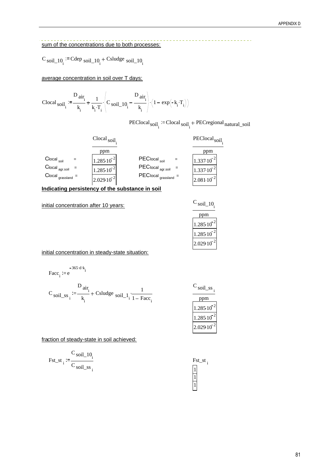### sum of the concentrations due to both processes:

$$
C_{\text{soil}\_10_i} := \text{Cdep}_{\text{soil}\_10_i} + \text{Csludge}_{\text{soil}\_10_i}
$$

average concentration in soil over T days:

$$
Clocal_{\text{soil}_i} := \frac{D_{\text{air}_i}}{k_i} + \frac{1}{k_i \cdot T_i} \cdot \left( C_{\text{soil}\_10_i} - \frac{D_{\text{air}_i}}{k_i} \right) \cdot \left( 1 - \exp\left(-k_i \cdot T_i\right) \right)
$$

PEClocal<sub>soil<sub>i</sub></sub> := Clocal<sub>soil<sub>i</sub></sub> + PECregional<sub>natural\_soil</sub>



**Indicating persistency of the substance in soil**

initial concentration after 10 years:

| soil 10. |  |
|----------|--|
| рm       |  |
| 1.285.10 |  |
| .285.10  |  |
| 2.029.10 |  |

initial concentration in steady-state situation:

$$
-365 \text{ d}^2\text{ k}.
$$
  
Face<sub>i</sub> := e

$$
C_{\text{soil}\_ss_i} := \frac{D_{\text{air}_i}}{k_i} + \text{Csludge }_{\text{soil}\_1} \cdot \frac{1}{1 - \text{Face}_i}
$$

 $C_{\text{soil}\_ss}$ 

| m |          |
|---|----------|
|   | .285.10  |
|   | .285.10  |
|   | 2.029.10 |

fraction of steady-state in soil achieved:

$$
\text{Fst\_st}_{i} := \frac{C_{\text{soil}\_\text{10}_i}}{C_{\text{soil}\_\text{ss}_i}}
$$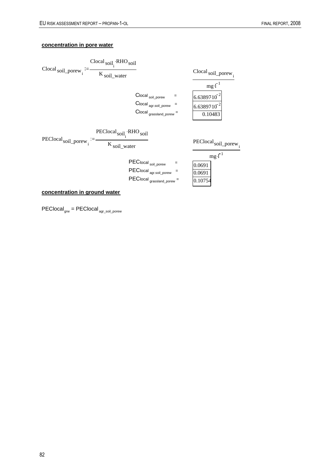### **concentration in pore water**



PEClocal<sub>grw</sub> = PEClocal <sub>agr\_soil\_porew</sub>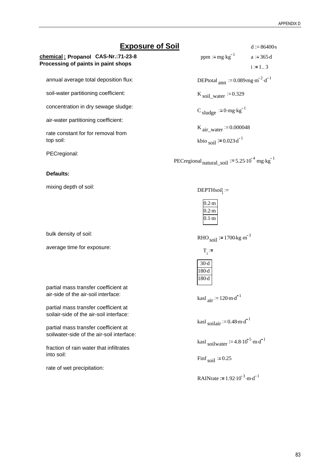### **Exposure of Soil** d  $= 86400s$ .

**chemical : Propanol CAS-Nr.:71-23-8 Processing of paints in paint shops**

annual average total deposition flux:

soil-water partitioning coefficient:

concentration in dry sewage sludge:

air-water partitioning coefficient:

rate constant for for removal from top soil:

PECregional:

#### **Defaults:**

mixing depth of soil:

bulk density of soil:

average time for exposure:

partial mass transfer coefficient at air-side of the air-soil interface:

partial mass transfer coefficient at soilair-side of the air-soil interface:

partial mass transfer coefficient at soilwater-side of the air-soil interface:

fraction of rain water that infiltrates into soil:

rate of wet precipitation:

ppm :=  $mg \cdot kg^{-1}$  a := 365 d.  $i := 1..3$ 

DEPtotal  $_{\text{ann}}$  := 0.089 mg  $\text{m}^{-2} \cdot \text{d}^{-1}$ 

K soil\_water  $= 0.329$ 

 $C$  sludge  $:= 0$ ·mg·kg<sup>-1</sup>

K air\_water  $= 0.000048$ 

kbio <sub>soil</sub>  $:= 0.023 \text{ d}^{-1}$ 

PECregional<sub>natural\_soil</sub>  $:= 5.25 \cdot 10^{-4}$  mg kg<sup>-1</sup>

 $DEFTHsoil :=$ 

| $0.2 \cdot m$ |  |
|---------------|--|
| $0.2 \cdot m$ |  |
| $0.1 \cdot m$ |  |

RHO  $_{\text{soil}}$  := 1700 kg  $\text{m}^{-3}$ 

 $T_i :=$ 

| 30-d  |  |
|-------|--|
| 180-d |  |
| 180-d |  |

kasl  $_{\text{air}}$  := 120 m $\cdot$  d<sup>-1</sup>

kasl soilair  $= 0.48 \text{ m} \cdot \text{d}^{-1}$ 

kasl soilwater  $:= 4.8 \cdot 10^{-5} \cdot \text{m} \cdot \text{d}^{-1}$ 

Finf<sub>soil</sub>  $:= 0.25$ 

**RAINrate** := 
$$
1.92 \cdot 10^{-3} \cdot \text{m} \cdot \text{d}^{-1}
$$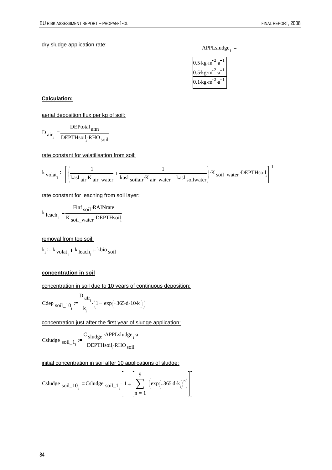dry sludge application rate: APPLsludge<sub>i</sub> :=

| $5 \cdot \text{kg} \cdot \text{m}$ |
|------------------------------------|
| $.5 \cdot$ kg $\cdot$ m            |
| 0.1∙kg∙m                           |

#### **Calculation:**

aerial deposition flux per kg of soil:

$$
D_{\text{air}_i} := \frac{DEP_{\text{total}}}{DEPTH\text{soi}_i \cdot RHO_{\text{soi}}}
$$

rate constant for valatilisation from soil:

$$
k_{\text{ }volat_i} := \left[ \left( \frac{1}{\text{kasl air} \cdot K_{\text{ air\_water}}} + \frac{1}{\text{kasl } \text{solidair} \cdot K_{\text{ air\_water}} + \text{kasl } \text{solid water}} \right) \cdot K_{\text{ }sol\_water} \cdot \text{DEPTHsoil}_i \right]^{-1}
$$

rate constant for leaching from soil layer:

$$
k_{\text{leach}_i} := \frac{\text{Find } \text{soil} \cdot \text{RAINrate}}{K_{\text{soil\_water}} \cdot \text{DEPTHsoil}_i}
$$

removal from top soil:

 $k_i := k_{\text{volat}_i} + k_{\text{leach}_i} + \text{kbio}_{\text{soil}}$ 

#### **concentration in soil**

concentration in soil due to 10 years of continuous deposition:

Cdep <sub>soil\_10</sub>: 
$$
=\frac{D_{air_i}}{k_i} \cdot (1 - exp(-365 \cdot d \cdot 10 \cdot k_i))
$$

concentration just after the first year of sludge application:

 $Csludge$   $soil_1$ <sub>i</sub>  $C_{sludge}$  APPLsludge<sub>i</sub> a DEPTHsoil<sub>1</sub> RHO<sub>soil</sub>

initial concentration in soil after 10 applications of sludge:

\n
$$
\text{Csludge } \text{soil}_1 \cdot 10_i := \text{Csludge } \text{soil}_1 \cdot 1_i \cdot \left[ 1 + \left[ \sum_{n=1}^{9} \left( \exp\left( -365 \cdot d \cdot k_i \right)^n \right) \right] \right]
$$
\n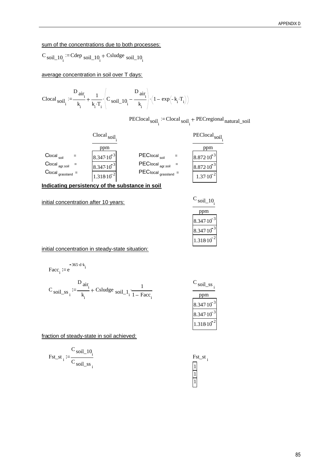### sum of the concentrations due to both processes:

$$
C_{\text{soil}\_10_i} := \text{Cdep}_{\text{soil}\_10_i} + \text{Csludge}_{\text{soil}\_10_i}
$$

average concentration in soil over T days:

$$
Clocal_{\text{soil}_{i}} := \!\frac{D_{\text{air}_{i}}}{k_{i}} + \frac{1}{k_{i} \cdot T_{i}} \cdot \!\left(C_{\text{soil}_{-}10_{i}} - \frac{D_{\text{air}_{i}}}{k_{i}}\right) \cdot \!\left(1 - \exp\!\left(-k_{i} \cdot T_{i}\right)\right)
$$

PEClocal<sub>soil<sub>i</sub></sub> = Clocal<sub>soil<sub>i</sub></sub> + PECregional<sub>natural\_soil</sub>



**Indicating persistency of the substance in soil**

initial concentration after 10 years:  $C_{\text{soil}\_10}$ 

| SO1L.            |
|------------------|
| рm               |
| 8.347.10         |
| $8.347 \cdot 10$ |
| 31810            |

initial concentration in steady-state situation:

$$
Facc_i := e^{-365 \cdot d \cdot k_i}
$$

$$
C_{\text{soil}\_ss} := \frac{D_{\text{air}_i}}{k_i} + \text{Csludge }_{\text{soil}\_1} \cdot \frac{1}{1 - \text{Fac}_i}
$$

| soil ss  |
|----------|
| эm       |
| 8.347.10 |
| 8.347.10 |
| .318.10  |

fraction of steady-state in soil achieved:

$$
Fst\_st_i := \frac{C_{\text{soil}\_10_i}}{C_{\text{soil}\_s}}\frac{10}{i}
$$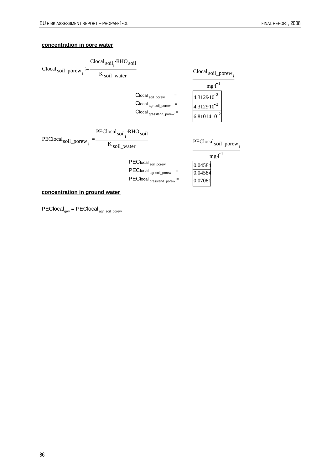### **concentration in pore water**



PEClocal<sub>grw</sub> = PEClocal <sub>agr\_soil\_porew</sub>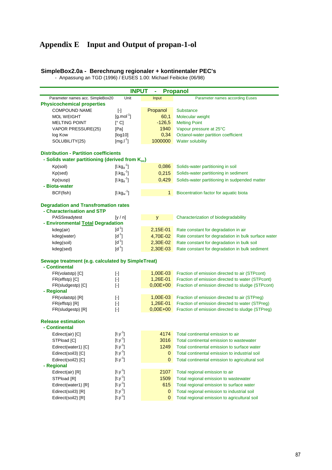### **Appendix E Input and Output of propan-1-ol**

#### **SimpleBox2.0a - Berechnung regionaler + kontinentaler PEC's**

- Anpassung an TGD (1996) / EUSES 1.00: Michael Feibicke (06/98)

| <b>INPUT</b><br><b>Propanol</b><br>٠                        |                                                                                                                                                                                                                                                                                                                                                                                                                                                                                                                                                                                                                                                                                                                                                                                                                                                                                          |             |                                                     |  |  |  |
|-------------------------------------------------------------|------------------------------------------------------------------------------------------------------------------------------------------------------------------------------------------------------------------------------------------------------------------------------------------------------------------------------------------------------------------------------------------------------------------------------------------------------------------------------------------------------------------------------------------------------------------------------------------------------------------------------------------------------------------------------------------------------------------------------------------------------------------------------------------------------------------------------------------------------------------------------------------|-------------|-----------------------------------------------------|--|--|--|
| Parameter names acc. SimpleBox20                            | Unit                                                                                                                                                                                                                                                                                                                                                                                                                                                                                                                                                                                                                                                                                                                                                                                                                                                                                     | Input       | Parameter names according Euses                     |  |  |  |
| <b>Physicochemical properties</b>                           |                                                                                                                                                                                                                                                                                                                                                                                                                                                                                                                                                                                                                                                                                                                                                                                                                                                                                          |             |                                                     |  |  |  |
| <b>COMPOUND NAME</b>                                        | $[\cdot] % \centering \includegraphics[width=0.9\textwidth]{images/TrDiM-Architecture.png} % \caption{The first two different values of $S$ and $S$ are shown in the left.} \label{TrDiS} %$                                                                                                                                                                                                                                                                                                                                                                                                                                                                                                                                                                                                                                                                                             | Propanol    | <b>Substance</b>                                    |  |  |  |
| <b>MOL WEIGHT</b>                                           | $[g$ .mol <sup>-1</sup> ]                                                                                                                                                                                                                                                                                                                                                                                                                                                                                                                                                                                                                                                                                                                                                                                                                                                                | 60,1        | Molecular weight                                    |  |  |  |
| <b>MELTING POINT</b>                                        | [°C]                                                                                                                                                                                                                                                                                                                                                                                                                                                                                                                                                                                                                                                                                                                                                                                                                                                                                     | $-126,5$    | <b>Melting Point</b>                                |  |  |  |
| VAPOR PRESSURE(25)                                          | [Pa]                                                                                                                                                                                                                                                                                                                                                                                                                                                                                                                                                                                                                                                                                                                                                                                                                                                                                     | 1940        | Vapour pressure at 25°C                             |  |  |  |
| log Kow                                                     | [log10]                                                                                                                                                                                                                                                                                                                                                                                                                                                                                                                                                                                                                                                                                                                                                                                                                                                                                  | 0,34        | Octanol-water partition coefficient                 |  |  |  |
| SOLUBILITY(25)                                              | $[mg.I^1]$                                                                                                                                                                                                                                                                                                                                                                                                                                                                                                                                                                                                                                                                                                                                                                                                                                                                               | 1000000     | <b>Water solubility</b>                             |  |  |  |
| <b>Distribution - Partition coefficients</b>                |                                                                                                                                                                                                                                                                                                                                                                                                                                                                                                                                                                                                                                                                                                                                                                                                                                                                                          |             |                                                     |  |  |  |
| - Solids water partitioning (derived from K <sub>oc</sub> ) |                                                                                                                                                                                                                                                                                                                                                                                                                                                                                                                                                                                                                                                                                                                                                                                                                                                                                          |             |                                                     |  |  |  |
| Kp(soil)                                                    | $[1.kgd-1]$                                                                                                                                                                                                                                                                                                                                                                                                                                                                                                                                                                                                                                                                                                                                                                                                                                                                              | 0,086       | Solids-water partitioning in soil                   |  |  |  |
| Kp(sed)                                                     | $[1.kg_d^{-1}]$                                                                                                                                                                                                                                                                                                                                                                                                                                                                                                                                                                                                                                                                                                                                                                                                                                                                          | 0,215       | Solids-water partitioning in sediment               |  |  |  |
| Kp(susp)                                                    | $[1.kg_d^{-1}]$                                                                                                                                                                                                                                                                                                                                                                                                                                                                                                                                                                                                                                                                                                                                                                                                                                                                          | 0,429       | Solids-water partitioning in sudpended matter       |  |  |  |
| - Biota-water                                               |                                                                                                                                                                                                                                                                                                                                                                                                                                                                                                                                                                                                                                                                                                                                                                                                                                                                                          |             |                                                     |  |  |  |
| BCF(fish)                                                   | $[1.kg_w^{-1}]$                                                                                                                                                                                                                                                                                                                                                                                                                                                                                                                                                                                                                                                                                                                                                                                                                                                                          | $\mathbf 1$ | Biocentration factor for aquatic biota              |  |  |  |
|                                                             |                                                                                                                                                                                                                                                                                                                                                                                                                                                                                                                                                                                                                                                                                                                                                                                                                                                                                          |             |                                                     |  |  |  |
| <b>Degradation and Transfromation rates</b>                 |                                                                                                                                                                                                                                                                                                                                                                                                                                                                                                                                                                                                                                                                                                                                                                                                                                                                                          |             |                                                     |  |  |  |
| - Characterisation and STP                                  |                                                                                                                                                                                                                                                                                                                                                                                                                                                                                                                                                                                                                                                                                                                                                                                                                                                                                          |             |                                                     |  |  |  |
| PASSreadytest                                               | [y/n]                                                                                                                                                                                                                                                                                                                                                                                                                                                                                                                                                                                                                                                                                                                                                                                                                                                                                    | y           | Characterization of biodegradability                |  |  |  |
| - Environmental Total Degradation                           |                                                                                                                                                                                                                                                                                                                                                                                                                                                                                                                                                                                                                                                                                                                                                                                                                                                                                          |             |                                                     |  |  |  |
| kdeg(air)                                                   | $[d^{-1}]$                                                                                                                                                                                                                                                                                                                                                                                                                                                                                                                                                                                                                                                                                                                                                                                                                                                                               | $2,15E-01$  | Rate constant for degradation in air                |  |  |  |
| kdeg(water)                                                 | $[d^{-1}]$                                                                                                                                                                                                                                                                                                                                                                                                                                                                                                                                                                                                                                                                                                                                                                                                                                                                               | 4,70E-02    | Rate constant for degradation in bulk surface water |  |  |  |
| kdeg(soil)                                                  | $[d^{-1}]$                                                                                                                                                                                                                                                                                                                                                                                                                                                                                                                                                                                                                                                                                                                                                                                                                                                                               | 2,30E-02    | Rate constant for degradation in bulk soil          |  |  |  |
| kdeg(sed)                                                   | $[d^{-1}]$                                                                                                                                                                                                                                                                                                                                                                                                                                                                                                                                                                                                                                                                                                                                                                                                                                                                               | 2,30E-03    | Rate constant for degradation in bulk sediment      |  |  |  |
| Sewage treatment (e.g. calculated by SimpleTreat)           |                                                                                                                                                                                                                                                                                                                                                                                                                                                                                                                                                                                                                                                                                                                                                                                                                                                                                          |             |                                                     |  |  |  |
| - Continental                                               |                                                                                                                                                                                                                                                                                                                                                                                                                                                                                                                                                                                                                                                                                                                                                                                                                                                                                          |             |                                                     |  |  |  |
| FR(volatstp) [C]                                            | $[\cdot] % \centering \includegraphics[width=0.9\textwidth]{images/TrDiM-Architecture.png} % \caption{The first two different values of $S$ and $S$ are shown in the left, the first two different values of $S$ and $S$ are shown in the right, and the second two different values of $S$ are shown in the right, and the second two different values of $S$ are shown in the right, and the second two different values of $S$ are shown in the right, and the third two different values of $S$ are shown in the right, and the third two different values of $S$ are shown in the right, and the third two different values of $S$ are shown in the right, and the third two different values of $S$ are shown in the right, and the third two different values of $S$ are shown in the right, and the third two different values of $S$ are shown in the right, and the third two$ | 1,00E-03    | Fraction of emission directed to air (STPcont)      |  |  |  |
| FR(effstp) [C]                                              | $[\cdot]$                                                                                                                                                                                                                                                                                                                                                                                                                                                                                                                                                                                                                                                                                                                                                                                                                                                                                | 1,26E-01    | Fraction of emission directed to water (STPcont)    |  |  |  |
| FR(sludgestp) [C]                                           | $[\cdot] % \centering \includegraphics[width=0.9\textwidth]{images/TrDiS/N-Architecture.png} % \caption{The first two different values of $N$ in the \mbox{thick model} and the second two different values of $N$ in the \mbox{thick model} and the second two different values of $N$ in the \mbox{thick model} and the second two different values of $N$ in the \mbox{thick model} and the second two different values of $N$ in the \mbox{thick model} and the second two different values of $N$ in the \mbox{thick model} and the third two different values of $N$ in the \mbox{thick model} and the third two different values of $N$ in the \mbox{thick model} and the third two different values of $N$ in the \mbox{thick model} and the third two different values$                                                                                                         | $0,00E+00$  | Fraction of emission directed to sludge (STPcont)   |  |  |  |
| - Regional                                                  |                                                                                                                                                                                                                                                                                                                                                                                                                                                                                                                                                                                                                                                                                                                                                                                                                                                                                          |             |                                                     |  |  |  |
| FR(volatstp) [R]                                            | $[\cdot] % \centering \includegraphics[width=0.9\textwidth]{images/TrDiM-Architecture.png} % \caption{The first two different values of $S$ and $S$ are shown in the left, the first two different values of $S$ and $S$ are shown in the right, and the second two different values of $S$ are shown in the right, and the second two different values of $S$ are shown in the right, and the second two different values of $S$ are shown in the right, and the third two different values of $S$ are shown in the right, and the third two different values of $S$ are shown in the right, and the third two different values of $S$ are shown in the right, and the third two different values of $S$ are shown in the right, and the third two different values of $S$ are shown in the right, and the third two different values of $S$ are shown in the right, and the third two$ | 1,00E-03    | Fraction of emission directed to air (STPreg)       |  |  |  |
| FR(effstp) [R]                                              | $[\cdot]$                                                                                                                                                                                                                                                                                                                                                                                                                                                                                                                                                                                                                                                                                                                                                                                                                                                                                | 1,26E-01    | Fraction of emission directed to water (STPreg)     |  |  |  |
| FR(sludgestp) [R]                                           |                                                                                                                                                                                                                                                                                                                                                                                                                                                                                                                                                                                                                                                                                                                                                                                                                                                                                          | $0,00E+00$  | Fraction of emission directed to sludge (STPreg)    |  |  |  |
| <b>Release estimation</b>                                   |                                                                                                                                                                                                                                                                                                                                                                                                                                                                                                                                                                                                                                                                                                                                                                                                                                                                                          |             |                                                     |  |  |  |
| - Continental                                               |                                                                                                                                                                                                                                                                                                                                                                                                                                                                                                                                                                                                                                                                                                                                                                                                                                                                                          |             |                                                     |  |  |  |
| Edirect(air) [C]                                            | $[t.y-1]$                                                                                                                                                                                                                                                                                                                                                                                                                                                                                                                                                                                                                                                                                                                                                                                                                                                                                | 4174        | Total continental emission to air                   |  |  |  |
| STPload [C]                                                 | $[t.y^{-1}]$                                                                                                                                                                                                                                                                                                                                                                                                                                                                                                                                                                                                                                                                                                                                                                                                                                                                             | 3016        | Total continental emission to wastewater            |  |  |  |
| Edirect(water1) [C]                                         | $[t.y^{-1}]$                                                                                                                                                                                                                                                                                                                                                                                                                                                                                                                                                                                                                                                                                                                                                                                                                                                                             | 1249        | Total continental emission to surface water         |  |  |  |
| Edirect(soil3) [C]                                          | $[t.y-1]$                                                                                                                                                                                                                                                                                                                                                                                                                                                                                                                                                                                                                                                                                                                                                                                                                                                                                | 0           | Total continental emission to industrial soil       |  |  |  |
| Edirect(soil2) [C]                                          | $[t.y^{-1}]$                                                                                                                                                                                                                                                                                                                                                                                                                                                                                                                                                                                                                                                                                                                                                                                                                                                                             | 0           | Total continental emission to agricultural soil     |  |  |  |
| - Regional                                                  |                                                                                                                                                                                                                                                                                                                                                                                                                                                                                                                                                                                                                                                                                                                                                                                                                                                                                          |             |                                                     |  |  |  |
| Edirect(air) [R]                                            | $[t.y-1]$                                                                                                                                                                                                                                                                                                                                                                                                                                                                                                                                                                                                                                                                                                                                                                                                                                                                                | 2107        | Total regional emission to air                      |  |  |  |
| STPload [R]                                                 | $[t.y^{-1}]$                                                                                                                                                                                                                                                                                                                                                                                                                                                                                                                                                                                                                                                                                                                                                                                                                                                                             | 1509        | Total regional emission to wastewater               |  |  |  |
| Edirect(water1) [R]                                         | $[t.y^{-1}]$                                                                                                                                                                                                                                                                                                                                                                                                                                                                                                                                                                                                                                                                                                                                                                                                                                                                             | 615         | Total regional emission to surface water            |  |  |  |
| Edirect(soil3) [R]                                          | $[t.y^{-1}]$                                                                                                                                                                                                                                                                                                                                                                                                                                                                                                                                                                                                                                                                                                                                                                                                                                                                             | 0           | Total regional emission to industrial soil          |  |  |  |
| Edirect(soil2) [R]                                          | $[t.y^{-1}]$                                                                                                                                                                                                                                                                                                                                                                                                                                                                                                                                                                                                                                                                                                                                                                                                                                                                             | 0           | Total regional emission to agricultural soil        |  |  |  |
|                                                             |                                                                                                                                                                                                                                                                                                                                                                                                                                                                                                                                                                                                                                                                                                                                                                                                                                                                                          |             |                                                     |  |  |  |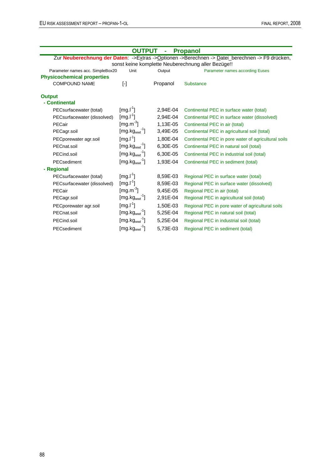| <b>OUTPUT</b><br><b>Propanol</b><br>ä,                                                         |                              |          |                                                     |  |  |  |  |  |
|------------------------------------------------------------------------------------------------|------------------------------|----------|-----------------------------------------------------|--|--|--|--|--|
| Zur Neuberechnung der Daten: ->Extras ->Optionen ->Berechnen -> Datei_berechnen -> F9 drücken, |                              |          |                                                     |  |  |  |  |  |
| sonst keine komplette Neuberechnung aller Bezüge!!                                             |                              |          |                                                     |  |  |  |  |  |
| Parameter names acc. SimpleBox20<br>Unit                                                       |                              | Output   | Parameter names according Euses                     |  |  |  |  |  |
| <b>Physicochemical properties</b>                                                              |                              |          |                                                     |  |  |  |  |  |
| <b>COMPOUND NAME</b>                                                                           | $[\cdot]$                    | Propanol | <b>Substance</b>                                    |  |  |  |  |  |
| <b>Output</b>                                                                                  |                              |          |                                                     |  |  |  |  |  |
| - Continental                                                                                  |                              |          |                                                     |  |  |  |  |  |
| PECsurfacewater (total)                                                                        | [mg. <sup>1</sup> ]          | 2,94E-04 | Continental PEC in surface water (total)            |  |  |  |  |  |
| PECsurfacewater (dissolved)                                                                    | $[mg.l-1]$                   | 2.94E-04 | Continental PEC in surface water (dissolved)        |  |  |  |  |  |
| PECair                                                                                         | $\left[\text{mg.m}^3\right]$ | 1,13E-05 | Continental PEC in air (total)                      |  |  |  |  |  |
| PECagr.soil                                                                                    | $[mg.kgwwt-1]$               | 3,49E-05 | Continental PEC in agricultural soil (total)        |  |  |  |  |  |
| PECporewater agr.soil                                                                          | $[mg.I^1]$                   | 1,80E-04 | Continental PEC in pore water of agricultural soils |  |  |  |  |  |
| PECnat.soil                                                                                    | $[mg.kgwwt-1]$               | 6,30E-05 | Continental PEC in natural soil (total)             |  |  |  |  |  |
| PECind.soil                                                                                    | $[mg.kgwwt]-1]$              | 6,30E-05 | Continental PEC in industrial soil (total)          |  |  |  |  |  |
| PECsediment                                                                                    | $[mg.kgwwt]-1]$              | 1,93E-04 | Continental PEC in sediment (total)                 |  |  |  |  |  |
| - Regional                                                                                     |                              |          |                                                     |  |  |  |  |  |
| PECsurfacewater (total)                                                                        | $[mg.l^1]$                   | 8,59E-03 | Regional PEC in surface water (total)               |  |  |  |  |  |
| PECsurfacewater (dissolved)                                                                    | $[mg.I^1]$                   | 8,59E-03 | Regional PEC in surface water (dissolved)           |  |  |  |  |  |
| PECair                                                                                         | [mg.m $3$ ]                  | 9,45E-05 | Regional PEC in air (total)                         |  |  |  |  |  |
| PECagr.soil                                                                                    | $[mg.kgwwt-1]$               | 2,91E-04 | Regional PEC in agricultural soil (total)           |  |  |  |  |  |
| PECporewater agr.soil                                                                          | $[mg.l^1]$                   | 1.50E-03 | Regional PEC in pore water of agricultural soils    |  |  |  |  |  |
| PECnat.soil                                                                                    | $[mg.kgwwt]-1]$              | 5,25E-04 | Regional PEC in natural soil (total)                |  |  |  |  |  |
| PECind.soil                                                                                    | $[mg.kgwwt-1]$               | 5,25E-04 | Regional PEC in industrial soil (total)             |  |  |  |  |  |
| PECsediment                                                                                    | $[mg.kgwwt-1]$               | 5,73E-03 | Regional PEC in sediment (total)                    |  |  |  |  |  |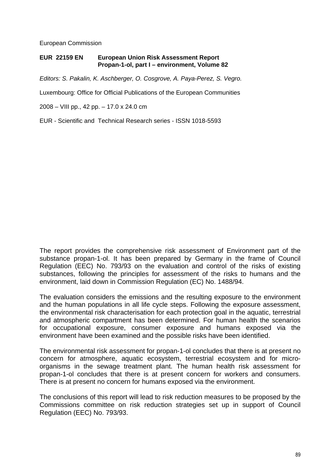European Commission

### **EUR 22159 EN European Union Risk Assessment Report Propan-1-ol, part I – environment, Volume 82**

*Editors: S. Pakalin, K. Aschberger, O. Cosgrove, A. Paya-Perez, S. Vegro.* 

Luxembourg: Office for Official Publications of the European Communities

2008 – VIII pp., 42 pp. – 17.0 x 24.0 cm

EUR - Scientific and Technical Research series - ISSN 1018-5593

The report provides the comprehensive risk assessment of Environment part of the substance propan-1-ol. It has been prepared by Germany in the frame of Council Regulation (EEC) No. 793/93 on the evaluation and control of the risks of existing substances, following the principles for assessment of the risks to humans and the environment, laid down in Commission Regulation (EC) No. 1488/94.

The evaluation considers the emissions and the resulting exposure to the environment and the human populations in all life cycle steps. Following the exposure assessment, the environmental risk characterisation for each protection goal in the aquatic, terrestrial and atmospheric compartment has been determined. For human health the scenarios for occupational exposure, consumer exposure and humans exposed via the environment have been examined and the possible risks have been identified.

The environmental risk assessment for propan-1-ol concludes that there is at present no concern for atmosphere, aquatic ecosystem, terrestrial ecosystem and for microorganisms in the sewage treatment plant. The human health risk assessment for propan-1-ol concludes that there is at present concern for workers and consumers. There is at present no concern for humans exposed via the environment.

The conclusions of this report will lead to risk reduction measures to be proposed by the Commissions committee on risk reduction strategies set up in support of Council Regulation (EEC) No. 793/93.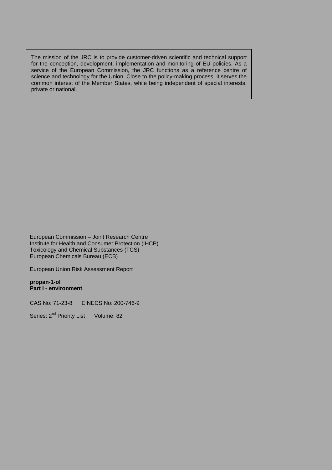The mission of the JRC is to provide customer-driven scientific and technical support for the conception, development, implementation and monitoring of EU policies. As a service of the European Commission, the JRC functions as a reference centre of science and technology for the Union. Close to the policy-making process, it serves the common interest of the Member States, while being independent of special interests, private or national.

European Commission – Joint Research Centre Institute for Health and Consumer Protection (IHCP) Toxicology and Chemical Substances (TCS) European Chemicals Bureau (ECB)

European Union Risk Assessment Report

**propan-1-ol Part I - environment** 

CAS No: 71-23-8 EINECS No: 200-746-9

Series: 2<sup>nd</sup> Priority List Volume: 82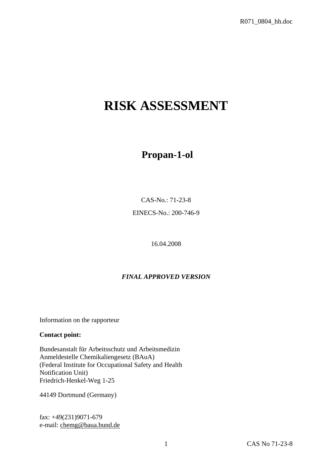# **RISK ASSESSMENT**

## **Propan-1-ol**

CAS-No.: 71-23-8

EINECS-No.: 200-746-9

16.04.2008

### *FINAL APPROVED VERSION*

Information on the rapporteur

### **Contact point:**

Bundesanstalt für Arbeitsschutz und Arbeitsmedizin Anmeldestelle Chemikaliengesetz (BAuA) (Federal Institute for Occupational Safety and Health Notification Unit) Friedrich-Henkel-Weg 1-25

44149 Dortmund (Germany)

fax: +49(231)9071-679 e-mail[: chemg@baua.bund.de](mailto:amst@baua.do.shuttle.de)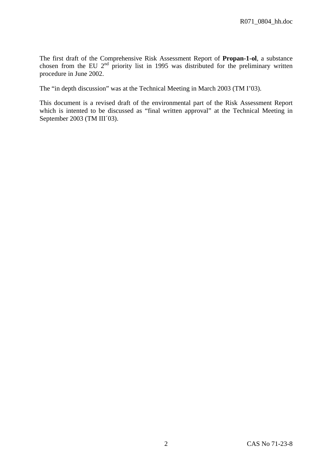The first draft of the Comprehensive Risk Assessment Report of **Propan-1-ol**, a substance chosen from the EU  $2<sup>nd</sup>$  priority list in 1995 was distributed for the preliminary written procedure in June 2002.

The "in depth discussion" was at the Technical Meeting in March 2003 (TM I'03).

This document is a revised draft of the environmental part of the Risk Assessment Report which is intented to be discussed as "final written approval" at the Technical Meeting in September 2003 (TM III´03).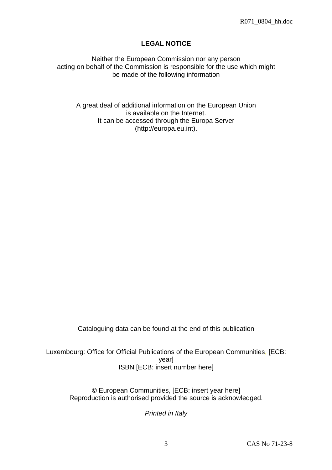### **LEGAL NOTICE**

Neither the European Commission nor any person acting on behalf of the Commission is responsible for the use which might be made of the following information

A great deal of additional information on the European Union is available on the Internet. It can be accessed through the Europa Server (http://europa.eu.int).

Cataloguing data can be found at the end of this publication

Luxembourg: Office for Official Publications of the European Communities, [ECB: year] ISBN [ECB: insert number here]

© European Communities, [ECB: insert year here] Reproduction is authorised provided the source is acknowledged.

*Printed in Italy*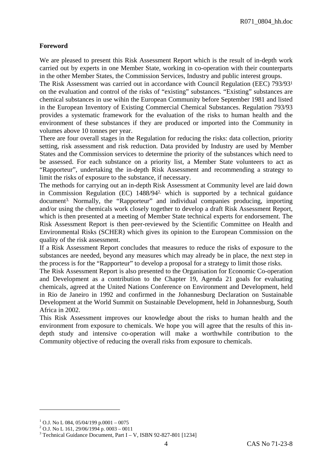### **Foreword**

We are pleased to present this Risk Assessment Report which is the result of in-depth work carried out by experts in one Member State, working in co-operation with their counterparts in the other Member States, the Commission Services, Industry and public interest groups.

The Risk Assessment was carried out in accordance with Council Regulation (EEC) 793/931 on the evaluation and control of the risks of "existing" substances. "Existing" substances are chemical substances in use wihin the European Community before September 1981 and listed in the European Inventory of Existing Commercial Chemical Substances. Regulation 793/93 provides a systematic framework for the evaluation of the risks to human health and the environment of these substances if they are produced or imported into the Community in volumes above 10 tonnes per year.

There are four overall stages in the Regulation for reducing the risks: data collection, priority setting, risk assessment and risk reduction. Data provided by Industry are used by Member States and the Commission services to determine the priority of the substances which need to be assessed. For each substance on a priority list, a Member State volunteers to act as "Rapporteur", undertaking the in-depth Risk Assessment and recommending a strategy to limit the risks of exposure to the substance, if necessary.

The methods for carrying out an in-depth Risk Assessment at Community level are laid down in Commission Regulation (EC) 1488/942, which is supported by a technical guidance document3. Normally, the "Rapporteur" and individual companies producing, importing and/or using the chemicals work closely together to develop a draft Risk Assessment Report, which is then presented at a meeting of Member State technical experts for endorsement. The Risk Assessment Report is then peer-reviewed by the Scientific Committee on Health and Environmental Risks (SCHER) which gives its opinion to the European Commission on the quality of the risk assessment.

If a Risk Assessment Report concludes that measures to reduce the risks of exposure to the substances are needed, beyond any measures which may already be in place, the next step in the process is for the "Rapporteur" to develop a proposal for a strategy to limit those risks.

The Risk Assessment Report is also presented to the Organisation for Economic Co-operation and Development as a contribution to the Chapter 19, Agenda 21 goals for evaluating chemicals, agreed at the United Nations Conference on Environment and Development, held in Rio de Janeiro in 1992 and confirmed in the Johannesburg Declaration on Sustainable Development at the World Summit on Sustainable Development, held in Johannesburg, South Africa in 2002.

This Risk Assessment improves our knowledge about the risks to human health and the environment from exposure to chemicals. We hope you will agree that the results of this indepth study and intensive co-operation will make a worthwhile contribution to the Community objective of reducing the overall risks from exposure to chemicals.

 $\overline{a}$ 

 $^{1}$  O.J. No L 084, 05/04/199 p.0001 – 0075

 $^{2}$  O.J. No L 161, 29/06/1994 p. 0003 – 0011

 $3$  Technical Guidance Document, Part I – V, ISBN 92-827-801 [1234]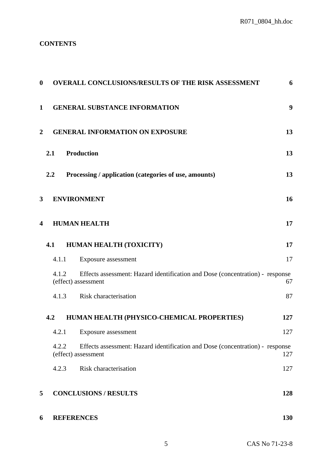R071\_0804\_hh.doc

### **CONTENTS**

| $\boldsymbol{0}$ | <b>OVERALL CONCLUSIONS/RESULTS OF THE RISK ASSESSMENT</b>                                                     | 6   |
|------------------|---------------------------------------------------------------------------------------------------------------|-----|
| $\mathbf{1}$     | <b>GENERAL SUBSTANCE INFORMATION</b>                                                                          | 9   |
| $\overline{2}$   | <b>GENERAL INFORMATION ON EXPOSURE</b>                                                                        | 13  |
|                  | <b>Production</b><br>2.1                                                                                      | 13  |
|                  | 2.2<br>Processing / application (categories of use, amounts)                                                  | 13  |
| $\mathbf{3}$     | <b>ENVIRONMENT</b>                                                                                            | 16  |
| 4                | <b>HUMAN HEALTH</b>                                                                                           | 17  |
|                  | HUMAN HEALTH (TOXICITY)<br>4.1                                                                                | 17  |
|                  | 4.1.1<br>Exposure assessment                                                                                  | 17  |
|                  | Effects assessment: Hazard identification and Dose (concentration) - response<br>4.1.2<br>(effect) assessment | 67  |
|                  | Risk characterisation<br>4.1.3                                                                                | 87  |
|                  | HUMAN HEALTH (PHYSICO-CHEMICAL PROPERTIES)<br>4.2                                                             | 127 |
|                  | 4.2.1<br>Exposure assessment                                                                                  | 127 |
|                  | 4.2.2<br>Effects assessment: Hazard identification and Dose (concentration) - response<br>(effect) assessment | 127 |
|                  | 4.2.3<br>Risk characterisation                                                                                | 127 |
| 5                | <b>CONCLUSIONS / RESULTS</b>                                                                                  | 128 |
| 6                | <b>REFERENCES</b>                                                                                             | 130 |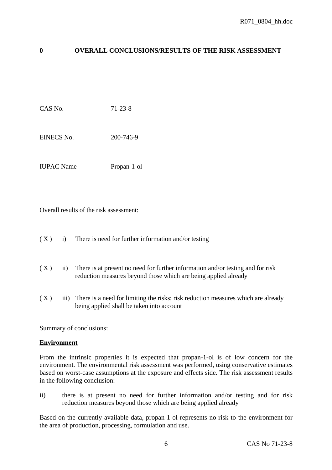# **0 OVERALL CONCLUSIONS/RESULTS OF THE RISK ASSESSMENT**

CAS No. 71-23-8

EINECS No. 200-746-9

IUPAC Name Propan-1-ol

Overall results of the risk assessment:

 $(X)$  i) There is need for further information and/or testing

- $(X)$  ii) There is at present no need for further information and/or testing and for risk reduction measures beyond those which are being applied already
- $(X)$  iii) There is a need for limiting the risks; risk reduction measures which are already being applied shall be taken into account

Summary of conclusions:

#### **Environment**

From the intrinsic properties it is expected that propan-1-ol is of low concern for the environment. The environmental risk assessment was performed, using conservative estimates based on worst-case assumptions at the exposure and effects side. The risk assessment results in the following conclusion:

ii) there is at present no need for further information and/or testing and for risk reduction measures beyond those which are being applied already

Based on the currently available data, propan-1-ol represents no risk to the environment for the area of production, processing, formulation and use.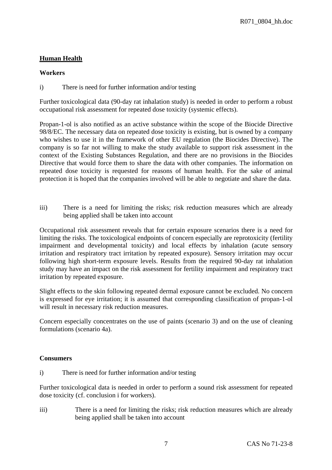# **Human Health**

#### **Workers**

i) There is need for further information and/or testing

Further toxicological data (90-day rat inhalation study) is needed in order to perform a robust occupational risk assessment for repeated dose toxicity (systemic effects).

Propan-1-ol is also notified as an active substance within the scope of the Biocide Directive 98/8/EC. The necessary data on repeated dose toxicity is existing, but is owned by a company who wishes to use it in the framework of other EU regulation (the Biocides Directive). The company is so far not willing to make the study available to support risk assessment in the context of the Existing Substances Regulation, and there are no provisions in the Biocides Directive that would force them to share the data with other companies. The information on repeated dose toxicity is requested for reasons of human health. For the sake of animal protection it is hoped that the companies involved will be able to negotiate and share the data.

iii) There is a need for limiting the risks; risk reduction measures which are already being applied shall be taken into account

Occupational risk assessment reveals that for certain exposure scenarios there is a need for limiting the risks. The toxicological endpoints of concern especially are reprotoxicity (fertility impairment and developmental toxicity) and local effects by inhalation (acute sensory irritation and respiratory tract irritation by repeated exposure). Sensory irritation may occur following high short-term exposure levels. Results from the required 90-day rat inhalation study may have an impact on the risk assessment for fertility impairment and respiratory tract irritation by repeated exposure.

Slight effects to the skin following repeated dermal exposure cannot be excluded. No concern is expressed for eye irritation; it is assumed that corresponding classification of propan-1-ol will result in necessary risk reduction measures.

Concern especially concentrates on the use of paints (scenario 3) and on the use of cleaning formulations (scenario 4a).

# **Consumers**

i) There is need for further information and/or testing

Further toxicological data is needed in order to perform a sound risk assessment for repeated dose toxicity (cf. conclusion i for workers).

iii) There is a need for limiting the risks; risk reduction measures which are already being applied shall be taken into account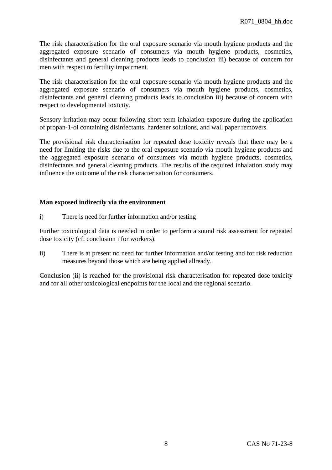The risk characterisation for the oral exposure scenario via mouth hygiene products and the aggregated exposure scenario of consumers via mouth hygiene products, cosmetics, disinfectants and general cleaning products leads to conclusion iii) because of concern for men with respect to fertility impairment.

The risk characterisation for the oral exposure scenario via mouth hygiene products and the aggregated exposure scenario of consumers via mouth hygiene products, cosmetics, disinfectants and general cleaning products leads to conclusion iii) because of concern with respect to developmental toxicity.

Sensory irritation may occur following short-term inhalation exposure during the application of propan-1-ol containing disinfectants, hardener solutions, and wall paper removers.

The provisional risk characterisation for repeated dose toxicity reveals that there may be a need for limiting the risks due to the oral exposure scenario via mouth hygiene products and the aggregated exposure scenario of consumers via mouth hygiene products, cosmetics, disinfectants and general cleaning products. The results of the required inhalation study may influence the outcome of the risk characterisation for consumers.

#### **Man exposed indirectly via the environment**

i) There is need for further information and/or testing

Further toxicological data is needed in order to perform a sound risk assessment for repeated dose toxicity (cf. conclusion i for workers).

ii) There is at present no need for further information and/or testing and for risk reduction measures beyond those which are being applied allready.

Conclusion (ii) is reached for the provisional risk characterisation for repeated dose toxicity and for all other toxicological endpoints for the local and the regional scenario.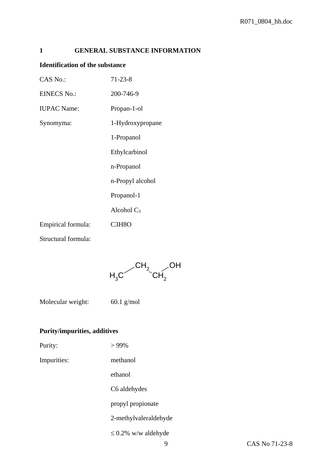# **1 GENERAL SUBSTANCE INFORMATION**

#### **Identification of the substance**

| CAS No.:            | $71 - 23 - 8$    |
|---------------------|------------------|
| <b>EINECS No.:</b>  | 200-746-9        |
| <b>IUPAC Name:</b>  | Propan-1-ol      |
| Synomyma:           | 1-Hydroxypropane |
|                     | 1-Propanol       |
|                     | Ethylcarbinol    |
|                     | n-Propanol       |
|                     | n-Propyl alcohol |
|                     | Propanol-1       |
|                     | Alcohol $C_3$    |
| Empirical formula:  | C3H8O            |
| Structural formula: |                  |



Molecular weight: 60.1 g/mol

# **Purity/impurities, additives**

| Purity: | $>99\%$ |
|---------|---------|
|         |         |

Impurities: methanol

ethanol

C6 aldehydes

propyl propionate

2-methylvaleraldehyde

≤ 0.2% w/w aldehyde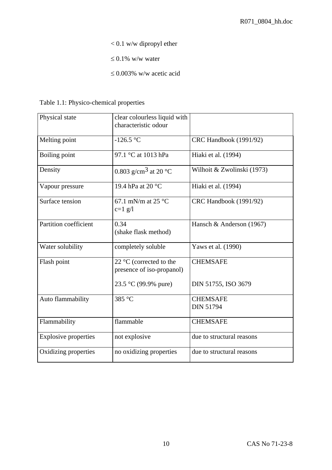- < 0.1 w/w dipropyl ether
- $\leq 0.1\%$  w/w water
- ≤ 0.003% w/w acetic acid

| Table 1.1: Physico-chemical properties |
|----------------------------------------|
|                                        |

| Physical state              | clear colourless liquid with<br>characteristic odour          |                                     |
|-----------------------------|---------------------------------------------------------------|-------------------------------------|
| Melting point               | $-126.5 °C$                                                   | CRC Handbook (1991/92)              |
| Boiling point               | 97.1 °C at 1013 hPa                                           | Hiaki et al. (1994)                 |
| Density                     | 0.803 g/cm <sup>3</sup> at 20 °C                              | Wilhoit & Zwolinski (1973)          |
| Vapour pressure             | 19.4 hPa at 20 °C                                             | Hiaki et al. (1994)                 |
| Surface tension             | 67.1 mN/m at 25 $^{\circ}$ C<br>$c=1$ g/l                     | CRC Handbook (1991/92)              |
| Partition coefficient       | 0.34<br>(shake flask method)                                  | Hansch & Anderson (1967)            |
| Water solubility            | completely soluble                                            | Yaws et al. (1990)                  |
| Flash point                 | 22 $\degree$ C (corrected to the<br>presence of iso-propanol) | <b>CHEMSAFE</b>                     |
|                             | 23.5 °C (99.9% pure)                                          | DIN 51755, ISO 3679                 |
| Auto flammability           | 385 °C                                                        | <b>CHEMSAFE</b><br><b>DIN 51794</b> |
| Flammability                | flammable                                                     | <b>CHEMSAFE</b>                     |
| <b>Explosive properties</b> | not explosive                                                 | due to structural reasons           |
| Oxidizing properties        | no oxidizing properties                                       | due to structural reasons           |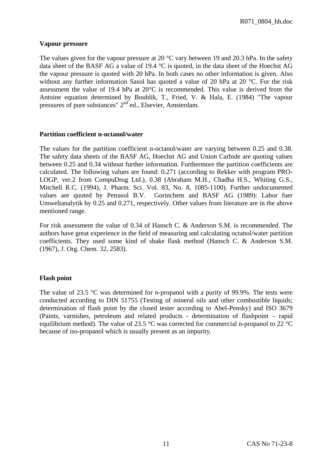R071\_0804\_hh.doc

#### **Vapour pressure**

The values given for the vapour pressure at 20 °C vary between 19 and 20.3 hPa. In the safety data sheet of the BASF AG a value of 19.4 °C is quoted, in the data sheet of the Hoechst AG the vapour pressure is quoted with 20 hPa. In both cases no other information is given. Also without any further information Sasol has quoted a value of 20 hPa at 20 °C. For the risk assessment the value of 19.4 hPa at 20°C is recommended. This value is derived from the Antoine equation determined by Boublik, T., Fried, V. & Hala, E. (1984) "The vapour pressures of pure substances" 2nd ed., Elsevier, Amsterdam.

#### **Partition coefficient n-octanol/water**

The values for the partition coefficient n-octanol/water are varying between 0.25 and 0.38. The safety data sheets of the BASF AG, Hoechst AG and Union Carbide are quoting values between 0.25 and 0.34 without further information. Furthermore the partition coefficients are calculated. The following values are found: 0.271 (according to Rekker with program PRO-LOGP, ver.2 from CompuDrug Ltd.), 0.38 (Abraham M.H., Chadha H.S., Whiting G.S., Mitchell R.C. (1994), J. Pharm. Sci. Vol. 83, No. 8, 1085-1100). Further undocumented values are quoted by Petrasol B.V. Gorinchem and BASF AG (1989): Labor fuer Umweltanalytik by 0.25 and 0.271, respectively. Other values from literature are in the above mentioned range.

For risk assessment the value of 0.34 of Hansch C. & Anderson S.M. is recommended. The authors have great experience in the field of measuring and calculating octanol/water partition coefficients. They used some kind of shake flask method (Hansch C. & Anderson S.M. (1967), J. Org. Chem. 32, 2583).

#### **Flash point**

The value of 23.5 °C was determined for n-propanol with a purity of 99.9%. The tests were conducted according to DIN 51755 (Testing of mineral oils and other combustible liquids; determination of flash point by the closed tester according to Abel-Pensky) and ISO 3679 (Paints, varnishes, petroleum and related products - determination of flashpoint – rapid equilibrium method). The value of 23.5  $\degree$ C was corrected for commercial n-propanol to 22  $\degree$ C because of iso-propanol which is usually present as an impurity.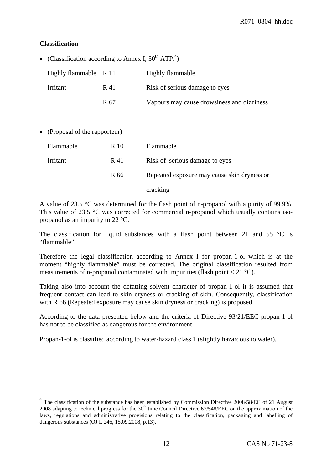#### **Classification**

 $\overline{a}$ 

• (Classification according to Annex I,  $30^{th}$  ATP.<sup>4</sup>)

| Highly flammable R 11 |      | Highly flammable                           |
|-----------------------|------|--------------------------------------------|
| Irritant              | R 41 | Risk of serious damage to eyes             |
|                       | R 67 | Vapours may cause drowsiness and dizziness |

• (Proposal of the rapporteur)

| Flammable | R 10 | Flammable                                   |
|-----------|------|---------------------------------------------|
| Irritant  | R 41 | Risk of serious damage to eyes              |
|           | R 66 | Repeated exposure may cause skin dryness or |
|           |      | cracking                                    |

A value of 23.5 °C was determined for the flash point of n-propanol with a purity of 99.9%. This value of 23.5 °C was corrected for commercial n-propanol which usually contains isopropanol as an impurity to 22 °C.

The classification for liquid substances with a flash point between 21 and 55  $\degree$ C is "flammable".

Therefore the legal classification according to Annex I for propan-1-ol which is at the moment "highly flammable" must be corrected. The original classification resulted from measurements of n-propanol contaminated with impurities (flash point  $< 21 \degree C$ ).

Taking also into account the defatting solvent character of propan-1-ol it is assumed that frequent contact can lead to skin dryness or cracking of skin. Consequently, classification with R 66 (Repeated exposure may cause skin dryness or cracking) is proposed.

According to the data presented below and the criteria of Directive 93/21/EEC propan-1-ol has not to be classified as dangerous for the environment.

Propan-1-ol is classified according to water-hazard class 1 (slightly hazardous to water).

<sup>&</sup>lt;sup>4</sup> The classification of the substance has been established by Commission Directive 2008/58/EC of 21 August 2008 adapting to technical progress for the  $30<sup>th</sup>$  time Council Directive 67/548/EEC on the approximation of the laws, regulations and administrative provisions relating to the classification, packaging and labelling of dangerous substances (OJ L 246, 15.09.2008, p.13).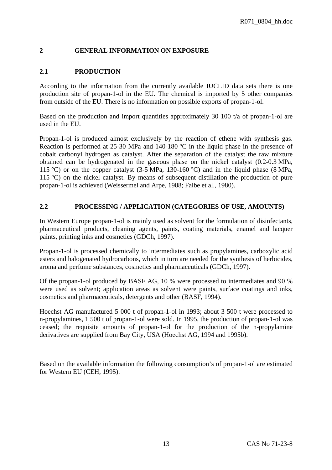# **2 GENERAL INFORMATION ON EXPOSURE**

# **2.1 PRODUCTION**

According to the information from the currently available IUCLID data sets there is one production site of propan-1-ol in the EU. The chemical is imported by 5 other companies from outside of the EU. There is no information on possible exports of propan-1-ol.

Based on the production and import quantities approximately 30 100 t/a of propan-1-ol are used in the EU.

Propan-1-ol is produced almost exclusively by the reaction of ethene with synthesis gas. Reaction is performed at 25-30 MPa and 140-180 °C in the liquid phase in the presence of cobalt carbonyl hydrogen as catalyst. After the separation of the catalyst the raw mixture obtained can be hydrogenated in the gaseous phase on the nickel catalyst (0.2-0.3 MPa, 115 °C) or on the copper catalyst (3-5 MPa, 130-160 °C) and in the liquid phase (8 MPa, 115 °C) on the nickel catalyst. By means of subsequent distillation the production of pure propan-1-ol is achieved (Weissermel and Arpe, 1988; Falbe et al., 1980).

# **2.2 PROCESSING / APPLICATION (CATEGORIES OF USE, AMOUNTS)**

In Western Europe propan-1-ol is mainly used as solvent for the formulation of disinfectants, pharmaceutical products, cleaning agents, paints, coating materials, enamel and lacquer paints, printing inks and cosmetics (GDCh, 1997).

Propan-1-ol is processed chemically to intermediates such as propylamines, carboxylic acid esters and halogenated hydrocarbons, which in turn are needed for the synthesis of herbicides, aroma and perfume substances, cosmetics and pharmaceuticals (GDCh, 1997).

Of the propan-1-ol produced by BASF AG, 10 % were processed to intermediates and 90 % were used as solvent; application areas as solvent were paints, surface coatings and inks, cosmetics and pharmaceuticals, detergents and other (BASF, 1994).

Hoechst AG manufactured 5 000 t of propan-1-ol in 1993; about 3 500 t were processed to n-propylamines, 1 500 t of propan-1-ol were sold. In 1995, the production of propan-1-ol was ceased; the requisite amounts of propan-1-ol for the production of the n-propylamine derivatives are supplied from Bay City, USA (Hoechst AG, 1994 and 1995b).

Based on the available information the following consumption's of propan-1-ol are estimated for Western EU (CEH, 1995):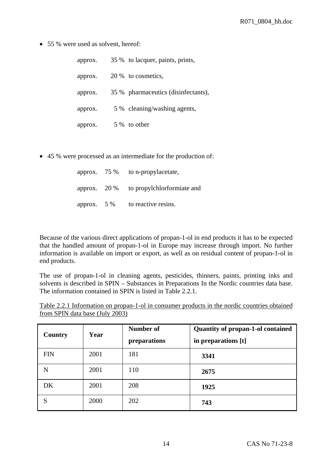• 55 % were used as solvent, hereof:

| approx. | 35 % to lacquer, paints, prints,    |
|---------|-------------------------------------|
| approx. | 20 % to cosmetics,                  |
| approx. | 35 % pharmaceutics (disinfectants), |
| approx. | 5 % cleaning/washing agents,        |
| approx. | 5 % to other                        |

• 45 % were processed as an intermediate for the production of:

|                | approx. $75\%$ to n-propylacetate, |
|----------------|------------------------------------|
| approx. $20\%$ | to propylchlorformiate and         |
| approx. $5\%$  | to reactive resins.                |

Because of the various direct applications of propan-1-ol in end products it has to be expected that the handled amount of propan-1-ol in Europe may increase through import. No further information is available on import or export, as well as on residual content of propan-1-ol in end products.

The use of propan-1-ol in cleaning agents, pesticides, thinners, paints, printing inks and solvents is described in SPIN – Substances in Preparations In the Nordic countries data base. The information contained in SPIN is listed in Table 2.2.1.

| Table 2.2.1 Information on propan-1-ol in consumer products in the nordic countries obtained |  |  |  |  |  |  |
|----------------------------------------------------------------------------------------------|--|--|--|--|--|--|
| from SPIN data base (July 2003)                                                              |  |  |  |  |  |  |

| Country    | Year | Number of<br>preparations | <b>Quantity of propan-1-ol contained</b><br>in preparations [t] |
|------------|------|---------------------------|-----------------------------------------------------------------|
| <b>FIN</b> | 2001 | 181                       | 3341                                                            |
| N          | 2001 | 110                       | 2675                                                            |
| DK         | 2001 | 208                       | 1925                                                            |
| S          | 2000 | 202                       | 743                                                             |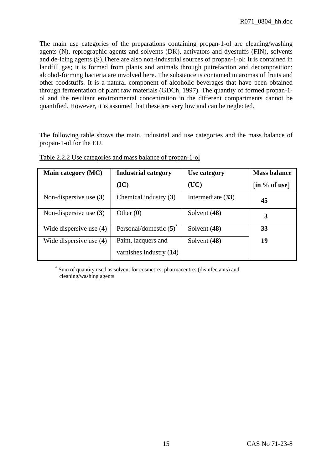The main use categories of the preparations containing propan-1-ol are cleaning/washing agents (N), reprographic agents and solvents (DK), activators and dyestuffs (FIN), solvents and de-icing agents (S).There are also non-industrial sources of propan-1-ol: It is contained in landfill gas; it is formed from plants and animals through putrefaction and decomposition; alcohol-forming bacteria are involved here. The substance is contained in aromas of fruits and other foodstuffs. It is a natural component of alcoholic beverages that have been obtained through fermentation of plant raw materials (GDCh, 1997). The quantity of formed propan-1 ol and the resultant environmental concentration in the different compartments cannot be quantified. However, it is assumed that these are very low and can be neglected.

The following table shows the main, industrial and use categories and the mass balance of propan-1-ol for the EU.

| Main category (MC)        | <b>Industrial category</b>        | Use category      | <b>Mass balance</b>                         |
|---------------------------|-----------------------------------|-------------------|---------------------------------------------|
|                           | (IC)                              | (UC)              | $\left[\text{in } \% \text{ of use}\right]$ |
| Non-dispersive use $(3)$  | Chemical industry (3)             | Intermediate (33) | 45                                          |
| Non-dispersive use $(3)$  | Other $(0)$                       | Solvent (48)      | 3                                           |
| Wide dispersive use $(4)$ | Personal/domestic $(5)^{\degree}$ | Solvent (48)      | 33                                          |
| Wide dispersive use (4)   | Paint, lacquers and               | Solvent (48)      | 19                                          |
|                           | varnishes industry $(14)$         |                   |                                             |

Table 2.2.2 Use categories and mass balance of propan-1-ol

 **\*** Sum of quantity used as solvent for cosmetics, pharmaceutics (disinfectants) and cleaning/washing agents.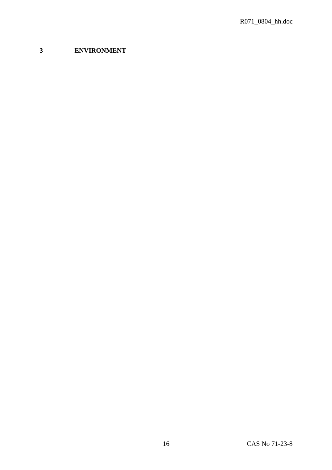# **ENVIRONMENT**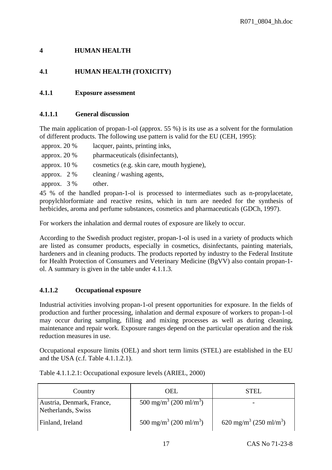# **4 HUMAN HEALTH**

# **4.1 HUMAN HEALTH (TOXICITY)**

# **4.1.1 Exposure assessment**

# **4.1.1.1 General discussion**

The main application of propan-1-ol (approx. 55 %) is its use as a solvent for the formulation of different products. The following use pattern is valid for the EU (CEH, 1995):

approx. 20 % lacquer, paints, printing inks, approx. 20 % pharmaceuticals (disinfectants), approx. 10 % cosmetics (e.g. skin care, mouth hygiene), approx. 2 % cleaning / washing agents, approx. 3 % other.

45 % of the handled propan-1-ol is processed to intermediates such as n-propylacetate, propylchlorformiate and reactive resins, which in turn are needed for the synthesis of herbicides, aroma and perfume substances, cosmetics and pharmaceuticals (GDCh, 1997).

For workers the inhalation and dermal routes of exposure are likely to occur.

According to the Swedish product register, propan-1-ol is used in a variety of products which are listed as consumer products, especially in cosmetics, disinfectants, painting materials, hardeners and in cleaning products. The products reported by industry to the Federal Institute for Health Protection of Consumers and Veterinary Medicine (BgVV) also contain propan-1 ol. A summary is given in the table under 4.1.1.3.

# **4.1.1.2 Occupational exposure**

Industrial activities involving propan-1-ol present opportunities for exposure. In the fields of production and further processing, inhalation and dermal exposure of workers to propan-1-ol may occur during sampling, filling and mixing processes as well as during cleaning, maintenance and repair work. Exposure ranges depend on the particular operation and the risk reduction measures in use.

Occupational exposure limits (OEL) and short term limits (STEL) are established in the EU and the USA (c.f. Table 4.1.1.2.1).

| Country                                         | <b>OEL</b>                                     | STEL                                           |
|-------------------------------------------------|------------------------------------------------|------------------------------------------------|
| Austria, Denmark, France,<br>Netherlands, Swiss | 500 mg/m <sup>3</sup> (200 ml/m <sup>3</sup> ) |                                                |
| Finland, Ireland                                | 500 mg/m <sup>3</sup> (200 ml/m <sup>3</sup> ) | 620 mg/m <sup>3</sup> (250 ml/m <sup>3</sup> ) |

Table 4.1.1.2.1: Occupational exposure levels (ARIEL, 2000)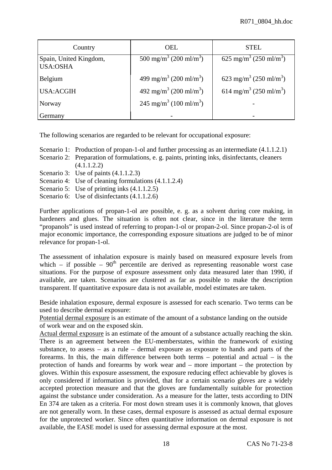| Country                                   | <b>OEL</b>                                     | <b>STEL</b>                                    |
|-------------------------------------------|------------------------------------------------|------------------------------------------------|
| Spain, United Kingdom,<br><b>USA:OSHA</b> | 500 mg/m <sup>3</sup> (200 ml/m <sup>3</sup> ) | 625 mg/m <sup>3</sup> (250 ml/m <sup>3</sup> ) |
| Belgium                                   | 499 mg/m <sup>3</sup> (200 ml/m <sup>3</sup> ) | 623 mg/m <sup>3</sup> (250 ml/m <sup>3</sup> ) |
| <b>USA:ACGIH</b>                          | 492 mg/m <sup>3</sup> (200 ml/m <sup>3</sup> ) | 614 mg/m <sup>3</sup> (250 ml/m <sup>3</sup> ) |
| Norway                                    | $245 \text{ mg/m}^3$ (100 ml/m <sup>3</sup> )  |                                                |
| Germany                                   |                                                |                                                |

The following scenarios are regarded to be relevant for occupational exposure:

- Scenario 1: Production of propan-1-ol and further processing as an intermediate  $(4.1.1.2.1)$
- Scenario 2: Preparation of formulations, e. g. paints, printing inks, disinfectants, cleaners (4.1.1.2.2)
- Scenario 3: Use of paints  $(4.1.1.2.3)$
- Scenario 4: Use of cleaning formulations  $(4.1.1.2.4)$
- Scenario 5: Use of printing inks  $(4.1.1.2.5)$
- Scenario 6: Use of disinfectants  $(4.1.1.2.6)$

Further applications of propan-1-ol are possible, e. g. as a solvent during core making, in hardeners and glues. The situation is often not clear, since in the literature the term "propanols" is used instead of referring to propan-1-ol or propan-2-ol. Since propan-2-ol is of major economic importance, the corresponding exposure situations are judged to be of minor relevance for propan-1-ol.

The assessment of inhalation exposure is mainly based on measured exposure levels from which – if possible –  $90<sup>th</sup>$  percentile are derived as representing reasonable worst case situations. For the purpose of exposure assessment only data measured later than 1990, if available, are taken. Scenarios are clustered as far as possible to make the description transparent. If quantitative exposure data is not available, model estimates are taken.

Beside inhalation exposure, dermal exposure is assessed for each scenario. Two terms can be used to describe dermal exposure:

Potential dermal exposure is an estimate of the amount of a substance landing on the outside of work wear and on the exposed skin.

Actual dermal exposure is an estimate of the amount of a substance actually reaching the skin. There is an agreement between the EU-memberstates, within the framework of existing substance, to assess – as a rule – dermal exposure as exposure to hands and parts of the forearms. In this, the main difference between both terms – potential and actual – is the protection of hands and forearms by work wear and – more important – the protection by gloves. Within this exposure assessment, the exposure reducing effect achievable by gloves is only considered if information is provided, that for a certain scenario gloves are a widely accepted protection measure and that the gloves are fundamentally suitable for protection against the substance under consideration. As a measure for the latter, tests according to DIN En 374 are taken as a criteria. For most down stream uses it is commonly known, that gloves are not generally worn. In these cases, dermal exposure is assessed as actual dermal exposure for the unprotected worker. Since often quantitative information on dermal exposure is not available, the EASE model is used for assessing dermal exposure at the most.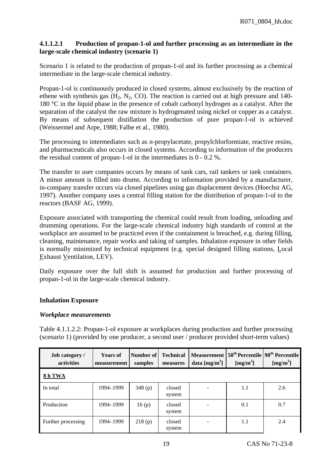# **4.1.1.2.1 Production of propan-1-ol and further processing as an intermediate in the large-scale chemical industry (scenario 1)**

Scenario 1 is related to the production of propan-1-ol and its further processing as a chemical intermediate in the large-scale chemical industry.

Propan-1-ol is continuously produced in closed systems, almost exclusively by the reaction of ethene with synthesis gas  $(H_2, N_2, CO)$ . The reaction is carried out at high pressure and 140-180 °C in the liquid phase in the presence of cobalt carbonyl hydrogen as a catalyst. After the separation of the catalyst the raw mixture is hydrogenated using nickel or copper as a catalyst. By means of subsequent distillation the production of pure propan-1-ol is achieved (Weissermel and Arpe, 1988; Falbe et al., 1980).

The processing to intermediates such as n-propylacetate, propylchlorformiate, reactive resins, and pharmaceuticals also occurs in closed systems. According to information of the producers the residual content of propan-1-ol in the intermediates is 0 - 0.2 %.

The transfer to user companies occurs by means of tank cars, rail tankers or tank containers. A minor amount is filled into drums. According to information provided by a manufacturer, in-company transfer occurs via closed pipelines using gas displacement devices (Hoechst AG, 1997). Another company uses a central filling station for the distribution of propan-1-ol to the reactors (BASF AG, 1999).

Exposure associated with transporting the chemical could result from loading, unloading and drumming operations. For the large-scale chemical industry high standards of control at the workplace are assumed to be practiced even if the containment is breached, e.g. during filling, cleaning, maintenance, repair works and taking of samples. Inhalation exposure in other fields is normally minimized by technical equipment (e.g. special designed filling stations, Local Exhaust Ventilation, LEV).

Daily exposure over the full shift is assumed for production and further processing of propan-1-ol in the large-scale chemical industry.

# **Inhalation Exposure**

# *Workplace measurements*

Table 4.1.1.2.2: Propan-1-ol exposure at workplaces during production and further processing (scenario 1) (provided by one producer, a second user / producer provided short-term values)

| <b>Job</b> category /<br>activities | <b>Years of</b><br>measurement | Number of<br>samples | <b>Technical</b><br>measures | <b>Measurement</b><br>data $[mg/m3]$ | [mg/m <sup>3</sup> ] | $50th$ Percentile   $90th$ Percentile  <br>[mg/m <sup>3</sup> ] |
|-------------------------------------|--------------------------------|----------------------|------------------------------|--------------------------------------|----------------------|-----------------------------------------------------------------|
| 8 h TWA                             |                                |                      |                              |                                      |                      |                                                                 |
| In total                            | 1994-1999                      | 348(p)               | closed<br>system             |                                      | 1.1                  | 2.6                                                             |
| Production                          | 1994–1999                      | 16(p)                | closed<br>system             |                                      | 0.1                  | 0.7                                                             |
| Further processing                  | 1994–1999                      | 218(p)               | closed<br>system             |                                      | 1.1                  | 2.4                                                             |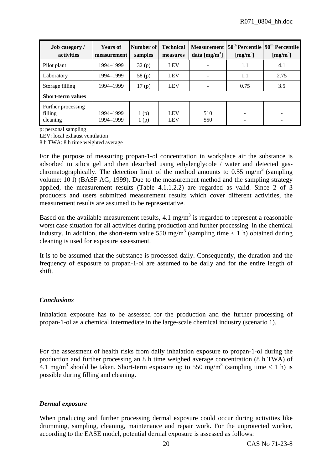| <b>Job category</b> /<br>activities       | <b>Years of</b><br>measurement | Number of<br>samples | <b>Technical</b><br>measures | data $[mg/m3]$ | Measurement 50 <sup>th</sup> Percentile 90 <sup>th</sup> Percentile<br>[mg/m <sup>3</sup> ] | [mg/m <sup>3</sup> ] |  |  |
|-------------------------------------------|--------------------------------|----------------------|------------------------------|----------------|---------------------------------------------------------------------------------------------|----------------------|--|--|
| Pilot plant                               | 1994–1999                      | 32(p)                | <b>LEV</b>                   |                | 1.1                                                                                         | 4.1                  |  |  |
| Laboratory                                | 1994–1999                      | 58 $(p)$             | <b>LEV</b>                   |                | 1.1                                                                                         | 2.75                 |  |  |
| Storage filling                           | 1994–1999                      | 17(p)                | <b>LEV</b>                   |                | 0.75                                                                                        | 3.5                  |  |  |
| <b>Short-term values</b>                  |                                |                      |                              |                |                                                                                             |                      |  |  |
| Further processing<br>filling<br>cleaning | 1994–1999<br>1994–1999         | 1(p)<br>1(p)         | <b>LEV</b><br><b>LEV</b>     | 510<br>550     |                                                                                             |                      |  |  |

p: personal sampling

LEV: local exhaust ventilation

8 h TWA: 8 h time weighted average

For the purpose of measuring propan-1-ol concentration in workplace air the substance is adsorbed to silica gel and then desorbed using ethylenglycole / water and detected gaschromatographically. The detection limit of the method amounts to 0.55 mg/m<sup>3</sup> (sampling volume: 10 l) (BASF AG, 1999). Due to the measurement method and the sampling strategy applied, the measurement results (Table 4.1.1.2.2) are regarded as valid. Since 2 of 3 producers and users submitted measurement results which cover different activities, the measurement results are assumed to be representative.

Based on the available measurement results, 4.1 mg/m<sup>3</sup> is regarded to represent a reasonable worst case situation for all activities during production and further processing in the chemical industry. In addition, the short-term value 550 mg/m<sup>3</sup> (sampling time < 1 h) obtained during cleaning is used for exposure assessment.

It is to be assumed that the substance is processed daily. Consequently, the duration and the frequency of exposure to propan-1-ol are assumed to be daily and for the entire length of shift.

# *Conclusions*

Inhalation exposure has to be assessed for the production and the further processing of propan-1-ol as a chemical intermediate in the large-scale chemical industry (scenario 1).

For the assessment of health risks from daily inhalation exposure to propan-1-ol during the production and further processing an 8 h time weighed average concentration (8 h TWA) of 4.1 mg/m<sup>3</sup> should be taken. Short-term exposure up to 550 mg/m<sup>3</sup> (sampling time < 1 h) is possible during filling and cleaning.

#### *Dermal exposure*

When producing and further processing dermal exposure could occur during activities like drumming, sampling, cleaning, maintenance and repair work. For the unprotected worker, according to the EASE model, potential dermal exposure is assessed as follows: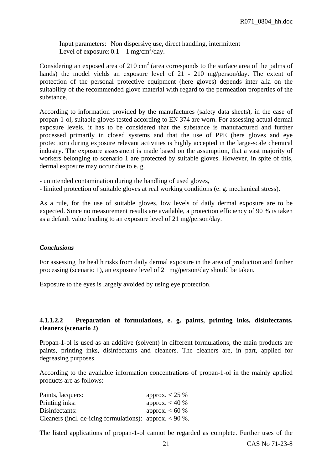Input parameters: Non dispersive use, direct handling, intermittent Level of exposure:  $0.1 - 1$  mg/cm<sup>2</sup>/day.

Considering an exposed area of 210 cm<sup>2</sup> (area corresponds to the surface area of the palms of hands) the model yields an exposure level of 21 - 210 mg/person/day. The extent of protection of the personal protective equipment (here gloves) depends inter alia on the suitability of the recommended glove material with regard to the permeation properties of the substance.

According to information provided by the manufactures (safety data sheets), in the case of propan-1-ol, suitable gloves tested according to EN 374 are worn. For assessing actual dermal exposure levels, it has to be considered that the substance is manufactured and further processed primarily in closed systems and that the use of PPE (here gloves and eye protection) during exposure relevant activities is highly accepted in the large-scale chemical industry. The exposure assessment is made based on the assumption, that a vast majority of workers belonging to scenario 1 are protected by suitable gloves. However, in spite of this, dermal exposure may occur due to e. g.

- unintended contamination during the handling of used gloves,

- limited protection of suitable gloves at real working conditions (e. g. mechanical stress).

As a rule, for the use of suitable gloves, low levels of daily dermal exposure are to be expected. Since no measurement results are available, a protection efficiency of 90 % is taken as a default value leading to an exposure level of 21 mg/person/day.

#### *Conclusions*

For assessing the health risks from daily dermal exposure in the area of production and further processing (scenario 1), an exposure level of 21 mg/person/day should be taken.

Exposure to the eyes is largely avoided by using eye protection.

#### **4.1.1.2.2 Preparation of formulations, e. g. paints, printing inks, disinfectants, cleaners (scenario 2)**

Propan-1-ol is used as an additive (solvent) in different formulations, the main products are paints, printing inks, disinfectants and cleaners. The cleaners are, in part, applied for degreasing purposes.

According to the available information concentrations of propan-1-ol in the mainly applied products are as follows:

| Paints, lacquers:                                         | approx. $< 25 \%$ |
|-----------------------------------------------------------|-------------------|
| Printing inks:                                            | approx. $< 40 %$  |
| Disinfectants:                                            | approx. $< 60 %$  |
| Cleaners (incl. de-icing formulations): approx. $< 90$ %. |                   |

The listed applications of propan-1-ol cannot be regarded as complete. Further uses of the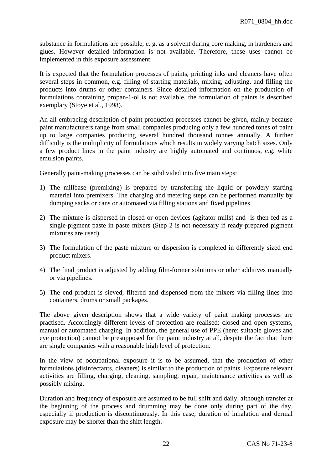substance in formulations are possible, e. g. as a solvent during core making, in hardeners and glues. However detailed information is not available. Therefore, these uses cannot be implemented in this exposure assessment.

It is expected that the formulation processes of paints, printing inks and cleaners have often several steps in common, e.g. filling of starting materials, mixing, adjusting, and filling the products into drums or other containers. Since detailed information on the production of formulations containing propan-1-ol is not available, the formulation of paints is described exemplary (Stoye et al., 1998).

An all-embracing description of paint production processes cannot be given, mainly because paint manufacturers range from small companies producing only a few hundred tones of paint up to large companies producing several hundred thousand tonnes annually. A further difficulty is the multiplicity of formulations which results in widely varying batch sizes. Only a few product lines in the paint industry are highly automated and continuos, e.g. white emulsion paints.

Generally paint-making processes can be subdivided into five main steps:

- 1) The millbase (premixing) is prepared by transferring the liquid or powdery starting material into premixers. The charging and metering steps can be performed manually by dumping sacks or cans or automated via filling stations and fixed pipelines.
- 2) The mixture is dispersed in closed or open devices (agitator mills) and is then fed as a single-pigment paste in paste mixers (Step 2 is not necessary if ready-prepared pigment mixtures are used).
- 3) The formulation of the paste mixture or dispersion is completed in differently sized end product mixers.
- 4) The final product is adjusted by adding film-former solutions or other additives manually or via pipelines.
- 5) The end product is sieved, filtered and dispensed from the mixers via filling lines into containers, drums or small packages.

The above given description shows that a wide variety of paint making processes are practised. Accordingly different levels of protection are realised: closed and open systems, manual or automated charging. In addition, the general use of PPE (here: suitable gloves and eye protection) cannot be presupposed for the paint industry at all, despite the fact that there are single companies with a reasonable high level of protection.

In the view of occupational exposure it is to be assumed, that the production of other formulations (disinfectants, cleaners) is similar to the production of paints. Exposure relevant activities are filling, charging, cleaning, sampling, repair, maintenance activities as well as possibly mixing.

Duration and frequency of exposure are assumed to be full shift and daily, although transfer at the beginning of the process and drumming may be done only during part of the day, especially if production is discontinuously. In this case, duration of inhalation and dermal exposure may be shorter than the shift length.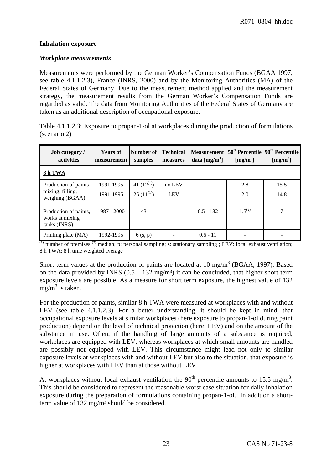#### **Inhalation exposure**

#### *Workplace measurements*

Measurements were performed by the German Worker's Compensation Funds (BGAA 1997, see table 4.1.1.2.3), France (INRS, 2000) and by the Monitoring Authorities (MA) of the Federal States of Germany. Due to the measurement method applied and the measurement strategy, the measurement results from the German Worker's Compensation Funds are regarded as valid. The data from Monitoring Authorities of the Federal States of Germany are taken as an additional description of occupational exposure.

|              | Table 4.1.1.2.3: Exposure to propan-1-ol at workplaces during the production of formulations |  |  |
|--------------|----------------------------------------------------------------------------------------------|--|--|
| (scenario 2) |                                                                                              |  |  |

| <b>Job category</b> /<br><b>activities</b>               | <b>Years of</b><br>measurement | Number of<br>samples | <b>Technical</b><br>measures | <b>Measurement</b><br>data $[mg/m3]$ | [mg/m <sup>3</sup> ] | $50th$ Percentile   $90th$ Percentile  <br>[mg/m <sup>3</sup> ] |
|----------------------------------------------------------|--------------------------------|----------------------|------------------------------|--------------------------------------|----------------------|-----------------------------------------------------------------|
| 8 h TWA                                                  |                                |                      |                              |                                      |                      |                                                                 |
| Production of paints                                     | 1991-1995                      | 41 $(12^{(1)})$      | no LEV                       |                                      | 2.8                  | 15.5                                                            |
| mixing, filling,<br>weighing (BGAA)                      | 1991-1995                      | $25(11^{(1)})$       | <b>LEV</b>                   |                                      | 2.0                  | 14.8                                                            |
| Production of paints,<br>works at mixing<br>tanks (INRS) | 1987 - 2000                    | 43                   | $\overline{\phantom{a}}$     | $0.5 - 132$                          | $1.5^{(2)}$          | 7                                                               |
| Printing plate (MA)                                      | 1992-1995                      | 6(s, p)              |                              | $0.6 - 11$                           |                      |                                                                 |

 $(1)$  number of premises  $(2)$  median; p: personal sampling; s: stationary sampling ; LEV: local exhaust ventilation; 8 h TWA: 8 h time weighted average

Short-term values at the production of paints are located at 10 mg/m<sup>3</sup> (BGAA, 1997). Based on the data provided by INRS  $(0.5 - 132 \text{ mg/m}^3)$  it can be concluded, that higher short-term exposure levels are possible. As a measure for short term exposure, the highest value of 132  $mg/m^3$  is taken.

For the production of paints, similar 8 h TWA were measured at workplaces with and without LEV (see table 4.1.1.2.3). For a better understanding, it should be kept in mind, that occupational exposure levels at similar workplaces (here exposure to propan-1-ol during paint production) depend on the level of technical protection (here: LEV) and on the amount of the substance in use. Often, if the handling of large amounts of a substance is required, workplaces are equipped with LEV, whereas workplaces at which small amounts are handled are possibly not equipped with LEV. This circumstance might lead not only to similar exposure levels at workplaces with and without LEV but also to the situation, that exposure is higher at workplaces with LEV than at those without LEV.

At workplaces without local exhaust ventilation the  $90<sup>th</sup>$  percentile amounts to 15.5 mg/m<sup>3</sup>. This should be considered to represent the reasonable worst case situation for daily inhalation exposure during the preparation of formulations containing propan-1-ol. In addition a shortterm value of 132 mg/m<sup>3</sup> should be considered.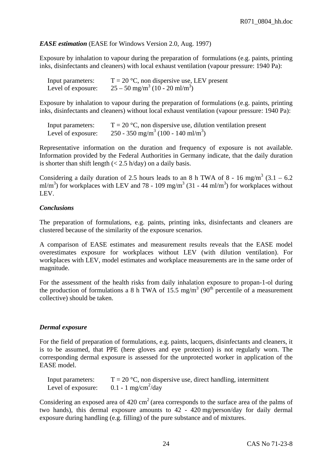### *EASE estimation* (EASE for Windows Version 2.0, Aug. 1997)

Exposure by inhalation to vapour during the preparation of formulations (e.g. paints, printing inks, disinfectants and cleaners) with local exhaust ventilation (vapour pressure: 1940 Pa):

| Input parameters:  | $T = 20$ °C, non dispersive use, LEV present             |
|--------------------|----------------------------------------------------------|
| Level of exposure: | $25 - 50$ mg/m <sup>3</sup> (10 - 20 ml/m <sup>3</sup> ) |

Exposure by inhalation to vapour during the preparation of formulations (e.g. paints, printing inks, disinfectants and cleaners) without local exhaust ventilation (vapour pressure: 1940 Pa):

| Input parameters:  | $T = 20$ °C, non dispersive use, dilution ventilation present |
|--------------------|---------------------------------------------------------------|
| Level of exposure: | 250 - 350 mg/m <sup>3</sup> (100 - 140 ml/m <sup>3</sup> )    |

Representative information on the duration and frequency of exposure is not available. Information provided by the Federal Authorities in Germany indicate, that the daily duration is shorter than shift length  $(< 2.5$  h/day) on a daily basis.

Considering a daily duration of 2.5 hours leads to an 8 h TWA of 8 - 16 mg/m<sup>3</sup> (3.1 – 6.2) ml/m<sup>3</sup>) for workplaces with LEV and 78 - 109 mg/m<sup>3</sup> (31 - 44 ml/m<sup>3</sup>) for workplaces without LEV.

#### *Conclusions*

The preparation of formulations, e.g. paints, printing inks, disinfectants and cleaners are clustered because of the similarity of the exposure scenarios.

A comparison of EASE estimates and measurement results reveals that the EASE model overestimates exposure for workplaces without LEV (with dilution ventilation). For workplaces with LEV, model estimates and workplace measurements are in the same order of magnitude.

For the assessment of the health risks from daily inhalation exposure to propan-1-ol during the production of formulations a 8 h TWA of 15.5 mg/m<sup>3</sup> (90<sup>th</sup> percentile of a measurement collective) should be taken.

#### *Dermal exposure*

For the field of preparation of formulations, e.g. paints, lacquers, disinfectants and cleaners, it is to be assumed, that PPE (here gloves and eye protection) is not regularly worn. The corresponding dermal exposure is assessed for the unprotected worker in application of the EASE model.

| Input parameters:  | $T = 20$ °C, non dispersive use, direct handling, intermittent |
|--------------------|----------------------------------------------------------------|
| Level of exposure: | 0.1 - 1 mg/cm <sup>2</sup> /day                                |

Considering an exposed area of  $420 \text{ cm}^2$  (area corresponds to the surface area of the palms of two hands), this dermal exposure amounts to 42 - 420 mg/person/day for daily dermal exposure during handling (e.g. filling) of the pure substance and of mixtures.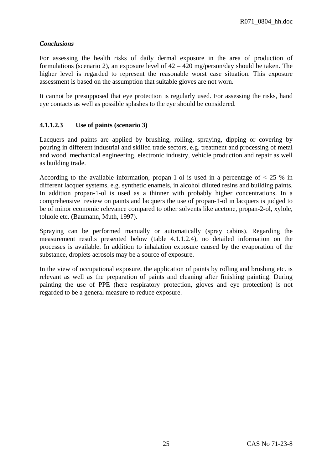### *Conclusions*

For assessing the health risks of daily dermal exposure in the area of production of formulations (scenario 2), an exposure level of  $42 - 420$  mg/person/day should be taken. The higher level is regarded to represent the reasonable worst case situation. This exposure assessment is based on the assumption that suitable gloves are not worn.

It cannot be presupposed that eye protection is regularly used. For assessing the risks, hand eye contacts as well as possible splashes to the eye should be considered.

#### **4.1.1.2.3 Use of paints (scenario 3)**

Lacquers and paints are applied by brushing, rolling, spraying, dipping or covering by pouring in different industrial and skilled trade sectors, e.g. treatment and processing of metal and wood, mechanical engineering, electronic industry, vehicle production and repair as well as building trade.

According to the available information, propan-1-ol is used in a percentage of  $\lt 25$  % in different lacquer systems, e.g. synthetic enamels, in alcohol diluted resins and building paints. In addition propan-1-ol is used as a thinner with probably higher concentrations. In a comprehensive review on paints and lacquers the use of propan-1-ol in lacquers is judged to be of minor economic relevance compared to other solvents like acetone, propan-2-ol, xylole, toluole etc. (Baumann, Muth, 1997).

Spraying can be performed manually or automatically (spray cabins). Regarding the measurement results presented below (table 4.1.1.2.4), no detailed information on the processes is available. In addition to inhalation exposure caused by the evaporation of the substance, droplets aerosols may be a source of exposure.

In the view of occupational exposure, the application of paints by rolling and brushing etc. is relevant as well as the preparation of paints and cleaning after finishing painting. During painting the use of PPE (here respiratory protection, gloves and eye protection) is not regarded to be a general measure to reduce exposure.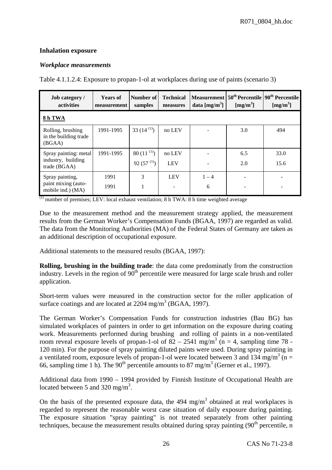# **Inhalation exposure**

# *Workplace measurements*

Table 4.1.1.2.4: Exposure to propan-1-ol at workplaces during use of paints (scenario 3)

| <b>Job category</b> /<br>activities                         | <b>Years of</b><br>measurement | Number of<br>samples               | <b>Technical</b><br>measures | data $[mg/m3]$ | [mg/m <sup>3</sup> ] | Measurement 50 <sup>th</sup> Percentile 90 <sup>th</sup> Percentile<br>[mg/m <sup>3</sup> ] |
|-------------------------------------------------------------|--------------------------------|------------------------------------|------------------------------|----------------|----------------------|---------------------------------------------------------------------------------------------|
| 8h TWA                                                      |                                |                                    |                              |                |                      |                                                                                             |
| Rolling, brushing<br>in the building trade<br>(BGAA)        | 1991-1995                      | 33 $(14^{(1)})$                    | no LEV                       |                | 3.0                  | 494                                                                                         |
| Spray painting: metal<br>industry, building<br>trade (BGAA) | 1991-1995                      | 80 $(11^{(1)})$<br>92 $(57^{(1)})$ | no LEV<br><b>LEV</b>         |                | 6.5<br>2.0           | 33.0<br>15.6                                                                                |
| Spray painting,<br>paint mixing (auto-<br>mobile ind.) (MA) | 1991<br>1991                   | 3                                  | <b>LEV</b>                   | $1 - 4$<br>6   |                      |                                                                                             |

 $\overline{^{(1)}}$  number of premises; LEV: local exhaust ventilation; 8 h TWA: 8 h time weighted average

Due to the measurement method and the measurement strategy applied, the measurement results from the German Worker's Compensation Funds (BGAA, 1997) are regarded as valid. The data from the Monitoring Authorities (MA) of the Federal States of Germany are taken as an additional description of occupational exposure.

Additional statements to the measured results (BGAA, 1997):

**Rolling, brushing in the building trade**: the data come predominatly from the construction industry. Levels in the region of  $90<sup>th</sup>$  percentile were measured for large scale brush and roller application.

Short-term values were measured in the construction sector for the roller application of surface coatings and are located at  $2204 \text{ mg/m}^3$  (BGAA, 1997).

The German Worker's Compensation Funds for construction industries (Bau BG) has simulated workplaces of painters in order to get information on the exposure during coating work. Measurements performed during brushing and rolling of paints in a non-ventilated room reveal exposure levels of propan-1-ol of  $82 - 2541$  mg/m<sup>3</sup> (n = 4, sampling time 78 -120 min). For the purpose of spray painting diluted paints were used. During spray painting in a ventilated room, exposure levels of propan-1-ol were located between 3 and 134 mg/m<sup>3</sup> (n = 66, sampling time 1 h). The 90<sup>th</sup> percentile amounts to 87 mg/m<sup>3</sup> (Gerner et al., 1997).

Additional data from 1990 – 1994 provided by Finnish Institute of Occupational Health are located between 5 and 320 mg/m<sup>3</sup>.

On the basis of the presented exposure data, the  $494 \text{ mg/m}^3$  obtained at real workplaces is regarded to represent the reasonable worst case situation of daily exposure during painting. The exposure situation "spray painting" is not treated separately from other painting techniques, because the measurement results obtained during spray painting  $(90<sup>th</sup>$  percentile, n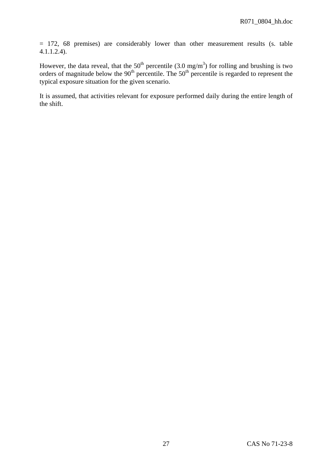= 172, 68 premises) are considerably lower than other measurement results (s. table 4.1.1.2.4).

However, the data reveal, that the 50<sup>th</sup> percentile (3.0 mg/m<sup>3</sup>) for rolling and brushing is two orders of magnitude below the  $90<sup>th</sup>$  percentile. The  $50<sup>th</sup>$  percentile is regarded to represent the typical exposure situation for the given scenario.

It is assumed, that activities relevant for exposure performed daily during the entire length of the shift.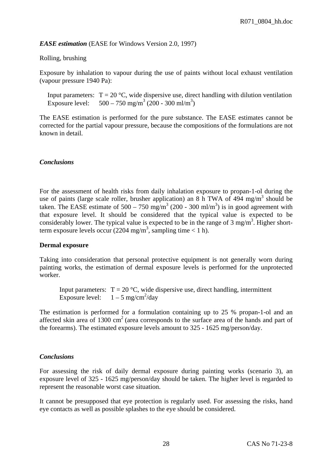### *EASE estimation* (EASE for Windows Version 2.0, 1997)

#### Rolling, brushing

Exposure by inhalation to vapour during the use of paints without local exhaust ventilation (vapour pressure 1940 Pa):

Input parameters:  $T = 20 \degree C$ , wide dispersive use, direct handling with dilution ventilation Exposure level:  $500 - 750$  mg/m<sup>3</sup> (200 - 300 ml/m<sup>3</sup>)

The EASE estimation is performed for the pure substance. The EASE estimates cannot be corrected for the partial vapour pressure, because the compositions of the formulations are not known in detail.

#### *Conclusions*

For the assessment of health risks from daily inhalation exposure to propan-1-ol during the use of paints (large scale roller, brusher application) an 8 h TWA of  $494 \text{ mg/m}^3$  should be taken. The EASE estimate of  $500 - 750$  mg/m<sup>3</sup> (200 - 300 ml/m<sup>3</sup>) is in good agreement with that exposure level. It should be considered that the typical value is expected to be considerably lower. The typical value is expected to be in the range of  $3 \text{ mg/m}^3$ . Higher shortterm exposure levels occur (2204 mg/m<sup>3</sup>, sampling time < 1 h).

#### **Dermal exposure**

Taking into consideration that personal protective equipment is not generally worn during painting works, the estimation of dermal exposure levels is performed for the unprotected worker.

Input parameters:  $T = 20 \degree C$ , wide dispersive use, direct handling, intermittent Exposure level:  $1-5$  mg/cm<sup>2</sup>/day

The estimation is performed for a formulation containing up to 25 % propan-1-ol and an affected skin area of  $1300 \text{ cm}^2$  (area corresponds to the surface area of the hands and part of the forearms). The estimated exposure levels amount to 325 - 1625 mg/person/day.

# *Conclusions*

For assessing the risk of daily dermal exposure during painting works (scenario 3), an exposure level of 325 - 1625 mg/person/day should be taken. The higher level is regarded to represent the reasonable worst case situation.

It cannot be presupposed that eye protection is regularly used. For assessing the risks, hand eye contacts as well as possible splashes to the eye should be considered.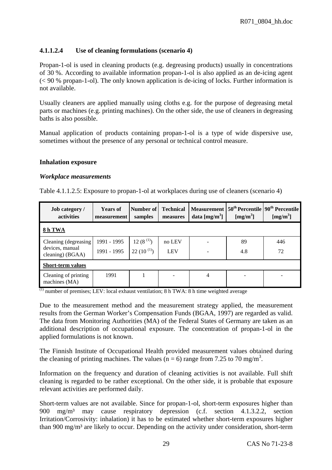# **4.1.1.2.4 Use of cleaning formulations (scenario 4)**

Propan-1-ol is used in cleaning products (e.g. degreasing products) usually in concentrations of 30 %. According to available information propan-1-ol is also applied as an de-icing agent (< 90 % propan-1-ol). The only known application is de-icing of locks. Further information is not available.

Usually cleaners are applied manually using cloths e.g. for the purpose of degreasing metal parts or machines (e.g. printing machines). On the other side, the use of cleaners in degreasing baths is also possible.

Manual application of products containing propan-1-ol is a type of wide dispersive use, sometimes without the presence of any personal or technical control measure.

#### **Inhalation exposure**

#### *Workplace measurements*

Table 4.1.1.2.5: Exposure to propan-1-ol at workplaces during use of cleaners (scenario 4)

| <b>Job category</b> /<br>activities                         | <b>Years of</b><br>measurement | Number of<br>samples            | <b>Technical</b><br>measures | data $[mg/m3]$ | [mg/m <sup>3</sup> ] | Measurement 50 <sup>th</sup> Percentile 90 <sup>th</sup> Percentile<br>[mg/m <sup>3</sup> ] |
|-------------------------------------------------------------|--------------------------------|---------------------------------|------------------------------|----------------|----------------------|---------------------------------------------------------------------------------------------|
| 8h TWA                                                      |                                |                                 |                              |                |                      |                                                                                             |
| Cleaning (degreasing<br>devices, manual<br>cleaning) (BGAA) | 1991 - 1995<br>1991 - 1995     | $12(8^{(1)})$<br>$22(10^{(1)})$ | no LEV<br><b>LEV</b>         |                | 89<br>4.8            | 446<br>72                                                                                   |
| <b>Short-term values</b>                                    |                                |                                 |                              |                |                      |                                                                                             |
| Cleaning of printing<br>machines (MA)                       | 1991                           |                                 | -                            | 4              |                      |                                                                                             |

 $\overline{^{(1)}}$  number of premises; LEV: local exhaust ventilation; 8 h TWA: 8 h time weighted average

Due to the measurement method and the measurement strategy applied, the measurement results from the German Worker's Compensation Funds (BGAA, 1997) are regarded as valid. The data from Monitoring Authorities (MA) of the Federal States of Germany are taken as an additional description of occupational exposure. The concentration of propan-1-ol in the applied formulations is not known.

The Finnish Institute of Occupational Health provided measurement values obtained during the cleaning of printing machines. The values  $(n = 6)$  range from 7.25 to 70 mg/m<sup>3</sup>.

Information on the frequency and duration of cleaning activities is not available. Full shift cleaning is regarded to be rather exceptional. On the other side, it is probable that exposure relevant activities are performed daily.

Short-term values are not available. Since for propan-1-ol, short-term exposures higher than 900 mg/m³ may cause respiratory depression (c.f. section 4.1.3.2.2, section Irritation/Corrosivity: inhalation) it has to be estimated whether short-term exposures higher than 900 mg/m<sup>3</sup> are likely to occur. Depending on the activity under consideration, short-term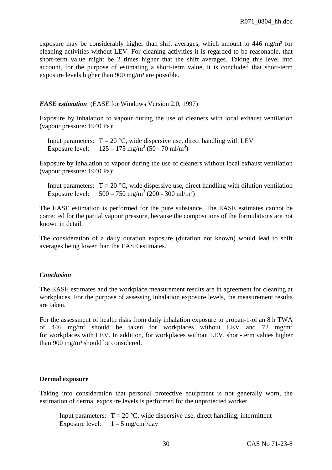exposure may be considerably higher than shift averages, which amount to  $446 \text{ mg/m}^3$  for cleaning activities without LEV. For cleaning activities it is regarded to be reasonable, that short-term value might be 2 times higher that the shift averages. Taking this level into account, for the purpose of estimating a short-term value, it is concluded that short-term exposure levels higher than  $900 \text{ mg/m}^3$  are possible.

#### *EASE estimation* (EASE for Windows Version 2.0, 1997)

Exposure by inhalation to vapour during the use of cleaners with local exhaust ventilation (vapour pressure: 1940 Pa):

Input parameters:  $T = 20$  °C, wide dispersive use, direct handling with LEV Exposure level:  $125 - 175$  mg/m<sup>3</sup> (50 - 70 ml/m<sup>3</sup>)

Exposure by inhalation to vapour during the use of cleaners without local exhaust ventilation (vapour pressure: 1940 Pa):

Input parameters:  $T = 20 \degree C$ , wide dispersive use, direct handling with dilution ventilation Exposure level:  $500 - 750$  mg/m<sup>3</sup> (200 - 300 ml/m<sup>3</sup>)

The EASE estimation is performed for the pure substance. The EASE estimates cannot be corrected for the partial vapour pressure, because the compositions of the formulations are not known in detail.

The consideration of a daily duration exposure (duration not known) would lead to shift averages being lower than the EASE estimates.

# *Conclusion*

The EASE estimates and the workplace measurement results are in agreement for cleaning at workplaces. For the purpose of assessing inhalation exposure levels, the measurement results are taken.

For the assessment of health risks from daily inhalation exposure to propan-1-ol an 8 h TWA of 446 mg/m<sup>3</sup> should be taken for workplaces without LEV and 72 mg/m<sup>3</sup> for workplaces with LEV. In addition, for workplaces without LEV, short-term values higher than 900 mg/m<sup>3</sup> should be considered.

#### **Dermal exposure**

Taking into consideration that personal protective equipment is not generally worn, the estimation of dermal exposure levels is performed for the unprotected worker.

Input parameters:  $T = 20 \degree C$ , wide dispersive use, direct handling, intermittent Exposure level:  $1 - 5$  mg/cm<sup>2</sup>/day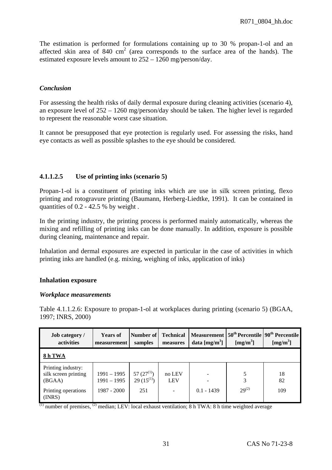The estimation is performed for formulations containing up to 30 % propan-1-ol and an affected skin area of  $840 \text{ cm}^2$  (area corresponds to the surface area of the hands). The estimated exposure levels amount to 252 – 1260 mg/person/day.

# *Conclusion*

For assessing the health risks of daily dermal exposure during cleaning activities (scenario 4), an exposure level of 252 – 1260 mg/person/day should be taken. The higher level is regarded to represent the reasonable worst case situation.

It cannot be presupposed that eye protection is regularly used. For assessing the risks, hand eye contacts as well as possible splashes to the eye should be considered.

# **4.1.1.2.5 Use of printing inks (scenario 5)**

Propan-1-ol is a constituent of printing inks which are use in silk screen printing, flexo printing and rotogravure printing (Baumann, Herberg-Liedtke, 1991). It can be contained in quantities of  $0.2 - 42.5$  % by weight.

In the printing industry, the printing process is performed mainly automatically, whereas the mixing and refilling of printing inks can be done manually. In addition, exposure is possible during cleaning, maintenance and repair.

Inhalation and dermal exposures are expected in particular in the case of activities in which printing inks are handled (e.g. mixing, weighing of inks, application of inks)

# **Inhalation exposure**

#### *Workplace measurements*

Table 4.1.1.2.6: Exposure to propan-1-ol at workplaces during printing (scenario 5) (BGAA, 1997; INRS, 2000)

| <b>Job category</b> /<br>activities                  | <b>Years of</b><br>measurement | Number of<br>samples              | <b>Technical</b><br>measures | data $[mg/m3]$           | [mg/m <sup>3</sup> ] | Measurement 50 <sup>th</sup> Percentile 90 <sup>th</sup> Percentile<br>[mg/m <sup>3</sup> ] |
|------------------------------------------------------|--------------------------------|-----------------------------------|------------------------------|--------------------------|----------------------|---------------------------------------------------------------------------------------------|
| 8h TWA                                               |                                |                                   |                              |                          |                      |                                                                                             |
| Printing industry:<br>silk screen printing<br>(BGAA) | $1991 - 1995$<br>$1991 - 1995$ | 57 $(27^{(1)})$<br>$29(15^{(1)})$ | no LEV<br><b>LEV</b>         | $\overline{\phantom{a}}$ | 5<br>3               | 18<br>82                                                                                    |
| Printing operations<br>(INRS)                        | 1987 - 2000                    | 251                               | $\overline{\phantom{a}}$     | $0.1 - 1439$             | $29^{(2)}$           | 109                                                                                         |

 $\frac{1}{10}$  number of premises,  $\frac{1}{2}$  median; LEV: local exhaust ventilation; 8 h TWA: 8 h time weighted average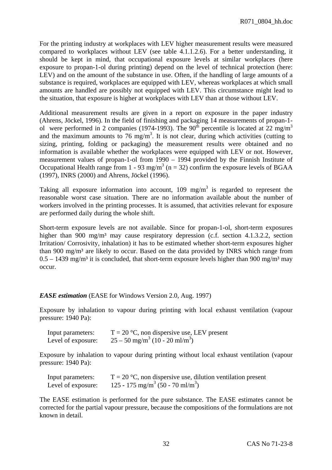For the printing industry at workplaces with LEV higher measurement results were measured compared to workplaces without LEV (see table 4.1.1.2.6). For a better understanding, it should be kept in mind, that occupational exposure levels at similar workplaces (here exposure to propan-1-ol during printing) depend on the level of technical protection (here: LEV) and on the amount of the substance in use. Often, if the handling of large amounts of a substance is required, workplaces are equipped with LEV, whereas workplaces at which small amounts are handled are possibly not equipped with LEV. This circumstance might lead to the situation, that exposure is higher at workplaces with LEV than at those without LEV.

Additional measurement results are given in a report on exposure in the paper industry (Ahrens, Jöckel, 1996). In the field of finishing and packaging 14 measurements of propan-1 ol were performed in 2 companies (1974-1993). The 90<sup>th</sup> percentile is located at 22 mg/m<sup>3</sup> and the maximum amounts to 76 mg/m<sup>3</sup>. It is not clear, during which activities (cutting to sizing, printing, folding or packaging) the measurement results were obtained and no information is available whether the workplaces were equipped with LEV or not. However, measurement values of propan-1-ol from 1990 – 1994 provided by the Finnish Institute of Occupational Health range from 1 - 93 mg/m<sup>3</sup> (n = 32) confirm the exposure levels of BGAA (1997), INRS (2000) and Ahrens, Jöckel (1996).

Taking all exposure information into account,  $109 \text{ mg/m}^3$  is regarded to represent the reasonable worst case situation. There are no information available about the number of workers involved in the printing processes. It is assumed, that activities relevant for exposure are performed daily during the whole shift.

Short-term exposure levels are not available. Since for propan-1-ol, short-term exposures higher than 900 mg/m<sup>3</sup> may cause respiratory depression (c.f. section 4.1.3.2.2, section Irritation/ Corrosivity, inhalation) it has to be estimated whether short-term exposures higher than 900 mg/m<sup>3</sup> are likely to occur. Based on the data provided by INRS which range from  $0.5 - 1439$  mg/m<sup>3</sup> it is concluded, that short-term exposure levels higher than 900 mg/m<sup>3</sup> may occur.

# *EASE estimation* (EASE for Windows Version 2.0, Aug. 1997)

Exposure by inhalation to vapour during printing with local exhaust ventilation (vapour pressure: 1940 Pa):

| Input parameters:  | $T = 20$ °C, non dispersive use, LEV present             |
|--------------------|----------------------------------------------------------|
| Level of exposure: | $25 - 50$ mg/m <sup>3</sup> (10 - 20 ml/m <sup>3</sup> ) |

Exposure by inhalation to vapour during printing without local exhaust ventilation (vapour pressure: 1940 Pa):

| Input parameters:  | $T = 20$ °C, non dispersive use, dilution ventilation present |
|--------------------|---------------------------------------------------------------|
| Level of exposure: | 125 - 175 mg/m <sup>3</sup> (50 - 70 ml/m <sup>3</sup> )      |

The EASE estimation is performed for the pure substance. The EASE estimates cannot be corrected for the partial vapour pressure, because the compositions of the formulations are not known in detail.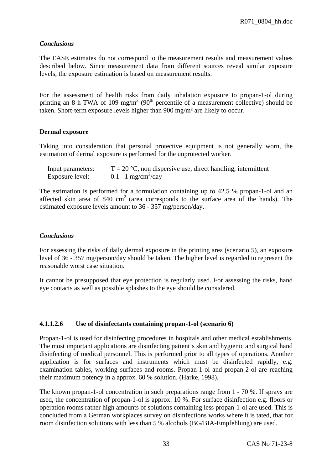# *Conclusions*

The EASE estimates do not correspond to the measurement results and measurement values described below. Since measurement data from different sources reveal similar exposure levels, the exposure estimation is based on measurement results.

For the assessment of health risks from daily inhalation exposure to propan-1-ol during printing an 8 h TWA of 109 mg/m<sup>3</sup> (90<sup>th</sup> percentile of a measurement collective) should be taken. Short-term exposure levels higher than 900 mg/m<sup>3</sup> are likely to occur.

# **Dermal exposure**

Taking into consideration that personal protective equipment is not generally worn, the estimation of dermal exposure is performed for the unprotected worker.

| Input parameters: | $T = 20$ °C, non dispersive use, direct handling, intermittent |
|-------------------|----------------------------------------------------------------|
| Exposure level:   | $0.1 - 1$ mg/cm <sup>2</sup> /day                              |

The estimation is performed for a formulation containing up to 42.5 % propan-1-ol and an affected skin area of  $840 \text{ cm}^2$  (area corresponds to the surface area of the hands). The estimated exposure levels amount to 36 - 357 mg/person/day.

# *Conclusions*

For assessing the risks of daily dermal exposure in the printing area (scenario 5), an exposure level of 36 - 357 mg/person/day should be taken. The higher level is regarded to represent the reasonable worst case situation.

It cannot be presupposed that eye protection is regularly used. For assessing the risks, hand eye contacts as well as possible splashes to the eye should be considered.

# **4.1.1.2.6 Use of disinfectants containing propan-1-ol (scenario 6)**

Propan-1-ol is used for disinfecting procedures in hospitals and other medical establishments. The most important applications are disinfecting patient's skin and hygienic and surgical hand disinfecting of medical personnel. This is performed prior to all types of operations. Another application is for surfaces and instruments which must be disinfected rapidly, e.g. examination tables, working surfaces and rooms. Propan-1-ol and propan-2-ol are reaching their maximum potency in a approx. 60 % solution. (Harke, 1998).

The known propan-1-ol concentration in such preparations range from 1 - 70 %. If sprays are used, the concentration of propan-1-ol is approx. 10 %. For surface disinfection e.g. floors or operation rooms rather high amounts of solutions containing less propan-1-ol are used. This is concluded from a German workplaces survey on disinfections works where it is tated, that for room disinfection solutions with less than 5 % alcohols (BG/BIA-Empfehlung) are used.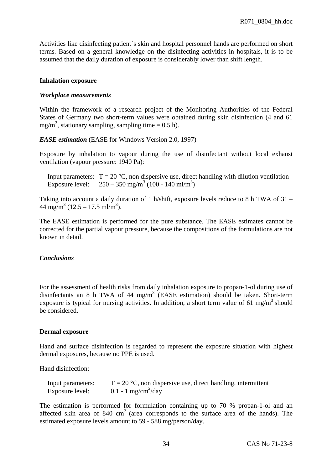Activities like disinfecting patient`s skin and hospital personnel hands are performed on short terms. Based on a general knowledge on the disinfecting activities in hospitals, it is to be assumed that the daily duration of exposure is considerably lower than shift length.

#### **Inhalation exposure**

#### *Workplace measurements*

Within the framework of a research project of the Monitoring Authorities of the Federal States of Germany two short-term values were obtained during skin disinfection (4 and 61 mg/m<sup>3</sup>, stationary sampling, sampling time =  $0.5$  h).

*EASE estimation* (EASE for Windows Version 2.0, 1997)

Exposure by inhalation to vapour during the use of disinfectant without local exhaust ventilation (vapour pressure: 1940 Pa):

Input parameters:  $T = 20 \degree C$ , non dispersive use, direct handling with dilution ventilation Exposure level:  $250 - 350$  mg/m<sup>3</sup> (100 - 140 ml/m<sup>3</sup>)

Taking into account a daily duration of 1 h/shift, exposure levels reduce to 8 h TWA of 31 –  $44 \text{ mg/m}^3 (12.5 - 17.5 \text{ ml/m}^3)$ .

The EASE estimation is performed for the pure substance. The EASE estimates cannot be corrected for the partial vapour pressure, because the compositions of the formulations are not known in detail.

#### *Conclusions*

For the assessment of health risks from daily inhalation exposure to propan-1-ol during use of disinfectants an 8 h TWA of 44 mg/m<sup>3</sup> (EASE estimation) should be taken. Short-term exposure is typical for nursing activities. In addition, a short term value of 61 mg/m<sup>3</sup> should be considered.

#### **Dermal exposure**

Hand and surface disinfection is regarded to represent the exposure situation with highest dermal exposures, because no PPE is used.

Hand disinfection:

| Input parameters: | $T = 20$ °C, non dispersive use, direct handling, intermittent |
|-------------------|----------------------------------------------------------------|
| Exposure level:   | $0.1 - 1$ mg/cm <sup>2</sup> /day                              |

The estimation is performed for formulation containing up to 70 % propan-1-ol and an affected skin area of  $840 \text{ cm}^2$  (area corresponds to the surface area of the hands). The estimated exposure levels amount to 59 - 588 mg/person/day.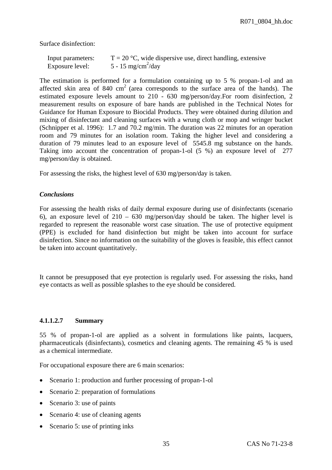Surface disinfection:

| Input parameters: | $T = 20$ °C, wide dispersive use, direct handling, extensive |
|-------------------|--------------------------------------------------------------|
| Exposure level:   | 5 - 15 mg/cm <sup>2</sup> /day                               |

The estimation is performed for a formulation containing up to 5 % propan-1-ol and an affected skin area of  $840 \text{ cm}^2$  (area corresponds to the surface area of the hands). The estimated exposure levels amount to 210 - 630 mg/person/day.For room disinfection, 2 measurement results on exposure of bare hands are published in the Technical Notes for Guidance for Human Exposure to Biocidal Products. They were obtained during dilution and mixing of disinfectant and cleaning surfaces with a wrung cloth or mop and wringer bucket (Schnipper et al. 1996): 1.7 and 70.2 mg/min. The duration was 22 minutes for an operation room and 79 minutes for an isolation room. Taking the higher level and considering a duration of 79 minutes lead to an exposure level of 5545.8 mg substance on the hands. Taking into account the concentration of propan-1-ol (5 %) an exposure level of 277 mg/person/day is obtained.

For assessing the risks, the highest level of 630 mg/person/day is taken.

#### *Conclusions*

For assessing the health risks of daily dermal exposure during use of disinfectants (scenario 6), an exposure level of 210 – 630 mg/person/day should be taken. The higher level is regarded to represent the reasonable worst case situation. The use of protective equipment (PPE) is excluded for hand disinfection but might be taken into account for surface disinfection. Since no information on the suitability of the gloves is feasible, this effect cannot be taken into account quantitatively.

It cannot be presupposed that eye protection is regularly used. For assessing the risks, hand eye contacts as well as possible splashes to the eye should be considered.

#### **4.1.1.2.7 Summary**

55 % of propan-1-ol are applied as a solvent in formulations like paints, lacquers, pharmaceuticals (disinfectants), cosmetics and cleaning agents. The remaining 45 % is used as a chemical intermediate.

For occupational exposure there are 6 main scenarios:

- Scenario 1: production and further processing of propan-1-ol
- Scenario 2: preparation of formulations
- Scenario 3: use of paints
- Scenario 4: use of cleaning agents
- Scenario 5: use of printing inks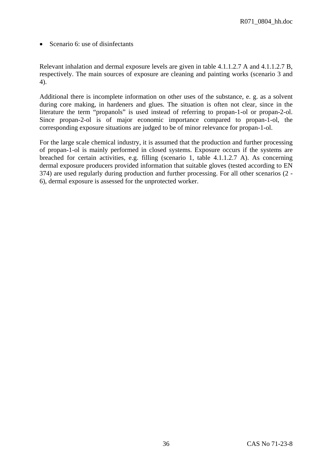• Scenario 6: use of disinfectants

Relevant inhalation and dermal exposure levels are given in table 4.1.1.2.7 A and 4.1.1.2.7 B, respectively. The main sources of exposure are cleaning and painting works (scenario 3 and 4).

Additional there is incomplete information on other uses of the substance, e. g. as a solvent during core making, in hardeners and glues. The situation is often not clear, since in the literature the term "propanols" is used instead of referring to propan-1-ol or propan-2-ol. Since propan-2-ol is of major economic importance compared to propan-1-ol, the corresponding exposure situations are judged to be of minor relevance for propan-1-ol.

For the large scale chemical industry, it is assumed that the production and further processing of propan-1-ol is mainly performed in closed systems. Exposure occurs if the systems are breached for certain activities, e.g. filling (scenario 1, table 4.1.1.2.7 A). As concerning dermal exposure producers provided information that suitable gloves (tested according to EN 374) are used regularly during production and further processing. For all other scenarios (2 - 6), dermal exposure is assessed for the unprotected worker.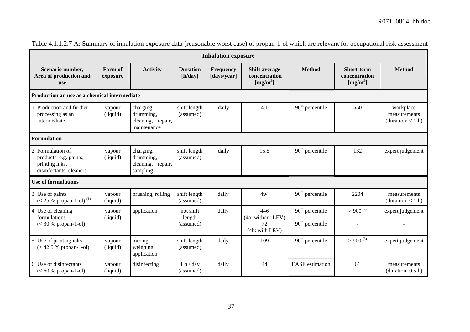| <b>Inhalation exposure</b>                                                               |                     |                                                            |                                  |                                 |                                                               |                                                  |                                                            |                                                  |
|------------------------------------------------------------------------------------------|---------------------|------------------------------------------------------------|----------------------------------|---------------------------------|---------------------------------------------------------------|--------------------------------------------------|------------------------------------------------------------|--------------------------------------------------|
| Scenario number,<br>Area of production and<br><b>use</b>                                 | Form of<br>exposure | <b>Activity</b>                                            | <b>Duration</b><br>[h/day]       | <b>Frequency</b><br>[days/year] | <b>Shift average</b><br>concentration<br>[mg/m <sup>3</sup> ] | <b>Method</b>                                    | <b>Short-term</b><br>concentration<br>[mg/m <sup>3</sup> ] | <b>Method</b>                                    |
| Production an use as a chemical intermediate                                             |                     |                                                            |                                  |                                 |                                                               |                                                  |                                                            |                                                  |
| 1. Production and further<br>processing as an<br>intermediate                            | vapour<br>(liquid)  | charging,<br>drumming,<br>cleaning, repair,<br>maintenance | shift length<br>(assumed)        | daily                           | 4.1                                                           | $90th$ percentile                                | 550                                                        | workplace<br>measurements<br>(duration: $< 1$ h) |
| Formulation                                                                              |                     |                                                            |                                  |                                 |                                                               |                                                  |                                                            |                                                  |
| 2. Formulation of<br>products, e.g. paints,<br>printing inks,<br>disinfectants, cleaners | vapour<br>(liquid)  | charging,<br>drumming,<br>cleaning, repair,<br>sampling    | shift length<br>(assumed)        | daily                           | 15.5                                                          | $90th$ percentile                                | 132                                                        | expert judgement                                 |
| <b>Use of formulations</b>                                                               |                     |                                                            |                                  |                                 |                                                               |                                                  |                                                            |                                                  |
| 3. Use of paints<br>$(< 25 %$ propan-1-ol) <sup>(1)</sup>                                | vapour<br>(liquid)  | brushing, rolling                                          | shift length<br>(assumed)        | daily                           | 494                                                           | $90th$ percentile                                | 2204                                                       | measurements<br>(duration: $< 1$ h)              |
| 4. Use of cleaning<br>formulations<br>$(< 30 %$ propan-1-ol)                             | vapour<br>(liquid)  | application                                                | not shift<br>length<br>(assumed) | daily                           | 446<br>(4a: without LEV)<br>72<br>(4b: with LEV)              | $90th$ percentile<br>90 <sup>th</sup> percentile | $> 900^{(2)}$<br>$\sim$                                    | expert judgement                                 |
| 5. Use of printing inks<br>$(< 42.5 %$ propan-1-ol)                                      | vapour<br>(liquid)  | mixing,<br>weighing,<br>application                        | shift length<br>(assumed)        | daily                           | 109                                                           | $90th$ percentile                                | $>900^{(3)}$                                               | expert judgement                                 |
| 6. Use of disinfectants<br>$(< 60 %$ propan-1-ol)                                        | vapour<br>(liquid)  | disinfecting                                               | 1 h / day<br>(assumed)           | daily                           | 44                                                            | <b>EASE</b> estimation                           | 61                                                         | measurements<br>(duration: $0.5$ h)              |

Table 4.1.1.2.7 A: Summary of inhalation exposure data (reasonable worst case) of propan-1-ol which are relevant for occupational risk assessment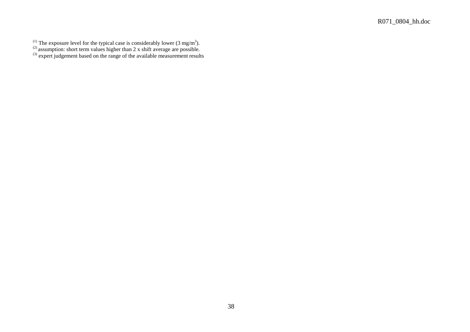- <sup>(1)</sup> The exposure level for the typical case is considerably lower (3 mg/m<sup>3</sup>).
- $^{(2)}$  assumption: short term values higher than 2 x shift average are possible.
- $(3)$  expert judgement based on the range of the available measurement results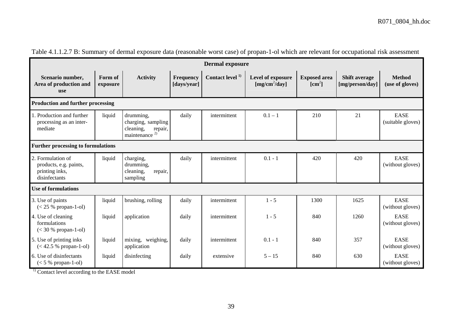| <b>Dermal exposure</b>                                                         |                     |                                                                                      |                                 |                             |                                      |                                      |                                         |                                  |
|--------------------------------------------------------------------------------|---------------------|--------------------------------------------------------------------------------------|---------------------------------|-----------------------------|--------------------------------------|--------------------------------------|-----------------------------------------|----------------------------------|
| Scenario number,<br>Area of production and<br>use                              | Form of<br>exposure | <b>Activity</b>                                                                      | <b>Frequency</b><br>[days/year] | Contact level <sup>1)</sup> | Level of exposure<br>$[mg/cm^2/day]$ | <b>Exposed</b> area<br>$\text{cm}^2$ | <b>Shift average</b><br>[mg/person/day] | <b>Method</b><br>(use of gloves) |
| <b>Production and further processing</b>                                       |                     |                                                                                      |                                 |                             |                                      |                                      |                                         |                                  |
| L. Production and further<br>processing as an inter-<br>mediate                | liquid              | drumming,<br>charging, sampling<br>cleaning,<br>repair,<br>maintenance <sup>2)</sup> | daily                           | intermittent                | $0.1 - 1$                            | 210                                  | 21                                      | <b>EASE</b><br>(suitable gloves) |
| <b>Further processing to formulations</b>                                      |                     |                                                                                      |                                 |                             |                                      |                                      |                                         |                                  |
| 2. Formulation of<br>products, e.g. paints,<br>printing inks,<br>disinfectants | liquid              | charging,<br>drumming,<br>cleaning,<br>repair,<br>sampling                           | daily                           | intermittent                | $0.1 - 1$                            | 420                                  | 420                                     | <b>EASE</b><br>(without gloves)  |
| <b>Use of formulations</b>                                                     |                     |                                                                                      |                                 |                             |                                      |                                      |                                         |                                  |
| 3. Use of paints<br>$(< 25 %$ propan-1-ol)                                     | liquid              | brushing, rolling                                                                    | daily                           | intermittent                | $1 - 5$                              | 1300                                 | 1625                                    | <b>EASE</b><br>(without gloves)  |
| 4. Use of cleaning<br>formulations<br>$(< 30 %$ propan-1-ol)                   | liquid              | application                                                                          | daily                           | intermittent                | $1 - 5$                              | 840                                  | 1260                                    | <b>EASE</b><br>(without gloves)  |
| 5. Use of printing inks<br>$(< 42.5 %$ propan-1-ol)                            | liquid              | mixing, weighing,<br>application                                                     | daily                           | intermittent                | $0.1 - 1$                            | 840                                  | 357                                     | <b>EASE</b><br>(without gloves)  |
| 6. Use of disinfectants<br>$(< 5 %$ propan-1-ol)                               | liquid              | disinfecting                                                                         | daily                           | extensive                   | $5 - 15$                             | 840                                  | 630                                     | <b>EASE</b><br>(without gloves)  |

Table 4.1.1.2.7 B: Summary of dermal exposure data (reasonable worst case) of propan-1-ol which are relevant for occupational risk assessment

 $<sup>1)</sup>$  Contact level according to the EASE model</sup>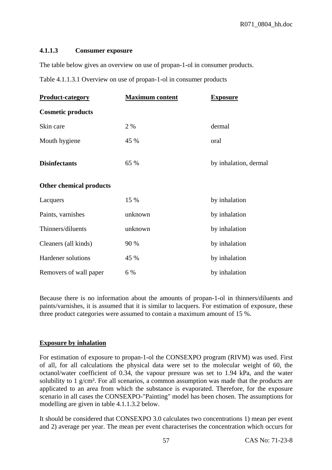### **4.1.1.3 Consumer exposure**

The table below gives an overview on use of propan-1-ol in consumer products.

Table 4.1.1.3.1 Overview on use of propan-1-ol in consumer products

| <b>Product-category</b>        | <b>Maximum content</b> | <b>Exposure</b>       |
|--------------------------------|------------------------|-----------------------|
| <b>Cosmetic products</b>       |                        |                       |
| Skin care                      | 2 %                    | dermal                |
| Mouth hygiene                  | 45 %                   | oral                  |
| <b>Disinfectants</b>           | 65 %                   | by inhalation, dermal |
| <b>Other chemical products</b> |                        |                       |
| Lacquers                       | 15 %                   | by inhalation         |
| Paints, varnishes              | unknown                | by inhalation         |
| Thinners/diluents              | unknown                | by inhalation         |
| Cleaners (all kinds)           | 90 %                   | by inhalation         |
| Hardener solutions             | 45 %                   | by inhalation         |
| Removers of wall paper         | 6 %                    | by inhalation         |

Because there is no information about the amounts of propan-1-ol in thinners/diluents and paints/varnishes, it is assumed that it is similar to lacquers. For estimation of exposure, these three product categories were assumed to contain a maximum amount of 15 %.

# **Exposure by inhalation**

For estimation of exposure to propan-1-ol the CONSEXPO program (RIVM) was used. First of all, for all calculations the physical data were set to the molecular weight of 60, the octanol/water coefficient of 0.34, the vapour pressure was set to 1.94 kPa, and the water solubility to 1  $g/cm<sup>3</sup>$ . For all scenarios, a common assumption was made that the products are applicated to an area from which the substance is evaporated. Therefore, for the exposure scenario in all cases the CONSEXPO-"Painting" model has been chosen. The assumptions for modelling are given in table 4.1.1.3.2 below.

It should be considered that CONSEXPO 3.0 calculates two concentrations 1) mean per event and 2) average per year. The mean per event characterises the concentration which occurs for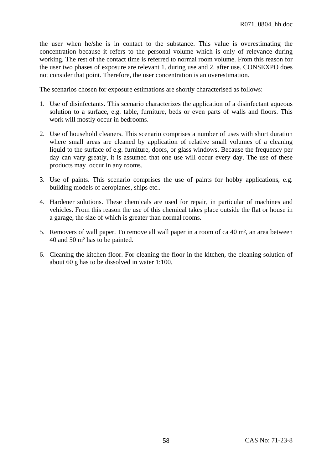the user when he/she is in contact to the substance. This value is overestimating the concentration because it refers to the personal volume which is only of relevance during working. The rest of the contact time is referred to normal room volume. From this reason for the user two phases of exposure are relevant 1. during use and 2. after use. CONSEXPO does not consider that point. Therefore, the user concentration is an overestimation.

The scenarios chosen for exposure estimations are shortly characterised as follows:

- 1. Use of disinfectants. This scenario characterizes the application of a disinfectant aqueous solution to a surface, e.g. table, furniture, beds or even parts of walls and floors. This work will mostly occur in bedrooms.
- 2. Use of household cleaners. This scenario comprises a number of uses with short duration where small areas are cleaned by application of relative small volumes of a cleaning liquid to the surface of e.g. furniture, doors, or glass windows. Because the frequency per day can vary greatly, it is assumed that one use will occur every day. The use of these products may occur in any rooms.
- 3. Use of paints. This scenario comprises the use of paints for hobby applications, e.g. building models of aeroplanes, ships etc..
- 4. Hardener solutions. These chemicals are used for repair, in particular of machines and vehicles. From this reason the use of this chemical takes place outside the flat or house in a garage, the size of which is greater than normal rooms.
- 5. Removers of wall paper. To remove all wall paper in a room of ca 40 m², an area between 40 and 50 m² has to be painted.
- 6. Cleaning the kitchen floor. For cleaning the floor in the kitchen, the cleaning solution of about 60 g has to be dissolved in water 1:100.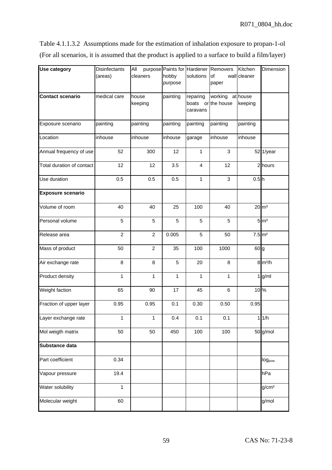Table 4.1.1.3.2 Assumptions made for the estimation of inhalation exposure to propan-1-ol (For all scenarios, it is assumed that the product is applied to a surface to build a film/layer)

| <b>Use category</b>       | <b>Disinfectants</b><br>(areas) | All<br>cleaners  | hobby<br>purpose | solutions                                  | purpose Paints for Hardener Removers<br>of<br>paper | Kitchen<br>wall cleaner | Dimension           |
|---------------------------|---------------------------------|------------------|------------------|--------------------------------------------|-----------------------------------------------------|-------------------------|---------------------|
| <b>Contact scenario</b>   | medical care                    | house<br>keeping | painting         | reparing<br>boats or the house<br>caravans | working                                             | at house<br>keeping     |                     |
| Exposure scenario         | painting                        | painting         | painting         | painting                                   | painting                                            | painting                |                     |
| Location                  | inhouse                         | inhouse          | inhouse          | garage                                     | inhouse                                             | inhouse                 |                     |
| Annual frequency of use   | 52                              | 300              | 12               | 1                                          | 3                                                   |                         | 52 1/year           |
| Total duration of contact | 12                              | 12               | 3.5              | 4                                          | 12                                                  |                         | 2 hours             |
| Use duration              | 0.5                             | 0.5              | 0.5              | 1                                          | 3                                                   | 0.5 <sub>h</sub>        |                     |
| <b>Exposure scenario</b>  |                                 |                  |                  |                                            |                                                     |                         |                     |
| Volume of room            | 40                              | 40               | 25               | 100                                        | 40                                                  |                         | $20 \text{ m}^3$    |
| Personal volume           | 5                               | 5                | 5                | 5                                          | 5                                                   |                         | $5 \, \mathrm{m}^3$ |
| Release area              | $\overline{c}$                  | $\overline{c}$   | 0.005            | 5                                          | 50                                                  | $7.5 \, \mathrm{m}^2$   |                     |
| Mass of product           | 50                              | $\overline{c}$   | 35               | 100                                        | 1000                                                | 60g                     |                     |
| Air exchange rate         | 8                               | 8                | 5                | 20                                         | 8                                                   |                         | $8 \text{ m}^3/h$   |
| Product density           | 1                               | 1                | 1                | 1                                          | 1                                                   |                         | $1$ g/ml            |
| Weight faction            | 65                              | 90               | 17               | 45                                         | 6                                                   | 10%                     |                     |
| Fraction of upper layer   | 0.95                            | 0.95             | 0.1              | 0.30                                       | 0.50                                                | 0.95                    |                     |
| Layer exchange rate       | 1                               | 1                | 0.4              | 0.1                                        | 0.1                                                 |                         | 1/h                 |
| Mol weigth matrix         | 50                              | 50               | 450              | 100                                        | 100                                                 |                         | 50 g/mol            |
| Substance data            |                                 |                  |                  |                                            |                                                     |                         |                     |
| Part coefficient          | 0.34                            |                  |                  |                                            |                                                     |                         | log <sub>pow</sub>  |
| Vapour pressure           | 19.4                            |                  |                  |                                            |                                                     |                         | hPa                 |
| Water solubility          | 1                               |                  |                  |                                            |                                                     |                         | g/cm <sup>3</sup>   |
| Molecular weight          | 60                              |                  |                  |                                            |                                                     |                         | g/mol               |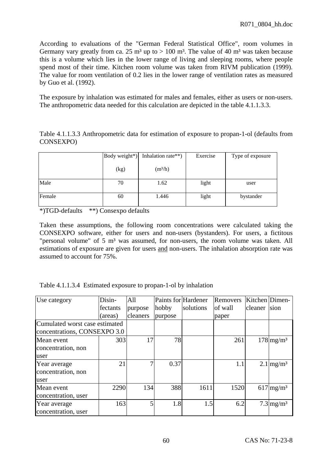According to evaluations of the "German Federal Statistical Office", room volumes in Germany vary greatly from ca. 25 m<sup>3</sup> up to  $> 100$  m<sup>3</sup>. The value of 40 m<sup>3</sup> was taken because this is a volume which lies in the lower range of living and sleeping rooms, where people spend most of their time. Kitchen room volume was taken from RIVM publication (1999). The value for room ventilation of 0.2 lies in the lower range of ventilation rates as measured by Guo et al. (1992).

The exposure by inhalation was estimated for males and females, either as users or non-users. The anthropometric data needed for this calculation are depicted in the table 4.1.1.3.3.

Table 4.1.1.3.3 Anthropometric data for estimation of exposure to propan-1-ol (defaults from CONSEXPO)

|        | Body weight*) | Inhalation rate**) | Exercise | Type of exposure |  |
|--------|---------------|--------------------|----------|------------------|--|
|        | (kg)          | $(m^3/h)$          |          |                  |  |
| Male   | 70            | 1.62               | light    | user             |  |
| Female | 60            | 1.446              | light    | bystander        |  |

\*)TGD-defaults \*\*) Consexpo defaults

Taken these assumptions, the following room concentrations were calculated taking the CONSEXPO software, either for users and non-users (bystanders). For users, a fictitous "personal volume" of 5 m<sup>3</sup> was assumed, for non-users, the room volume was taken. All estimations of exposure are given for users and non-users. The inhalation absorption rate was assumed to account for 75%.

|  |  |  |  | Table 4.1.1.3.4 Estimated exposure to propan-1-ol by inhalation |
|--|--|--|--|-----------------------------------------------------------------|
|--|--|--|--|-----------------------------------------------------------------|

| Use category                                                   | Disin-   | All      | Paints for Hardener |           | Removers | Kitchen Dimen- |                         |
|----------------------------------------------------------------|----------|----------|---------------------|-----------|----------|----------------|-------------------------|
|                                                                | fectants | purpose  | hobby               | solutions | of wall  | cleaner        | sion                    |
|                                                                | (areas)  | cleaners | purpose             |           | paper    |                |                         |
| Cumulated worst case estimated<br>concentrations, CONSEXPO 3.0 |          |          |                     |           |          |                |                         |
| Mean event<br>concentration, non<br>user                       | 303      | 17       | 78                  |           | 261      |                | $178 \text{mg/m}^3$     |
| Year average<br>concentration, non<br>user                     | 21       |          | 0.37                |           | 1.1      |                | $2.1 \text{mg/m}^3$     |
| Mean event<br>concentration, user                              | 2290     | 134      | 388                 | 1611      | 1520     |                | $617$ mg/m <sup>3</sup> |
| Year average<br>concentration, user                            | 163      | 5        | 1.8                 | 1.5       | 6.2      |                | $7.3 \text{mg/m}^3$     |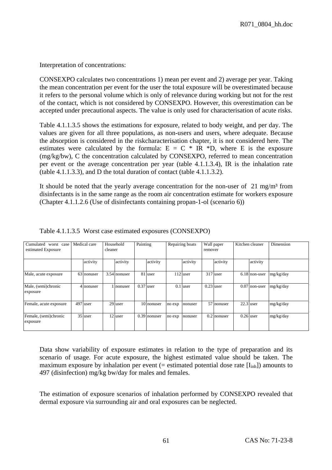Interpretation of concentrations:

CONSEXPO calculates two concentrations 1) mean per event and 2) average per year. Taking the mean concentration per event for the user the total exposure will be overestimated because it refers to the personal volume which is only of relevance during working but not for the rest of the contact, which is not considered by CONSEXPO. However, this overestimation can be accepted under precautional aspects. The value is only used for characterisation of acute risks.

Table 4.1.1.3.5 shows the estimations for exposure, related to body weight, and per day. The values are given for all three populations, as non-users and users, where adequate. Because the absorption is considered in the riskcharacterisation chapter, it is not considered here. The estimates were calculated by the formula:  $E = C * IR *D$ , where E is the exposure (mg/kg/bw), C the concentration calculated by CONSEXPO, referred to mean concentration per event or the average concentration per year (table 4.1.1.3.4), IR is the inhalation rate (table 4.1.1.3.3), and D the total duration of contact (table 4.1.1.3.2).

It should be noted that the yearly average concentration for the non-user of  $21 \text{ mg/m}^3$  from disinfectants is in the same range as the room air concentration estimate for workers exposure (Chapter 4.1.1.2.6 (Use of disinfectants containing propan-1-ol (scenario 6))

| Cumulated<br>worst case<br>estimated Exposure | Medical care | cleaner | Household    | Painting |                |        | Repairing boats | remover     | Wall paper    | Kitchen cleaner | Dimension |
|-----------------------------------------------|--------------|---------|--------------|----------|----------------|--------|-----------------|-------------|---------------|-----------------|-----------|
|                                               | activity     |         | activity     |          | activity       |        | activity        |             | activity      | activity        |           |
| Male, acute exposure                          | 63 nonuser   |         | 3.54 nonuser |          | 81 user        |        | $112$ user      |             | $317$ user    | 6.18 non-user   | mg/kg/day |
| Male, (semi)chronic<br>exposure               | 4 nonuser    |         | nonuser      |          | $0.37$ user    |        | $0.1$ user      | $0.23$ user |               | $0.07$ non-user | mg/kg/day |
| Female, acute exposure                        | 497 user     |         | 29 user      |          | 10 nonuser     | no exp | nonuser         |             | 57 nonuser    | $22.3$ user     | mg/kg/day |
| Female, (semi)chronic<br>exposure             | 35 user      |         | 12 user      |          | $0.39$ nonuser | no exp | nonuser         |             | $0.2$ nonuser | $0.26$ user     | mg/kg/day |

Table 4.1.1.3.5 Worst case estimated exposures (CONSEXPO)

Data show variability of exposure estimates in relation to the type of preparation and its scenario of usage. For acute exposure, the highest estimated value should be taken. The maximum exposure by inhalation per event (= estimated potential dose rate  $[I_{inh}]$ ) amounts to 497 (disinfection) mg/kg bw/day for males and females.

The estimation of exposure scenarios of inhalation performed by CONSEXPO revealed that dermal exposure via surrounding air and oral exposures can be neglected.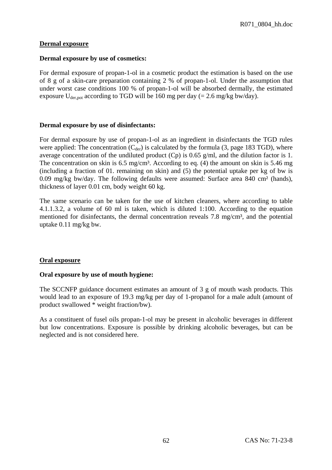## **Dermal exposure**

### **Dermal exposure by use of cosmetics:**

For dermal exposure of propan-1-ol in a cosmetic product the estimation is based on the use of 8 g of a skin-care preparation containing 2 % of propan-1-ol. Under the assumption that under worst case conditions 100 % of propan-1-ol will be absorbed dermally, the estimated exposure  $U_{\text{der, not}}$  according to TGD will be 160 mg per day (= 2.6 mg/kg bw/day).

## **Dermal exposure by use of disinfectants:**

For dermal exposure by use of propan-1-ol as an ingredient in disinfectants the TGD rules were applied: The concentration  $(C<sub>der</sub>)$  is calculated by the formula (3, page 183 TGD), where average concentration of the undiluted product (Cp) is 0.65 g/ml, and the dilution factor is 1. The concentration on skin is 6.5 mg/cm<sup>3</sup>. According to eq. (4) the amount on skin is 5.46 mg (including a fraction of 01. remaining on skin) and (5) the potential uptake per kg of bw is 0.09 mg/kg bw/day. The following defaults were assumed: Surface area 840 cm² (hands), thickness of layer 0.01 cm, body weight 60 kg.

The same scenario can be taken for the use of kitchen cleaners, where according to table 4.1.1.3.2, a volume of 60 ml is taken, which is diluted 1:100. According to the equation mentioned for disinfectants, the dermal concentration reveals 7.8 mg/cm<sup>3</sup>, and the potential uptake 0.11 mg/kg bw.

## **Oral exposure**

## **Oral exposure by use of mouth hygiene:**

The SCCNFP guidance document estimates an amount of 3 g of mouth wash products. This would lead to an exposure of 19.3 mg/kg per day of 1-propanol for a male adult (amount of product swallowed \* weight fraction/bw).

As a constituent of fusel oils propan-1-ol may be present in alcoholic beverages in different but low concentrations. Exposure is possible by drinking alcoholic beverages, but can be neglected and is not considered here.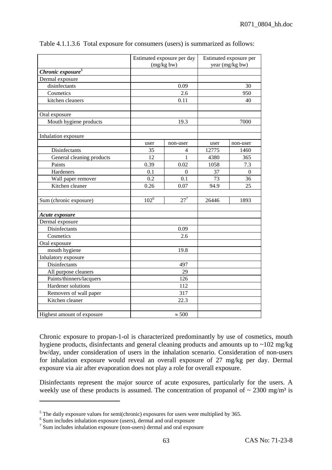|                               | Estimated exposure per day<br>(mg/kg bw) |                 | Estimated exposure per<br>year (mg/kg bw) |              |  |
|-------------------------------|------------------------------------------|-----------------|-------------------------------------------|--------------|--|
| Chronic exposure <sup>5</sup> |                                          |                 |                                           |              |  |
| Dermal exposure               |                                          |                 |                                           |              |  |
| disinfectants                 |                                          | 0.09            |                                           | 30           |  |
| Cosmetics                     |                                          | 2.6             |                                           | 950          |  |
| kitchen cleaners              |                                          | 0.11            |                                           | 40           |  |
| Oral exposure                 |                                          |                 |                                           |              |  |
| Mouth hygiene products        |                                          | 19.3            |                                           | 7000         |  |
| Inhalation exposure           |                                          |                 |                                           |              |  |
|                               | user                                     | non-user        | user                                      | non-user     |  |
| Disinfectants                 | 35                                       | 4               | 12775                                     | 1460         |  |
| General cleaning products     | 12                                       | 1               | 4380                                      | 365          |  |
| Paints                        | 0.39                                     | 0.02            | 1058                                      | 7.3          |  |
| Hardeners                     | 0.1                                      | $\overline{0}$  | 37                                        | $\mathbf{0}$ |  |
| Wall paper remover            | 0.2                                      | 0.1             | 73                                        | 36           |  |
| Kitchen cleaner               | 0.26                                     | 0.07            | 94.9                                      | 25           |  |
| Sum (chronic exposure)        | $102^{\overline{6}}$                     | 27 <sup>7</sup> | 26446                                     | 1893         |  |
| Acute exposure                |                                          |                 |                                           |              |  |
| Dermal exposure               |                                          |                 |                                           |              |  |
| Disinfectants                 |                                          | 0.09            |                                           |              |  |
| Cosmetics                     |                                          | 2.6             |                                           |              |  |
| Oral exposure                 |                                          |                 |                                           |              |  |
| mouth hygiene                 |                                          | 19.8            |                                           |              |  |
| Inhalatory exposure           |                                          |                 |                                           |              |  |
| Disinfectants                 |                                          | 497             |                                           |              |  |
| All purpose cleaners          |                                          | 29              |                                           |              |  |
| Paints/thinners/lacquers      |                                          | 126             |                                           |              |  |
| Hardener solutions            |                                          | 112             |                                           |              |  |
| Removers of wall paper        |                                          | 317             |                                           |              |  |
| Kitchen cleaner               |                                          | 22.3            |                                           |              |  |
| Highest amount of exposure    |                                          | $\approx 500$   |                                           |              |  |

Table 4.1.1.3.6 Total exposure for consumers (users) is summarized as follows:

Chronic exposure to propan-1-ol is characterized predominantly by use of cosmetics, mouth hygiene products, disinfectants and general cleaning products and amounts up to ~102 mg/kg bw/day, under consideration of users in the inhalation scenario. Consideration of non-users for inhalation exposure would reveal an overall exposure of 27 mg/kg per day. Dermal exposure via air after evaporation does not play a role for overall exposure.

Disinfectants represent the major source of acute exposures, particularly for the users. A weekly use of these products is assumed. The concentration of propanol of  $\sim 2300 \text{ mg/m}^3$  is

 $\overline{a}$ 

<sup>&</sup>lt;sup>5</sup> The daily exposure values for semi(chronic) exposures for users were multiplied by 365.

<sup>&</sup>lt;sup>6</sup> Sum includes inhalation exposure (users), dermal and oral exposure

<sup>7</sup> Sum includes inhalation exposure (non-users) dermal and oral exposure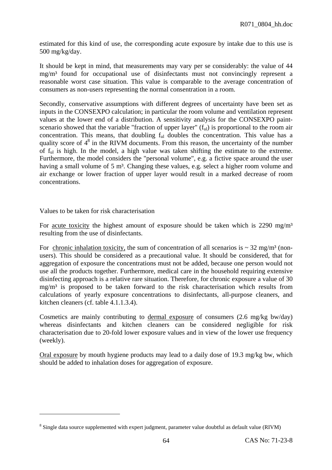estimated for this kind of use, the corresponding acute exposure by intake due to this use is 500 mg/kg/day.

It should be kept in mind, that measurements may vary per se considerably: the value of 44 mg/m³ found for occupational use of disinfectants must not convincingly represent a reasonable worst case situation. This value is comparable to the average concentration of consumers as non-users representing the normal consentration in a room.

Secondly, conservative assumptions with different degrees of uncertainty have been set as inputs in the CONSEXPO calculation; in particular the room volume and ventilation represent values at the lower end of a distribution. A sensitivity analysis for the CONSEXPO paintscenario showed that the variable "fraction of upper layer"  $(f<sub>ul</sub>)$  is proportional to the room air concentration. This means, that doubling  $f<sub>ul</sub>$  doubles the concentration. This value has a quality score of  $4<sup>8</sup>$  in the RIVM documents. From this reason, the uncertainty of the number of ful is high. In the model, a high value was taken shifting the estimate to the extreme. Furthermore, the model considers the "personal volume", e.g. a fictive space around the user having a small volume of 5 m<sup>3</sup>. Changing these values, e.g. select a higher room volume and air exchange or lower fraction of upper layer would result in a marked decrease of room concentrations.

Values to be taken for risk characterisation

 $\overline{a}$ 

For acute toxicity the highest amount of exposure should be taken which is  $2290 \text{ mg/m}^3$ resulting from the use of disinfectants.

For chronic inhalation toxicity, the sum of concentration of all scenarios is  $\sim$  32 mg/m<sup>3</sup> (nonusers). This should be considered as a precautional value. It should be considered, that for aggregation of exposure the concentrations must not be added, because one person would not use all the products together. Furthermore, medical care in the household requiring extensive disinfecting approach is a relative rare situation. Therefore, for chronic exposure a value of 30 mg/m³ is proposed to be taken forward to the risk characterisation which results from calculations of yearly exposure concentrations to disinfectants, all-purpose cleaners, and kitchen cleaners (cf. table 4.1.1.3.4).

Cosmetics are mainly contributing to dermal exposure of consumers (2.6 mg/kg bw/day) whereas disinfectants and kitchen cleaners can be considered negligible for risk characterisation due to 20-fold lower exposure values and in view of the lower use frequency (weekly).

Oral exposure by mouth hygiene products may lead to a daily dose of 19.3 mg/kg bw, which should be added to inhalation doses for aggregation of exposure.

 $8$  Single data source supplemented with expert judgment, parameter value doubtful as default value (RIVM)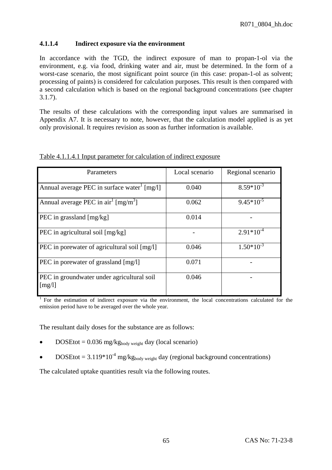# **4.1.1.4 Indirect exposure via the environment**

In accordance with the TGD, the indirect exposure of man to propan-1-ol via the environment, e.g. via food, drinking water and air, must be determined. In the form of a worst-case scenario, the most significant point source (in this case: propan-1-ol as solvent; processing of paints) is considered for calculation purposes. This result is then compared with a second calculation which is based on the regional background concentrations (see chapter 3.1.7).

The results of these calculations with the corresponding input values are summarised in Appendix A7. It is necessary to note, however, that the calculation model applied is as yet only provisional. It requires revision as soon as further information is available.

| Parameters                                                                 | Local scenario | Regional scenario |
|----------------------------------------------------------------------------|----------------|-------------------|
| Annual average PEC in surface water [mg/l]                                 | 0.040          | $8.59*10^{-3}$    |
| Annual average PEC in $\arctan^1$ [mg/m <sup>3</sup> ]                     | 0.062          | $9.45*10^{-5}$    |
| PEC in grassland [mg/kg]                                                   | 0.014          |                   |
| PEC in agricultural soil [mg/kg]                                           |                | $2.91*10^{-4}$    |
| PEC in porewater of agricultural soil [mg/l]                               | 0.046          | $1.50*10^{-3}$    |
| PEC in porewater of grassland [mg/l]                                       | 0.071          |                   |
| PEC in groundwater under agricultural soil<br>$\lceil \frac{mg}{l} \rceil$ | 0.046          |                   |

Table 4.1.1.4.1 Input parameter for calculation of indirect exposure

<sup>1</sup> For the estimation of indirect exposure via the environment, the local concentrations calculated for the emission period have to be averaged over the whole year.

The resultant daily doses for the substance are as follows:

- DOSEtot =  $0.036$  mg/kg<sub>body weight</sub> day (local scenario)
- DOSEtot = 3.119\*10<sup>-4</sup> mg/kg<sub>body weight</sub> day (regional background concentrations)

The calculated uptake quantities result via the following routes.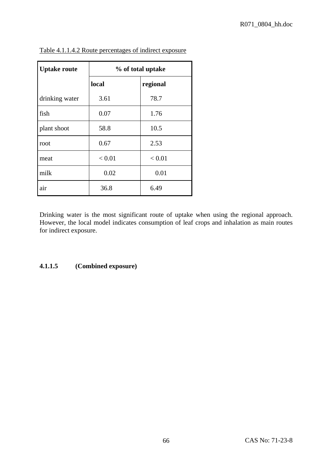| <b>Uptake route</b> | % of total uptake |          |  |  |  |
|---------------------|-------------------|----------|--|--|--|
|                     | local             | regional |  |  |  |
| drinking water      | 3.61              | 78.7     |  |  |  |
| fish                | 0.07              | 1.76     |  |  |  |
| plant shoot         | 58.8              | 10.5     |  |  |  |
| root                | 0.67              | 2.53     |  |  |  |
| meat                | < 0.01            | < 0.01   |  |  |  |
| milk                | 0.02              | 0.01     |  |  |  |
| air                 | 36.8              | 6.49     |  |  |  |

Table 4.1.1.4.2 Route percentages of indirect exposure

Drinking water is the most significant route of uptake when using the regional approach. However, the local model indicates consumption of leaf crops and inhalation as main routes for indirect exposure.

# **4.1.1.5 (Combined exposure)**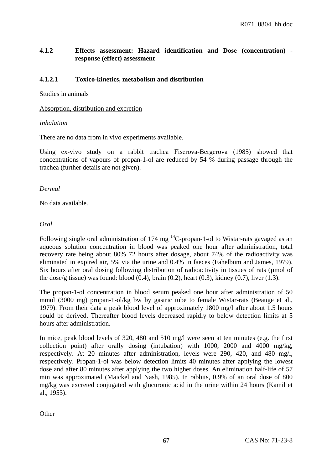# **4.1.2 Effects assessment: Hazard identification and Dose (concentration) response (effect) assessment**

### **4.1.2.1 Toxico-kinetics, metabolism and distribution**

Studies in animals

### Absorption, distribution and excretion

### *Inhalation*

There are no data from in vivo experiments available.

Using ex-vivo study on a rabbit trachea Fiserova-Bergerova (1985) showed that concentrations of vapours of propan-1-ol are reduced by 54 % during passage through the trachea (further details are not given).

### *Dermal*

No data available.

### *Oral*

Following single oral administration of 174 mg  ${}^{14}$ C-propan-1-ol to Wistar-rats gavaged as an aqueous solution concentration in blood was peaked one hour after administration, total recovery rate being about 80% 72 hours after dosage, about 74% of the radioactivity was eliminated in expired air, 5% via the urine and 0.4% in faeces (Fahelbum and James, 1979). Six hours after oral dosing following distribution of radioactivity in tissues of rats (µmol of the dose/g tissue) was found: blood  $(0.4)$ , brain  $(0.2)$ , heart  $(0.3)$ , kidney  $(0.7)$ , liver  $(1.3)$ .

The propan-1-ol concentration in blood serum peaked one hour after administration of 50 mmol (3000 mg) propan-1-ol/kg bw by gastric tube to female Wistar-rats (Beauge et al., 1979). From their data a peak blood level of approximately 1800 mg/l after about 1.5 hours could be derived. Thereafter blood levels decreased rapidly to below detection limits at 5 hours after administration.

In mice, peak blood levels of 320, 480 and 510 mg/l were seen at ten minutes (e.g. the first collection point) after orally dosing (intubation) with 1000, 2000 and 4000 mg/kg, respectively. At 20 minutes after administration, levels were 290, 420, and 480 mg/l, respectively. Propan-1-ol was below detection limits 40 minutes after applying the lowest dose and after 80 minutes after applying the two higher doses. An elimination half-life of 57 min was approximated (Maickel and Nash, 1985). In rabbits, 0.9% of an oral dose of 800 mg/kg was excreted conjugated with glucuronic acid in the urine within 24 hours (Kamil et al., 1953).

**Other**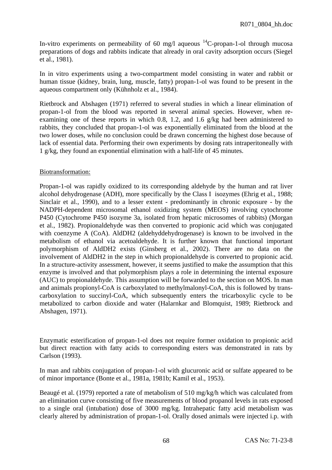In-vitro experiments on permeability of 60 mg/l aqueous  $^{14}$ C-propan-1-ol through mucosa preparations of dogs and rabbits indicate that already in oral cavity adsorption occurs (Siegel et al., 1981).

In in vitro experiments using a two-compartment model consisting in water and rabbit or human tissue (kidney, brain, lung, muscle, fatty) propan-1-ol was found to be present in the aqueous compartment only (Kühnholz et al., 1984).

Rietbrock and Abshagen (1971) referred to several studies in which a linear elimination of propan-1-ol from the blood was reported in several animal species. However, when reexamining one of these reports in which 0.8, 1.2, and 1.6 g/kg had been administered to rabbits, they concluded that propan-1-ol was exponentially eliminated from the blood at the two lower doses, while no conclusion could be drawn concerning the highest dose because of lack of essential data. Performing their own experiments by dosing rats intraperitoneally with 1 g/kg, they found an exponential elimination with a half-life of 45 minutes.

### Biotransformation:

Propan-1-ol was rapidly oxidized to its corresponding aldehyde by the human and rat liver alcohol dehydrogenase (ADH), more specifically by the Class I isozymes (Ehrig et al., 1988; Sinclair et al., 1990), and to a lesser extent - predominantly in chronic exposure - by the NADPH-dependent microsomal ethanol oxidizing system (MEOS) involving cytochrome P450 (Cytochrome P450 isozyme 3a, isolated from hepatic microsomes of rabbits) (Morgan et al., 1982). Propionaldehyde was then converted to propionic acid which was conjugated with coenzyme A (CoA). AldDH2 (aldehyddehydrogenase) is known to be involved in the metabolism of ethanol via acetoaldehyde. It is further known that functional important polymorphism of AldDH2 exists (Ginsberg et al., 2002). There are no data on the involvement of AldDH2 in the step in which propionaldehyde is converted to propionic acid. In a structure-activity assessment, however, it seems justified to make the assumption that this enzyme is involved and that polymorphism plays a role in determining the internal exposure (AUC) to propionaldehyde. This assumption will be forwarded to the section on MOS. In man and animals propionyl-CoA is carboxylated to methylmalonyl-CoA, this is followed by transcarboxylation to succinyl-CoA, which subsequently enters the tricarboxylic cycle to be metabolized to carbon dioxide and water (Halarnkar and Blomquist, 1989; Rietbrock and Abshagen, 1971).

Enzymatic esterification of propan-1-ol does not require former oxidation to propionic acid but direct reaction with fatty acids to corresponding esters was demonstrated in rats by Carlson (1993).

In man and rabbits conjugation of propan-1-ol with glucuronic acid or sulfate appeared to be of minor importance (Bonte et al., 1981a, 1981b; Kamil et al., 1953).

Beaugé et al. (1979) reported a rate of metabolism of 510 mg/kg/h which was calculated from an elimination curve consisting of five measurements of blood propanol levels in rats exposed to a single oral (intubation) dose of 3000 mg/kg. Intrahepatic fatty acid metabolism was clearly altered by administration of propan-1-ol. Orally dosed animals were injected i.p. with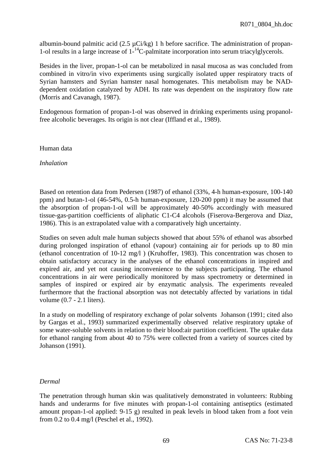albumin-bound palmitic acid  $(2.5 \mu \text{Ci/kg})$  1 h before sacrifice. The administration of propan-1-ol results in a large increase of  $1^{-14}$ C-palmitate incorporation into serum triacylglycerols.

Besides in the liver, propan-1-ol can be metabolized in nasal mucosa as was concluded from combined in vitro/in vivo experiments using surgically isolated upper respiratory tracts of Syrian hamsters and Syrian hamster nasal homogenates. This metabolism may be NADdependent oxidation catalyzed by ADH. Its rate was dependent on the inspiratory flow rate (Morris and Cavanagh, 1987).

Endogenous formation of propan-1-ol was observed in drinking experiments using propanolfree alcoholic beverages. Its origin is not clear (Iffland et al., 1989).

### Human data

*Inhalation* 

Based on retention data from Pedersen (1987) of ethanol (33%, 4-h human-exposure, 100-140 ppm) and butan-1-ol (46-54%, 0.5-h human-exposure, 120-200 ppm) it may be assumed that the absorption of propan-1-ol will be approximately 40-50% accordingly with measured tissue-gas-partition coefficients of aliphatic C1-C4 alcohols (Fiserova-Bergerova and Diaz, 1986). This is an extrapolated value with a comparatively high uncertainty.

Studies on seven adult male human subjects showed that about 55% of ethanol was absorbed during prolonged inspiration of ethanol (vapour) containing air for periods up to 80 min (ethanol concentration of 10-12 mg/l ) (Kruhoffer, 1983). This concentration was chosen to obtain satisfactory accuracy in the analyses of the ethanol concentrations in inspired and expired air, and yet not causing inconvenience to the subjects participating. The ethanol concentrations in air were periodically monitored by mass spectrometry or determined in samples of inspired or expired air by enzymatic analysis. The experiments revealed furthermore that the fractional absorption was not detectably affected by variations in tidal volume (0.7 - 2.1 liters).

In a study on modelling of respiratory exchange of polar solvents Johanson (1991; cited also by Gargas et al., 1993) summarized experimentally observed relative respiratory uptake of some water-soluble solvents in relation to their blood:air partition coefficient. The uptake data for ethanol ranging from about 40 to 75% were collected from a variety of sources cited by Johanson (1991).

### *Dermal*

The penetration through human skin was qualitatively demonstrated in volunteers: Rubbing hands and underarms for five minutes with propan-1-ol containing antiseptics (estimated amount propan-1-ol applied: 9-15 g) resulted in peak levels in blood taken from a foot vein from 0.2 to 0.4 mg/l (Peschel et al., 1992).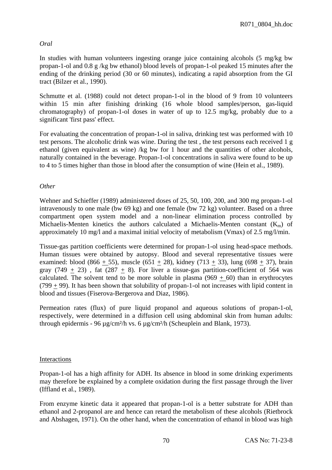# *Oral*

In studies with human volunteers ingesting orange juice containing alcohols (5 mg/kg bw propan-1-ol and 0.8 g /kg bw ethanol) blood levels of propan-1-ol peaked 15 minutes after the ending of the drinking period (30 or 60 minutes), indicating a rapid absorption from the GI tract (Bilzer et al., 1990).

Schmutte et al. (1988) could not detect propan-1-ol in the blood of 9 from 10 volunteers within 15 min after finishing drinking (16 whole blood samples/person, gas-liquid chromatography) of propan-1-ol doses in water of up to 12.5 mg/kg, probably due to a significant 'first pass' effect.

For evaluating the concentration of propan-1-ol in saliva, drinking test was performed with 10 test persons. The alcoholic drink was wine. During the test , the test persons each received 1 g ethanol (given equivalent as wine) /kg bw for 1 hour and the quantities of other alcohols, naturally contained in the beverage. Propan-1-ol concentrations in saliva were found to be up to 4 to 5 times higher than those in blood after the consumption of wine (Hein et al., 1989).

## *Other*

Wehner and Schieffer (1989) administered doses of 25, 50, 100, 200, and 300 mg propan-1-ol intravenously to one male (bw 69 kg) and one female (bw 72 kg) volunteer. Based on a three compartment open system model and a non-linear elimination process controlled by Michaelis-Menten kinetics the authors calculated a Michaelis-Menten constant  $(K_m)$  of approximately 10 mg/l and a maximal initial velocity of metabolism (Vmax) of 2.5 mg/l/min.

Tissue-gas partition coefficients were determined for propan-1-ol using head-space methods. Human tissues were obtained by autopsy. Blood and several representative tissues were examined: blood (866 + 55), muscle (651 + 28), kidney (713 + 33), lung (698 + 37), brain gray  $(749 + 23)$ , fat  $(287 + 8)$ . For liver a tissue-gas partition-coefficient of 564 was calculated. The solvent tend to be more soluble in plasma  $(969 + 60)$  than in erythrocytes  $(799 + 99)$ . It has been shown that solubility of propan-1-ol not increases with lipid content in blood and tissues (Fiserova-Bergerova and Diaz, 1986).

Permeation rates (flux) of pure liquid propanol and aqueous solutions of propan-1-ol, respectively, were determined in a diffusion cell using abdominal skin from human adults: through epidermis - 96 µg/cm²/h vs. 6 µg/cm²/h (Scheuplein and Blank, 1973).

## Interactions

Propan-1-ol has a high affinity for ADH. Its absence in blood in some drinking experiments may therefore be explained by a complete oxidation during the first passage through the liver (Iffland et al., 1989).

From enzyme kinetic data it appeared that propan-1-ol is a better substrate for ADH than ethanol and 2-propanol are and hence can retard the metabolism of these alcohols (Rietbrock and Abshagen, 1971). On the other hand, when the concentration of ethanol in blood was high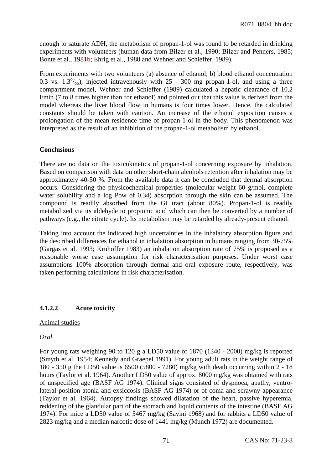enough to saturate ADH, the metabolism of propan-1-ol was found to be retarded in drinking experiments with volunteers (human data from Bilzer et al., 1990; Bilzer and Penners, 1985; Bonte et al., 1981b; Ehrig et al., 1988 and Wehner and Schieffer, 1989).

From experiments with two volunteers (a) absence of ethanol; b) blood ethanol concentration 0.3 vs.  $1.3^{\circ}/_{\text{oo}}$ ), injected intravenously with 25 - 300 mg propan-1-ol, and using a three compartment model, Wehner and Schieffer (1989) calculated a hepatic clearance of 10.2 l/min (7 to 8 times higher than for ethanol) and pointed out that this value is derived from the model whereas the liver blood flow in humans is four times lower. Hence, the calculated constants should be taken with caution. An increase of the ethanol exposition causes a prolongation of the mean residence time of propan-1-ol in the body. This phenomenon was interpreted as the result of an inhibition of the propan-1-ol metabolism by ethanol.

## **Conclusions**

There are no data on the toxicokinetics of propan-1-ol concerning exposure by inhalation. Based on comparison with data on other short-chain alcohols retention after inhalation may be approximately 40-50 %. From the available data it can be concluded that dermal absorption occurs. Considering the physicochemical properties (molecular weight 60 g/mol, complete water solubility and a log Pow of 0.34) absorption through the skin can be assumed. The compound is readily absorbed from the GI tract (about 80%). Propan-1-ol is readily metabolized via its aldehyde to propionic acid which can then be converted by a number of pathways (e.g., the citrate cycle). Its metabolism may be retarded by already-present ethanol.

Taking into account the indicated high uncertainties in the inhalatory absorption figure and the described differences for ethanol in inhalation absorption in humans ranging from 30-75% (Gargas et al. 1993; Kruhoffer 1983) an inhalation absorption rate of 75% is proposed as a reasonable worse case assumption for risk characterisation purposes. Under worst case assumptions 100% absorption through dermal and oral exposure route, respectively, was taken performing calculations in risk characterisation.

## **4.1.2.2 Acute toxicity**

## Animal studies

*Oral* 

For young rats weighing 90 to 120 g a LD50 value of 1870 (1340 - 2000) mg/kg is reported (Smyth et al. 1954; Kennedy and Graepel 1991). For young adult rats in the weight range of 180 - 350 g the LD50 value is 6500 (5800 - 7280) mg/kg with death occurring within 2 - 18 hours (Taylor et al. 1964). Another LD50 value of approx. 8000 mg/kg was obtained with rats of unspecified age (BASF AG 1974). Clinical signs consisted of dyspnoea, apathy, ventrolateral position atonia and exsiccosis (BASF AG 1974) or of coma and scrawny appearance (Taylor et al. 1964). Autopsy findings showed dilatation of the heart, passive hyperemia, reddening of the glandular part of the stomach and liquid contents of the intestine (BASF AG 1974). For mice a LD50 value of 5467 mg/kg (Savini 1968) and for rabbits a LD50 value of 2823 mg/kg and a median narcotic dose of 1441 mg/kg (Munch 1972) are documented.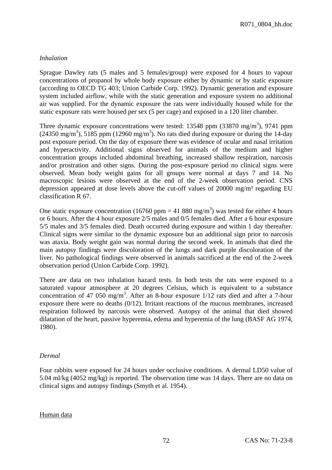# *Inhalation*

Sprague Dawley rats (5 males and 5 females/group) were exposed for 4 hours to vapour concentrations of propanol by whole body exposure either by dynamic or by static exposure (according to OECD TG 403; Union Carbide Corp. 1992). Dynamic generation and exposure system included airflow, while with the static generation and exposure system no additional air was supplied. For the dynamic exposure the rats were individually housed while for the static exposure rats were housed per sex (5 per cage) and exposed in a 120 liter chamber.

Three dynamic exposure concentrations were tested: 13548 ppm  $(33870 \text{ mg/m}^3)$ , 9741 ppm  $(24350 \text{ mg/m}^3)$ , 5185 ppm  $(12960 \text{ mg/m}^3)$ . No rats died during exposure or during the 14-day post exposure period. On the day of exposure there was evidence of ocular and nasal irritation and hyperactivity. Additional signs observed for animals of the medium and higher concentration groups included abdominal breathing, increased shallow respiration, narcosis and/or prostration and other signs. During the post-exposure period no clinical signs were observed. Mean body weight gains for all groups were normal at days 7 and 14. No macroscopic lesions were observed at the end of the 2-week observation period. CNS depression appeared at dose levels above the cut-off values of 20000 mg/m<sup>3</sup> regarding EU classification R 67.

One static exposure concentration (16760 ppm = 41 880 mg/m<sup>3</sup>) was tested for either 4 hours or 6 hours. After the 4 hour exposure 2/5 males and 0/5 females died. After a 6 hour exposure 5/5 males and 3/5 females died. Death occurred during exposure and within 1 day thereafter. Clinical signs were similar to the dynamic exposure but an additional sign prior to narcosis was ataxia. Body weight gain was normal during the second week. In animals that died the main autopsy findings were discoloration of the lungs and dark purple discoloration of the liver. No pathological findings were observed in animals sacrificed at the end of the 2-week observation period (Union Carbide Corp. 1992).

There are data on two inhalation hazard tests. In both tests the rats were exposed to a saturated vapour atmosphere at 20 degrees Celsius, which is equivalent to a substance concentration of 47 050 mg/m<sup>3</sup>. After an 8-hour exposure  $1/12$  rats died and after a 7-hour exposure there were no deaths (0/12). Irritant reactions of the mucous membranes, increased respiration followed by narcosis were observed. Autopsy of the animal that died showed dilatation of the heart, passive hyperemia, edema and hyperemia of the lung (BASF AG 1974, 1980).

## *Dermal*

Four rabbits were exposed for 24 hours under occlusive conditions. A dermal LD50 value of 5.04 ml/kg (4052 mg/kg) is reported. The observation time was 14 days. There are no data on clinical signs and autopsy findings (Smyth et al. 1954).

### Human data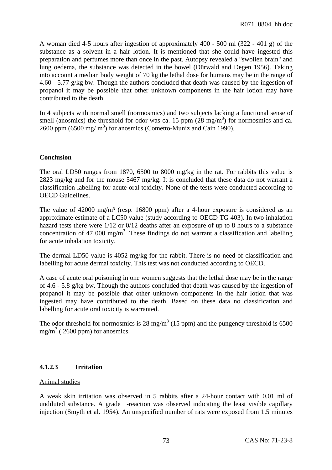A woman died 4-5 hours after ingestion of approximately 400 - 500 ml (322 - 401 g) of the substance as a solvent in a hair lotion. It is mentioned that she could have ingested this preparation and perfumes more than once in the past. Autopsy revealed a "swollen brain" and lung oedema, the substance was detected in the bowel (Dürwald and Degen 1956). Taking into account a median body weight of 70 kg the lethal dose for humans may be in the range of 4.60 - 5.77 g/kg bw. Though the authors concluded that death was caused by the ingestion of propanol it may be possible that other unknown components in the hair lotion may have contributed to the death.

In 4 subjects with normal smell (normosmics) and two subjects lacking a functional sense of smell (anosmics) the threshold for odor was ca. 15 ppm  $(28 \text{ mg/m}^3)$  for normosmics and ca. 2600 ppm  $(6500 \text{ mg/m}^3)$  for anosmics (Cometto-Muniz and Cain 1990).

### **Conclusion**

The oral LD50 ranges from 1870, 6500 to 8000 mg/kg in the rat. For rabbits this value is 2823 mg/kg and for the mouse 5467 mg/kg. It is concluded that these data do not warrant a classification labelling for acute oral toxicity. None of the tests were conducted according to OECD Guidelines.

The value of 42000 mg/m<sup>3</sup> (resp. 16800 ppm) after a 4-hour exposure is considered as an approximate estimate of a LC50 value (study according to OECD TG 403). In two inhalation hazard tests there were  $1/12$  or  $0/12$  deaths after an exposure of up to 8 hours to a substance concentration of 47 000 mg/m<sup>3</sup>. These findings do not warrant a classification and labelling for acute inhalation toxicity.

The dermal LD50 value is 4052 mg/kg for the rabbit. There is no need of classification and labelling for acute dermal toxicity. This test was not conducted according to OECD.

A case of acute oral poisoning in one women suggests that the lethal dose may be in the range of 4.6 - 5.8 g/kg bw. Though the authors concluded that death was caused by the ingestion of propanol it may be possible that other unknown components in the hair lotion that was ingested may have contributed to the death. Based on these data no classification and labelling for acute oral toxicity is warranted.

The odor threshold for normosmics is 28 mg/m<sup>3</sup> (15 ppm) and the pungency threshold is 6500 mg/m<sup>3</sup> (2600 ppm) for anosmics.

## **4.1.2.3 Irritation**

### Animal studies

A weak skin irritation was observed in 5 rabbits after a 24-hour contact with 0.01 ml of undiluted substance. A grade 1-reaction was observed indicating the least visible capillary injection (Smyth et al. 1954). An unspecified number of rats were exposed from 1.5 minutes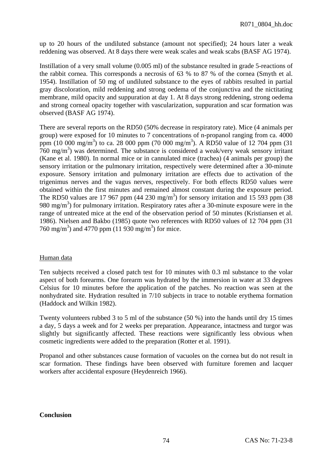up to 20 hours of the undiluted substance (amount not specified); 24 hours later a weak reddening was observed. At 8 days there were weak scales and weak scabs (BASF AG 1974).

Instillation of a very small volume (0.005 ml) of the substance resulted in grade 5-reactions of the rabbit cornea. This corresponds a necrosis of 63 % to 87 % of the cornea (Smyth et al. 1954). Instillation of 50 mg of undiluted substance to the eyes of rabbits resulted in partial gray discoloration, mild reddening and strong oedema of the conjunctiva and the nictitating membrane, mild opacity and suppuration at day 1. At 8 days strong reddening, strong oedema and strong corneal opacity together with vascularization, suppuration and scar formation was observed (BASF AG 1974).

There are several reports on the RD50 (50% decrease in respiratory rate). Mice (4 animals per group) were exposed for 10 minutes to 7 concentrations of n-propanol ranging from ca. 4000 ppm (10 000 mg/m<sup>3</sup>) to ca. 28 000 ppm (70 000 mg/m<sup>3</sup>). A RD50 value of 12 704 ppm (31)  $760 \text{ mg/m}^3$ ) was determined. The substance is considered a weak/very weak sensory irritant (Kane et al. 1980). In normal mice or in cannulated mice (trachea) (4 animals per group) the sensory irritation or the pulmonary irritation, respectively were determined after a 30-minute exposure. Sensory irritation and pulmonary irritation are effects due to activation of the trigenimus nerves and the vagus nerves, respectively. For both effects RD50 values were obtained within the first minutes and remained almost constant during the exposure period. The RD50 values are 17 967 ppm (44 230 mg/m<sup>3</sup>) for sensory irritation and 15 593 ppm (38 980 mg/m<sup>3</sup>) for pulmonary irritation. Respiratory rates after a 30-minute exposure were in the range of untreated mice at the end of the observation period of 50 minutes (Kristiansen et al. 1986). Nielsen and Bakbo (1985) quote two references with RD50 values of 12 704 ppm (31 760 mg/m<sup>3</sup>) and 4770 ppm (11 930 mg/m<sup>3</sup>) for mice.

## Human data

Ten subjects received a closed patch test for 10 minutes with 0.3 ml substance to the volar aspect of both forearms. One forearm was hydrated by the immersion in water at 33 degrees Celsius for 10 minutes before the application of the patches. No reaction was seen at the nonhydrated site. Hydration resulted in 7/10 subjects in trace to notable erythema formation (Haddock and Wilkin 1982).

Twenty volunteers rubbed 3 to 5 ml of the substance (50 %) into the hands until dry 15 times a day, 5 days a week and for 2 weeks per preparation. Appearance, intactness and turgor was slightly but significantly affected. These reactions were significantly less obvious when cosmetic ingredients were added to the preparation (Rotter et al. 1991).

Propanol and other substances cause formation of vacuoles on the cornea but do not result in scar formation. These findings have been observed with furniture foremen and lacquer workers after accidental exposure (Heydenreich 1966).

### **Conclusion**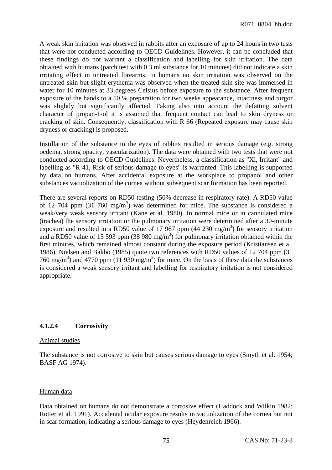A weak skin irritation was observed in rabbits after an exposure of up to 24 hours in two tests that were not conducted according to OECD Guidelines. However, it can be concluded that these findings do not warrant a classification and labelling for skin irritation. The data obtained with humans (patch test with 0.3 ml substance for 10 minutes) did not indicate a skin irritating effect in untreated forearms. In humans no skin irritation was observed on the untreated skin but slight erythema was observed when the treated skin site was immersed in water for 10 minutes at 33 degrees Celsius before exposure to the substance. After frequent exposure of the hands to a 50 % preparation for two weeks appearance, intactness and turgor was slightly but significantly affected. Taking also into account the defatting solvent character of propan-1-ol it is assumed that frequent contact can lead to skin dryness or cracking of skin. Consequently, classification with R 66 (Repeated exposure may cause skin dryness or cracking) is proposed.

Instillation of the substance to the eyes of rabbits resulted in serious damage (e.g. strong oedema, strong opacity, vascularization). The data were obtained with two tests that were not conducted according to OECD Guidelines. Nevertheless, a classification as "Xi, Irritant" and labelling as "R 41, Risk of serious damage to eyes" is warranted. This labelling is supported by data on humans. After accidental exposure at the workplace to propanol and other substances vacuolization of the cornea without subsequent scar formation has been reported.

There are several reports on RD50 testing (50% decrease in respiratory rate). A RD50 value of 12 704 ppm  $(31 \ 760 \ mg/m^3)$  was determined for mice. The substance is considered a weak/very weak sensory irritant (Kane et al. 1980). In normal mice or in cannulated mice (trachea) the sensory irritation or the pulmonary irritation were determined after a 30-minute exposure and resulted in a RD50 value of 17 967 ppm  $(44\ 230\ \text{mg/m}^3)$  for sensory irritation and a RD50 value of 15 593 ppm (38 980 mg/m<sup>3</sup>) for pulmonary irritation obtained within the first minutes, which remained almost constant during the exposure period (Kristiansen et al. 1986). Nielsen and Bakbo (1985) quote two references with RD50 values of 12 704 ppm (31 760 mg/m<sup>3</sup>) and 4770 ppm (11 930 mg/m<sup>3</sup>) for mice. On the basis of these data the substances is considered a weak sensory irritant and labelling for respiratory irritation is not considered appropriate.

# **4.1.2.4 Corrosivity**

### Animal studies

The substance is not corrosive to skin but causes serious damage to eyes (Smyth et al. 1954; BASF AG 1974).

### Human data

Data obtained on humans do not demonstrate a corrosive effect (Haddock and Wilkin 1982; Rotter et al. 1991). Accidental ocular exposure results in vacuolization of the cornea but not in scar formation, indicating a serious damage to eyes (Heydenreich 1966).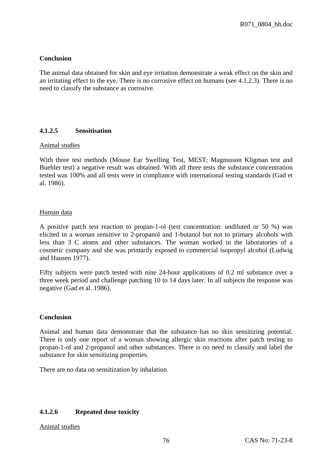## **Conclusion**

The animal data obtained for skin and eye irritation demonstrate a weak effect on the skin and an irritating effect to the eye. There is no corrosive effect on humans (see 4.1.2.3). There is no need to classify the substance as corrosive.

## **4.1.2.5 Sensitisation**

### Animal studies

With three test methods (Mouse Ear Swelling Test, MEST; Magnusson Kligman test and Buehler test) a negative result was obtained. With all three tests the substance concentration tested was 100% and all tests were in compliance with international testing standards (Gad et al. 1986).

### Human data

A positive patch test reaction to propan-1-ol (test concentration: undiluted or 50 %) was elicited in a woman sensitive to 2-propanol and 1-butanol but not to primary alcohols with less than 3 C atoms and other substances. The woman worked in the laboratories of a cosmetic company and she was primarily exposed to commercial isopropyl alcohol (Ludwig and Hausen 1977).

Fifty subjects were patch tested with nine 24-hour applications of 0.2 ml substance over a three week period and challenge patching 10 to 14 days later. In all subjects the response was negative (Gad et al. 1986).

### **Conclusion**

Animal and human data demonstrate that the substance has no skin sensitizing potential. There is only one report of a woman showing allergic skin reactions after patch testing to propan-1-ol and 2-propanol and other substances. There is no need to classify and label the substance for skin sensitizing properties.

There are no data on sensitization by inhalation.

### **4.1.2.6 Repeated dose toxicity**

Animal studies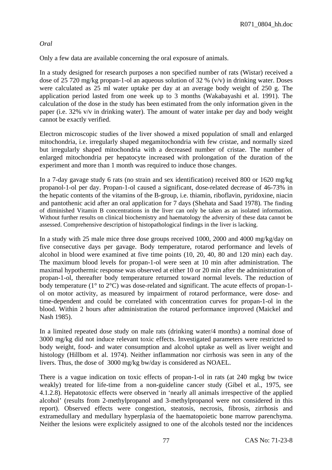## *Oral*

Only a few data are available concerning the oral exposure of animals.

In a study designed for research purposes a non specified number of rats (Wistar) received a dose of 25 720 mg/kg propan-1-ol an aqueous solution of 32 % (v/v) in drinking water. Doses were calculated as 25 ml water uptake per day at an average body weight of 250 g. The application period lasted from one week up to 3 months (Wakabayashi et al. 1991). The calculation of the dose in the study has been estimated from the only information given in the paper (i.e. 32% v/v in drinking water). The amount of water intake per day and body weight cannot be exactly verified.

Electron microscopic studies of the liver showed a mixed population of small and enlarged mitochondria, i.e. irregularly shaped megamitochondria with few cristae, and normally sized but irregularly shaped mitochondria with a decreased number of cristae. The number of enlarged mitochondria per hepatocyte increased with prolongation of the duration of the experiment and more than 1 month was required to induce those changes.

In a 7-day gavage study 6 rats (no strain and sex identification) received 800 or 1620 mg/kg propanol-1-ol per day. Propan-1-ol caused a significant, dose-related decrease of 46-73% in the hepatic contents of the vitamins of the B-group, i.e. thiamin, riboflavin, pyridoxine, niacin and pantothenic acid after an oral application for 7 days (Shehata and Saad 1978). The finding of diminished Vitamin B concentrations in the liver can only be taken as an isolated information. Without further results on clinical biochemistry and haematology the adversity of these data cannot be assessed. Comprehensive description of histopathological findings in the liver is lacking.

In a study with 25 male mice three dose groups received 1000, 2000 and 4000 mg/kg/day on five consecutive days per gavage. Body temperature, rotarod performance and levels of alcohol in blood were examined at five time points (10, 20, 40, 80 and 120 min) each day. The maximum blood levels for propan-1-ol were seen at 10 min after administration. The maximal hypothermic response was observed at either 10 or 20 min after the administration of propan-1-ol, thereafter body temperature returned toward normal levels. The reduction of body temperature (1° to 2°C) was dose-related and significant. The acute effects of propan-1 ol on motor activity, as measured by impairment of rotarod performance, were dose- and time-dependent and could be correlated with concentration curves for propan-1-ol in the blood. Within 2 hours after administration the rotarod performance improved (Maickel and Nash 1985).

In a limited repeated dose study on male rats (drinking water/4 months) a nominal dose of 3000 mg/kg did not induce relevant toxic effects. Investigated parameters were restricted to body weight, food- and water consumption and alcohol uptake as well as liver weight and histology (Hillbom et al. 1974). Neither inflammation nor cirrhosis was seen in any of the livers. Thus, the dose of 3000 mg/kg bw/day is considered as NOAEL.

There is a vague indication on toxic effects of propan-1-ol in rats (at 240 mgkg bw twice weakly) treated for life-time from a non-guideline cancer study (Gibel et al., 1975, see 4.1.2.8). Hepatotoxic effects were observed in 'nearly all animals irrespective of the applied alcohol' (results from 2-methylpropanol and 3-methylpropanol were not considered in this report). Observed effects were congestion, steatosis, necrosis, fibrosis, zirrhosis and extramedullary and medullary hyperplasia of the haematopoietic bone marrow parenchyma. Neither the lesions were explicitely assigned to one of the alcohols tested nor the incidences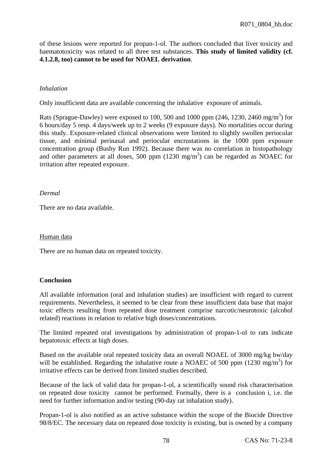of these lesions were reported for propan-1-ol. The authors concluded that liver toxicity and haematotoxicity was related to all three test substances. **This study of limited validity (cf. 4.1.2.8, too) cannot to be used for NOAEL derivation**.

# *Inhalation*

Only insufficient data are available concerning the inhalative exposure of animals.

Rats (Sprague-Dawley) were exposed to 100, 500 and 1000 ppm (246, 1230, 2460 mg/m<sup>3</sup>) for 6 hours/day 5 resp. 4 days/week up to 2 weeks (9 exposure days). No mortalities occur during this study. Exposure-related clinical observations were limited to slightly swollen periocular tissue, and minimal perinasal and periocular encrustations in the 1000 ppm exposure concentration group (Bushy Run 1992). Because there was no correlation in histopathology and other parameters at all doses, 500 ppm  $(1230 \text{ mg/m}^3)$  can be regarded as NOAEC for irritation after repeated exposure.

### *Dermal*

There are no data available.

### Human data

There are no human data on repeated toxicity.

## **Conclusion**

All available information (oral and inhalation studies) are insufficient with regard to current requirements. Nevertheless, it seemed to be clear from these insufficient data base that major toxic effects resulting from repeated dose treatment comprise narcotic/neurotoxic (alcohol related) reactions in relation to relative high doses/concentrations.

The limited repeated oral investigations by administration of propan-1-ol to rats indicate hepatotoxic effects at high doses.

Based on the available oral repeated toxicity data an overall NOAEL of 3000 mg/kg bw/day will be established. Regarding the inhalative route a NOAEC of 500 ppm  $(1230 \text{ mg/m}^3)$  for irritative effects can be derived from limited studies described.

Because of the lack of valid data for propan-1-ol, a scientifically sound risk characterisation on repeated dose toxicity cannot be performed. Formally, there is a conclusion i, i.e. the need for further information and/or testing (90-day rat inhalation study).

Propan-1-ol is also notified as an active substance within the scope of the Biocide Directive 98/8/EC. The necessary data on repeated dose toxicity is existing, but is owned by a company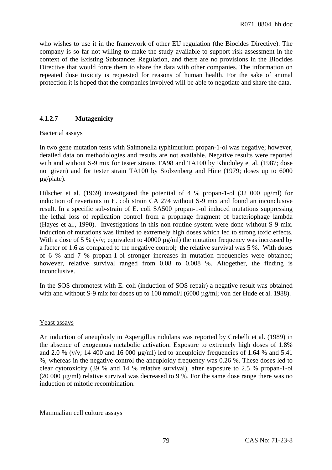who wishes to use it in the framework of other EU regulation (the Biocides Directive). The company is so far not willing to make the study available to support risk assessment in the context of the Existing Substances Regulation, and there are no provisions in the Biocides Directive that would force them to share the data with other companies. The information on repeated dose toxicity is requested for reasons of human health. For the sake of animal protection it is hoped that the companies involved will be able to negotiate and share the data.

# **4.1.2.7 Mutagenicity**

### Bacterial assays

In two gene mutation tests with Salmonella typhimurium propan-1-ol was negative; however, detailed data on methodologies and results are not available. Negative results were reported with and without S-9 mix for tester strains TA98 and TA100 by Khudoley et al. (1987; dose not given) and for tester strain TA100 by Stolzenberg and Hine (1979; doses up to 6000 µg/plate).

Hilscher et al. (1969) investigated the potential of 4 % propan-1-ol (32 000 µg/ml) for induction of revertants in E. coli strain CA 274 without S-9 mix and found an inconclusive result. In a specific sub-strain of E. coli SA500 propan-1-ol induced mutations suppressing the lethal loss of replication control from a prophage fragment of bacteriophage lambda (Hayes et al., 1990). Investigations in this non-routine system were done without S-9 mix. Induction of mutations was limited to extremely high doses which led to strong toxic effects. With a dose of 5 % (v/v; equivalent to 40000  $\mu$ g/ml) the mutation frequency was increased by a factor of 1.6 as compared to the negative control; the relative survival was 5 %. With doses of 6 % and 7 % propan-1-ol stronger increases in mutation frequencies were obtained; however, relative survival ranged from 0.08 to 0.008 %. Altogether, the finding is inconclusive.

In the SOS chromotest with E. coli (induction of SOS repair) a negative result was obtained with and without S-9 mix for doses up to 100 mmol/l (6000 µg/ml; von der Hude et al. 1988).

## Yeast assays

An induction of aneuploidy in Aspergillus nidulans was reported by Crebelli et al. (1989) in the absence of exogenous metabolic activation. Exposure to extremely high doses of 1.8% and 2.0 % (v/v; 14 400 and 16 000  $\mu$ g/ml) led to aneuploidy frequencies of 1.64 % and 5.41 %, whereas in the negative control the aneuploidy frequency was 0.26 %. These doses led to clear cytotoxicity (39 % and 14 % relative survival), after exposure to 2.5 % propan-1-ol (20 000 µg/ml) relative survival was decreased to 9 %. For the same dose range there was no induction of mitotic recombination.

### Mammalian cell culture assays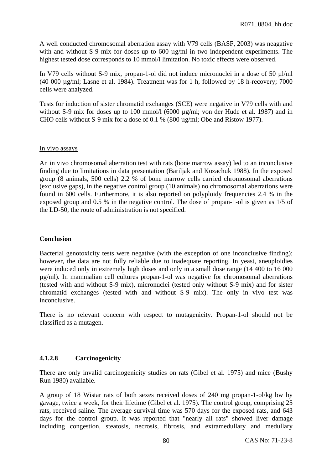A well conducted chromosomal aberration assay with V79 cells (BASF, 2003) was neagative with and without S-9 mix for doses up to 600 µg/ml in two independent experiments. The highest tested dose corresponds to 10 mmol/l limitation. No toxic effects were observed.

In V79 cells without S-9 mix, propan-1-ol did not induce micronuclei in a dose of 50 µl/ml (40 000 µg/ml; Lasne et al. 1984). Treatment was for 1 h, followed by 18 h-recovery; 7000 cells were analyzed.

Tests for induction of sister chromatid exchanges (SCE) were negative in V79 cells with and without S-9 mix for doses up to 100 mmol/l (6000  $\mu$ g/ml; von der Hude et al. 1987) and in CHO cells without S-9 mix for a dose of 0.1 % (800 µg/ml; Obe and Ristow 1977).

### In vivo assays

An in vivo chromosomal aberration test with rats (bone marrow assay) led to an inconclusive finding due to limitations in data presentation (Bariljak and Kozachuk 1988). In the exposed group (8 animals, 500 cells) 2.2 % of bone marrow cells carried chromosomal aberrations (exclusive gaps), in the negative control group (10 animals) no chromosomal aberrations were found in 600 cells. Furthermore, it is also reported on polyploidy frequencies 2.4 % in the exposed group and 0.5 % in the negative control. The dose of propan-1-ol is given as 1/5 of the LD-50, the route of administration is not specified.

## **Conclusion**

Bacterial genotoxicity tests were negative (with the exception of one inconclusive finding); however, the data are not fully reliable due to inadequate reporting. In yeast, aneuploidies were induced only in extremely high doses and only in a small dose range (14 400 to 16 000 µg/ml). In mammalian cell cultures propan-1-ol was negative for chromosomal aberrations (tested with and without S-9 mix), micronuclei (tested only without S-9 mix) and for sister chromatid exchanges (tested with and without S-9 mix). The only in vivo test was inconclusive.

There is no relevant concern with respect to mutagenicity. Propan-1-ol should not be classified as a mutagen.

# **4.1.2.8 Carcinogenicity**

There are only invalid carcinogenicity studies on rats (Gibel et al. 1975) and mice (Bushy Run 1980) available.

A group of 18 Wistar rats of both sexes received doses of 240 mg propan-1-ol/kg bw by gavage, twice a week, for their lifetime (Gibel et al. 1975). The control group, comprising 25 rats, received saline. The average survival time was 570 days for the exposed rats, and 643 days for the control group. It was reported that "nearly all rats" showed liver damage including congestion, steatosis, necrosis, fibrosis, and extramedullary and medullary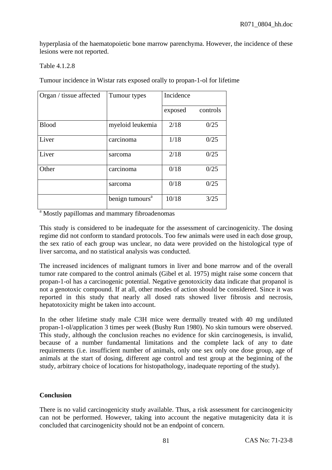hyperplasia of the haematopoietic bone marrow parenchyma. However, the incidence of these lesions were not reported.

### Table 4.1.2.8

Tumour incidence in Wistar rats exposed orally to propan-1-ol for lifetime

| Organ / tissue affected | Tumour types                | Incidence |          |  |  |
|-------------------------|-----------------------------|-----------|----------|--|--|
|                         |                             | exposed   | controls |  |  |
| <b>Blood</b>            | myeloid leukemia            | 2/18      | 0/25     |  |  |
| Liver                   | carcinoma                   | 1/18      | 0/25     |  |  |
| Liver                   | sarcoma                     | 2/18      | 0/25     |  |  |
| Other                   | carcinoma                   | 0/18      | 0/25     |  |  |
|                         | sarcoma                     | 0/18      | 0/25     |  |  |
|                         | benign tumours <sup>a</sup> | 10/18     | 3/25     |  |  |

<sup>a</sup> Mostly papillomas and mammary fibroadenomas

This study is considered to be inadequate for the assessment of carcinogenicity. The dosing regime did not conform to standard protocols. Too few animals were used in each dose group, the sex ratio of each group was unclear, no data were provided on the histological type of liver sarcoma, and no statistical analysis was conducted.

The increased incidences of malignant tumors in liver and bone marrow and of the overall tumor rate compared to the control animals (Gibel et al. 1975) might raise some concern that propan-1-ol has a carcinogenic potential. Negative genotoxicity data indicate that propanol is not a genotoxic compound. If at all, other modes of action should be considered. Since it was reported in this study that nearly all dosed rats showed liver fibrosis and necrosis, hepatotoxicity might be taken into account.

In the other lifetime study male C3H mice were dermally treated with 40 mg undiluted propan-1-ol/application 3 times per week (Bushy Run 1980). No skin tumours were observed. This study, although the conclusion reaches no evidence for skin carcinogenesis, is invalid, because of a number fundamental limitations and the complete lack of any to date requirements (i.e. insufficient number of animals, only one sex only one dose group, age of animals at the start of dosing, different age control and test group at the beginning of the study, arbitrary choice of locations for histopathology, inadequate reporting of the study).

## **Conclusion**

There is no valid carcinogenicity study available. Thus, a risk assessment for carcinogenicity can not be performed. However, taking into account the negative mutagenicity data it is concluded that carcinogenicity should not be an endpoint of concern.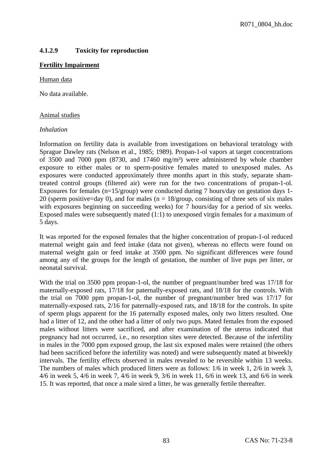# **4.1.2.9 Toxicity for reproduction**

## **Fertility Impairment**

### Human data

No data available.

### Animal studies

### *Inhalation*

Information on fertility data is available from investigations on behavioral teratology with Sprague Dawley rats (Nelson et al., 1985; 1989). Propan-1-ol vapors at target concentrations of 3500 and 7000 ppm (8730, and 17460 mg/m<sup>3</sup>) were administered by whole chamber exposure to either males or to sperm-positive females mated to unexposed males. As exposures were conducted approximately three months apart in this study, separate shamtreated control groups (filtered air) were run for the two concentrations of propan-1-ol. Exposures for females (n=15/group) were conducted during 7 hours/day on gestation days 1- 20 (sperm positive=day 0), and for males ( $n = 18$ /group, consisting of three sets of six males with exposures beginning on succeeding weeks) for 7 hours/day for a period of six weeks. Exposed males were subsequently mated (1:1) to unexposed virgin females for a maximum of 5 days.

It was reported for the exposed females that the higher concentration of propan-1-ol reduced maternal weight gain and feed intake (data not given), whereas no effects were found on maternal weight gain or feed intake at 3500 ppm. No significant differences were found among any of the groups for the length of gestation, the number of live pups per litter, or neonatal survival.

With the trial on 3500 ppm propan-1-ol, the number of pregnant/number bred was 17/18 for maternally-exposed rats, 17/18 for paternally-exposed rats, and 18/18 for the controls. With the trial on 7000 ppm propan-1-ol, the number of pregnant/number bred was 17/17 for maternally-exposed rats, 2/16 for paternally-exposed rats, and 18/18 for the controls. In spite of sperm plugs apparent for the 16 paternally exposed males, only two litters resulted. One had a litter of 12, and the other had a litter of only two pups. Mated females from the exposed males without litters were sacrificed, and after examination of the uterus indicated that pregnancy had not occurred, i.e., no resorption sites were detected. Because of the infertility in males in the 7000 ppm exposed group, the last six exposed males were retained (the others had been sacrificed before the infertility was noted) and were subsequently mated at biweekly intervals. The fertility effects observed in males revealed to be reversible within 13 weeks. The numbers of males which produced litters were as follows: 1/6 in week 1, 2/6 in week 3, 4/6 in week 5, 4/6 in week 7, 4/6 in week 9, 3/6 in week 11, 6/6 in week 13, and 6/6 in week 15. It was reported, that once a male sired a litter, he was generally fertile thereafter.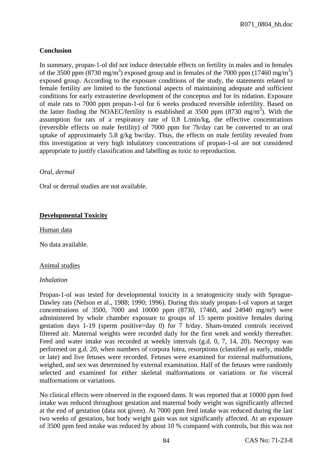## **Conclusion**

In summary, propan-1-ol did not induce detectable effects on fertility in males and in females of the 3500 ppm (8730 mg/m<sup>3</sup>) exposed group and in females of the 7000 ppm (17460 mg/m<sup>3</sup>) exposed group. According to the exposure conditions of the study, the statements related to female fertility are limited to the functional aspects of maintaining adequate and sufficient conditions for early extrauterine development of the conceptus and for its nidation. Exposure of male rats to 7000 ppm propan-1-ol for 6 weeks produced reversible infertility. Based on the latter finding the NOAEC/fertility is established at 3500 ppm (8730 mg/m<sup>3</sup>). With the assumption for rats of a respiratory rate of 0.8 L/min/kg, the effective concentrations (reversible effects on male fertility) of 7000 ppm for 7h/day can be converted to an oral uptake of approximately 5.8 g/kg bw/day. Thus, the effects on male fertility revealed from this investigation at very high inhalatory concentrations of propan-1-ol are not considered appropriate to justify classification and labelling as toxic to reproduction.

### *Oral, dermal*

Oral or dermal studies are not available.

## **Developmental Toxicity**

### Human data

No data available.

### Animal studies

### *Inhalation*

Propan-1-ol was tested for developmental toxicity in a teratogenicity study with Sprague-Dawley rats (Nelson et al., 1988; 1990; 1996). During this study propan-1-ol vapors at target concentrations of 3500, 7000 and 10000 ppm  $(8730, 17460, and 24940 \text{ mg/m}^3)$  were administered by whole chamber exposure to groups of 15 sperm positive females during gestation days 1-19 (sperm positive=day 0) for 7 h/day. Sham-treated controls received filtered air. Maternal weights were recorded daily for the first week and weekly thereafter. Feed and water intake was recorded at weekly intervals (g.d. 0, 7, 14, 20). Necropsy was performed on g.d. 20, when numbers of corpora lutea, resorptions (classified as early, middle or late) and live fetuses were recorded. Fetuses were examined for external malformations, weighed, and sex was determined by external examination. Half of the fetuses were randomly selected and examined for either skeletal malformations or variations or for visceral malformations or variations.

No clinical effects were observed in the exposed dams. It was reported that at 10000 ppm feed intake was reduced throughout gestation and maternal body weight was significantly affected at the end of gestation (data not given). At 7000 ppm feed intake was reduced during the last two weeks of gestation, but body weight gain was not significantly affected. At an exposure of 3500 ppm feed intake was reduced by about 10 % compared with controls, but this was not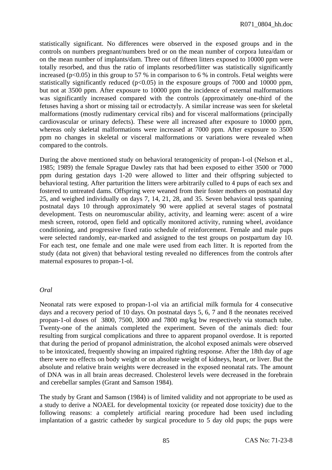statistically significant. No differences were observed in the exposed groups and in the controls on numbers pregnant/numbers bred or on the mean number of corpora lutea/dam or on the mean number of implants/dam. Three out of fifteen litters exposed to 10000 ppm were totally resorbed, and thus the ratio of implants resorbed/litter was statistically significantly increased ( $p<0.05$ ) in this group to 57 % in comparison to 6 % in controls. Fetal weights were statistically significantly reduced ( $p<0.05$ ) in the exposure groups of 7000 and 10000 ppm, but not at 3500 ppm. After exposure to 10000 ppm the incidence of external malformations was significantly increased compared with the controls (approximately one-third of the fetuses having a short or missing tail or ectrodactyly. A similar increase was seen for skeletal malformations (mostly rudimentary cervical ribs) and for visceral malformations (principally cardiovascular or urinary defects). These were all increased after exposure to 10000 ppm, whereas only skeletal malformations were increased at 7000 ppm. After exposure to 3500 ppm no changes in skeletal or visceral malformations or variations were revealed when compared to the controls.

During the above mentioned study on behavioral teratogenicity of propan-1-ol (Nelson et al., 1985; 1989) the female Sprague Dawley rats that had been exposed to either 3500 or 7000 ppm during gestation days 1-20 were allowed to litter and their offspring subjected to behavioral testing. After parturition the litters were arbitrarily culled to 4 pups of each sex and fostered to untreated dams. Offspring were weaned from their foster mothers on postnatal day 25, and weighed individually on days 7, 14, 21, 28, and 35. Seven behavioral tests spanning postnatal days 10 through approximately 90 were applied at several stages of postnatal development. Tests on neuromuscular ability, activity, and learning were: ascent of a wire mesh screen, rotorod, open field and optically monitored activity, running wheel, avoidance conditioning, and progressive fixed ratio schedule of reinforcement. Female and male pups were selected randomly, ear-marked and assigned to the test groups on postpartum day 10. For each test, one female and one male were used from each litter. It is reported from the study (data not given) that behavioral testing revealed no differences from the controls after maternal exposures to propan-1-ol.

### *Oral*

Neonatal rats were exposed to propan-1-ol via an artificial milk formula for 4 consecutive days and a recovery period of 10 days. On postnatal days 5, 6, 7 and 8 the neonates received propan-1-ol doses of 3800, 7500, 3000 and 7800 mg/kg bw respectively via stomach tube. Twenty-one of the animals completed the experiment. Seven of the animals died: four resulting from surgical complications and three to apparent propanol overdose. It is reported that during the period of propanol administration, the alcohol exposed animals were observed to be intoxicated, frequently showing an impaired righting response. After the 18th day of age there were no effects on body weight or on absolute weight of kidneys, heart, or liver. But the absolute and relative brain weights were decreased in the exposed neonatal rats. The amount of DNA was in all brain areas decreased. Cholesterol levels were decreased in the forebrain and cerebellar samples (Grant and Samson 1984).

The study by Grant and Samson (1984) is of limited validity and not appropriate to be used as a study to derive a NOAEL for developmental toxicity (or repeated dose toxicity) due to the following reasons: a completely artificial rearing procedure had been used including implantation of a gastric catheder by surgical procedure to 5 day old pups; the pups were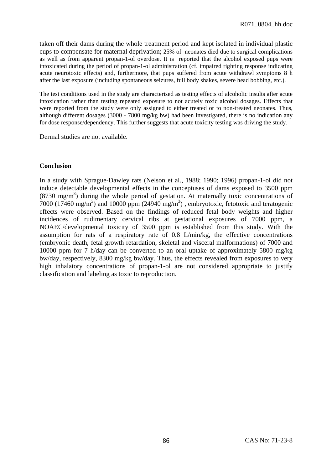taken off their dams during the whole treatment period and kept isolated in individual plastic cups to compensate for maternal deprivation; 25% of neonates died due to surgical complications as well as from apparent propan-1-ol overdose. It is reported that the alcohol exposed pups were intoxicated during the period of propan-1-ol administration (cf. impaired righting response indicating acute neurotoxic effects) and, furthermore, that pups suffered from acute withdrawl symptoms 8 h after the last exposure (including spontaneous seizures, full body shakes, severe head bobbing, etc.).

The test conditions used in the study are characterised as testing effects of alcoholic insults after acute intoxication rather than testing repeated exposure to not acutely toxic alcohol dosages. Effects that were reported from the study were only assigned to either treated or to non-treated neonates. Thus, although different dosages (3000 - 7800 m**g**/kg bw) had been investigated, there is no indication any for dose response/dependency. This further suggests that acute toxicity testing was driving the study.

Dermal studies are not available.

### **Conclusion**

In a study with Sprague-Dawley rats (Nelson et al., 1988; 1990; 1996) propan-1-ol did not induce detectable developmental effects in the conceptuses of dams exposed to 3500 ppm  $(8730 \text{ mg/m}^3)$  during the whole period of gestation. At maternally toxic concentrations of 7000 (17460 mg/m<sup>3</sup>) and 10000 ppm (24940 mg/m<sup>3</sup>), embryotoxic, fetotoxic and teratogenic effects were observed. Based on the findings of reduced fetal body weights and higher incidences of rudimentary cervical ribs at gestational exposures of 7000 ppm, a NOAEC/developmental toxicity of 3500 ppm is established from this study. With the assumption for rats of a respiratory rate of 0.8 L/min/kg, the effective concentrations (embryonic death, fetal growth retardation, skeletal and visceral malformations) of 7000 and 10000 ppm for 7 h/day can be converted to an oral uptake of approximately 5800 mg/kg bw/day, respectively, 8300 mg/kg bw/day. Thus, the effects revealed from exposures to very high inhalatory concentrations of propan-1-ol are not considered appropriate to justify classification and labeling as toxic to reproduction.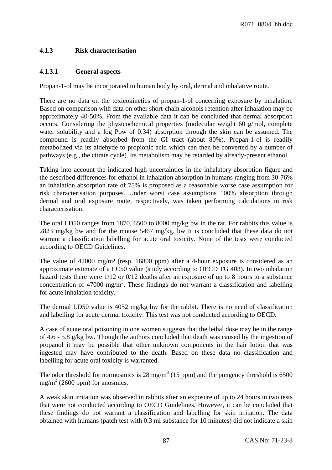# **4.1.3 Risk characterisation**

## **4.1.3.1 General aspects**

Propan-1-ol may be incorporated to human body by oral, dermal and inhalative route.

There are no data on the toxicokinetics of propan-1-ol concerning exposure by inhalation. Based on comparison with data on other short-chain alcohols retention after inhalation may be approximately 40-50%. From the available data it can be concluded that dermal absorption occurs. Considering the physicochemical properties (molecular weight 60 g/mol, complete water solubility and a log Pow of 0.34) absorption through the skin can be assumed. The compound is readily absorbed from the GI tract (about 80%). Propan-1-ol is readily metabolized via its aldehyde to propionic acid which can then be converted by a number of pathways (e.g., the citrate cycle). Its metabolism may be retarded by already-present ethanol.

Taking into account the indicated high uncertainties in the inhalatory absorption figure and the described differences for ethanol in inhalation absorption in humans ranging from 30-76% an inhalation absorption rate of 75% is proposed as a reasonable worse case assumption for risk characterisation purposes. Under worst case assumptions 100% absorption through dermal and oral exposure route, respectively, was taken performing calculations in risk characterisation.

The oral LD50 ranges from 1870, 6500 to 8000 mg/kg bw in the rat. For rabbits this value is 2823 mg/kg bw and for the mouse 5467 mg/kg. bw It is concluded that these data do not warrant a classification labelling for acute oral toxicity. None of the tests were conducted according to OECD Guidelines.

The value of 42000 mg/m<sup>3</sup> (resp. 16800 ppm) after a 4-hour exposure is considered as an approximate estimate of a LC50 value (study according to OECD TG 403). In two inhalation hazard tests there were  $1/12$  or  $0/12$  deaths after an exposure of up to 8 hours to a substance concentration of 47000 mg/m<sup>3</sup>. These findings do not warrant a classification and labelling for acute inhalation toxicity.

The dermal LD50 value is 4052 mg/kg bw for the rabbit. There is no need of classification and labelling for acute dermal toxicity. This test was not conducted according to OECD.

A case of acute oral poisoning in one women suggests that the lethal dose may be in the range of 4.6 - 5.8 g/kg bw. Though the authors concluded that death was caused by the ingestion of propanol it may be possible that other unknown components in the hair lotion that was ingested may have contributed to the death. Based on these data no classification and labelling for acute oral toxicity is warranted.

The odor threshold for normosmics is 28 mg/m<sup>3</sup> (15 ppm) and the pungency threshold is 6500 mg/m<sup>3</sup> (2600 ppm) for anosmics.

A weak skin irritation was observed in rabbits after an exposure of up to 24 hours in two tests that were not conducted according to OECD Guidelines. However, it can be concluded that these findings do not warrant a classification and labelling for skin irritation. The data obtained with humans (patch test with 0.3 ml substance for 10 minutes) did not indicate a skin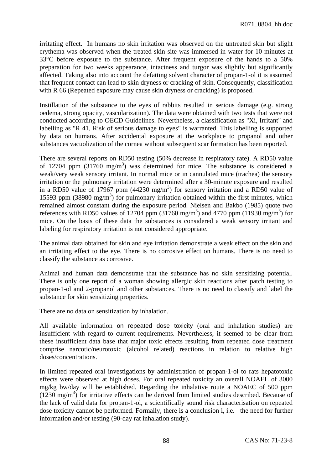irritating effect. In humans no skin irritation was observed on the untreated skin but slight erythema was observed when the treated skin site was immersed in water for 10 minutes at 33°C before exposure to the substance. After frequent exposure of the hands to a 50% preparation for two weeks appearance, intactness and turgor was slightly but significantly affected. Taking also into account the defatting solvent character of propan-1-ol it is assumed that frequent contact can lead to skin dryness or cracking of skin. Consequently, classification with R 66 (Repeated exposure may cause skin dryness or cracking) is proposed.

Instillation of the substance to the eyes of rabbits resulted in serious damage (e.g. strong oedema, strong opacity, vascularization). The data were obtained with two tests that were not conducted according to OECD Guidelines. Nevertheless, a classification as "Xi, Irritant" and labelling as "R 41, Risk of serious damage to eyes" is warranted. This labelling is supported by data on humans. After accidental exposure at the workplace to propanol and other substances vacuolization of the cornea without subsequent scar formation has been reported.

There are several reports on RD50 testing (50% decrease in respiratory rate). A RD50 value of 12704 ppm  $(31760 \text{ mg/m}^3)$  was determined for mice. The substance is considered a weak/very weak sensory irritant. In normal mice or in cannulated mice (trachea) the sensory irritation or the pulmonary irritation were determined after a 30-minute exposure and resulted in a RD50 value of 17967 ppm  $(44230 \text{ mg/m}^3)$  for sensory irritation and a RD50 value of 15593 ppm  $(38980 \text{ mg/m}^3)$  for pulmonary irritation obtained within the first minutes, which remained almost constant during the exposure period. Nielsen and Bakbo (1985) quote two references with RD50 values of 12704 ppm (31760 mg/m<sup>3</sup>) and 4770 ppm (11930 mg/m<sup>3</sup>) for mice. On the basis of these data the substances is considered a weak sensory irritant and labeling for respiratory irritation is not considered appropriate.

The animal data obtained for skin and eye irritation demonstrate a weak effect on the skin and an irritating effect to the eye. There is no corrosive effect on humans. There is no need to classify the substance as corrosive.

Animal and human data demonstrate that the substance has no skin sensitizing potential. There is only one report of a woman showing allergic skin reactions after patch testing to propan-1-ol and 2-propanol and other substances. There is no need to classify and label the substance for skin sensitizing properties.

There are no data on sensitization by inhalation.

All available information on repeated dose toxicity (oral and inhalation studies) are insufficient with regard to current requirements. Nevertheless, it seemed to be clear from these insufficient data base that major toxic effects resulting from repeated dose treatment comprise narcotic/neurotoxic (alcohol related) reactions in relation to relative high doses/concentrations.

In limited repeated oral investigations by administration of propan-1-ol to rats hepatotoxic effects were observed at high doses. For oral repeated toxicity an overall NOAEL of 3000 mg/kg bw/day will be established. Regarding the inhalative route a NOAEC of 500 ppm  $(1230 \text{ mg/m}^3)$  for irritative effects can be derived from limited studies described. Because of the lack of valid data for propan-1-ol, a scientifically sound risk characterisation on repeated dose toxicity cannot be performed. Formally, there is a conclusion i, i.e. the need for further information and/or testing (90-day rat inhalation study).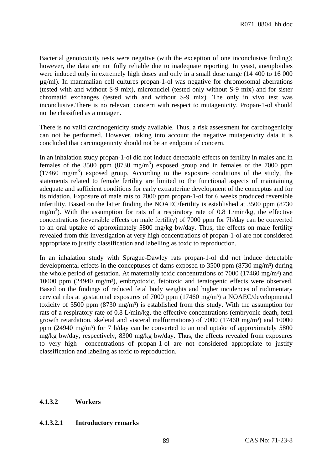Bacterial genotoxicity tests were negative (with the exception of one inconclusive finding); however, the data are not fully reliable due to inadequate reporting. In yeast, aneuploidies were induced only in extremely high doses and only in a small dose range (14 400 to 16 000 µg/ml). In mammalian cell cultures propan-1-ol was negative for chromosomal aberrations (tested with and without S-9 mix), micronuclei (tested only without S-9 mix) and for sister chromatid exchanges (tested with and without S-9 mix). The only in vivo test was inconclusive.There is no relevant concern with respect to mutagenicity. Propan-1-ol should not be classified as a mutagen.

There is no valid carcinogenicity study available. Thus, a risk assessment for carcinogenicity can not be performed. However, taking into account the negative mutagenicity data it is concluded that carcinogenicity should not be an endpoint of concern.

In an inhalation study propan-1-ol did not induce detectable effects on fertility in males and in females of the 3500 ppm  $(8730 \text{ mg/m}^3)$  exposed group and in females of the 7000 ppm (17460 mg/m3 ) exposed group. According to the exposure conditions of the study, the statements related to female fertility are limited to the functional aspects of maintaining adequate and sufficient conditions for early extrauterine development of the conceptus and for its nidation. Exposure of male rats to 7000 ppm propan-1-ol for 6 weeks produced reversible infertility. Based on the latter finding the NOAEC/fertility is established at 3500 ppm (8730 mg/m3 ). With the assumption for rats of a respiratory rate of 0.8 L/min/kg, the effective concentrations (reversible effects on male fertility) of 7000 ppm for 7h/day can be converted to an oral uptake of approximately 5800 mg/kg bw/day. Thus, the effects on male fertility revealed from this investigation at very high concentrations of propan-1-ol are not considered appropriate to justify classification and labelling as toxic to reproduction.

In an inhalation study with Sprague-Dawley rats propan-1-ol did not induce detectable developmental effects in the conceptuses of dams exposed to  $3500$  ppm  $(8730 \text{ mg/m}^3)$  during the whole period of gestation. At maternally toxic concentrations of  $7000$  (17460 mg/m<sup>3</sup>) and 10000 ppm (24940 mg/m³), embryotoxic, fetotoxic and teratogenic effects were observed. Based on the findings of reduced fetal body weights and higher incidences of rudimentary cervical ribs at gestational exposures of 7000 ppm  $(17460 \text{ mg/m}^3)$  a NOAEC/developmental toxicity of 3500 ppm  $(8730 \text{ mg/m}^3)$  is established from this study. With the assumption for rats of a respiratory rate of 0.8 L/min/kg, the effective concentrations (embryonic death, fetal growth retardation, skeletal and visceral malformations) of  $7000$  (17460 mg/m<sup>3</sup>) and 10000 ppm (24940 mg/m<sup>3</sup>) for 7 h/day can be converted to an oral uptake of approximately 5800 mg/kg bw/day, respectively, 8300 mg/kg bw/day. Thus, the effects revealed from exposures to very high concentrations of propan-1-ol are not considered appropriate to justify classification and labeling as toxic to reproduction.

## **4.1.3.2 Workers**

### **4.1.3.2.1 Introductory remarks**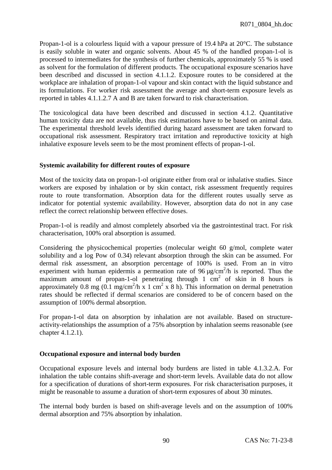Propan-1-ol is a colourless liquid with a vapour pressure of 19.4 hPa at 20°C. The substance is easily soluble in water and organic solvents. About 45 % of the handled propan-1-ol is processed to intermediates for the synthesis of further chemicals, approximately 55 % is used as solvent for the formulation of different products. The occupational exposure scenarios have been described and discussed in section 4.1.1.2. Exposure routes to be considered at the workplace are inhalation of propan-1-ol vapour and skin contact with the liquid substance and its formulations. For worker risk assessment the average and short-term exposure levels as reported in tables 4.1.1.2.7 A and B are taken forward to risk characterisation.

The toxicological data have been described and discussed in section 4.1.2. Quantitative human toxicity data are not available, thus risk estimations have to be based on animal data. The experimental threshold levels identified during hazard assessment are taken forward to occupational risk assessment. Respiratory tract irritation and reproductive toxicity at high inhalative exposure levels seem to be the most prominent effects of propan-1-ol.

# **Systemic availability for different routes of exposure**

Most of the toxicity data on propan-1-ol originate either from oral or inhalative studies. Since workers are exposed by inhalation or by skin contact, risk assessment frequently requires route to route transformation. Absorption data for the different routes usually serve as indicator for potential systemic availability. However, absorption data do not in any case reflect the correct relationship between effective doses.

Propan-1-ol is readily and almost completely absorbed via the gastrointestinal tract. For risk characterisation, 100% oral absorption is assumed.

Considering the physicochemical properties (molecular weight 60 g/mol, complete water solubility and a log Pow of 0.34) relevant absorption through the skin can be assumed. For dermal risk assessment, an absorption percentage of 100% is used. From an in vitro experiment with human epidermis a permeation rate of  $96 \mu g/cm^2/h$  is reported. Thus the maximum amount of propan-1-ol penetrating through  $1 \text{ cm}^2$  of skin in 8 hours is approximately 0.8 mg (0.1 mg/cm<sup>2</sup>/h x 1 cm<sup>2</sup> x 8 h). This information on dermal penetration rates should be reflected if dermal scenarios are considered to be of concern based on the assumption of 100% dermal absorption.

For propan-1-ol data on absorption by inhalation are not available. Based on structureactivity-relationships the assumption of a 75% absorption by inhalation seems reasonable (see chapter 4.1.2.1).

## **Occupational exposure and internal body burden**

Occupational exposure levels and internal body burdens are listed in table 4.1.3.2.A. For inhalation the table contains shift-average and short-term levels. Available data do not allow for a specification of durations of short-term exposures. For risk characterisation purposes, it might be reasonable to assume a duration of short-term exposures of about 30 minutes.

The internal body burden is based on shift-average levels and on the assumption of 100% dermal absorption and 75% absorption by inhalation.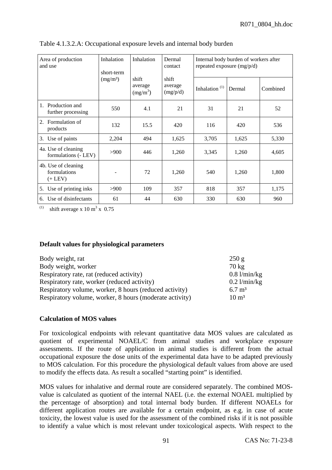| Area of production<br>and use                       | Inhalation<br>short-term                                        | Inhalation          | Dermal<br>contact | Internal body burden of workers after<br>repeated exposure $(mg/p/d)$ |          |       |  |
|-----------------------------------------------------|-----------------------------------------------------------------|---------------------|-------------------|-----------------------------------------------------------------------|----------|-------|--|
|                                                     | shift<br>shift<br>(mg/m <sup>3</sup> )<br>average<br>$(mg/m^3)$ | average<br>(mg/p/d) | Inhalation $(1)$  | Dermal                                                                | Combined |       |  |
| Production and<br>$1_{-}$<br>further processing     | 550                                                             | 4.1                 | 21                | 31                                                                    | 21       | 52    |  |
| Formulation of<br>2.<br>products                    | 132                                                             | 15.5                | 420               | 116                                                                   | 420      | 536   |  |
| Use of paints<br>3.                                 | 2,204                                                           | 494                 | 1,625             | 3,705                                                                 | 1,625    | 5,330 |  |
| 4a. Use of cleaning<br>formulations (- LEV)         | >900                                                            | 446                 | 1,260             | 3,345                                                                 | 1,260    | 4,605 |  |
| 4b. Use of cleaning<br>formulations<br>$(+$ LEV $)$ |                                                                 | 72                  | 1,260             | 540                                                                   | 1,260    | 1,800 |  |
| Use of printing inks<br>5.                          | >900                                                            | 109                 | 357               | 818                                                                   | 357      | 1,175 |  |
| Use of disinfectants<br>6.                          | 61                                                              | 44                  | 630               | 330                                                                   | 630      | 960   |  |

Table 4.1.3.2.A: Occupational exposure levels and internal body burden

<sup>(1)</sup> shift average x 10 m<sup>3</sup> x 0.75

## **Default values for physiological parameters**

| Body weight, rat                                        | 250 g             |
|---------------------------------------------------------|-------------------|
| Body weight, worker                                     | $70 \text{ kg}$   |
| Respiratory rate, rat (reduced activity)                | $0.8$ l/min/kg    |
| Respiratory rate, worker (reduced activity)             | $0.2$ l/min/kg    |
| Respiratory volume, worker, 8 hours (reduced activity)  | $6.7 \text{ m}^3$ |
| Respiratory volume, worker, 8 hours (moderate activity) | $10 \text{ m}^3$  |

## **Calculation of MOS values**

For toxicological endpoints with relevant quantitative data MOS values are calculated as quotient of experimental NOAEL/C from animal studies and workplace exposure assessments. If the route of application in animal studies is different from the actual occupational exposure the dose units of the experimental data have to be adapted previously to MOS calculation. For this procedure the physiological default values from above are used to modify the effects data. As result a socalled "starting point" is identified.

MOS values for inhalative and dermal route are considered separately. The combined MOSvalue is calculated as quotient of the internal NAEL (i.e. the external NOAEL multiplied by the percentage of absorption) and total internal body burden. If different NOAELs for different application routes are available for a certain endpoint, as e.g. in case of acute toxicity, the lowest value is used for the assessment of the combined risks if it is not possible to identify a value which is most relevant under toxicological aspects. With respect to the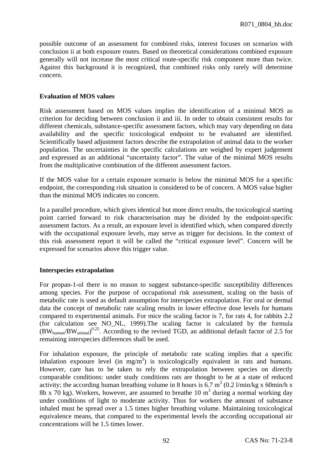possible outcome of an assessment for combined risks, interest focuses on scenarios with conclusion ii at both exposure routes. Based on theoretical considerations combined exposure generally will not increase the most critical route-specific risk component more than twice. Against this background it is recognized, that combined risks only rarely will determine concern.

### **Evaluation of MOS values**

Risk assessment based on MOS values implies the identification of a minimal MOS as criterion for deciding between conclusion ii and iii. In order to obtain consistent results for different chemicals, substance-specific assessment factors, which may vary depending on data availability and the specific toxicological endpoint to be evaluated are identified. Scientifically based adjustment factors describe the extrapolation of animal data to the worker population. The uncertainties in the specific calculations are weighed by expert judgement and expressed as an additional "uncertainty factor". The value of the minimal MOS results from the multiplicative combination of the different assessment factors.

If the MOS value for a certain exposure scenario is below the minimal MOS for a specific endpoint, the corresponding risk situation is considered to be of concern. A MOS value higher than the minimal MOS indicates no concern.

In a parallel procedure, which gives identical but more direct results, the toxicological starting point carried forward to risk characterisation may be divided by the endpoint-specific assessment factors. As a result, an exposure level is identified which, when compared directly with the occupational exposure levels, may serve as trigger for decisions. In the context of this risk assessment report it will be called the "critical exposure level". Concern will be expressed for scenarios above this trigger value.

### **Interspecies extrapolation**

For propan-1-ol there is no reason to suggest substance-specific susceptibility differences among species. For the purpose of occupational risk assessment, scaling on the basis of metabolic rate is used as default assumption for interspecies extrapolation. For oral or dermal data the concept of metabolic rate scaling results in lower effective dose levels for humans compared to experimental animals. For mice the scaling factor is 7, for rats 4, for rabbits 2.2 (for calculation see NO\_NL, 1999).The scaling factor is calculated by the formula  $(BW_{human}/BW_{animal})^{0.25}$ . According to the revised TGD, an additional default factor of 2.5 for remaining interspecies differences shall be used.

For inhalation exposure, the principle of metabolic rate scaling implies that a specific inhalation exposure level (in  $mg/m<sup>3</sup>$ ) is toxicologically equivalent in rats and humans. However, care has to be taken to rely the extrapolation between species on directly comparable conditions: under study conditions rats are thought to be at a state of reduced activity; the according human breathing volume in 8 hours is  $6.7 \text{ m}^3$  (0.2 l/min/kg x 60min/h x 8h x 70 kg). Workers, however, are assumed to breathe 10  $m<sup>3</sup>$  during a normal working day under conditions of light to moderate activity. Thus for workers the amount of substance inhaled must be spread over a 1.5 times higher breathing volume. Maintaining toxicological equivalence means, that compared to the experimental levels the according occupational air concentrations will be 1.5 times lower.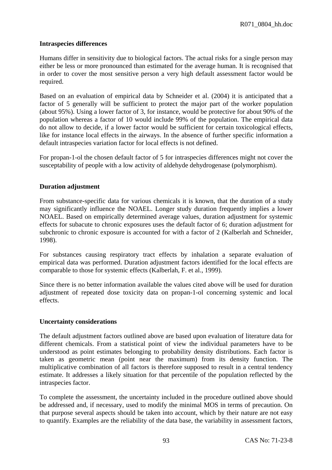### **Intraspecies differences**

Humans differ in sensitivity due to biological factors. The actual risks for a single person may either be less or more pronounced than estimated for the average human. It is recognised that in order to cover the most sensitive person a very high default assessment factor would be required.

Based on an evaluation of empirical data by Schneider et al. (2004) it is anticipated that a factor of 5 generally will be sufficient to protect the major part of the worker population (about 95%). Using a lower factor of 3, for instance, would be protective for about 90% of the population whereas a factor of 10 would include 99% of the population. The empirical data do not allow to decide, if a lower factor would be sufficient for certain toxicological effects, like for instance local effects in the airways. In the absence of further specific information a default intraspecies variation factor for local effects is not defined.

For propan-1-ol the chosen default factor of 5 for intraspecies differences might not cover the susceptability of people with a low activity of aldehyde dehydrogenase (polymorphism).

### **Duration adjustment**

From substance-specific data for various chemicals it is known, that the duration of a study may significantly influence the NOAEL. Longer study duration frequently implies a lower NOAEL. Based on empirically determined average values, duration adjustment for systemic effects for subacute to chronic exposures uses the default factor of 6; duration adjustment for subchronic to chronic exposure is accounted for with a factor of 2 (Kalberlah and Schneider, 1998).

For substances causing respiratory tract effects by inhalation a separate evaluation of empirical data was performed. Duration adjustment factors identified for the local effects are comparable to those for systemic effects (Kalberlah, F. et al., 1999).

Since there is no better information available the values cited above will be used for duration adjustment of repeated dose toxicity data on propan-1-ol concerning systemic and local effects.

### **Uncertainty considerations**

The default adjustment factors outlined above are based upon evaluation of literature data for different chemicals. From a statistical point of view the individual parameters have to be understood as point estimates belonging to probability density distributions. Each factor is taken as geometric mean (point near the maximum) from its density function. The multiplicative combination of all factors is therefore supposed to result in a central tendency estimate. It addresses a likely situation for that percentile of the population reflected by the intraspecies factor.

To complete the assessment, the uncertainty included in the procedure outlined above should be addressed and, if necessary, used to modify the minimal MOS in terms of precaution. On that purpose several aspects should be taken into account, which by their nature are not easy to quantify. Examples are the reliability of the data base, the variability in assessment factors,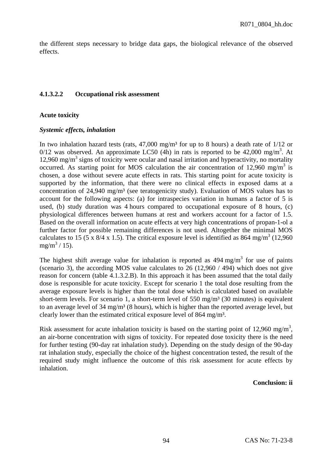the different steps necessary to bridge data gaps, the biological relevance of the observed effects.

## **4.1.3.2.2 Occupational risk assessment**

### **Acute toxicity**

### *Systemic effects, inhalation*

In two inhalation hazard tests (rats,  $47,000$  mg/m<sup>3</sup> for up to 8 hours) a death rate of  $1/12$  or 0/12 was observed. An approximate LC50 (4h) in rats is reported to be 42,000 mg/m<sup>3</sup>. At 12,960 mg/m<sup>3</sup> signs of toxicity were ocular and nasal irritation and hyperactivity, no mortality occurred. As starting point for MOS calculation the air concentration of 12,960 mg/m<sup>3</sup> is chosen, a dose without severe acute effects in rats. This starting point for acute toxicity is supported by the information, that there were no clinical effects in exposed dams at a concentration of 24,940 mg/m<sup>3</sup> (see teratogenicity study). Evaluation of MOS values has to account for the following aspects: (a) for intraspecies variation in humans a factor of 5 is used, (b) study duration was 4 hours compared to occupational exposure of 8 hours, (c) physiological differences between humans at rest and workers account for a factor of 1.5. Based on the overall information on acute effects at very high concentrations of propan-1-ol a further factor for possible remaining differences is not used. Altogether the minimal MOS calculates to 15 (5 x 8/4 x 1.5). The critical exposure level is identified as 864 mg/m<sup>3</sup> (12,960)  $mg/m^3/15$ ).

The highest shift average value for inhalation is reported as  $494 \text{ mg/m}^3$  for use of paints (scenario 3), the according MOS value calculates to 26 (12,960 / 494) which does not give reason for concern (table 4.1.3.2.B). In this approach it has been assumed that the total daily dose is responsible for acute toxicity. Except for scenario 1 the total dose resulting from the average exposure levels is higher than the total dose which is calculated based on available short-term levels. For scenario 1, a short-term level of  $550 \text{ mg/m}^3$  (30 minutes) is equivalent to an average level of 34 mg/m<sup>3</sup> (8 hours), which is higher than the reported average level, but clearly lower than the estimated critical exposure level of 864 mg/m<sup>3</sup>.

Risk assessment for acute inhalation toxicity is based on the starting point of 12,960 mg/m<sup>3</sup>, an air-borne concentration with signs of toxicity. For repeated dose toxicity there is the need for further testing (90-day rat inhalation study). Depending on the study design of the 90-day rat inhalation study, especially the choice of the highest concentration tested, the result of the required study might influence the outcome of this risk assessment for acute effects by inhalation.

### **Conclusion: ii**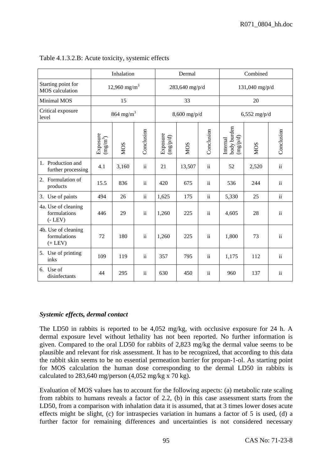|                                                     | Inhalation                                             |                         |                 |                                          | Dermal         |               |                                                 | Combined       |                     |  |
|-----------------------------------------------------|--------------------------------------------------------|-------------------------|-----------------|------------------------------------------|----------------|---------------|-------------------------------------------------|----------------|---------------------|--|
| Starting point for<br><b>MOS</b> calculation        | $12,960$ mg/m <sup>3</sup>                             |                         |                 |                                          | 283,640 mg/p/d |               |                                                 | 131,040 mg/p/d |                     |  |
| Minimal MOS                                         |                                                        | 15                      |                 |                                          | 33             |               |                                                 | 20             |                     |  |
| Critical exposure<br>level                          |                                                        | $864$ mg/m <sup>3</sup> |                 |                                          | $8,600$ mg/p/d |               |                                                 | $6,552$ mg/p/d |                     |  |
|                                                     | Exposure $\frac{\text{exp}(\text{m}^3)}{(\text{m}^3)}$ | <b>NOS</b>              | Conclusion      | Exposure<br>$(\mathrm{mg}/\mathrm{p/d})$ | <b>NOS</b>     | Conclusion    | body burden<br>(mg <sub>p</sub> /d)<br>Internal | <b>MOS</b>     | Conclusion          |  |
| Production and<br>1.<br>further processing          | 4.1                                                    | 3,160                   | $\ddot{\rm ii}$ | 21                                       | 13,507         | $\mathbf{ii}$ | 52                                              | 2,520          | ii                  |  |
| Formulation of<br>2.<br>products                    | 15.5                                                   | 836                     | $\mathbf{ii}$   | 420                                      | 675            | $\rm ii$      | 536                                             | 244            | $\rm ii$            |  |
| 3. Use of paints                                    | 494                                                    | 26                      | $\ddot{\rm ii}$ | 1,625                                    | 175            | $\rm ii$      | 5,330                                           | 25             | $\rm ii$            |  |
| 4a. Use of cleaning<br>formulations<br>$(-$ LEV $)$ | 446                                                    | 29                      | $\ddot{\rm ii}$ | 1,260                                    | 225            | $\rm ii$      | 4,605                                           | 28             | $\rm ii$            |  |
| 4b. Use of cleaning<br>formulations<br>$(+$ LEV $)$ | 72                                                     | 180                     | $\ddot{\rm ii}$ | 1,260                                    | 225            | $\rm ii$      | 1,800                                           | 73             | $\ddot{\mathbf{i}}$ |  |
| 5. Use of printing<br>inks                          | 109                                                    | 119                     | $\mathbf{ii}$   | 357                                      | 795            | $\rm ii$      | 1,175                                           | 112            | $\rm ii$            |  |
| 6. Use of<br>disinfectants                          | 44                                                     | 295                     | $\ddot{\rm n}$  | 630                                      | 450            | $\rm ii$      | 960                                             | 137            | ii                  |  |

# Table 4.1.3.2.B: Acute toxicity, systemic effects

# *Systemic effects, dermal contact*

The LD50 in rabbits is reported to be 4,052 mg/kg, with occlusive exposure for 24 h. A dermal exposure level without lethality has not been reported. No further information is given. Compared to the oral LD50 for rabbits of 2,823 mg/kg the dermal value seems to be plausible and relevant for risk assessment. It has to be recognized, that according to this data the rabbit skin seems to be no essential permeation barrier for propan-1-ol. As starting point for MOS calculation the human dose corresponding to the dermal LD50 in rabbits is calculated to 283,640 mg/person  $(4.052 \text{ mg/kg} \times 70 \text{ kg})$ .

Evaluation of MOS values has to account for the following aspects: (a) metabolic rate scaling from rabbits to humans reveals a factor of 2.2, (b) in this case assessment starts from the LD50, from a comparison with inhalation data it is assumed, that at 3 times lower doses acute effects might be slight, (c) for intraspecies variation in humans a factor of 5 is used, (d) a further factor for remaining differences and uncertainties is not considered necessary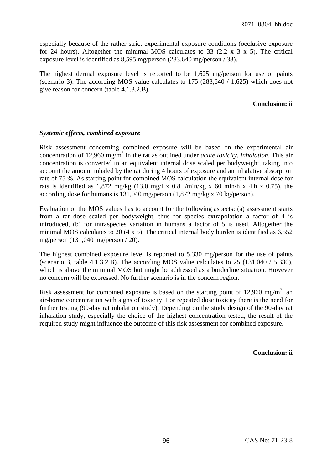especially because of the rather strict experimental exposure conditions (occlusive exposure for 24 hours). Altogether the minimal MOS calculates to 33 (2.2 x  $3 \times 5$ ). The critical exposure level is identified as 8,595 mg/person (283,640 mg/person / 33).

The highest dermal exposure level is reported to be 1,625 mg/person for use of paints (scenario 3). The according MOS value calculates to 175 (283,640 / 1,625) which does not give reason for concern (table 4.1.3.2.B).

# **Conclusion: ii**

# *Systemic effects, combined exposure*

Risk assessment concerning combined exposure will be based on the experimental air concentration of 12,960 mg/m<sup>3</sup> in the rat as outlined under *acute toxicity, inhalation*. This air concentration is converted in an equivalent internal dose scaled per bodyweight, taking into account the amount inhaled by the rat during 4 hours of exposure and an inhalative absorption rate of 75 %. As starting point for combined MOS calculation the equivalent internal dose for rats is identified as 1,872 mg/kg (13.0 mg/l x 0.8 l/min/kg x 60 min/h x 4 h x 0.75), the according dose for humans is 131,040 mg/person (1,872 mg/kg x 70 kg/person).

Evaluation of the MOS values has to account for the following aspects: (a) assessment starts from a rat dose scaled per bodyweight, thus for species extrapolation a factor of 4 is introduced, (b) for intraspecies variation in humans a factor of 5 is used. Altogether the minimal MOS calculates to 20  $(4 \times 5)$ . The critical internal body burden is identified as 6,552 mg/person (131,040 mg/person / 20).

The highest combined exposure level is reported to 5,330 mg/person for the use of paints (scenario 3, table 4.1.3.2.B). The according MOS value calculates to  $25$  (131,040 / 5,330), which is above the minimal MOS but might be addressed as a borderline situation. However no concern will be expressed. No further scenario is in the concern region.

Risk assessment for combined exposure is based on the starting point of 12,960 mg/m<sup>3</sup>, an air-borne concentration with signs of toxicity. For repeated dose toxicity there is the need for further testing (90-day rat inhalation study). Depending on the study design of the 90-day rat inhalation study, especially the choice of the highest concentration tested, the result of the required study might influence the outcome of this risk assessment for combined exposure.

**Conclusion: ii**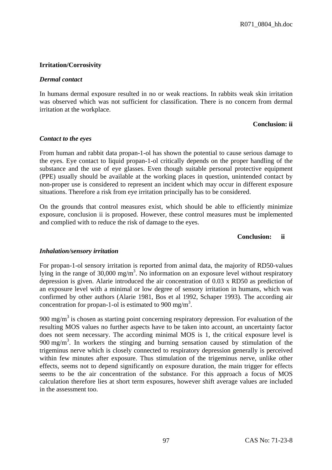# **Irritation/Corrosivity**

## *Dermal contact*

In humans dermal exposure resulted in no or weak reactions. In rabbits weak skin irritation was observed which was not sufficient for classification. There is no concern from dermal irritation at the workplace.

## **Conclusion: ii**

# *Contact to the eyes*

From human and rabbit data propan-1-ol has shown the potential to cause serious damage to the eyes. Eye contact to liquid propan-1-ol critically depends on the proper handling of the substance and the use of eye glasses. Even though suitable personal protective equipment (PPE) usually should be available at the working places in question, unintended contact by non-proper use is considered to represent an incident which may occur in different exposure situations. Therefore a risk from eye irritation principally has to be considered.

On the grounds that control measures exist, which should be able to efficiently minimize exposure, conclusion ii is proposed. However, these control measures must be implemented and complied with to reduce the risk of damage to the eyes.

#### **Conclusion: ii**

# *Inhalation/sensory irritation*

For propan-1-ol sensory irritation is reported from animal data, the majority of RD50-values lying in the range of  $30,000 \text{ mg/m}^3$ . No information on an exposure level without respiratory depression is given. Alarie introduced the air concentration of 0.03 x RD50 as prediction of an exposure level with a minimal or low degree of sensory irritation in humans, which was confirmed by other authors (Alarie 1981, Bos et al 1992, Schaper 1993). The according air concentration for propan-1-ol is estimated to 900 mg/m<sup>3</sup>.

900 mg/m<sup>3</sup> is chosen as starting point concerning respiratory depression. For evaluation of the resulting MOS values no further aspects have to be taken into account, an uncertainty factor does not seem necessary. The according minimal MOS is 1, the critical exposure level is  $900 \text{ mg/m}^3$ . In workers the stinging and burning sensation caused by stimulation of the trigeminus nerve which is closely connected to respiratory depression generally is perceived within few minutes after exposure. Thus stimulation of the trigeminus nerve, unlike other effects, seems not to depend significantly on exposure duration, the main trigger for effects seems to be the air concentration of the substance. For this approach a focus of MOS calculation therefore lies at short term exposures, however shift average values are included in the assessment too.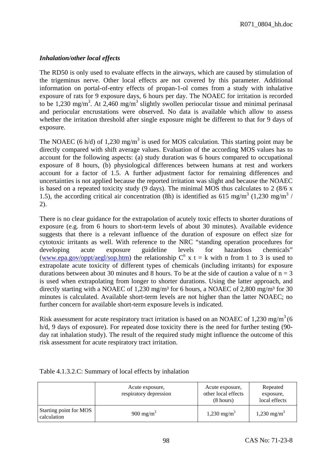# *Inhalation/other local effects*

The RD50 is only used to evaluate effects in the airways, which are caused by stimulation of the trigeminus nerve. Other local effects are not covered by this parameter. Additional information on portal-of-entry effects of propan-1-ol comes from a study with inhalative exposure of rats for 9 exposure days, 6 hours per day. The NOAEC for irritation is recorded to be 1,230 mg/m<sup>3</sup>. At 2,460 mg/m<sup>3</sup> slightly swollen periocular tissue and minimal perinasal and periocular encrustations were observed. No data is available which allow to assess whether the irritation threshold after single exposure might be different to that for 9 days of exposure.

The NOAEC (6 h/d) of 1,230 mg/m<sup>3</sup> is used for MOS calculation. This starting point may be directly compared with shift average values. Evaluation of the according MOS values has to account for the following aspects: (a) study duration was 6 hours compared to occupational exposure of 8 hours, (b) physiological differences between humans at rest and workers account for a factor of 1.5. A further adjustment factor for remaining differences and uncertainties is not applied because the reported irritation was slight and because the NOAEC is based on a repeated toxicity study (9 days). The minimal MOS thus calculates to 2 (8/6 x 1.5), the according critical air concentration (8h) is identified as 615 mg/m<sup>3</sup> (1,230 mg/m<sup>3</sup> / 2).

There is no clear guidance for the extrapolation of acutely toxic effects to shorter durations of exposure (e.g. from 6 hours to short-term levels of about 30 minutes). Available evidence suggests that there is a relevant influence of the duration of exposure on effect size for cytotoxic irritants as well. With reference to the NRC "standing operation procedures for developing acute exposure guideline levels for hazardous chemicals" [\(www.epa.gov/oppt/aegl/sop.htm\)](http://www.epa.gov/oppt/aegl/sop.htm) the relationship  $C<sup>n</sup>$  x t = k with n from 1 to 3 is used to extrapolate acute toxicity of different types of chemicals (including irritants) for exposure durations between about 30 minutes and 8 hours. To be at the side of caution a value of  $n = 3$ is used when extrapolating from longer to shorter durations. Using the latter approach, and directly starting with a NOAEC of 1,230 mg/m<sup>3</sup> for 6 hours, a NOAEC of 2,800 mg/m<sup>3</sup> for 30 minutes is calculated. Available short-term levels are not higher than the latter NOAEC; no further concern for available short-term exposure levels is indicated.

Risk assessment for acute respiratory tract irritation is based on an NOAEC of 1,230 mg/m<sup>3</sup> (6) h/d, 9 days of exposure). For repeated dose toxicity there is the need for further testing (90 day rat inhalation study). The result of the required study might influence the outcome of this risk assessment for acute respiratory tract irritation.

|                                       | Acute exposure,<br>respiratory depression | Acute exposure,<br>other local effects<br>$(8 \text{ hours})$ | Repeated<br>exposure,<br>local effects |
|---------------------------------------|-------------------------------------------|---------------------------------------------------------------|----------------------------------------|
| Starting point for MOS<br>calculation | 900 mg/m <sup>3</sup>                     | 1,230 mg/m <sup>3</sup>                                       | $1,230 \text{ mg/m}^3$                 |

# Table 4.1.3.2.C: Summary of local effects by inhalation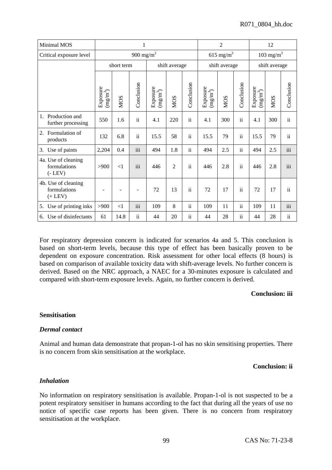| Minimal MOS                                         | 1                                  |                       |                |                                            |                |                     | $\mathfrak{2}$                     |                       |                 | 12                                                   |                       |                 |  |
|-----------------------------------------------------|------------------------------------|-----------------------|----------------|--------------------------------------------|----------------|---------------------|------------------------------------|-----------------------|-----------------|------------------------------------------------------|-----------------------|-----------------|--|
| Critical exposure level                             |                                    | 900 mg/m <sup>3</sup> |                |                                            |                |                     |                                    | 615 mg/m <sup>3</sup> |                 |                                                      | 103 mg/m <sup>3</sup> |                 |  |
|                                                     |                                    | short term            |                |                                            | shift average  |                     | shift average                      |                       | shift average   |                                                      |                       |                 |  |
|                                                     | Exposure<br>$\left( mg/m^3\right)$ | <b>NOS</b>            | Conclusion     | Exposure<br>$\left(\textrm{mg/m}^3\right)$ | <b>MOS</b>     | Conclusion          | Exposure<br>$\left( mg/m^3\right)$ | <b>NOS</b>            | Conclusion      | Exposure<br>$\left(\textrm{m} \textrm{g/m}^3\right)$ | <b>NOS</b>            | Conclusion      |  |
| Production and<br>$1_{\cdot}$<br>further processing | 550                                | 1.6                   | $\mathbf{ii}$  | 4.1                                        | 220            | $\ddot{\mathbf{i}}$ | 4.1                                | 300                   | $\ddot{\rm ii}$ | 4.1                                                  | 300                   | $\ddot{\rm ii}$ |  |
| Formulation of<br>2.<br>products                    | 132                                | 6.8                   | $\mathbf{ii}$  | 15.5                                       | 58             | $\rm ii$            | 15.5                               | 79                    | $\ddot{\rm ii}$ | 15.5                                                 | 79                    | $\mathbf{ii}$   |  |
| Use of paints<br>3.                                 | 2,204                              | 0.4                   | iii            | 494                                        | 1.8            | $\ddot{\mathbf{i}}$ | 494                                | 2.5                   | $\ddot{\rm n}$  | 494                                                  | 2.5                   | iii             |  |
| 4a. Use of cleaning<br>formulations<br>$(-$ LEV $)$ | >900                               | $\leq$ 1              | iii            | 446                                        | $\overline{2}$ | $\mathbf{ii}$       | 446                                | 2.8                   | $\ddot{\rm ii}$ | 446                                                  | 2.8                   | iii             |  |
| 4b. Use of cleaning<br>formulations<br>$(+$ LEV $)$ |                                    |                       |                | 72                                         | 13             | $\mathbf{ii}$       | 72                                 | 17                    | $\ddot{\rm ii}$ | 72                                                   | 17                    | $\mathbf{ii}$   |  |
| Use of printing inks<br>5.                          | >900                               | $<$ 1                 | iii            | 109                                        | 8              | ii                  | 109                                | 11                    | $\ddot{\rm n}$  | 109                                                  | 11                    | iii             |  |
| Use of disinfectants<br>6.                          | 61                                 | 14.8                  | $\ddot{\rm n}$ | 44                                         | 20             | $\mathbf{ii}$       | 44                                 | 28                    | $\ddot{\rm n}$  | 44                                                   | 28                    | $\ddot{\rm n}$  |  |

For respiratory depression concern is indicated for scenarios 4a and 5. This conclusion is based on short-term levels, because this type of effect has been basically proven to be dependent on exposure concentration. Risk assessment for other local effects (8 hours) is based on comparison of available toxicity data with shift-average levels. No further concern is derived. Based on the NRC approach, a NAEC for a 30-minutes exposure is calculated and compared with short-term exposure levels. Again, no further concern is derived.

## **Conclusion: iii**

#### **Sensitisation**

#### *Dermal contact*

Animal and human data demonstrate that propan-1-ol has no skin sensitising properties. There is no concern from skin sensitisation at the workplace.

#### **Conclusion: ii**

# *Inhalation*

No information on respiratory sensitisation is available. Propan-1-ol is not suspected to be a potent respiratory sensitiser in humans according to the fact that during all the years of use no notice of specific case reports has been given. There is no concern from respiratory sensitisation at the workplace.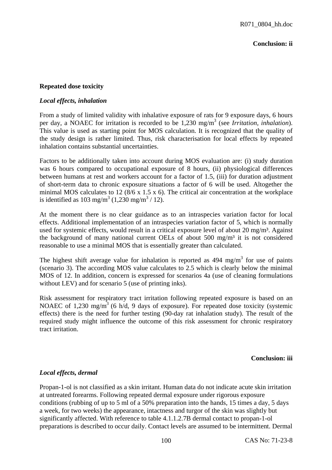## **Conclusion: ii**

## **Repeated dose toxicity**

#### *Local effects, inhalation*

From a study of limited validity with inhalative exposure of rats for 9 exposure days, 6 hours per day, a NOAEC for irritation is recorded to be 1,230 mg/m<sup>3</sup> (see *Irritation, inhalation*). This value is used as starting point for MOS calculation. It is recognized that the quality of the study design is rather limited. Thus, risk characterisation for local effects by repeated inhalation contains substantial uncertainties.

Factors to be additionally taken into account during MOS evaluation are: (i) study duration was 6 hours compared to occupational exposure of 8 hours, (ii) physiological differences between humans at rest and workers account for a factor of 1.5, (iii) for duration adjustment of short-term data to chronic exposure situations a factor of 6 will be used. Altogether the minimal MOS calculates to 12 (8/6 x 1.5 x 6). The critical air concentration at the workplace is identified as 103 mg/m<sup>3</sup> (1,230 mg/m<sup>3</sup> / 12).

At the moment there is no clear guidance as to an intraspecies variation factor for local effects. Additional implementation of an intraspecies variation factor of 5, which is normally used for systemic effects, would result in a critical exposure level of about 20 mg/m<sup>3</sup>. Against the background of many national current OELs of about  $500 \text{ mg/m}^3$  it is not considered reasonable to use a minimal MOS that is essentially greater than calculated.

The highest shift average value for inhalation is reported as  $494 \text{ mg/m}^3$  for use of paints (scenario 3). The according MOS value calculates to 2.5 which is clearly below the minimal MOS of 12. In addition, concern is expressed for scenarios 4a (use of cleaning formulations without LEV) and for scenario 5 (use of printing inks).

Risk assessment for respiratory tract irritation following repeated exposure is based on an NOAEC of 1,230 mg/m<sup>3</sup> (6 h/d, 9 days of exposure). For repeated dose toxicity (systemic effects) there is the need for further testing (90-day rat inhalation study). The result of the required study might influence the outcome of this risk assessment for chronic respiratory tract irritation.

# **Conclusion: iii**

# *Local effects, dermal*

Propan-1-ol is not classified as a skin irritant. Human data do not indicate acute skin irritation at untreated forearms. Following repeated dermal exposure under rigorous exposure conditions (rubbing of up to 5 ml of a 50% preparation into the hands, 15 times a day, 5 days a week, for two weeks) the appearance, intactness and turgor of the skin was slightly but significantly affected. With reference to table 4.1.1.2.7B dermal contact to propan-1-ol preparations is described to occur daily. Contact levels are assumed to be intermittent. Dermal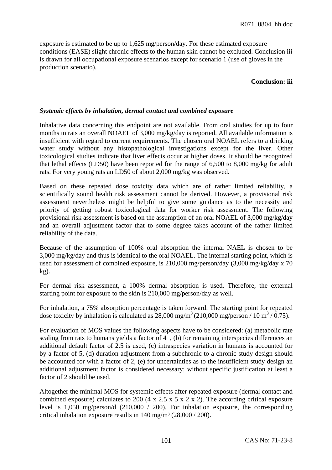exposure is estimated to be up to 1,625 mg/person/day. For these estimated exposure conditions (EASE) slight chronic effects to the human skin cannot be excluded. Conclusion iii is drawn for all occupational exposure scenarios except for scenario 1 (use of gloves in the production scenario).

## **Conclusion: iii**

## *Systemic effects by inhalation, dermal contact and combined exposure*

Inhalative data concerning this endpoint are not available. From oral studies for up to four months in rats an overall NOAEL of 3,000 mg/kg/day is reported. All available information is insufficient with regard to current requirements. The chosen oral NOAEL refers to a drinking water study without any histopathological investigations except for the liver. Other toxicological studies indicate that liver effects occur at higher doses. It should be recognized that lethal effects (LD50) have been reported for the range of 6,500 to 8,000 mg/kg for adult rats. For very young rats an LD50 of about 2,000 mg/kg was observed.

Based on these repeated dose toxicity data which are of rather limited reliability, a scientifically sound health risk assessment cannot be derived. However, a provisional risk assessment nevertheless might be helpful to give some guidance as to the necessity and priority of getting robust toxicological data for worker risk assessment. The following provisional risk assessment is based on the assumption of an oral NOAEL of 3,000 mg/kg/day and an overall adjustment factor that to some degree takes account of the rather limited reliability of the data.

Because of the assumption of 100% oral absorption the internal NAEL is chosen to be 3,000 mg/kg/day and thus is identical to the oral NOAEL. The internal starting point, which is used for assessment of combined exposure, is 210,000 mg/person/day (3,000 mg/kg/day x 70 kg).

For dermal risk assessment, a 100% dermal absorption is used. Therefore, the external starting point for exposure to the skin is 210,000 mg/person/day as well.

For inhalation, a 75% absorption percentage is taken forward. The starting point for repeated dose toxicity by inhalation is calculated as  $28,000 \text{ mg/m}^3$  (210,000 mg/person / 10 m<sup>3</sup> / 0.75).

For evaluation of MOS values the following aspects have to be considered: (a) metabolic rate scaling from rats to humans yields a factor of 4 , (b) for remaining interspecies differences an additional default factor of 2.5 is used, (c) intraspecies variation in humans is accounted for by a factor of 5, (d) duration adjustment from a subchronic to a chronic study design should be accounted for with a factor of 2, (e) for uncertainties as to the insufficient study design an additional adjustment factor is considered necessary; without specific justification at least a factor of 2 should be used.

Altogether the minimal MOS for systemic effects after repeated exposure (dermal contact and combined exposure) calculates to 200 (4 x 2.5 x 5 x 2 x 2). The according critical exposure level is 1,050 mg/person/d (210,000 / 200). For inhalation exposure, the corresponding critical inhalation exposure results in  $140 \text{ mg/m}^3$  (28,000 / 200).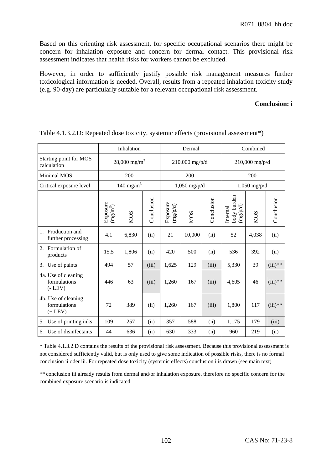Based on this orienting risk assessment, for specific occupational scenarios there might be concern for inhalation exposure and concern for dermal contact. This provisional risk assessment indicates that health risks for workers cannot be excluded.

However, in order to sufficiently justify possible risk management measures further toxicological information is needed. Overall, results from a repeated inhalation toxicity study (e.g. 90-day) are particularly suitable for a relevant occupational risk assessment.

## **Conclusion: i**

|                                                     | Inhalation                               |              |            |                      | Dermal           |            | Combined                            |                  |            |  |
|-----------------------------------------------------|------------------------------------------|--------------|------------|----------------------|------------------|------------|-------------------------------------|------------------|------------|--|
| Starting point for MOS<br>calculation               | $28,000 \text{ mg/m}^3$                  |              |            |                      | $210,000$ mg/p/d |            |                                     | $210,000$ mg/p/d |            |  |
| Minimal MOS                                         |                                          | 200          |            |                      | 200              |            |                                     | 200              |            |  |
| Critical exposure level                             |                                          | 140 mg/m $3$ |            |                      | $1,050$ mg/p/d   |            |                                     | $1,050$ mg/p/d   |            |  |
|                                                     | Exposure<br>$\left( \rm{mg/m}^3 \right)$ | <b>NOS</b>   | Conclusion | Exposure<br>(np/p/d) | <b>NOS</b>       | Conclusion | body burden<br>(npdp/d)<br>Internal | <b>NOS</b>       | Conclusion |  |
| Production and<br>$1_{\cdot}$<br>further processing | 4.1                                      | 6,830        | (ii)       | 21                   | 10,000           | (ii)       | 52                                  | 4,038            | (ii)       |  |
| 2. Formulation of<br>products                       | 15.5                                     | 1,806        | (ii)       | 420                  | 500              | (ii)       | 536                                 | 392              | (ii)       |  |
| Use of paints<br>3.                                 | 494                                      | 57           | (iii)      | 1,625                | 129              | (iii)      | 5,330                               | 39               | $(iii)**$  |  |
| 4a. Use of cleaning<br>formulations<br>$(-$ LEV $)$ | 446                                      | 63           | (iii)      | 1,260                | 167              | (iii)      | 4,605                               | 46               | $(iii)**$  |  |
| 4b. Use of cleaning<br>formulations<br>$(+$ LEV $)$ | 72                                       | 389          | (ii)       | 1,260                | 167              | (iii)      | 1,800                               | 117              | $(iii)**$  |  |
| Use of printing inks<br>5.                          | 109                                      | 257          | (ii)       | 357                  | 588              | (ii)       | 1,175                               | 179              | (iii)      |  |
| Use of disinfectants<br>б.                          | 44                                       | 636          | (ii)       | 630                  | 333              | (ii)       | 960                                 | 219              | (ii)       |  |

Table 4.1.3.2.D: Repeated dose toxicity, systemic effects (provisional assessment\*)

\* Table 4.1.3.2.D contains the results of the provisional risk assessment. Because this provisional assessment is not considered sufficiently valid, but is only used to give some indication of possible risks, there is no formal conclusion ii oder iii. For repeated dose toxicity (systemic effects) conclusion i is drawn (see main text)

\*\* conclusion iii already results from dermal and/or inhalation exposure, therefore no specific concern for the combined exposure scenario is indicated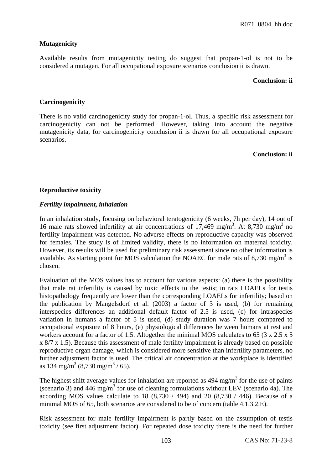## **Mutagenicity**

Available results from mutagenicity testing do suggest that propan-1-ol is not to be considered a mutagen. For all occupational exposure scenarios conclusion ii is drawn.

#### **Conclusion: ii**

## **Carcinogenicity**

There is no valid carcinogenicity study for propan-1-ol. Thus, a specific risk assessment for carcinogenicity can not be performed. However, taking into account the negative mutagenicity data, for carcinogenicity conclusion ii is drawn for all occupational exposure scenarios.

#### **Conclusion: ii**

## **Reproductive toxicity**

## *Fertility impairment, inhalation*

In an inhalation study, focusing on behavioral teratogenicity (6 weeks, 7h per day), 14 out of 16 male rats showed infertility at air concentrations of  $17,469$  mg/m<sup>3</sup>. At 8,730 mg/m<sup>3</sup> no fertility impairment was detected. No adverse effects on reproductive capacity was observed for females. The study is of limited validity, there is no information on maternal toxicity. However, its results will be used for preliminary risk assessment since no other information is available. As starting point for MOS calculation the NOAEC for male rats of 8,730 mg/m<sup>3</sup> is chosen.

Evaluation of the MOS values has to account for various aspects: (a) there is the possibility that male rat infertility is caused by toxic effects to the testis; in rats LOAELs for testis histopathology frequently are lower than the corresponding LOAELs for infertility; based on the publication by Mangelsdorf et al. (2003) a factor of 3 is used, (b) for remaining interspecies differences an additional default factor of 2.5 is used, (c) for intraspecies variation in humans a factor of 5 is used, (d) study duration was 7 hours compared to occupational exposure of 8 hours, (e) physiological differences between humans at rest and workers account for a factor of 1.5. Altogether the minimal MOS calculates to 65 (3 x 2.5 x 5) x 8/7 x 1.5). Because this assessment of male fertility impairment is already based on possible reproductive organ damage, which is considered more sensitive than infertility parameters, no further adjustment factor is used. The critical air concentration at the workplace is identified as 134 mg/m<sup>3</sup> (8,730 mg/m<sup>3</sup> / 65).

The highest shift average values for inhalation are reported as  $494 \text{ mg/m}^3$  for the use of paints (scenario 3) and 446 mg/m<sup>3</sup> for use of cleaning formulations without LEV (scenario 4a). The according MOS values calculate to 18  $(8,730 / 494)$  and 20  $(8,730 / 446)$ . Because of a minimal MOS of 65, both scenarios are considered to be of concern (table 4.1.3.2.E).

Risk assessment for male fertility impairment is partly based on the assumption of testis toxicity (see first adjustment factor). For repeated dose toxicity there is the need for further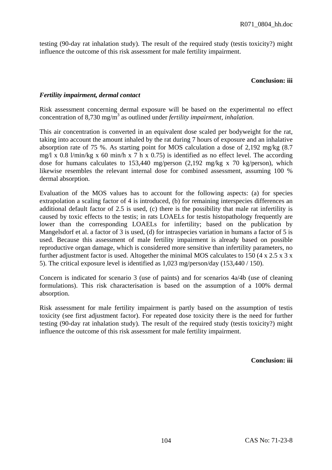testing (90-day rat inhalation study). The result of the required study (testis toxicity?) might influence the outcome of this risk assessment for male fertility impairment.

#### **Conclusion: iii**

## *Fertility impairment, dermal contact*

Risk assessment concerning dermal exposure will be based on the experimental no effect concentration of 8,730 mg/m<sup>3</sup> as outlined under *fertility impairment, inhalation*.

This air concentration is converted in an equivalent dose scaled per bodyweight for the rat, taking into account the amount inhaled by the rat during 7 hours of exposure and an inhalative absorption rate of 75 %. As starting point for MOS calculation a dose of 2,192 mg/kg (8.7 mg/l x 0.8 l/min/kg x 60 min/h x 7 h x 0.75) is identified as no effect level. The according dose for humans calculates to 153,440 mg/person (2,192 mg/kg x 70 kg/person), which likewise resembles the relevant internal dose for combined assessment, assuming 100 % dermal absorption.

Evaluation of the MOS values has to account for the following aspects: (a) for species extrapolation a scaling factor of 4 is introduced, (b) for remaining interspecies differences an additional default factor of 2.5 is used, (c) there is the possibility that male rat infertility is caused by toxic effects to the testis; in rats LOAELs for testis histopathology frequently are lower than the corresponding LOAELs for infertility; based on the publication by Mangelsdorf et al. a factor of 3 is used, (d) for intraspecies variation in humans a factor of 5 is used. Because this assessment of male fertility impairment is already based on possible reproductive organ damage, which is considered more sensitive than infertility parameters, no further adjustment factor is used. Altogether the minimal MOS calculates to 150 (4 x 2.5 x 3 x 5). The critical exposure level is identified as 1,023 mg/person/day (153,440 / 150).

Concern is indicated for scenario 3 (use of paints) and for scenarios 4a/4b (use of cleaning formulations). This risk characterisation is based on the assumption of a 100% dermal absorption.

Risk assessment for male fertility impairment is partly based on the assumption of testis toxicity (see first adjustment factor). For repeated dose toxicity there is the need for further testing (90-day rat inhalation study). The result of the required study (testis toxicity?) might influence the outcome of this risk assessment for male fertility impairment.

**Conclusion: iii**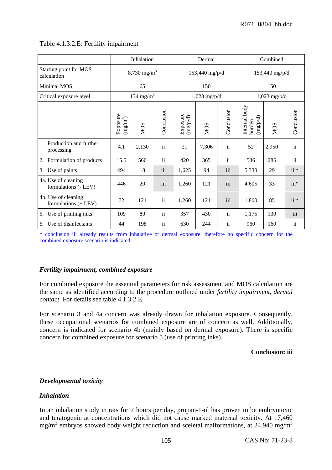|                                                  | Inhalation                               |                       |                 | Dermal              |                |                 | Combined                          |                |                |
|--------------------------------------------------|------------------------------------------|-----------------------|-----------------|---------------------|----------------|-----------------|-----------------------------------|----------------|----------------|
| Starting point for MOS<br>calculation            | $8,730$ mg/m <sup>3</sup>                |                       |                 |                     | 153,440 mg/p/d |                 | 153,440 mg/p/d                    |                |                |
| Minimal MOS                                      |                                          | 65                    |                 |                     | 150            |                 | 150                               |                |                |
| Critical exposure level                          |                                          | 134 mg/m <sup>3</sup> |                 |                     | $1,023$ mg/p/d |                 |                                   | $1,023$ mg/p/d |                |
|                                                  | Exposure<br>$\left(\text{mg/m}^3\right)$ | <b>NOS</b>            | Conclusion      | Exposure<br>$(p/d)$ | <b>NOS</b>     | Conclusion      | Internal body<br>(mg/d)<br>burden | <b>NOS</b>     | Conclusion     |
| Production and further<br>1.<br>processing       | 4.1                                      | 2,130                 | $\rm ii$        | 21                  | 7,306          | $\ddot{\rm n}$  | 52                                | 2,950          | $\rm ii$       |
| Formulation of products<br>2.                    | 15.5                                     | 560                   | $\ddot{\rm ii}$ | 420                 | 365            | $\ddot{\rm ii}$ | 536                               | 286            | $\ddot{\rm n}$ |
| Use of paints<br>3.                              | 494                                      | 18                    | iii             | 1,625               | 94             | iii             | 5,330                             | 29             | $iii*$         |
| 4a. Use of cleaning<br>formulations (- LEV)      | 446                                      | 20                    | iii             | 1,260               | 121            | iii             | 4,605                             | 33             | iii*           |
| 4b. Use of cleaning<br>formulations $(+$ LEV $)$ | 72                                       | 121                   | $\ddot{\rm n}$  | 1,260               | 121            | iii             | 1,800                             | 85             | iii*           |
| Use of printing inks<br>5.                       | 109                                      | 80                    | $\ddot{\rm ii}$ | 357                 | 430            | $\ddot{\rm ii}$ | 1,175                             | 130            | iii            |
| Use of disinfectants<br>6.                       | 44                                       | 198                   | ii              | 630                 | 244            | $\mathbf{ii}$   | 960                               | 160            | $\mathbf{ii}$  |

# Table 4.1.3.2.E: Fertility impairment

\* conclusion iii already results from inhalative or dermal exposure, therefore no specific concern for the combined exposure scenario is indicated

# *Fertility impairment, combined exposure*

For combined exposure the essential parameters for risk assessment and MOS calculation are the same as identified according to the procedure outlined under *fertility impairment, dermal contact.* For details see table 4.1.3.2.E.

For scenario 3 and 4a concern was already drawn for inhalation exposure. Consequently, these occupational scenarios for combined exposure are of concern as well. Additionally, concern is indicated for scenario 4b (mainly based on dermal exposure). There is specific concern for combined exposure for scenario 5 (use of printing inks).

# **Conclusion: iii**

# *Developmental toxicity*

# *Inhalation*

In an inhalation study in rats for 7 hours per day, propan-1-ol has proven to be embryotoxic and teratogenic at concentrations which did not cause marked maternal toxicity. At 17,460  $mg/m<sup>3</sup>$  embryos showed body weight reduction and sceletal malformations, at 24,940 mg/m<sup>3</sup>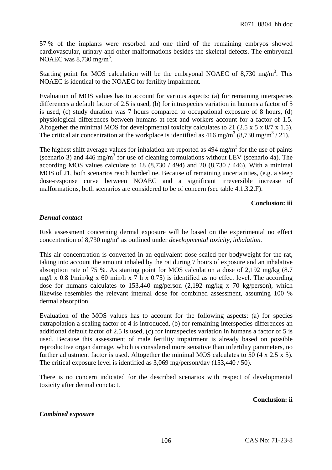57 % of the implants were resorbed and one third of the remaining embryos showed cardiovascular, urinary and other malformations besides the skeletal defects. The embryonal NOAEC was  $8,730 \text{ mg/m}^3$ .

Starting point for MOS calculation will be the embryonal NOAEC of 8,730 mg/m<sup>3</sup>. This NOAEC is identical to the NOAEC for fertility impairment.

Evaluation of MOS values has to account for various aspects: (a) for remaining interspecies differences a default factor of 2.5 is used, (b) for intraspecies variation in humans a factor of 5 is used, (c) study duration was 7 hours compared to occupational exposure of 8 hours, (d) physiological differences between humans at rest and workers account for a factor of 1.5. Altogether the minimal MOS for developmental toxicity calculates to 21 (2.5 x 5 x 8/7 x 1.5). The critical air concentration at the workplace is identified as  $416 \text{ mg/m}^3 (8,730 \text{ mg/m}^3 / 21)$ .

The highest shift average values for inhalation are reported as  $494 \text{ mg/m}^3$  for the use of paints (scenario 3) and  $446 \text{ mg/m}^3$  for use of cleaning formulations without LEV (scenario 4a). The according MOS values calculate to 18  $(8,730 / 494)$  and 20  $(8,730 / 446)$ . With a minimal MOS of 21, both scenarios reach borderline. Because of remaining uncertainties, (e.g. a steep dose-response curve between NOAEC and a significant irreversible increase of malformations, both scenarios are considered to be of concern (see table 4.1.3.2.F).

## **Conclusion: iii**

## *Dermal contact*

Risk assessment concerning dermal exposure will be based on the experimental no effect concentration of 8,730 mg/m<sup>3</sup> as outlined under *developmental toxicity, inhalation*.

This air concentration is converted in an equivalent dose scaled per bodyweight for the rat, taking into account the amount inhaled by the rat during 7 hours of exposure and an inhalative absorption rate of 75 %. As starting point for MOS calculation a dose of 2,192 mg/kg (8.7 mg/l x 0.8 l/min/kg x 60 min/h x 7 h x 0.75) is identified as no effect level. The according dose for humans calculates to 153,440 mg/person (2,192 mg/kg x 70 kg/person), which likewise resembles the relevant internal dose for combined assessment, assuming 100 % dermal absorption.

Evaluation of the MOS values has to account for the following aspects: (a) for species extrapolation a scaling factor of 4 is introduced, (b) for remaining interspecies differences an additional default factor of 2.5 is used, (c) for intraspecies variation in humans a factor of 5 is used. Because this assessment of male fertility impairment is already based on possible reproductive organ damage, which is considered more sensitive than infertility parameters, no further adjustment factor is used. Altogether the minimal MOS calculates to 50 (4 x 2.5 x 5). The critical exposure level is identified as 3,069 mg/person/day (153,440 / 50).

There is no concern indicated for the described scenarios with respect of developmental toxicity after dermal conctact.

# **Conclusion: ii**

# *Combined exposure*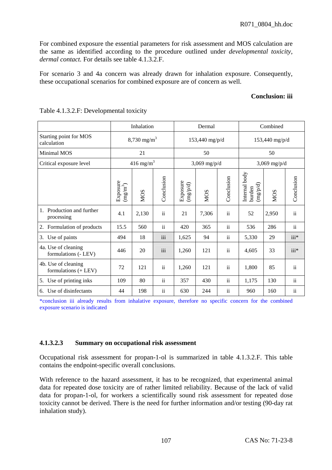For combined exposure the essential parameters for risk assessment and MOS calculation are the same as identified according to the procedure outlined under *developmental toxicity, dermal contact.* For details see table 4.1.3.2.F.

For scenario 3 and 4a concern was already drawn for inhalation exposure. Consequently, these occupational scenarios for combined exposure are of concern as well.

# **Conclusion: iii**

|                                             | Inhalation                                     |                      |                 | Dermal                                   |                |                 | Combined                                                       |                |            |
|---------------------------------------------|------------------------------------------------|----------------------|-----------------|------------------------------------------|----------------|-----------------|----------------------------------------------------------------|----------------|------------|
| Starting point for MOS<br>calculation       | $8,730$ mg/m <sup>3</sup>                      |                      |                 |                                          | 153,440 mg/p/d |                 | 153,440 mg/p/d                                                 |                |            |
| Minimal MOS                                 |                                                | 21                   |                 |                                          | 50             |                 |                                                                | 50             |            |
| Critical exposure level                     |                                                | $416 \text{ mg/m}^3$ |                 |                                          | $3,069$ mg/p/d |                 |                                                                | $3,069$ mg/p/d |            |
|                                             | Exposure<br>$\left( \rm{m}g\rm{/m}^{3}\right)$ | <b>NOS</b>           | Conclusion      | Exposure<br>$\left(\frac{m g}{p}\right)$ | NOS            | Conclusion      | Internal body<br>$\left(\text{mg}/\text{p/d}\right)$<br>burden | <b>MOS</b>     | Conclusion |
| Production and further<br>1.<br>processing  | 4.1                                            | 2,130                | ii              | 21                                       | 7,306          | $\rm ii$        | 52                                                             | 2,950          | $\rm ii$   |
| Formulation of products<br>2.               | 15.5                                           | 560                  | $\ddot{\rm ii}$ | 420                                      | 365            | $\rm ii$        | 536                                                            | 286            | $\rm ii$   |
| Use of paints<br>3.                         | 494                                            | 18                   | iii             | 1,625                                    | 94             | $\rm ii$        | 5,330                                                          | 29             | $iii*$     |
| 4a. Use of cleaning<br>formulations (- LEV) | 446                                            | 20                   | iii             | 1,260                                    | 121            | $\ddot{\rm ii}$ | 4,605                                                          | 33             | $iii*$     |
| 4b. Use of cleaning<br>formulations (+ LEV) | 72                                             | 121                  | $\ddot{\rm n}$  | 1,260                                    | 121            | $\ddot{\rm n}$  | 1,800                                                          | 85             | $\rm ii$   |
| Use of printing inks<br>5.                  | 109                                            | 80                   | $\ddot{\rm n}$  | 357                                      | 430            | $\rm ii$        | 1,175                                                          | 130            | $\rm ii$   |
| Use of disinfectants<br>6.                  | 44                                             | 198                  | $\ddot{\rm n}$  | 630                                      | 244            | $\rm ii$        | 960                                                            | 160            | ii         |

Table 4.1.3.2.F: Developmental toxicity

\*conclusion iii already results from inhalative exposure, therefore no specific concern for the combined exposure scenario is indicated

#### **4.1.3.2.3 Summary on occupational risk assessment**

Occupational risk assessment for propan-1-ol is summarized in table 4.1.3.2.F. This table contains the endpoint-specific overall conclusions.

With reference to the hazard assessment, it has to be recognized, that experimental animal data for repeated dose toxicity are of rather limited reliability. Because of the lack of valid data for propan-1-ol, for workers a scientifically sound risk assessment for repeated dose toxicity cannot be derived. There is the need for further information and/or testing (90-day rat inhalation study).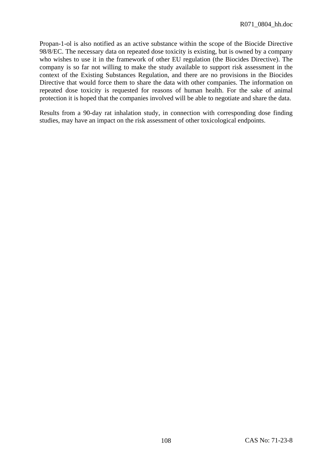Propan-1-ol is also notified as an active substance within the scope of the Biocide Directive 98/8/EC. The necessary data on repeated dose toxicity is existing, but is owned by a company who wishes to use it in the framework of other EU regulation (the Biocides Directive). The company is so far not willing to make the study available to support risk assessment in the context of the Existing Substances Regulation, and there are no provisions in the Biocides Directive that would force them to share the data with other companies. The information on repeated dose toxicity is requested for reasons of human health. For the sake of animal protection it is hoped that the companies involved will be able to negotiate and share the data.

Results from a 90-day rat inhalation study, in connection with corresponding dose finding studies, may have an impact on the risk assessment of other toxicological endpoints.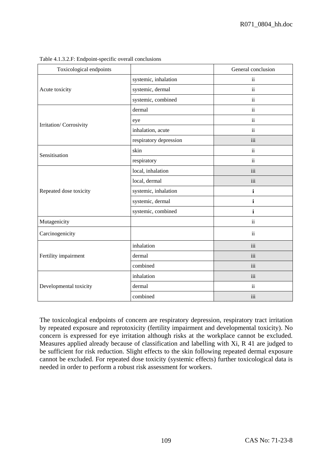| Toxicological endpoints |                        | General conclusion  |
|-------------------------|------------------------|---------------------|
|                         | systemic, inhalation   | $\rm ii$            |
| Acute toxicity          | systemic, dermal       | $\mathbf{ii}$       |
|                         | systemic, combined     | $\ddot{\mathbf{i}}$ |
|                         | dermal                 | $\ddot{\mathbf{i}}$ |
| Irritation/ Corrosivity | eye                    | $\ddot{\mathbf{i}}$ |
|                         | inhalation, acute      | $\rm ii$            |
|                         | respiratory depression | iii                 |
| Sensitisation           | skin                   | $\ddot{\mathbf{i}}$ |
|                         | respiratory            | $\ddot{\mathbf{i}}$ |
|                         | local, inhalation      | iii                 |
|                         | local, dermal          | iii                 |
| Repeated dose toxicity  | systemic, inhalation   | $\mathbf{i}$        |
|                         | systemic, dermal       | i                   |
|                         | systemic, combined     | $\mathbf{i}$        |
| Mutagenicity            |                        | $\ddot{\mathbf{i}}$ |
| Carcinogenicity         |                        | $\ddot{\mathbf{i}}$ |
|                         | inhalation             | iii                 |
| Fertility impairment    | dermal                 | iii                 |
|                         | combined               | iii                 |
|                         | inhalation             | iii                 |
| Developmental toxicity  | dermal                 | ii                  |
|                         | combined               | iii                 |

Table 4.1.3.2.F: Endpoint-specific overall conclusions

The toxicological endpoints of concern are respiratory depression, respiratory tract irritation by repeated exposure and reprotoxicity (fertility impairment and developmental toxicity). No concern is expressed for eye irritation although risks at the workplace cannot be excluded. Measures applied already because of classification and labelling with Xi, R 41 are judged to be sufficient for risk reduction. Slight effects to the skin following repeated dermal exposure cannot be excluded. For repeated dose toxicity (systemic effects) further toxicological data is needed in order to perform a robust risk assessment for workers.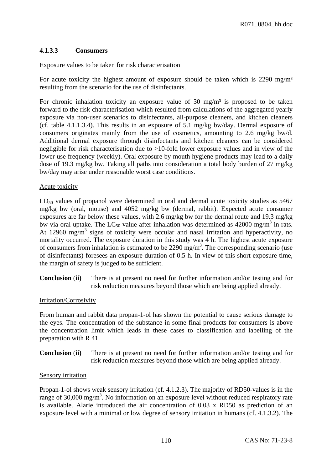# **4.1.3.3 Consumers**

## Exposure values to be taken for risk characterisation

For acute toxicity the highest amount of exposure should be taken which is 2290 mg/m<sup>3</sup> resulting from the scenario for the use of disinfectants.

For chronic inhalation toxicity an exposure value of 30  $\text{mg/m}^3$  is proposed to be taken forward to the risk characterisation which resulted from calculations of the aggregated yearly exposure via non-user scenarios to disinfectants, all-purpose cleaners, and kitchen cleaners (cf. table 4.1.1.3.4). This results in an exposure of 5.1 mg/kg bw/day. Dermal exposure of consumers originates mainly from the use of cosmetics, amounting to 2.6 mg/kg bw/d. Additional dermal exposure through disinfectants and kitchen cleaners can be considered negligible for risk characterisation due to >10-fold lower exposure values and in view of the lower use frequency (weekly). Oral exposure by mouth hygiene products may lead to a daily dose of 19.3 mg/kg bw. Taking all paths into consideration a total body burden of 27 mg/kg bw/day may arise under reasonable worst case conditions.

## Acute toxicity

 $LD_{50}$  values of propanol were determined in oral and dermal acute toxicity studies as 5467 mg/kg bw (oral, mouse) and 4052 mg/kg bw (dermal, rabbit). Expected acute consumer exposures are far below these values, with 2.6 mg/kg bw for the dermal route and 19.3 mg/kg bw via oral uptake. The LC<sub>50</sub> value after inhalation was determined as 42000 mg/m<sup>3</sup> in rats. At 12960 mg/m<sup>3</sup> signs of toxicity were occular and nasal irritation and hyperactivity, no mortality occurred. The exposure duration in this study was 4 h. The highest acute exposure of consumers from inhalation is estimated to be  $2290 \text{ mg/m}^3$ . The corresponding scenario (use of disinfectants) foresees an exposure duration of 0.5 h. In view of this short exposure time, the margin of safety is judged to be sufficient.

**Conclusion** (**ii)** There is at present no need for further information and/or testing and for risk reduction measures beyond those which are being applied already.

# Irritation/Corrosivity

From human and rabbit data propan-1-ol has shown the potential to cause serious damage to the eyes. The concentration of the substance in some final products for consumers is above the concentration limit which leads in these cases to classification and labelling of the preparation with R 41.

**Conclusion** (**ii)** There is at present no need for further information and/or testing and for risk reduction measures beyond those which are being applied already.

# Sensory irritation

Propan-1-ol shows weak sensory irritation (cf. 4.1.2.3). The majority of RD50-values is in the range of 30,000 mg/m<sup>3</sup>. No information on an exposure level without reduced respiratory rate is available. Alarie introduced the air concentration of 0.03 x RD50 as prediction of an exposure level with a minimal or low degree of sensory irritation in humans (cf. 4.1.3.2). The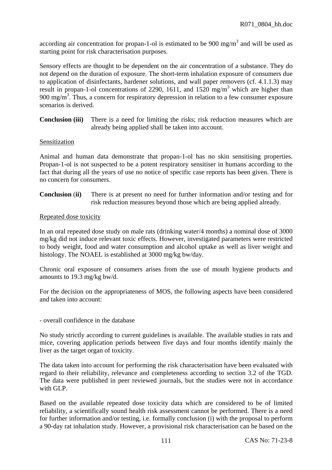according air concentration for propan-1-ol is estimated to be 900 mg/m<sup>3</sup> and will be used as starting point for risk characterisation purposes.

Sensory effects are thought to be dependent on the air concentration of a substance. They do not depend on the duration of exposure. The short-term inhalation exposure of consumers due to application of disinfectants, hardener solutions, and wall paper removers (cf. 4.1.1.3) may result in propan-1-ol concentrations of 2290, 1611, and  $1520 \text{ mg/m}^3$  which are higher than 900 mg/m<sup>3</sup>. Thus, a concern for respiratory depression in relation to a few consumer exposure scenarios is derived.

**Conclusion (iii)** There is a need for limiting the risks; risk reduction measures which are already being applied shall be taken into account.

## Sensitization

Animal and human data demonstrate that propan-1-ol has no skin sensitising properties. Propan-1-ol is not suspected to be a potent respiratory sensitiser in humans according to the fact that during all the years of use no notice of specific case reports has been given. There is no concern for consumers.

**Conclusion** (**ii)** There is at present no need for further information and/or testing and for risk reduction measures beyond those which are being applied already.

## Repeated dose toxicity

In an oral repeated dose study on male rats (drinking water/4 months) a nominal dose of 3000 mg/kg did not induce relevant toxic effects. However, investigated parameters were restricted to body weight, food and water consumption and alcohol uptake as well as liver weight and histology. The NOAEL is established at 3000 mg/kg bw/day.

Chronic oral exposure of consumers arises from the use of mouth hygiene products and amounts to 19.3 mg/kg bw/d.

For the decision on the appropriateness of MOS, the following aspects have been considered and taken into account:

- overall confidence in the database

No study strictly according to current guidelines is available. The available studies in rats and mice, covering application periods between five days and four months identify mainly the liver as the target organ of toxicity.

The data taken into account for performing the risk characterisation have been evaluated with regard to their reliability, relevance and completeness according to section 3.2 of the TGD. The data were published in peer reviewed journals, but the studies were not in accordance with GLP.

Based on the available repeated dose toxicity data which are considered to be of limited reliability, a scientifically sound health risk assessment cannot be performed. There is a need for further information and/or testing, i.e. formally conclusion (i) with the proposal to perform a 90-day rat inhalation study. However, a provisional risk characterisation can be based on the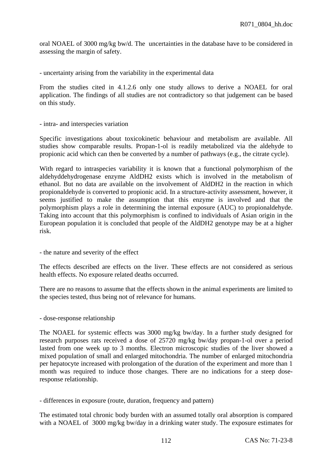oral NOAEL of 3000 mg/kg bw/d. The uncertainties in the database have to be considered in assessing the margin of safety.

- uncertainty arising from the variability in the experimental data

From the studies cited in 4.1.2.6 only one study allows to derive a NOAEL for oral application. The findings of all studies are not contradictory so that judgement can be based on this study.

- intra- and interspecies variation

Specific investigations about toxicokinetic behaviour and metabolism are available. All studies show comparable results. Propan-1-ol is readily metabolized via the aldehyde to propionic acid which can then be converted by a number of pathways (e.g., the citrate cycle).

With regard to intraspecies variability it is known that a functional polymorphism of the aldehyddehydrogenase enzyme AldDH2 exists which is involved in the metabolism of ethanol. But no data are available on the involvement of AldDH2 in the reaction in which propionaldehyde is converted to propionic acid. In a structure-activity assessment, however, it seems justified to make the assumption that this enzyme is involved and that the polymorphism plays a role in determining the internal exposure (AUC) to propionaldehyde. Taking into account that this polymorphism is confined to individuals of Asian origin in the European population it is concluded that people of the AldDH2 genotype may be at a higher risk.

- the nature and severity of the effect

The effects described are effects on the liver. These effects are not considered as serious health effects. No exposure related deaths occurred.

There are no reasons to assume that the effects shown in the animal experiments are limited to the species tested, thus being not of relevance for humans.

- dose-response relationship

The NOAEL for systemic effects was 3000 mg/kg bw/day. In a further study designed for research purposes rats received a dose of 25720 mg/kg bw/day propan-1-ol over a period lasted from one week up to 3 months. Electron microscopic studies of the liver showed a mixed population of small and enlarged mitochondria. The number of enlarged mitochondria per hepatocyte increased with prolongation of the duration of the experiment and more than 1 month was required to induce those changes. There are no indications for a steep doseresponse relationship.

- differences in exposure (route, duration, frequency and pattern)

The estimated total chronic body burden with an assumed totally oral absorption is compared with a NOAEL of 3000 mg/kg bw/day in a drinking water study. The exposure estimates for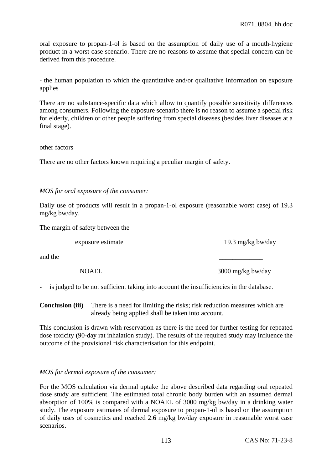oral exposure to propan-1-ol is based on the assumption of daily use of a mouth-hygiene product in a worst case scenario. There are no reasons to assume that special concern can be derived from this procedure.

- the human population to which the quantitative and/or qualitative information on exposure applies

There are no substance-specific data which allow to quantify possible sensitivity differences among consumers. Following the exposure scenario there is no reason to assume a special risk for elderly, children or other people suffering from special diseases (besides liver diseases at a final stage).

other factors

There are no other factors known requiring a peculiar margin of safety.

*MOS for oral exposure of the consumer:* 

Daily use of products will result in a propan-1-ol exposure (reasonable worst case) of 19.3 mg/kg bw/day.

The margin of safety between the

exposure estimate 19.3 mg/kg bw/day

and the  $\overline{\phantom{a}}$ 

NOAEL 3000 mg/kg bw/day

is judged to be not sufficient taking into account the insufficiencies in the database.

**Conclusion (iii)** There is a need for limiting the risks; risk reduction measures which are already being applied shall be taken into account.

This conclusion is drawn with reservation as there is the need for further testing for repeated dose toxicity (90-day rat inhalation study). The results of the required study may influence the outcome of the provisional risk characterisation for this endpoint.

#### *MOS for dermal exposure of the consumer:*

For the MOS calculation via dermal uptake the above described data regarding oral repeated dose study are sufficient. The estimated total chronic body burden with an assumed dermal absorption of 100% is compared with a NOAEL of 3000 mg/kg bw/day in a drinking water study. The exposure estimates of dermal exposure to propan-1-ol is based on the assumption of daily uses of cosmetics and reached 2.6 mg/kg bw/day exposure in reasonable worst case scenarios.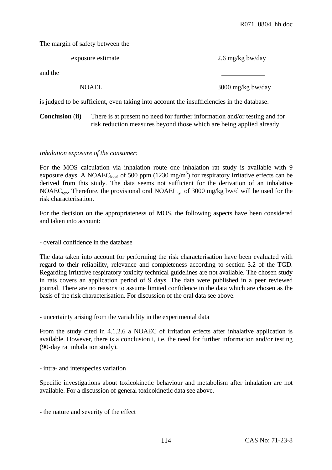The margin of safety between the

|         | exposure estimate | 2.6 mg/kg bw/day  |
|---------|-------------------|-------------------|
| and the |                   |                   |
|         | <b>NOAEL</b>      | 3000 mg/kg bw/day |

is judged to be sufficient, even taking into account the insufficiencies in the database.

**Conclusion** (**ii)** There is at present no need for further information and/or testing and for risk reduction measures beyond those which are being applied already.

## *Inhalation exposure of the consumer:*

For the MOS calculation via inhalation route one inhalation rat study is available with 9 exposure days. A NOAEC<sub>local</sub> of 500 ppm  $(1230 \text{ mg/m}^3)$  for respiratory irritative effects can be derived from this study. The data seems not sufficient for the derivation of an inhalative NOAECsys. Therefore, the provisional oral NOAELsys of 3000 mg/kg bw/d will be used for the risk characterisation.

For the decision on the appropriateness of MOS, the following aspects have been considered and taken into account:

- overall confidence in the database

The data taken into account for performing the risk characterisation have been evaluated with regard to their reliability, relevance and completeness according to section 3.2 of the TGD. Regarding irritative respiratory toxicity technical guidelines are not available. The chosen study in rats covers an application period of 9 days. The data were published in a peer reviewed journal. There are no reasons to assume limited confidence in the data which are chosen as the basis of the risk characterisation. For discussion of the oral data see above.

- uncertainty arising from the variability in the experimental data

From the study cited in 4.1.2.6 a NOAEC of irritation effects after inhalative application is available. However, there is a conclusion i, i.e. the need for further information and/or testing (90-day rat inhalation study).

- intra- and interspecies variation

Specific investigations about toxicokinetic behaviour and metabolism after inhalation are not available. For a discussion of general toxicokinetic data see above.

- the nature and severity of the effect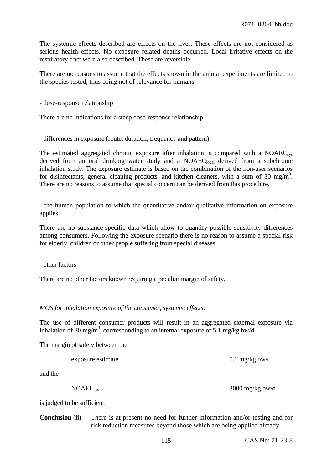The systemic effects described are effects on the liver. These effects are not considered as serious health effects. No exposure related deaths occurred. Local irritative effects on the respiratory tract were also described. These are reversible.

There are no reasons to assume that the effects shown in the animal experiments are limited to the species tested, thus being not of relevance for humans.

- dose-response relationship

There are no indications for a steep dose-response relationship.

- differences in exposure (route, duration, frequency and pattern)

The estimated aggregated chronic exposure after inhalation is compared with a  $NOAEC<sub>sys</sub>$ derived from an oral drinking water study and a NOAEC<sub>local</sub> derived from a subchronic inhalation study. The exposure estimate is based on the combination of the non-user scenarios for disinfectants, general cleaning products, and kitchen cleaners, with a sum of 30 mg/m<sup>3</sup>. There are no reasons to assume that special concern can be derived from this procedure.

- the human population to which the quantitative and/or qualitative information on exposure applies.

There are no substance-specific data which allow to quantify possible sensitivity differences among consumers. Following the exposure scenario there is no reason to assume a special risk for elderly, children or other people suffering from special diseases.

- other factors

There are no other factors known requiring a peculiar margin of safety.

# *MOS for inhalation exposure of the consumer, systemic effects:*

The use of different consumer products will result in an aggregated external exposure via inhalation of 30 mg/m<sup>3</sup>, corrresponding to an internal exposure of 5.1 mg/kg bw/d.

The margin of safety between the

exposure estimate 5.1 mg/kg bw/d

and the

NOAELsys 3000 mg/kg bw/d

is judged to be sufficient.

**Conclusion** (**ii)** There is at present no need for further information and/or testing and for risk reduction measures beyond those which are being applied already.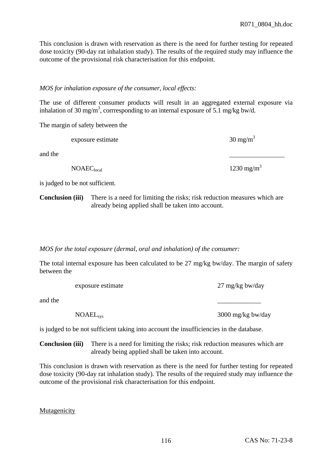This conclusion is drawn with reservation as there is the need for further testing for repeated dose toxicity (90-day rat inhalation study). The results of the required study may influence the outcome of the provisional risk characterisation for this endpoint.

## *MOS for inhalation exposure of the consumer, local effects:*

The use of different consumer products will result in an aggregated external exposure via inhalation of 30 mg/m<sup>3</sup>, corrresponding to an internal exposure of 5.1 mg/kg bw/d.

The margin of safety between the

exposure estimate  $30 \text{ mg/m}^3$ 

and the

 $NOAEC<sub>local</sub>$  1230 mg/m<sup>3</sup>

is judged to be not sufficient.

**Conclusion (iii)** There is a need for limiting the risks; risk reduction measures which are already being applied shall be taken into account.

*MOS for the total exposure (dermal, oral and inhalation) of the consumer:* 

The total internal exposure has been calculated to be 27 mg/kg bw/day. The margin of safety between the

exposure estimate 27 mg/kg bw/day

and the  $\overline{\phantom{a}}$ 

NOAELsys 3000 mg/kg bw/day

is judged to be not sufficient taking into account the insufficiencies in the database.

**Conclusion (iii)** There is a need for limiting the risks; risk reduction measures which are already being applied shall be taken into account.

This conclusion is drawn with reservation as there is the need for further testing for repeated dose toxicity (90-day rat inhalation study). The results of the required study may influence the outcome of the provisional risk characterisation for this endpoint.

Mutagenicity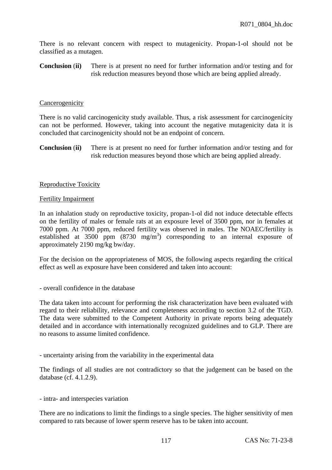There is no relevant concern with respect to mutagenicity. Propan-1-ol should not be classified as a mutagen.

**Conclusion** (**ii)** There is at present no need for further information and/or testing and for risk reduction measures beyond those which are being applied already.

#### **Cancerogenicity**

There is no valid carcinogenicity study available. Thus, a risk assessment for carcinogenicity can not be performed. However, taking into account the negative mutagenicity data it is concluded that carcinogenicity should not be an endpoint of concern.

**Conclusion** (**ii)** There is at present no need for further information and/or testing and for risk reduction measures beyond those which are being applied already.

#### Reproductive Toxicity

#### Fertility Impairment

In an inhalation study on reproductive toxicity, propan-1-ol did not induce detectable effects on the fertility of males or female rats at an exposure level of 3500 ppm, nor in females at 7000 ppm. At 7000 ppm, reduced fertility was observed in males. The NOAEC/fertility is established at  $3500$  ppm  $(8730 \text{ mg/m}^3)$  corresponding to an internal exposure of approximately 2190 mg/kg bw/day.

For the decision on the appropriateness of MOS, the following aspects regarding the critical effect as well as exposure have been considered and taken into account:

#### - overall confidence in the database

The data taken into account for performing the risk characterization have been evaluated with regard to their reliability, relevance and completeness according to section 3.2 of the TGD. The data were submitted to the Competent Authority in private reports being adequately detailed and in accordance with internationally recognized guidelines and to GLP. There are no reasons to assume limited confidence.

- uncertainty arising from the variability in the experimental data

The findings of all studies are not contradictory so that the judgement can be based on the database (cf. 4.1.2.9).

#### - intra- and interspecies variation

There are no indications to limit the findings to a single species. The higher sensitivity of men compared to rats because of lower sperm reserve has to be taken into account.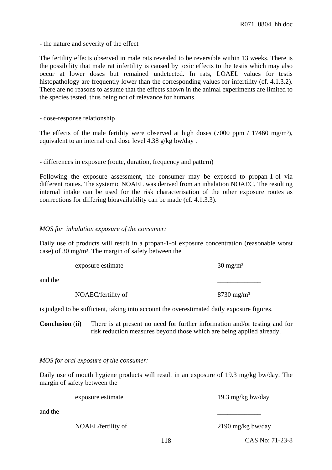- the nature and severity of the effect

The fertility effects observed in male rats revealed to be reversible within 13 weeks. There is the possibility that male rat infertility is caused by toxic effects to the testis which may also occur at lower doses but remained undetected. In rats, LOAEL values for testis histopathology are frequently lower than the corresponding values for infertility (cf. 4.1.3.2). There are no reasons to assume that the effects shown in the animal experiments are limited to the species tested, thus being not of relevance for humans.

- dose-response relationship

The effects of the male fertility were observed at high doses (7000 ppm / 17460 mg/m<sup>3</sup>), equivalent to an internal oral dose level 4.38 g/kg bw/day .

- differences in exposure (route, duration, frequency and pattern)

Following the exposure assessment, the consumer may be exposed to propan-1-ol via different routes. The systemic NOAEL was derived from an inhalation NOAEC. The resulting internal intake can be used for the risk characterisation of the other exposure routes as corrrections for differing bioavailability can be made (cf. 4.1.3.3).

#### *MOS for inhalation exposure of the consumer:*

Daily use of products will result in a propan-1-ol exposure concentration (reasonable worst case) of 30 mg/m³. The margin of safety between the

|         | exposure estimate  | $30 \text{ mg/m}^3$   |
|---------|--------------------|-----------------------|
| and the |                    |                       |
|         | NOAEC/fertility of | $8730 \text{ mg/m}^3$ |

is judged to be sufficient, taking into account the overestimated daily exposure figures.

**Conclusion** (**ii)** There is at present no need for further information and/or testing and for risk reduction measures beyond those which are being applied already.

*MOS for oral exposure of the consumer:* 

Daily use of mouth hygiene products will result in an exposure of 19.3 mg/kg bw/day. The margin of safety between the

exposure estimate 19.3 mg/kg bw/day and the  $\overline{\phantom{a}}$ 

NOAEL/fertility of 2190 mg/kg bw/day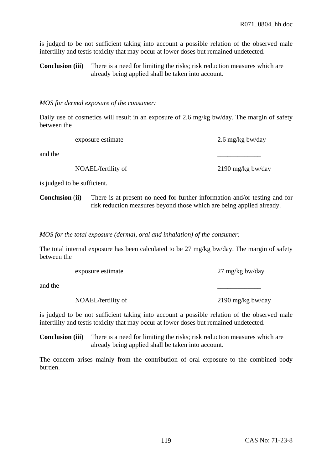is judged to be not sufficient taking into account a possible relation of the observed male infertility and testis toxicity that may occur at lower doses but remained undetected.

**Conclusion (iii)** There is a need for limiting the risks; risk reduction measures which are already being applied shall be taken into account.

#### *MOS for dermal exposure of the consumer:*

Daily use of cosmetics will result in an exposure of 2.6 mg/kg bw/day. The margin of safety between the

exposure estimate 2.6 mg/kg bw/day

and the  $\overline{\phantom{a}}$ 

NOAEL/fertility of 2190 mg/kg bw/day

is judged to be sufficient.

**Conclusion** (**ii)** There is at present no need for further information and/or testing and for risk reduction measures beyond those which are being applied already.

*MOS for the total exposure (dermal, oral and inhalation) of the consumer:* 

The total internal exposure has been calculated to be 27 mg/kg bw/day. The margin of safety between the

exposure estimate 27 mg/kg bw/day

and the  $\overline{\phantom{a}}$ 

NOAEL/fertility of 2190 mg/kg bw/day

is judged to be not sufficient taking into account a possible relation of the observed male infertility and testis toxicity that may occur at lower doses but remained undetected.

**Conclusion (iii)** There is a need for limiting the risks; risk reduction measures which are already being applied shall be taken into account.

The concern arises mainly from the contribution of oral exposure to the combined body burden.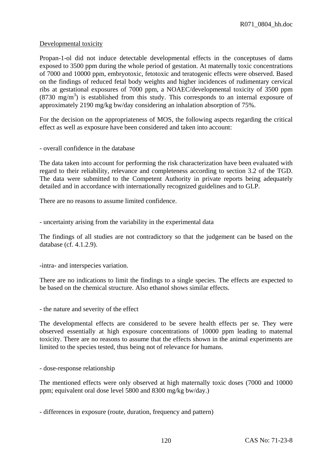## Developmental toxicity

Propan-1-ol did not induce detectable developmental effects in the conceptuses of dams exposed to 3500 ppm during the whole period of gestation. At maternally toxic concentrations of 7000 and 10000 ppm, embryotoxic, fetotoxic and teratogenic effects were observed. Based on the findings of reduced fetal body weights and higher incidences of rudimentary cervical ribs at gestational exposures of 7000 ppm, a NOAEC/developmental toxicity of 3500 ppm  $(8730 \text{ mg/m}^3)$  is established from this study. This corresponds to an internal exposure of approximately 2190 mg/kg bw/day considering an inhalation absorption of 75%.

For the decision on the appropriateness of MOS, the following aspects regarding the critical effect as well as exposure have been considered and taken into account:

- overall confidence in the database

The data taken into account for performing the risk characterization have been evaluated with regard to their reliability, relevance and completeness according to section 3.2 of the TGD. The data were submitted to the Competent Authority in private reports being adequately detailed and in accordance with internationally recognized guidelines and to GLP.

There are no reasons to assume limited confidence.

- uncertainty arising from the variability in the experimental data

The findings of all studies are not contradictory so that the judgement can be based on the database (cf. 4.1.2.9).

-intra- and interspecies variation.

There are no indications to limit the findings to a single species. The effects are expected to be based on the chemical structure. Also ethanol shows similar effects.

- the nature and severity of the effect

The developmental effects are considered to be severe health effects per se. They were observed essentially at high exposure concentrations of 10000 ppm leading to maternal toxicity. There are no reasons to assume that the effects shown in the animal experiments are limited to the species tested, thus being not of relevance for humans.

- dose-response relationship

The mentioned effects were only observed at high maternally toxic doses (7000 and 10000 ppm; equivalent oral dose level 5800 and 8300 mg/kg bw/day.)

- differences in exposure (route, duration, frequency and pattern)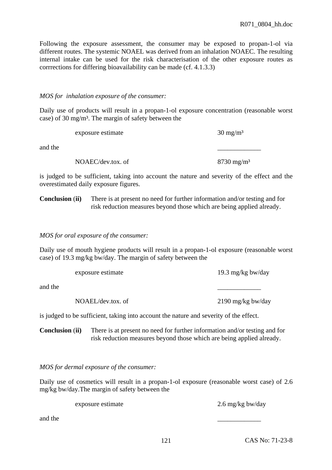Following the exposure assessment, the consumer may be exposed to propan-1-ol via different routes. The systemic NOAEL was derived from an inhalation NOAEC. The resulting internal intake can be used for the risk characterisation of the other exposure routes as corrrections for differing bioavailability can be made (cf. 4.1.3.3)

## *MOS for inhalation exposure of the consumer:*

Daily use of products will result in a propan-1-ol exposure concentration (reasonable worst case) of 30 mg/m³. The margin of safety between the

exposure estimate  $30 \text{ mg/m}^3$ 

and the  $\overline{\phantom{a}}$ 

NOAEC/dev.tox. of 8730 mg/m<sup>3</sup>

is judged to be sufficient, taking into account the nature and severity of the effect and the overestimated daily exposure figures.

**Conclusion** (**ii)** There is at present no need for further information and/or testing and for risk reduction measures beyond those which are being applied already.

*MOS for oral exposure of the consumer:* 

Daily use of mouth hygiene products will result in a propan-1-ol exposure (reasonable worst case) of 19.3 mg/kg bw/day. The margin of safety between the

exposure estimate 19.3 mg/kg bw/day and the  $\overline{\phantom{a}}$ NOAEL/dev.tox. of 2190 mg/kg bw/day

is judged to be sufficient, taking into account the nature and severity of the effect.

**Conclusion** (**ii)** There is at present no need for further information and/or testing and for risk reduction measures beyond those which are being applied already.

# *MOS for dermal exposure of the consumer:*

Daily use of cosmetics will result in a propan-1-ol exposure (reasonable worst case) of 2.6 mg/kg bw/day.The margin of safety between the

exposure estimate 2.6 mg/kg bw/day

and the  $\overline{\phantom{a}}$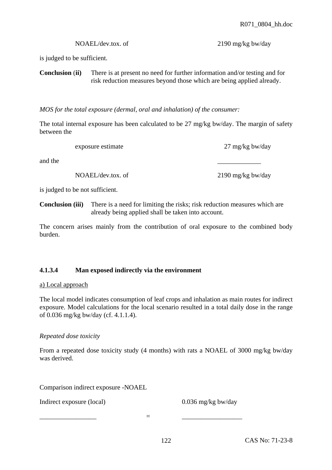is judged to be sufficient.

**Conclusion** (**ii)** There is at present no need for further information and/or testing and for risk reduction measures beyond those which are being applied already.

*MOS for the total exposure (dermal, oral and inhalation) of the consumer:* 

The total internal exposure has been calculated to be 27 mg/kg bw/day. The margin of safety between the

exposure estimate 27 mg/kg bw/day

and the  $\overline{\phantom{a}}$ 

NOAEL/dev.tox. of 2190 mg/kg bw/day

is judged to be not sufficient.

**Conclusion (iii)** There is a need for limiting the risks; risk reduction measures which are already being applied shall be taken into account.

The concern arises mainly from the contribution of oral exposure to the combined body burden.

# **4.1.3.4 Man exposed indirectly via the environment**

# a) Local approach

The local model indicates consumption of leaf crops and inhalation as main routes for indirect exposure. Model calculations for the local scenario resulted in a total daily dose in the range of 0.036 mg/kg bw/day (cf. 4.1.1.4).

# *Repeated dose toxicity*

From a repeated dose toxicity study (4 months) with rats a NOAEL of 3000 mg/kg bw/day was derived.

Comparison indirect exposure -NOAEL

Indirect exposure (local) 0.036 mg/kg bw/day

\_\_\_\_\_\_\_\_\_\_\_\_\_\_\_\_\_ = \_\_\_\_\_\_\_\_\_\_\_\_\_\_\_\_\_\_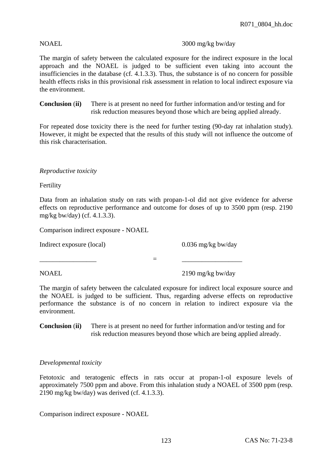#### NOAEL 3000 mg/kg bw/day

The margin of safety between the calculated exposure for the indirect exposure in the local approach and the NOAEL is judged to be sufficient even taking into account the insufficiencies in the database (cf. 4.1.3.3). Thus, the substance is of no concern for possible health effects risks in this provisional risk assessment in relation to local indirect exposure via the environment.

**Conclusion** (**ii)** There is at present no need for further information and/or testing and for risk reduction measures beyond those which are being applied already.

For repeated dose toxicity there is the need for further testing (90-day rat inhalation study). However, it might be expected that the results of this study will not influence the outcome of this risk characterisation.

## *Reproductive toxicity*

Fertility

Data from an inhalation study on rats with propan-1-ol did not give evidence for adverse effects on reproductive performance and outcome for doses of up to 3500 ppm (resp. 2190 mg/kg bw/day) (cf. 4.1.3.3).

Comparison indirect exposure - NOAEL

Indirect exposure (local) 0.036 mg/kg bw/day

NOAEL 2190 mg/kg bw/day

The margin of safety between the calculated exposure for indirect local exposure source and the NOAEL is judged to be sufficient. Thus, regarding adverse effects on reproductive performance the substance is of no concern in relation to indirect exposure via the environment.

\_\_\_\_\_\_\_\_\_\_\_\_\_\_\_\_\_ = \_\_\_\_\_\_\_\_\_\_\_\_\_\_\_\_\_\_

**Conclusion** (**ii)** There is at present no need for further information and/or testing and for risk reduction measures beyond those which are being applied already.

# *Developmental toxicity*

Fetotoxic and teratogenic effects in rats occur at propan-1-ol exposure levels of approximately 7500 ppm and above. From this inhalation study a NOAEL of 3500 ppm (resp. 2190 mg/kg bw/day) was derived (cf. 4.1.3.3).

Comparison indirect exposure - NOAEL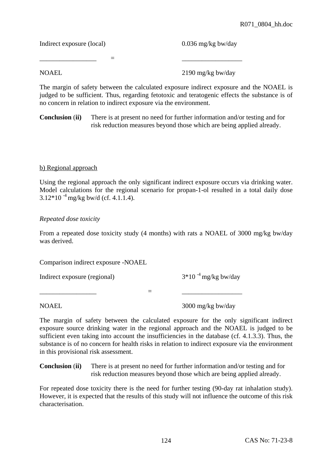Indirect exposure (local) 0.036 mg/kg bw/day

NOAEL 2190 mg/kg bw/day

The margin of safety between the calculated exposure indirect exposure and the NOAEL is judged to be sufficient. Thus, regarding fetotoxic and teratogenic effects the substance is of no concern in relation to indirect exposure via the environment.

\_\_\_\_\_\_\_\_\_\_\_\_\_\_\_\_\_ = \_\_\_\_\_\_\_\_\_\_\_\_\_\_\_\_\_\_

**Conclusion** (**ii)** There is at present no need for further information and/or testing and for risk reduction measures beyond those which are being applied already.

# b) Regional approach

Using the regional approach the only significant indirect exposure occurs via drinking water. Model calculations for the regional scenario for propan-1-ol resulted in a total daily dose  $3.12*10^{-4}$  mg/kg bw/d (cf. 4.1.1.4).

# *Repeated dose toxicity*

From a repeated dose toxicity study (4 months) with rats a NOAEL of 3000 mg/kg bw/day was derived.

Comparison indirect exposure -NOAEL

Indirect exposure (regional)  $3*10^{-4}$  mg/kg bw/day

\_\_\_\_\_\_\_\_\_\_\_\_\_\_\_\_\_ = \_\_\_\_\_\_\_\_\_\_\_\_\_\_\_\_\_\_

NOAEL 3000 mg/kg bw/day

The margin of safety between the calculated exposure for the only significant indirect exposure source drinking water in the regional approach and the NOAEL is judged to be sufficient even taking into account the insufficiencies in the database (cf. 4.1.3.3). Thus, the substance is of no concern for health risks in relation to indirect exposure via the environment in this provisional risk assessment.

**Conclusion** (**ii)** There is at present no need for further information and/or testing and for risk reduction measures beyond those which are being applied already.

For repeated dose toxicity there is the need for further testing (90-day rat inhalation study). However, it is expected that the results of this study will not influence the outcome of this risk characterisation.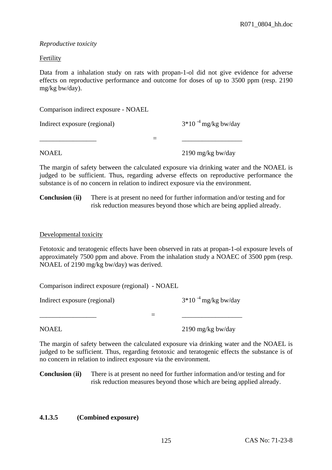#### *Reproductive toxicity*

## Fertility

Data from a inhalation study on rats with propan-1-ol did not give evidence for adverse effects on reproductive performance and outcome for doses of up to 3500 ppm (resp. 2190 mg/kg bw/day).

Comparison indirect exposure - NOAEL

Indirect exposure (regional)  $3*10^{-4}$  mg/kg bw/day

NOAEL 2190 mg/kg bw/day

The margin of safety between the calculated exposure via drinking water and the NOAEL is judged to be sufficient. Thus, regarding adverse effects on reproductive performance the substance is of no concern in relation to indirect exposure via the environment.

\_\_\_\_\_\_\_\_\_\_\_\_\_\_\_\_\_ = \_\_\_\_\_\_\_\_\_\_\_\_\_\_\_\_\_\_

**Conclusion** (**ii)** There is at present no need for further information and/or testing and for risk reduction measures beyond those which are being applied already.

#### Developmental toxicity

Fetotoxic and teratogenic effects have been observed in rats at propan-1-ol exposure levels of approximately 7500 ppm and above. From the inhalation study a NOAEC of 3500 ppm (resp. NOAEL of 2190 mg/kg bw/day) was derived.

Comparison indirect exposure (regional) - NOAEL

Indirect exposure (regional)  $3*10^{-4}$  mg/kg bw/day

NOAEL 2190 mg/kg bw/day

The margin of safety between the calculated exposure via drinking water and the NOAEL is judged to be sufficient. Thus, regarding fetotoxic and teratogenic effects the substance is of no concern in relation to indirect exposure via the environment.

\_\_\_\_\_\_\_\_\_\_\_\_\_\_\_\_\_ = \_\_\_\_\_\_\_\_\_\_\_\_\_\_\_\_\_\_

**Conclusion** (**ii)** There is at present no need for further information and/or testing and for risk reduction measures beyond those which are being applied already.

# **4.1.3.5 (Combined exposure)**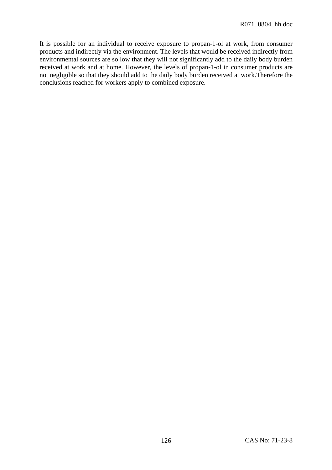It is possible for an individual to receive exposure to propan-1-ol at work, from consumer products and indirectly via the environment. The levels that would be received indirectly from environmental sources are so low that they will not significantly add to the daily body burden received at work and at home. However, the levels of propan-1-ol in consumer products are not negligible so that they should add to the daily body burden received at work.Therefore the conclusions reached for workers apply to combined exposure.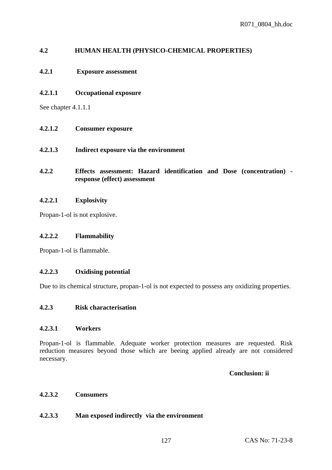# **4.2 HUMAN HEALTH (PHYSICO-CHEMICAL PROPERTIES)**

# **4.2.1 Exposure assessment**

#### **4.2.1.1 Occupational exposure**

See chapter 4.1.1.1

- **4.2.1.2 Consumer exposure**
- **4.2.1.3 Indirect exposure via the environment**
- **4.2.2 Effects assessment: Hazard identification and Dose (concentration) response (effect) assessment**

#### **4.2.2.1 Explosivity**

Propan-1-ol is not explosive.

#### **4.2.2.2 Flammability**

Propan-1-ol is flammable.

#### **4.2.2.3 Oxidising potential**

Due to its chemical structure, propan-1-ol is not expected to possess any oxidizing properties.

#### **4.2.3 Risk characterisation**

#### **4.2.3.1 Workers**

Propan-1-ol is flammable. Adequate worker protection measures are requested. Risk reduction measures beyond those which are beeing applied already are not considered necessary.

# **Conclusion: ii**

# **4.2.3.2 Consumers**

#### **4.2.3.3 Man exposed indirectly via the environment**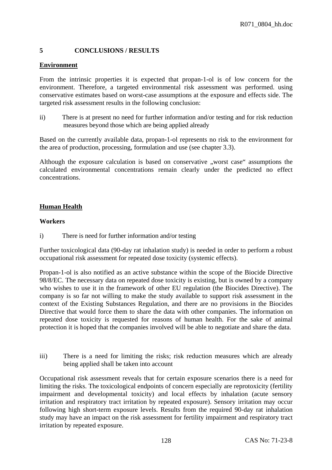# **5 CONCLUSIONS / RESULTS**

## **Environment**

From the intrinsic properties it is expected that propan-1-ol is of low concern for the environment. Therefore, a targeted environmental risk assessment was performed. using conservative estimates based on worst-case assumptions at the exposure and effects side. The targeted risk assessment results in the following conclusion:

ii) There is at present no need for further information and/or testing and for risk reduction measures beyond those which are being applied already

Based on the currently available data, propan-1-ol represents no risk to the environment for the area of production, processing, formulation and use (see chapter 3.3).

Although the exposure calculation is based on conservative . worst case assumptions the calculated environmental concentrations remain clearly under the predicted no effect concentrations.

# **Human Health**

#### **Workers**

i) There is need for further information and/or testing

Further toxicological data (90-day rat inhalation study) is needed in order to perform a robust occupational risk assessment for repeated dose toxicity (systemic effects).

Propan-1-ol is also notified as an active substance within the scope of the Biocide Directive 98/8/EC. The necessary data on repeated dose toxicity is existing, but is owned by a company who wishes to use it in the framework of other EU regulation (the Biocides Directive). The company is so far not willing to make the study available to support risk assessment in the context of the Existing Substances Regulation, and there are no provisions in the Biocides Directive that would force them to share the data with other companies. The information on repeated dose toxicity is requested for reasons of human health. For the sake of animal protection it is hoped that the companies involved will be able to negotiate and share the data.

iii) There is a need for limiting the risks; risk reduction measures which are already being applied shall be taken into account

Occupational risk assessment reveals that for certain exposure scenarios there is a need for limiting the risks. The toxicological endpoints of concern especially are reprotoxicity (fertility impairment and developmental toxicity) and local effects by inhalation (acute sensory irritation and respiratory tract irritation by repeated exposure). Sensory irritation may occur following high short-term exposure levels. Results from the required 90-day rat inhalation study may have an impact on the risk assessment for fertility impairment and respiratory tract irritation by repeated exposure.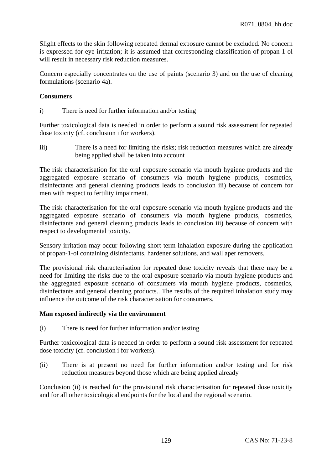Slight effects to the skin following repeated dermal exposure cannot be excluded. No concern is expressed for eye irritation; it is assumed that corresponding classification of propan-1-ol will result in necessary risk reduction measures.

Concern especially concentrates on the use of paints (scenario 3) and on the use of cleaning formulations (scenario 4a).

# **Consumers**

i) There is need for further information and/or testing

Further toxicological data is needed in order to perform a sound risk assessment for repeated dose toxicity (cf. conclusion i for workers).

iii) There is a need for limiting the risks; risk reduction measures which are already being applied shall be taken into account

The risk characterisation for the oral exposure scenario via mouth hygiene products and the aggregated exposure scenario of consumers via mouth hygiene products, cosmetics, disinfectants and general cleaning products leads to conclusion iii) because of concern for men with respect to fertility impairment.

The risk characterisation for the oral exposure scenario via mouth hygiene products and the aggregated exposure scenario of consumers via mouth hygiene products, cosmetics, disinfectants and general cleaning products leads to conclusion iii) because of concern with respect to developmental toxicity.

Sensory irritation may occur following short-term inhalation exposure during the application of propan-1-ol containing disinfectants, hardener solutions, and wall aper removers.

The provisional risk characterisation for repeated dose toxicity reveals that there may be a need for limiting the risks due to the oral exposure scenario via mouth hygiene products and the aggregated exposure scenario of consumers via mouth hygiene products, cosmetics, disinfectants and general cleaning products.. The results of the required inhalation study may influence the outcome of the risk characterisation for consumers.

# **Man exposed indirectly via the environment**

(i) There is need for further information and/or testing

Further toxicological data is needed in order to perform a sound risk assessment for repeated dose toxicity (cf. conclusion i for workers).

(ii) There is at present no need for further information and/or testing and for risk reduction measures beyond those which are being applied already

Conclusion (ii) is reached for the provisional risk characterisation for repeated dose toxicity and for all other toxicological endpoints for the local and the regional scenario.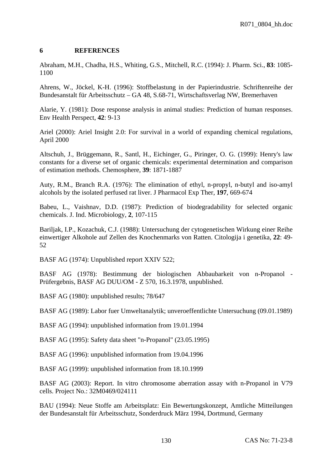## **6 REFERENCES**

Abraham, M.H., Chadha, H.S., Whiting, G.S., Mitchell, R.C. (1994): J. Pharm. Sci., **83**: 1085- 1100

Ahrens, W., Jöckel, K-H. (1996): Stoffbelastung in der Papierindustrie. Schriftenreihe der Bundesanstalt für Arbeitsschutz – GA 48, S.68-71, Wirtschaftsverlag NW, Bremerhaven

Alarie, Y. (1981): Dose response analysis in animal studies: Prediction of human responses. Env Health Perspect, **42**: 9-13

Ariel (2000): Ariel Insight 2.0: For survival in a world of expanding chemical regulations, April 2000

Altschuh, J., Brüggemann, R., Santl, H., Eichinger, G., Piringer, O. G. (1999): Henry's law constants for a diverse set of organic chemicals: experimental determination and comparison of estimation methods. Chemosphere, **39**: 1871-1887

Auty, R.M., Branch R.A. (1976): The elimination of ethyl, n-propyl, n-butyl and iso-amyl alcohols by the isolated perfused rat liver. J Pharmacol Exp Ther, **197**, 669-674

Babeu, L., Vaishnav, D.D. (1987): Prediction of biodegradability for selected organic chemicals. J. Ind. Microbiology, **2**, 107-115

Bariljak, I.P., Kozachuk, C.J. (1988): Untersuchung der cytogenetischen Wirkung einer Reihe einwertiger Alkohole auf Zellen des Knochenmarks von Ratten. Citologija i genetika, **22**: 49- 52

BASF AG (1974): Unpublished report XXIV 522;

BASF AG (1978): Bestimmung der biologischen Abbaubarkeit von n-Propanol - Prüfergebnis, BASF AG DUU/OM - Z 570, 16.3.1978, unpublished.

BASF AG (1980): unpublished results; 78/647

BASF AG (1989): Labor fuer Umweltanalytik; unveroeffentlichte Untersuchung (09.01.1989)

BASF AG (1994): unpublished information from 19.01.1994

BASF AG (1995): Safety data sheet "n-Propanol" (23.05.1995)

BASF AG (1996): unpublished information from 19.04.1996

BASF AG (1999): unpublished information from 18.10.1999

BASF AG (2003): Report. In vitro chromosome aberration assay with n-Propanol in V79 cells. Project No.: 32M0469/024111

BAU (1994): Neue Stoffe am Arbeitsplatz: Ein Bewertungskonzept, Amtliche Mitteilungen der Bundesanstalt für Arbeitsschutz, Sonderdruck März 1994, Dortmund, Germany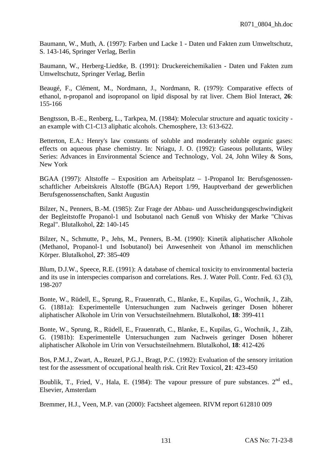Baumann, W., Muth, A. (1997): Farben und Lacke 1 - Daten und Fakten zum Umweltschutz, S. 143-146, Springer Verlag, Berlin

Baumann, W., Herberg-Liedtke, B. (1991): Druckereichemikalien - Daten und Fakten zum Umweltschutz, Springer Verlag, Berlin

Beaugé, F., Clément, M., Nordmann, J., Nordmann, R. (1979): Comparative effects of ethanol, n-propanol and isopropanol on lipid disposal by rat liver. Chem Biol Interact, **26**: 155-166

Bengtsson, B.-E., Renberg, L., Tarkpea, M. (1984): Molecular structure and aquatic toxicity an example with C1-C13 aliphatic alcohols. Chemosphere, 13: 613-622.

Betterton, E.A.: Henry's law constants of soluble and moderately soluble organic gases: effects on aqueous phase chemistry. In: Nriagu, J. O. (1992): Gaseous pollutants, Wiley Series: Advances in Environmental Science and Technology, Vol. 24, John Wiley & Sons, New York

BGAA (1997): Altstoffe – Exposition am Arbeitsplatz – 1-Propanol In: Berufsgenossenschaftlicher Arbeitskreis Altstoffe (BGAA) Report 1/99, Hauptverband der gewerblichen Berufsgenossenschaften, Sankt Augustin

Bilzer, N., Penners, B.-M. (1985): Zur Frage der Abbau- und Ausscheidungsgeschwindigkeit der Begleitstoffe Propanol-1 und Isobutanol nach Genuß von Whisky der Marke "Chivas Regal". Blutalkohol, **22**: 140-145

Bilzer, N., Schmutte, P., Jehs, M., Penners, B.-M. (1990): Kinetik aliphatischer Alkohole (Methanol, Propanol-1 und Isobutanol) bei Anwesenheit von Äthanol im menschlichen Körper. Blutalkohol, **27**: 385-409

Blum, D.J.W., Speece, R.E. (1991): A database of chemical toxicity to environmental bacteria and its use in interspecies comparison and correlations. Res. J. Water Poll. Contr. Fed. 63 (3), 198-207

Bonte, W., Rüdell, E., Sprung, R., Frauenrath, C., Blanke, E., Kupilas, G., Wochnik, J., Zäh, G. (1881a): Experimentelle Untersuchungen zum Nachweis geringer Dosen höherer aliphatischer Alkohole im Urin von Versuchsteilnehmern. Blutalkohol, **18**: 399-411

Bonte, W., Sprung, R., Rüdell, E., Frauenrath, C., Blanke, E., Kupilas, G., Wochnik, J., Zäh, G. (1981b): Experimentelle Untersuchungen zum Nachweis geringer Dosen höherer aliphatischer Alkohole im Urin von Versuchsteilnehmern. Blutalkohol, **18**: 412-426

Bos, P.M.J., Zwart, A., Reuzel, P.G.J., Bragt, P.C. (1992): Evaluation of the sensory irritation test for the assessment of occupational health risk. Crit Rev Toxicol, **21**: 423-450

Boublik, T., Fried, V., Hala, E. (1984): The vapour pressure of pure substances.  $2^{nd}$  ed., Elsevier, Amsterdam

Bremmer, H.J., Veen, M.P. van (2000): Factsheet algemeen. RIVM report 612810 009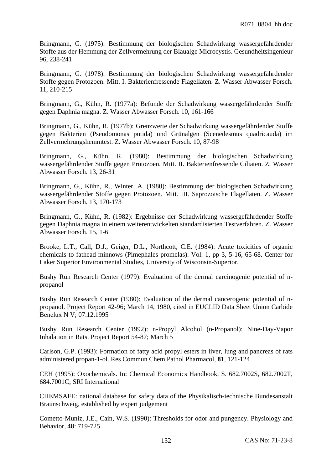Bringmann, G. (1975): Bestimmung der biologischen Schadwirkung wassergefährdender Stoffe aus der Hemmung der Zellvermehrung der Blaualge Microcystis. Gesundheitsingenieur 96, 238-241

Bringmann, G. (1978): Bestimmung der biologischen Schadwirkung wassergefährdender Stoffe gegen Protozoen. Mitt. I. Bakterienfressende Flagellaten. Z. Wasser Abwasser Forsch. 11, 210-215

Bringmann, G., Kühn, R. (1977a): Befunde der Schadwirkung wassergefährdender Stoffe gegen Daphnia magna. Z. Wasser Abwasser Forsch. 10, 161-166

Bringmann, G., Kühn, R. (1977b): Grenzwerte der Schadwirkung wassergefährdender Stoffe gegen Bakterien (Pseudomonas putida) und Grünalgen (Scenedesmus quadricauda) im Zellvermehrungshemmtest. Z. Wasser Abwasser Forsch. 10, 87-98

Bringmann, G., Kühn, R. (1980): Bestimmung der biologischen Schadwirkung wassergefährdender Stoffe gegen Protozoen. Mitt. II. Bakterienfressende Ciliaten. Z. Wasser Abwasser Forsch. 13, 26-31

Bringmann, G., Kühn, R., Winter, A. (1980): Bestimmung der biologischen Schadwirkung wassergefährdender Stoffe gegen Protozoen. Mitt. III. Saprozoische Flagellaten. Z. Wasser Abwasser Forsch. 13, 170-173

Bringmann, G., Kühn, R. (1982): Ergebnisse der Schadwirkung wassergefährdender Stoffe gegen Daphnia magna in einem weiterentwickelten standardisierten Testverfahren. Z. Wasser Abwasser Forsch. 15, 1-6

Brooke, L.T., Call, D.J., Geiger, D.L., Northcott, C.E. (1984): Acute toxicities of organic chemicals to fathead minnows (Pimephales promelas). Vol. 1, pp 3, 5-16, 65-68. Center for Laker Superior Environmental Studies, University of Wisconsin-Superior.

Bushy Run Research Center (1979): Evaluation of the dermal carcinogenic potential of npropanol

Bushy Run Research Center (1980): Evaluation of the dermal cancerogenic potential of npropanol. Project Report 42-96; March 14, 1980, cited in EUCLID Data Sheet Union Carbide Benelux N V; 07.12.1995

Bushy Run Research Center (1992): n-Propyl Alcohol (n-Propanol): Nine-Day-Vapor Inhalation in Rats. Project Report 54-87; March 5

Carlson, G.P. (1993): Formation of fatty acid propyl esters in liver, lung and pancreas of rats administered propan-1-ol. Res Commun Chem Pathol Pharmacol, **81**, 121-124

CEH (1995): Oxochemicals. In: Chemical Economics Handbook, S. 682.7002S, 682.7002T, 684.7001C; SRI International

CHEMSAFE: national database for safety data of the Physikalisch-technische Bundesanstalt Braunschweig, established by expert judgement

Cometto-Muniz, J.E., Cain, W.S. (1990): Thresholds for odor and pungency. Physiology and Behavior, **48**: 719-725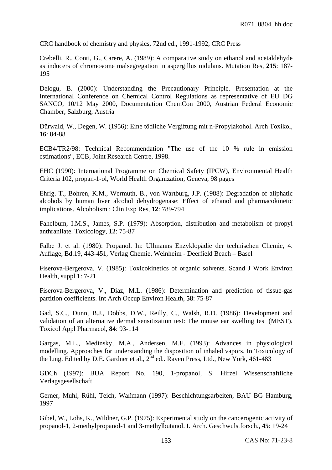CRC handbook of chemistry and physics, 72nd ed., 1991-1992, CRC Press

Crebelli, R., Conti, G., Carere, A. (1989): A comparative study on ethanol and acetaldehyde as inducers of chromosome malsegregation in aspergillus nidulans. Mutation Res, **215**: 187- 195

Delogu, B. (2000): Understanding the Precautionary Principle. Presentation at the International Conference on Chemical Control Regulations as representative of EU DG SANCO, 10/12 May 2000, Documentation ChemCon 2000, Austrian Federal Economic Chamber, Salzburg, Austria

Dürwald, W., Degen, W. (1956): Eine tödliche Vergiftung mit n-Propylakohol. Arch Toxikol, **16**: 84-88

ECB4/TR2/98: Technical Recommendation "The use of the 10 % rule in emission estimations", ECB, Joint Research Centre, 1998.

EHC (1990): International Programme on Chemical Safety (IPCW), Environmental Health Criteria 102, propan-1-ol, World Health Organization, Geneva, 98 pages

Ehrig. T., Bohren, K.M., Wermuth, B., von Wartburg, J.P. (1988): Degradation of aliphatic alcohols by human liver alcohol dehydrogenase: Effect of ethanol and pharmacokinetic implications. Alcoholism : Clin Exp Res, **12**: 789-794

Fahelbum, I.M.S., James, S.P. (1979): Absorption, distribution and metabolism of propyl anthranilate. Toxicology, **12**: 75-87

Falbe J. et al. (1980): Propanol. In: Ullmanns Enzyklopädie der technischen Chemie, 4. Auflage, Bd.19, 443-451, Verlag Chemie, Weinheim - Deerfield Beach – Basel

Fiserova-Bergerova, V. (1985): Toxicokinetics of organic solvents. Scand J Work Environ Health, suppl **1**: 7-21

Fiserova-Bergerova, V., Diaz, M.L. (1986): Determination and prediction of tissue-gas partition coefficients. Int Arch Occup Environ Health, **58**: 75-87

Gad, S.C., Dunn, B.J., Dobbs, D.W., Reilly, C., Walsh, R.D. (1986): Development and validation of an alternative dermal sensitization test: The mouse ear swelling test (MEST). Toxicol Appl Pharmacol, **84**: 93-114

Gargas, M.L., Medinsky, M.A., Andersen, M.E. (1993): Advances in physiological modelling. Approaches for understanding the disposition of inhaled vapors. In Toxicology of the lung. Edited by D.E. Gardner et al., 2<sup>nd</sup> ed., Raven Press, Ltd., New York, 461-483

GDCh (1997): BUA Report No. 190, 1-propanol, S. Hirzel Wissenschaftliche Verlagsgesellschaft

Gerner, Muhl, Rühl, Teich, Waßmann (1997): Beschichtungsarbeiten, BAU BG Hamburg, 1997

Gibel, W., Lohs, K., Wildner, G.P. (1975): Experimental study on the cancerogenic activity of propanol-1, 2-methylpropanol-1 and 3-methylbutanol. I. Arch. Geschwulstforsch., **45**: 19-24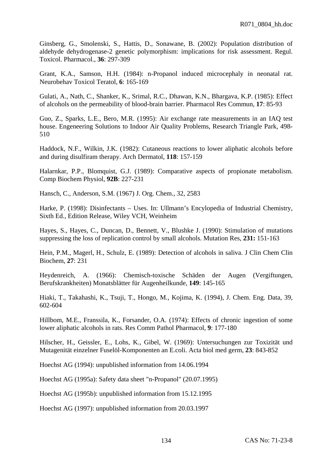Ginsberg, G., Smolenski, S., Hattis, D., Sonawane, B. (2002): Population distribution of aldehyde dehydrogenase-2 genetic polymorphism: implications for risk assessment. Regul. Toxicol. Pharmacol., **36**: 297-309

Grant, K.A., Samson, H.H. (1984): n-Propanol induced microcephaly in neonatal rat. Neurobehav Toxicol Teratol, **6**: 165-169

Gulati, A., Nath, C., Shanker, K., Srimal, R.C., Dhawan, K.N., Bhargava, K.P. (1985): Effect of alcohols on the permeability of blood-brain barrier. Pharmacol Res Commun, **17**: 85-93

Guo, Z., Sparks, L.E., Bero, M.R. (1995): Air exchange rate measurements in an IAQ test house. Engeneering Solutions to Indoor Air Quality Problems, Research Triangle Park, 498- 510

Haddock, N.F., Wilkin, J.K. (1982): Cutaneous reactions to lower aliphatic alcohols before and during disulfiram therapy. Arch Dermatol, **118**: 157-159

Halarnkar, P.P., Blomquist, G.J. (1989): Comparative aspects of propionate metabolism. Comp Biochem Physiol, **92B**: 227-231

Hansch, C., Anderson, S.M. (1967) J. Org. Chem., 32, 2583

Harke, P. (1998): Disinfectants – Uses. In: Ullmann's Encylopedia of Industrial Chemistry, Sixth Ed., Edition Release, Wiley VCH, Weinheim

Hayes, S., Hayes, C., Duncan, D., Bennett, V., Blushke J. (1990): Stimulation of mutations suppressing the loss of replication control by small alcohols. Mutation Res, **231:** 151-163

Hein, P.M., Magerl, H., Schulz, E. (1989): Detection of alcohols in saliva. J Clin Chem Clin Biochem, **27**: 231

Heydenreich, A. (1966): Chemisch-toxische Schäden der Augen (Vergiftungen, Berufskrankheiten) Monatsblätter für Augenheilkunde, **149**: 145-165

Hiaki, T., Takahashi, K., Tsuji, T., Hongo, M., Kojima, K. (1994), J. Chem. Eng. Data, 39, 602-604

Hillbom, M.E., Franssila, K., Forsander, O.A. (1974): Effects of chronic ingestion of some lower aliphatic alcohols in rats. Res Comm Pathol Pharmacol, **9**: 177-180

Hilscher, H., Geissler, E., Lohs, K., Gibel, W. (1969): Untersuchungen zur Toxizität und Mutagenität einzelner Fuselöl-Komponenten an E.coli. Acta biol med germ, **23**: 843-852

Hoechst AG (1994): unpublished information from 14.06.1994

Hoechst AG (1995a): Safety data sheet "n-Propanol" (20.07.1995)

Hoechst AG (1995b): unpublished information from 15.12.1995

Hoechst AG (1997): unpublished information from 20.03.1997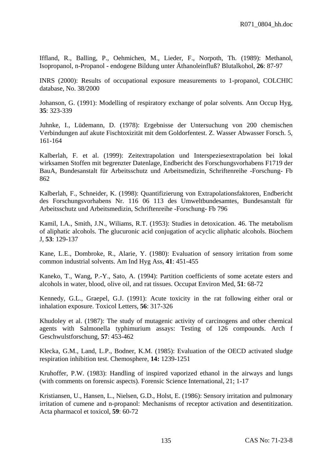Iffland, R., Balling, P., Oehmichen, M., Lieder, F., Norpoth, Th. (1989): Methanol, Isopropanol, n-Propanol - endogene Bildung unter Äthanoleinfluß? Blutalkohol, **26**: 87-97

INRS (2000): Results of occupational exposure measurements to 1-propanol, COLCHIC database, No. 38/2000

Johanson, G. (1991): Modelling of respiratory exchange of polar solvents. Ann Occup Hyg, **35**: 323-339

Juhnke, I., Lüdemann, D. (1978): Ergebnisse der Untersuchung von 200 chemischen Verbindungen auf akute Fischtoxizität mit dem Goldorfentest. Z. Wasser Abwasser Forsch. 5, 161-164

Kalberlah, F. et al. (1999): Zeitextrapolation und Interspeziesextrapolation bei lokal wirksamen Stoffen mit begrenzter Datenlage, Endbericht des Forschungsvorhabens F1719 der BauA, Bundesanstalt für Arbeitsschutz und Arbeitsmedizin, Schriftenreihe -Forschung- Fb 862

Kalberlah, F., Schneider, K. (1998): Quantifizierung von Extrapolationsfaktoren, Endbericht des Forschungsvorhabens Nr. 116 06 113 des Umweltbundesamtes, Bundesanstalt für Arbeitsschutz und Arbeitsmedizin, Schriftenreihe -Forschung- Fb 796

Kamil, I.A., Smith, J.N., Wiliams, R.T. (1953): Studies in detoxication. 46. The metabolism of aliphatic alcohols. The glucuronic acid conjugation of acyclic aliphatic alcohols. Biochem J, **53**: 129-137

Kane, L.E., Dombroke, R., Alarie, Y. (1980): Evaluation of sensory irritation from some common industrial solvents. Am Ind Hyg Ass, **41**: 451-455

Kaneko, T., Wang, P.-Y., Sato, A. (1994): Partition coefficients of some acetate esters and alcohols in water, blood, olive oil, and rat tissues. Occupat Environ Med, **51**: 68-72

Kennedy, G.L., Graepel, G.J. (1991): Acute toxicity in the rat following either oral or inhalation exposure. Toxicol Letters, **56**: 317-326

Khudoley et al. (1987): The study of mutagenic activity of carcinogens and other chemical agents with Salmonella typhimurium assays: Testing of 126 compounds. Arch f Geschwulstforschung, **57**: 453-462

Klecka, G.M., Land, L.P., Bodner, K.M. (1985): Evaluation of the OECD activated sludge respiration inhibition test. Chemosphere, **14:** 1239-1251

Kruhoffer, P.W. (1983): Handling of inspired vaporized ethanol in the airways and lungs (with comments on forensic aspects). Forensic Science International, 21; 1-17

Kristiansen, U., Hansen, L., Nielsen, G.D., Holst, E. (1986): Sensory irritation and pulmonary irritation of cumene and n-propanol: Mechanisms of receptor activation and desentitization. Acta pharmacol et toxicol, **59**: 60-72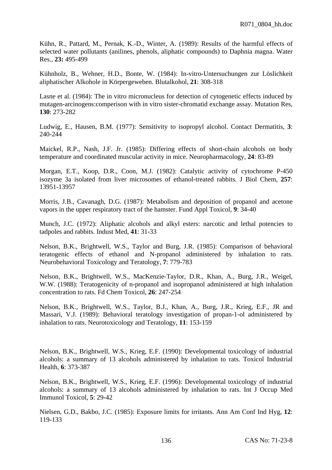Kühn, R., Pattard, M., Pernak, K.-D., Winter, A. (1989): Results of the harmful effects of selected water pollutants (anilines, phenols, aliphatic compounds) to Daphnia magna. Water Res., **23:** 495-499

Kühnholz, B., Wehner, H.D., Bonte, W. (1984): In-vitro-Untersuchungen zur Löslichkeit aliphatischer Alkohole in Körpergeweben. Blutalkohol, **21**: 308-318

Lasne et al. (1984): The in vitro micronucleus for detection of cytogenetic effects induced by mutagen-arcinogens:comperison with in vitro sister-chromatid exchange assay. Mutation Res, **130**: 273-282

Ludwig, E., Hausen, B.M. (1977): Sensitivity to isopropyl alcohol. Contact Dermatitis, **3**: 240-244

Maickel, R.P., Nash, J.F. Jr. (1985): Differing effects of short-chain alcohols on body temperature and coordinated muscular activity in mice. Neuropharmacology, **24**: 83-89

Morgan, E.T., Koop, D.R., Coon, M.J. (1982): Catalytic activity of cytochrome P-450 isozyme 3a isolated from liver microsomes of ethanol-treated rabbits. J Biol Chem, **257**: 13951-13957

Morris, J.B., Cavanagh, D.G. (1987): Metabolism and deposition of propanol and acetone vapors in the upper respiratory tract of the hamster. Fund Appl Toxicol, **9**: 34-40

Munch, J.C. (1972): Aliphatic alcohols and alkyl esters: narcotic and lethal potencies to tadpoles and rabbits. Indust Med, **41**: 31-33

Nelson, B.K., Brightwell, W.S., Taylor and Burg, J.R. (1985): Comparison of behavioral teratogenic effects of ethanol and N-propanol administered by inhalation to rats. Neurobehavioral Toxicology and Teratology, **7**: 779-783

Nelson, B.K., Brightwell, W.S., MacKenzie-Taylor, D.R., Khan, A., Burg, J.R., Weigel, W.W. (1988): Teratogenicity of n-propanol and isopropanol administered at high inhalation concentration to rats. Fd Chem Toxicol, **26**: 247-254

Nelson, B.K., Brightwell, W.S., Taylor, B.J., Khan, A., Burg, J.R., Krieg, E.F., JR and Massari, V.J. (1989): Behavioral teratology investigation of propan-1-ol administered by inhalation to rats. Neurotoxicology and Teratology, **11**: 153-159

Nelson, B.K., Brightwell, W.S., Krieg, E.F. (1990): Developmental toxicology of industrial alcohols: a summary of 13 alcohols administered by inhalation to rats. Toxicol Industrial Health, **6**: 373-387

Nelson, B.K., Brightwell, W.S., Krieg, E.F. (1996): Developmental toxicology of industrial alcohols: a summary of 13 alcohols administered by inhalation to rats. Int J Occup Med Immunol Toxicol, **5**: 29-42

Nielsen, G.D., Bakbo, J.C. (1985): Exposure limits for irritants. Ann Am Conf Ind Hyg, **12**: 119-133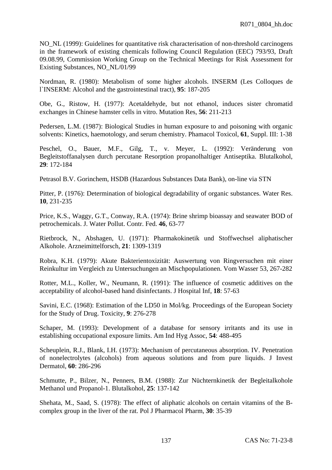NO\_NL (1999): Guidelines for quantitative risk characterisation of non-threshold carcinogens in the framework of existing chemicals following Council Regulation (EEC) 793/93, Draft 09.08.99, Commission Working Group on the Technical Meetings for Risk Assessment for Existing Substances, NO\_NL/01/99

Nordman, R. (1980): Metabolism of some higher alcohols. INSERM (Les Colloques de l`INSERM: Alcohol and the gastrointestinal tract), **95**: 187-205

Obe, G., Ristow, H. (1977): Acetaldehyde, but not ethanol, induces sister chromatid exchanges in Chinese hamster cells in vitro. Mutation Res, **56**: 211-213

Pedersen, L.M. (1987): Biological Studies in human exposure to and poisoning with organic solvents: Kinetics, haemotology, and serum chemistry. Phamacol Toxicol, **61**, Suppl. III: 1-38

Peschel, O., Bauer, M.F., Gilg, T., v. Meyer, L. (1992): Veränderung von Begleitstoffanalysen durch percutane Resorption propanolhaltiger Antiseptika. Blutalkohol, **29**: 172-184

Petrasol B.V. Gorinchem, HSDB (Hazardous Substances Data Bank), on-line via STN

Pitter, P. (1976): Determination of biological degradability of organic substances. Water Res. **10**, 231-235

Price, K.S., Waggy, G.T., Conway, R.A. (1974): Brine shrimp bioassay and seawater BOD of petrochemicals. J. Water Pollut. Contr. Fed. **46**, 63-77

Rietbrock, N., Abshagen, U. (1971): Pharmakokinetik und Stoffwechsel aliphatischer Alkohole. Arzneimittelforsch, **21**: 1309-1319

Robra, K.H. (1979): Akute Bakterientoxizität: Auswertung von Ringversuchen mit einer Reinkultur im Vergleich zu Untersuchungen an Mischpopulationen. Vom Wasser 53, 267-282

Rotter, M.L., Koller, W., Neumann, R. (1991): The influence of cosmetic additives on the acceptability of alcohol-based hand disinfectants. J Hospital Inf, **18**: 57-63

Savini, E.C. (1968): Estimation of the LD50 in Mol/kg. Proceedings of the European Society for the Study of Drug. Toxicity, **9**: 276-278

Schaper, M. (1993): Development of a database for sensory irritants and its use in establishing occupational exposure limits. Am Ind Hyg Assoc, **54**: 488-495

Scheuplein, R.J., Blank, I.H. (1973): Mechanism of percutaneous absorption. IV. Penetration of nonelectrolytes (alcohols) from aqueous solutions and from pure liquids. J Invest Dermatol, **60**: 286-296

Schmutte, P., Bilzer, N., Penners, B.M. (1988): Zur Nüchternkinetik der Begleitalkohole Methanol und Propanol-1. Blutalkohol, **25**: 137-142

Shehata, M., Saad, S. (1978): The effect of aliphatic alcohols on certain vitamins of the Bcomplex group in the liver of the rat. Pol J Pharmacol Pharm, **30**: 35-39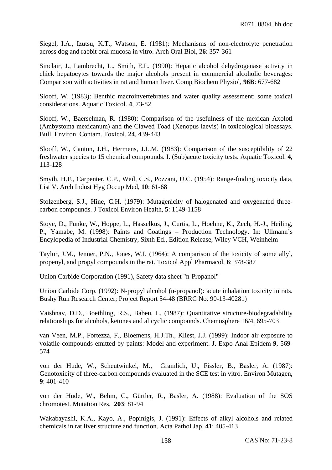Siegel, I.A., Izutsu, K.T., Watson, E. (1981): Mechanisms of non-electrolyte penetration across dog and rabbit oral mucosa in vitro. Arch Oral Biol, **26**: 357-361

Sinclair, J., Lambrecht, L., Smith, E.L. (1990): Hepatic alcohol dehydrogenase activity in chick hepatocytes towards the major alcohols present in commercial alcoholic beverages: Comparison with activities in rat and human liver. Comp Biochem Physiol, **96B**: 677-682

Slooff, W. (1983): Benthic macroinvertebrates and water quality assessment: some toxical considerations. Aquatic Toxicol. **4**, 73-82

Slooff, W., Baerselman, R. (1980): Comparison of the usefulness of the mexican Axolotl (Ambystoma mexicanum) and the Clawed Toad (Xenopus laevis) in toxicological bioassays. Bull. Environ. Contam. Toxicol. **24**, 439-443

Slooff, W., Canton, J.H., Hermens, J.L.M. (1983): Comparison of the susceptibility of 22 freshwater species to 15 chemical compounds. I. (Sub)acute toxicity tests. Aquatic Toxicol. **4**, 113-128

Smyth, H.F., Carpenter, C.P., Weil, C.S., Pozzani, U.C. (1954): Range-finding toxicity data, List V. Arch Indust Hyg Occup Med, **10**: 61-68

Stolzenberg, S.J., Hine, C.H. (1979): Mutagenicity of halogenated and oxygenated threecarbon compounds. J Toxicol Environ Health, **5**: 1149-1158

Stoye, D., Funke, W., Hoppe, L., Hasselkus, J., Curtis, L., Hoehne, K., Zech, H.-J., Heiling, P., Yamabe, M. (1998): Paints and Coatings – Production Technology. In: Ullmann's Encylopedia of Industrial Chemistry, Sixth Ed., Edition Release, Wiley VCH, Weinheim

Taylor, J.M., Jenner, P.N., Jones, W.I. (1964): A comparison of the toxicity of some allyl, propenyl, and propyl compounds in the rat. Toxicol Appl Pharmacol, **6**: 378-387

Union Carbide Corporation (1991), Safety data sheet "n-Propanol"

Union Carbide Corp. (1992): N-propyl alcohol (n-propanol): acute inhalation toxicity in rats. Bushy Run Research Center; Project Report 54-48 (BRRC No. 90-13-40281)

Vaishnav, D.D., Boethling, R.S., Babeu, L. (1987): Quantitative structure-biodegradability relationships for alcohols, ketones and alicyclic compounds. Chemosphere 16/4, 695-703

van Veen, M.P., Fortezza, F., Bloemens, H.J.Th., Kliest, J.J. (1999): Indoor air exposure to volatile compounds emitted by paints: Model and experiment. J. Expo Anal Epidem **9**, 569- 574

von der Hude, W., Scheutwinkel, M., Gramlich, U., Fissler, B., Basler, A. (1987): Genotoxicity of three-carbon compounds evaluated in the SCE test in vitro. Environ Mutagen, **9**: 401-410

von der Hude, W., Behm, C., Gürtler, R., Basler, A. (1988): Evaluation of the SOS chromotest. Mutation Res, **203**: 81-94

Wakabayashi, K.A., Kayo, A., Popinigis, J. (1991): Effects of alkyl alcohols and related chemicals in rat liver structure and function. Acta Pathol Jap, **41**: 405-413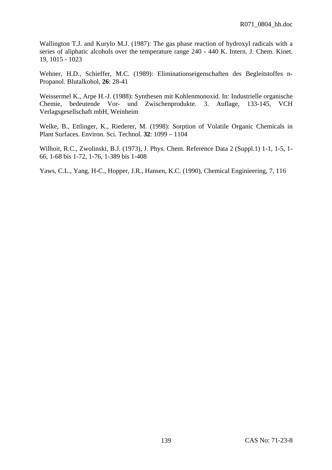Wallington T.J. and Kurylo M.J. (1987): The gas phase reaction of hydroxyl radicals with a series of aliphatic alcohols over the temperature range 240 - 440 K. Intern. J. Chem. Kinet. 19, 1015 - 1023

Wehner, H.D., Schieffer, M.C. (1989): Eliminationseigenschaften des Begleitstoffes n-Propanol. Blutalkohol, **26**: 28-41

Weissermel K., Arpe H.-J. (1988): Synthesen mit Kohlenmonoxid. In: Industrielle organische Chemie, bedeutende Vor- und Zwischenprodukte. 3. Auflage, 133-145, VCH Verlagsgesellschaft mbH, Weinheim

Welke, B., Ettlinger, K., Riederer, M. (1998): Sorption of Volatile Organic Chemicals in Plant Surfaces. Environ. Sci. Technol. **32**: 1099 – 1104

Wilhoit, R.C., Zwolinski, B.J. (1973), J. Phys. Chem. Reference Data 2 (Suppl.1) 1-1, 1-5, 1- 66, 1-68 bis 1-72, 1-76, 1-389 bis 1-408

Yaws, C.L., Yang, H-C., Hopper, J.R., Hansen, K.C. (1990), Chemical Enginieering, 7, 116